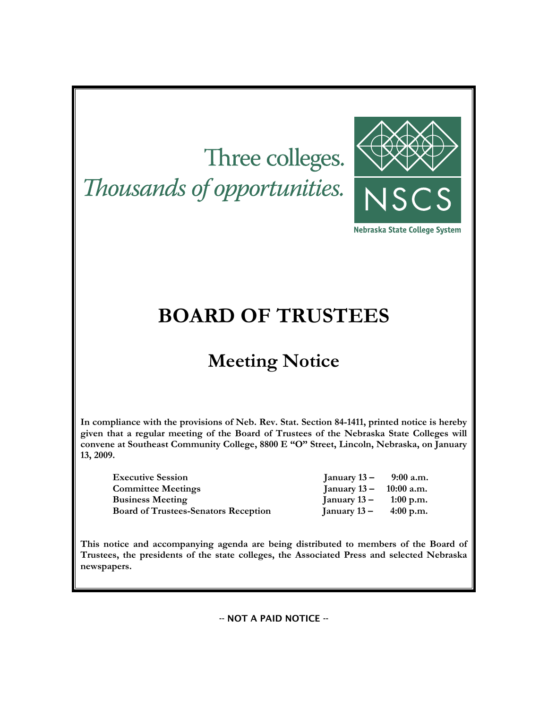# Three colleges.

Thousands of opportunities.



Nebraska State College System

# **BOARD OF TRUSTEES**

# **Meeting Notice**

**In compliance with the provisions of Neb. Rev. Stat. Section 84-1411, printed notice is hereby given that a regular meeting of the Board of Trustees of the Nebraska State Colleges will convene at Southeast Community College, 8800 E "O" Street, Lincoln, Nebraska, on January 13, 2009.** 

**Executive Session Committee Meetings Business Meeting Board of Trustees-Senators Reception** 

| January 13 –   | 9:00 a.m.   |
|----------------|-------------|
| January $13 -$ | 10:00 a.m.  |
| January $13 -$ | $1:00$ p.m. |
| January 13 –   | $4:00$ p.m. |

**This notice and accompanying agenda are being distributed to members of the Board of Trustees, the presidents of the state colleges, the Associated Press and selected Nebraska newspapers.** 

-- NOT A PAID NOTICE --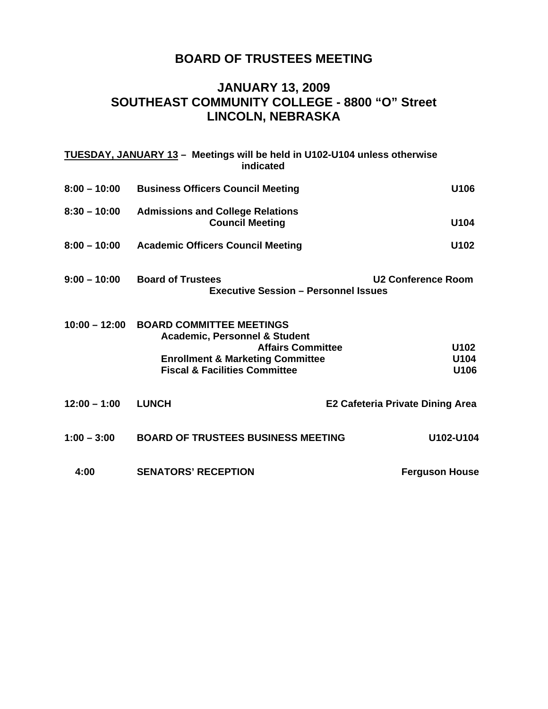# **BOARD OF TRUSTEES MEETING**

### **JANUARY 13, 2009 SOUTHEAST COMMUNITY COLLEGE - 8800 "O" Street LINCOLN, NEBRASKA**

|                 | TUESDAY, JANUARY 13 - Meetings will be held in U102-U104 unless otherwise<br>indicated                                                                                                             |                                         |
|-----------------|----------------------------------------------------------------------------------------------------------------------------------------------------------------------------------------------------|-----------------------------------------|
| $8:00 - 10:00$  | <b>Business Officers Council Meeting</b>                                                                                                                                                           | U106                                    |
| $8:30 - 10:00$  | <b>Admissions and College Relations</b><br><b>Council Meeting</b>                                                                                                                                  | U104                                    |
| $8:00 - 10:00$  | <b>Academic Officers Council Meeting</b>                                                                                                                                                           | U102                                    |
| $9:00 - 10:00$  | <b>Board of Trustees</b><br><b>Executive Session - Personnel Issues</b>                                                                                                                            | <b>U2 Conference Room</b>               |
| $10:00 - 12:00$ | <b>BOARD COMMITTEE MEETINGS</b><br><b>Academic, Personnel &amp; Student</b><br><b>Affairs Committee</b><br><b>Enrollment &amp; Marketing Committee</b><br><b>Fiscal &amp; Facilities Committee</b> | U102<br>U104<br>U106                    |
| $12:00 - 1:00$  | <b>LUNCH</b>                                                                                                                                                                                       | <b>E2 Cafeteria Private Dining Area</b> |
| $1:00 - 3:00$   | <b>BOARD OF TRUSTEES BUSINESS MEETING</b>                                                                                                                                                          | U102-U104                               |
| 4:00            | <b>SENATORS' RECEPTION</b>                                                                                                                                                                         | <b>Ferguson House</b>                   |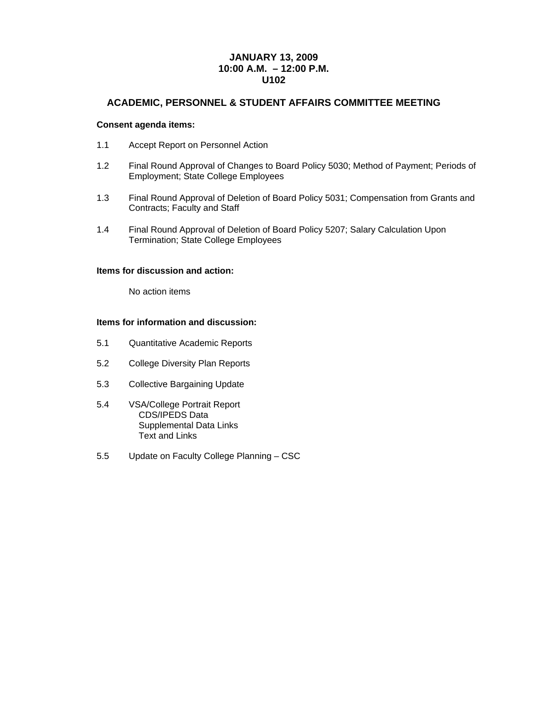#### **JANUARY 13, 2009 10:00 A.M. – 12:00 P.M. U102**

#### **ACADEMIC, PERSONNEL & STUDENT AFFAIRS COMMITTEE MEETING**

#### **Consent agenda items:**

- 1.1 Accept Report on Personnel Action
- 1.2 Final Round Approval of Changes to Board Policy 5030; Method of Payment; Periods of Employment; State College Employees
- 1.3 Final Round Approval of Deletion of Board Policy 5031; Compensation from Grants and Contracts; Faculty and Staff
- 1.4 Final Round Approval of Deletion of Board Policy 5207; Salary Calculation Upon Termination; State College Employees

#### **Items for discussion and action:**

No action items

#### **Items for information and discussion:**

- 5.1 Quantitative Academic Reports
- 5.2 College Diversity Plan Reports
- 5.3 Collective Bargaining Update
- 5.4 VSA/College Portrait Report CDS/IPEDS Data Supplemental Data Links Text and Links
- 5.5 Update on Faculty College Planning CSC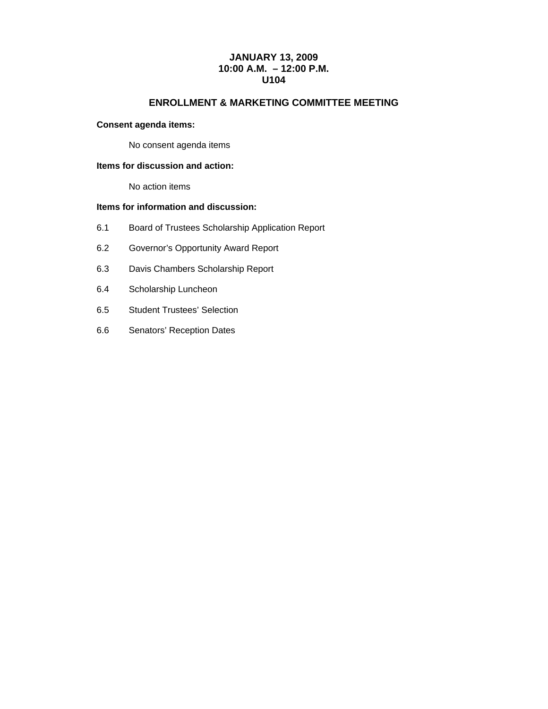#### **JANUARY 13, 2009 10:00 A.M. – 12:00 P.M. U104**

#### **ENROLLMENT & MARKETING COMMITTEE MEETING**

#### **Consent agenda items:**

No consent agenda items

#### **Items for discussion and action:**

No action items

#### **Items for information and discussion:**

- 6.1 Board of Trustees Scholarship Application Report
- 6.2 Governor's Opportunity Award Report
- 6.3 Davis Chambers Scholarship Report
- 6.4 Scholarship Luncheon
- 6.5 Student Trustees' Selection
- 6.6 Senators' Reception Dates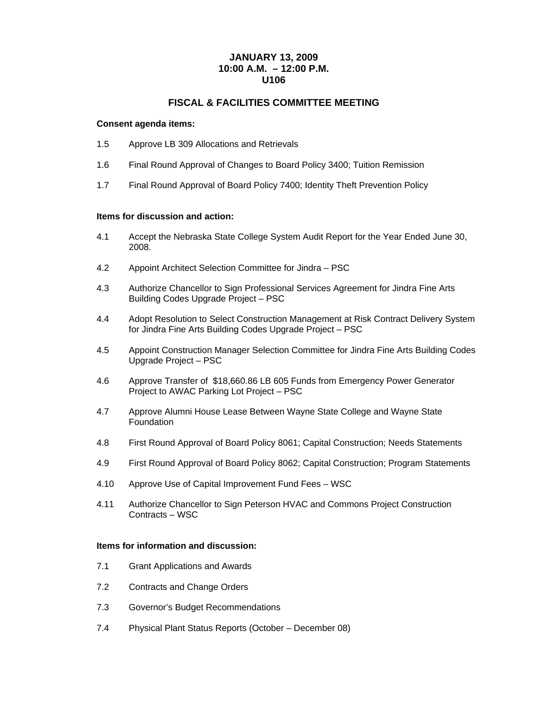#### **JANUARY 13, 2009 10:00 A.M. – 12:00 P.M. U106**

#### **FISCAL & FACILITIES COMMITTEE MEETING**

#### **Consent agenda items:**

- 1.5 Approve LB 309 Allocations and Retrievals
- 1.6 Final Round Approval of Changes to Board Policy 3400; Tuition Remission
- 1.7 Final Round Approval of Board Policy 7400; Identity Theft Prevention Policy

#### **Items for discussion and action:**

- 4.1 Accept the Nebraska State College System Audit Report for the Year Ended June 30, 2008.
- 4.2 Appoint Architect Selection Committee for Jindra PSC
- 4.3 Authorize Chancellor to Sign Professional Services Agreement for Jindra Fine Arts Building Codes Upgrade Project – PSC
- 4.4 Adopt Resolution to Select Construction Management at Risk Contract Delivery System for Jindra Fine Arts Building Codes Upgrade Project – PSC
- 4.5 Appoint Construction Manager Selection Committee for Jindra Fine Arts Building Codes Upgrade Project – PSC
- 4.6 Approve Transfer of \$18,660.86 LB 605 Funds from Emergency Power Generator Project to AWAC Parking Lot Project – PSC
- 4.7 Approve Alumni House Lease Between Wayne State College and Wayne State **Foundation**
- 4.8 First Round Approval of Board Policy 8061; Capital Construction; Needs Statements
- 4.9 First Round Approval of Board Policy 8062; Capital Construction; Program Statements
- 4.10 Approve Use of Capital Improvement Fund Fees WSC
- 4.11 Authorize Chancellor to Sign Peterson HVAC and Commons Project Construction Contracts – WSC

#### **Items for information and discussion:**

- 7.1 Grant Applications and Awards
- 7.2 Contracts and Change Orders
- 7.3 Governor's Budget Recommendations
- 7.4 Physical Plant Status Reports (October December 08)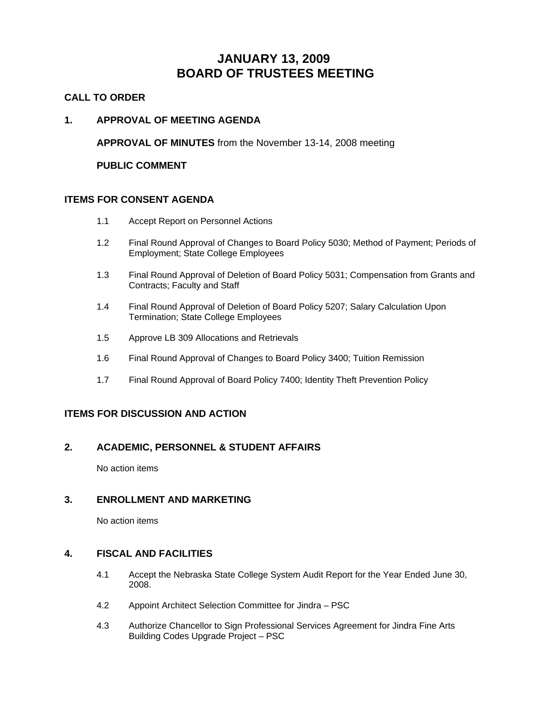## **JANUARY 13, 2009 BOARD OF TRUSTEES MEETING**

#### **CALL TO ORDER**

#### **1. APPROVAL OF MEETING AGENDA**

**APPROVAL OF MINUTES** from the November 13-14, 2008 meeting

 **PUBLIC COMMENT** 

#### **ITEMS FOR CONSENT AGENDA**

- 1.1 Accept Report on Personnel Actions
- 1.2 Final Round Approval of Changes to Board Policy 5030; Method of Payment; Periods of Employment; State College Employees
- 1.3 Final Round Approval of Deletion of Board Policy 5031; Compensation from Grants and Contracts; Faculty and Staff
- 1.4 Final Round Approval of Deletion of Board Policy 5207; Salary Calculation Upon Termination; State College Employees
- 1.5 Approve LB 309 Allocations and Retrievals
- 1.6 Final Round Approval of Changes to Board Policy 3400; Tuition Remission
- 1.7 Final Round Approval of Board Policy 7400; Identity Theft Prevention Policy

#### **ITEMS FOR DISCUSSION AND ACTION**

#### **2. ACADEMIC, PERSONNEL & STUDENT AFFAIRS**

No action items

#### **3. ENROLLMENT AND MARKETING**

No action items

#### **4. FISCAL AND FACILITIES**

- 4.1 Accept the Nebraska State College System Audit Report for the Year Ended June 30, 2008.
- 4.2 Appoint Architect Selection Committee for Jindra PSC
- 4.3 Authorize Chancellor to Sign Professional Services Agreement for Jindra Fine Arts Building Codes Upgrade Project – PSC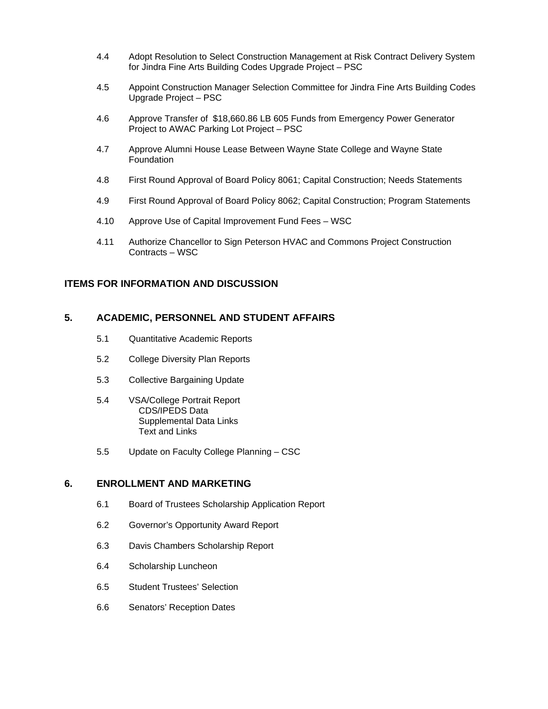- 4.4 Adopt Resolution to Select Construction Management at Risk Contract Delivery System for Jindra Fine Arts Building Codes Upgrade Project – PSC
- 4.5 Appoint Construction Manager Selection Committee for Jindra Fine Arts Building Codes Upgrade Project – PSC
- 4.6 Approve Transfer of \$18,660.86 LB 605 Funds from Emergency Power Generator Project to AWAC Parking Lot Project – PSC
- 4.7 Approve Alumni House Lease Between Wayne State College and Wayne State Foundation
- 4.8 First Round Approval of Board Policy 8061; Capital Construction; Needs Statements
- 4.9 First Round Approval of Board Policy 8062; Capital Construction; Program Statements
- 4.10 Approve Use of Capital Improvement Fund Fees WSC
- 4.11 Authorize Chancellor to Sign Peterson HVAC and Commons Project Construction Contracts – WSC

#### **ITEMS FOR INFORMATION AND DISCUSSION**

#### **5. ACADEMIC, PERSONNEL AND STUDENT AFFAIRS**

- 5.1 Quantitative Academic Reports
- 5.2 College Diversity Plan Reports
- 5.3 Collective Bargaining Update
- 5.4 VSA/College Portrait Report CDS/IPEDS Data Supplemental Data Links Text and Links
- 5.5 Update on Faculty College Planning CSC

#### **6. ENROLLMENT AND MARKETING**

- 6.1 Board of Trustees Scholarship Application Report
- 6.2 Governor's Opportunity Award Report
- 6.3 Davis Chambers Scholarship Report
- 6.4 Scholarship Luncheon
- 6.5 Student Trustees' Selection
- 6.6 Senators' Reception Dates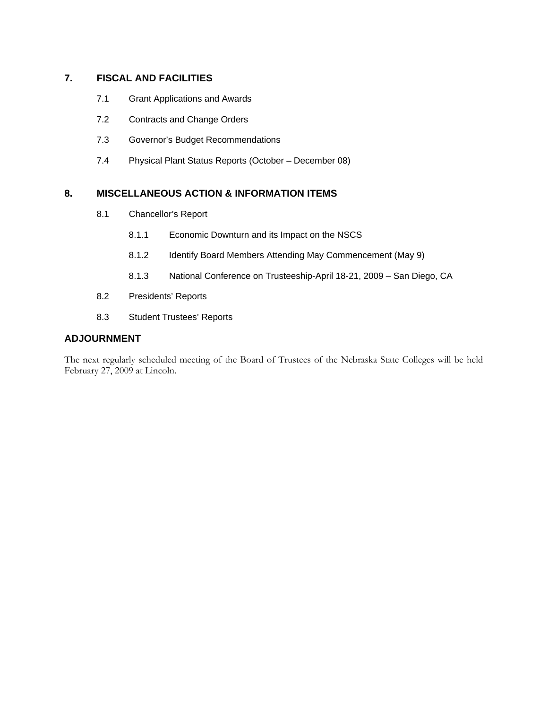#### **7. FISCAL AND FACILITIES**

- 7.1 Grant Applications and Awards
- 7.2 Contracts and Change Orders
- 7.3 Governor's Budget Recommendations
- 7.4 Physical Plant Status Reports (October December 08)

#### **8. MISCELLANEOUS ACTION & INFORMATION ITEMS**

- 8.1 Chancellor's Report
	- 8.1.1 Economic Downturn and its Impact on the NSCS
	- 8.1.2 Identify Board Members Attending May Commencement (May 9)
	- 8.1.3 National Conference on Trusteeship-April 18-21, 2009 San Diego, CA
- 8.2 Presidents' Reports
- 8.3 Student Trustees' Reports

#### **ADJOURNMENT**

The next regularly scheduled meeting of the Board of Trustees of the Nebraska State Colleges will be held February 27, 2009 at Lincoln.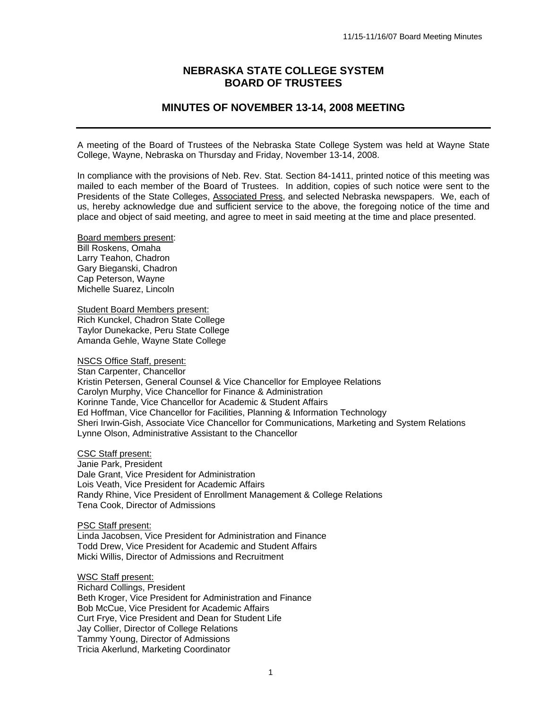#### **NEBRASKA STATE COLLEGE SYSTEM BOARD OF TRUSTEES**

#### **MINUTES OF NOVEMBER 13-14, 2008 MEETING**

A meeting of the Board of Trustees of the Nebraska State College System was held at Wayne State College, Wayne, Nebraska on Thursday and Friday, November 13-14, 2008.

In compliance with the provisions of Neb. Rev. Stat. Section 84-1411, printed notice of this meeting was mailed to each member of the Board of Trustees. In addition, copies of such notice were sent to the Presidents of the State Colleges, Associated Press, and selected Nebraska newspapers. We, each of us, hereby acknowledge due and sufficient service to the above, the foregoing notice of the time and place and object of said meeting, and agree to meet in said meeting at the time and place presented.

Board members present: Bill Roskens, Omaha Larry Teahon, Chadron Gary Bieganski, Chadron Cap Peterson, Wayne Michelle Suarez, Lincoln

Student Board Members present: Rich Kunckel, Chadron State College Taylor Dunekacke, Peru State College Amanda Gehle, Wayne State College

NSCS Office Staff, present:

Stan Carpenter, Chancellor Kristin Petersen, General Counsel & Vice Chancellor for Employee Relations Carolyn Murphy, Vice Chancellor for Finance & Administration Korinne Tande, Vice Chancellor for Academic & Student Affairs Ed Hoffman, Vice Chancellor for Facilities, Planning & Information Technology Sheri Irwin-Gish, Associate Vice Chancellor for Communications, Marketing and System Relations Lynne Olson, Administrative Assistant to the Chancellor

CSC Staff present:

Janie Park, President Dale Grant, Vice President for Administration Lois Veath, Vice President for Academic Affairs Randy Rhine, Vice President of Enrollment Management & College Relations Tena Cook, Director of Admissions

PSC Staff present:

Linda Jacobsen, Vice President for Administration and Finance Todd Drew, Vice President for Academic and Student Affairs Micki Willis, Director of Admissions and Recruitment

WSC Staff present:

Richard Collings, President Beth Kroger, Vice President for Administration and Finance Bob McCue, Vice President for Academic Affairs Curt Frye, Vice President and Dean for Student Life Jay Collier, Director of College Relations Tammy Young, Director of Admissions Tricia Akerlund, Marketing Coordinator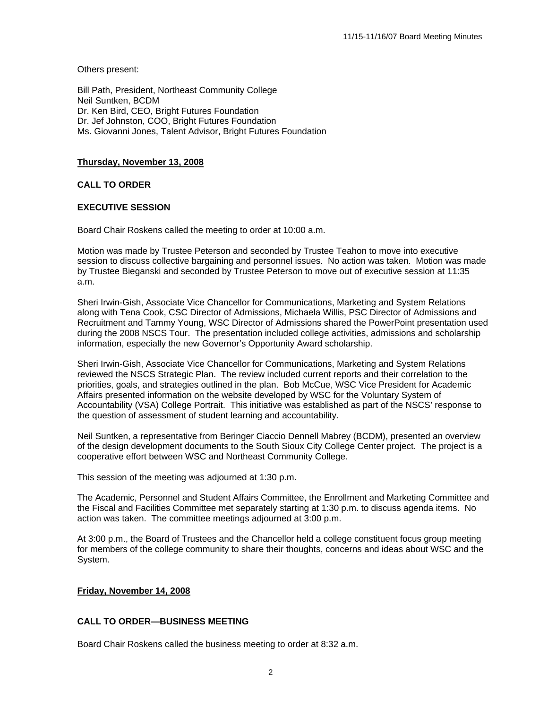#### Others present:

Bill Path, President, Northeast Community College Neil Suntken, BCDM Dr. Ken Bird, CEO, Bright Futures Foundation Dr. Jef Johnston, COO, Bright Futures Foundation Ms. Giovanni Jones, Talent Advisor, Bright Futures Foundation

#### **Thursday, November 13, 2008**

#### **CALL TO ORDER**

#### **EXECUTIVE SESSION**

Board Chair Roskens called the meeting to order at 10:00 a.m.

Motion was made by Trustee Peterson and seconded by Trustee Teahon to move into executive session to discuss collective bargaining and personnel issues. No action was taken. Motion was made by Trustee Bieganski and seconded by Trustee Peterson to move out of executive session at 11:35 a.m.

Sheri Irwin-Gish, Associate Vice Chancellor for Communications, Marketing and System Relations along with Tena Cook, CSC Director of Admissions, Michaela Willis, PSC Director of Admissions and Recruitment and Tammy Young, WSC Director of Admissions shared the PowerPoint presentation used during the 2008 NSCS Tour. The presentation included college activities, admissions and scholarship information, especially the new Governor's Opportunity Award scholarship.

Sheri Irwin-Gish, Associate Vice Chancellor for Communications, Marketing and System Relations reviewed the NSCS Strategic Plan. The review included current reports and their correlation to the priorities, goals, and strategies outlined in the plan. Bob McCue, WSC Vice President for Academic Affairs presented information on the website developed by WSC for the Voluntary System of Accountability (VSA) College Portrait. This initiative was established as part of the NSCS' response to the question of assessment of student learning and accountability.

Neil Suntken, a representative from Beringer Ciaccio Dennell Mabrey (BCDM), presented an overview of the design development documents to the South Sioux City College Center project. The project is a cooperative effort between WSC and Northeast Community College.

This session of the meeting was adjourned at 1:30 p.m.

The Academic, Personnel and Student Affairs Committee, the Enrollment and Marketing Committee and the Fiscal and Facilities Committee met separately starting at 1:30 p.m. to discuss agenda items. No action was taken. The committee meetings adjourned at 3:00 p.m.

At 3:00 p.m., the Board of Trustees and the Chancellor held a college constituent focus group meeting for members of the college community to share their thoughts, concerns and ideas about WSC and the System.

#### **Friday, November 14, 2008**

#### **CALL TO ORDER—BUSINESS MEETING**

Board Chair Roskens called the business meeting to order at 8:32 a.m.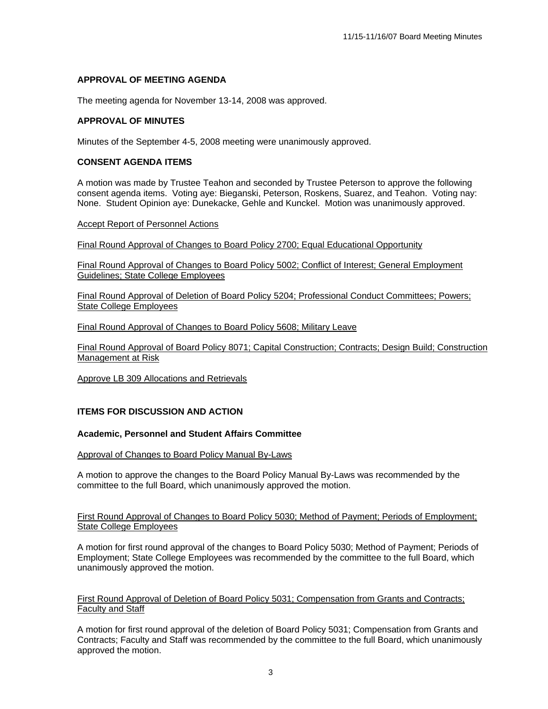#### **APPROVAL OF MEETING AGENDA**

The meeting agenda for November 13-14, 2008 was approved.

#### **APPROVAL OF MINUTES**

Minutes of the September 4-5, 2008 meeting were unanimously approved.

#### **CONSENT AGENDA ITEMS**

A motion was made by Trustee Teahon and seconded by Trustee Peterson to approve the following consent agenda items. Voting aye: Bieganski, Peterson, Roskens, Suarez, and Teahon. Voting nay: None. Student Opinion aye: Dunekacke, Gehle and Kunckel. Motion was unanimously approved.

#### Accept Report of Personnel Actions

Final Round Approval of Changes to Board Policy 2700; Equal Educational Opportunity

Final Round Approval of Changes to Board Policy 5002; Conflict of Interest; General Employment Guidelines; State College Employees

Final Round Approval of Deletion of Board Policy 5204; Professional Conduct Committees; Powers; State College Employees

Final Round Approval of Changes to Board Policy 5608; Military Leave

Final Round Approval of Board Policy 8071; Capital Construction; Contracts; Design Build; Construction Management at Risk

Approve LB 309 Allocations and Retrievals

#### **ITEMS FOR DISCUSSION AND ACTION**

#### **Academic, Personnel and Student Affairs Committee**

#### Approval of Changes to Board Policy Manual By-Laws

A motion to approve the changes to the Board Policy Manual By-Laws was recommended by the committee to the full Board, which unanimously approved the motion.

First Round Approval of Changes to Board Policy 5030; Method of Payment; Periods of Employment; State College Employees

A motion for first round approval of the changes to Board Policy 5030; Method of Payment; Periods of Employment; State College Employees was recommended by the committee to the full Board, which unanimously approved the motion.

#### First Round Approval of Deletion of Board Policy 5031; Compensation from Grants and Contracts; Faculty and Staff

A motion for first round approval of the deletion of Board Policy 5031; Compensation from Grants and Contracts; Faculty and Staff was recommended by the committee to the full Board, which unanimously approved the motion.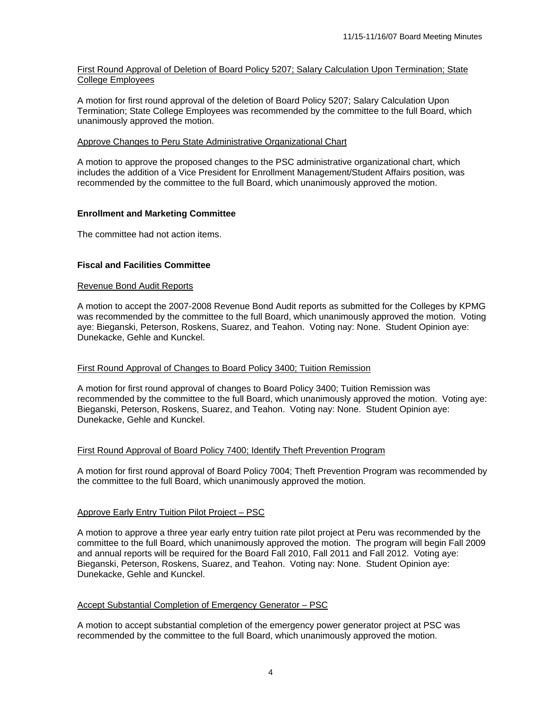#### First Round Approval of Deletion of Board Policy 5207; Salary Calculation Upon Termination; State College Employees

A motion for first round approval of the deletion of Board Policy 5207; Salary Calculation Upon Termination; State College Employees was recommended by the committee to the full Board, which unanimously approved the motion.

#### Approve Changes to Peru State Administrative Organizational Chart

A motion to approve the proposed changes to the PSC administrative organizational chart, which includes the addition of a Vice President for Enrollment Management/Student Affairs position, was recommended by the committee to the full Board, which unanimously approved the motion.

#### **Enrollment and Marketing Committee**

The committee had not action items.

#### **Fiscal and Facilities Committee**

#### Revenue Bond Audit Reports

A motion to accept the 2007-2008 Revenue Bond Audit reports as submitted for the Colleges by KPMG was recommended by the committee to the full Board, which unanimously approved the motion. Voting aye: Bieganski, Peterson, Roskens, Suarez, and Teahon. Voting nay: None. Student Opinion aye: Dunekacke, Gehle and Kunckel.

#### First Round Approval of Changes to Board Policy 3400; Tuition Remission

A motion for first round approval of changes to Board Policy 3400; Tuition Remission was recommended by the committee to the full Board, which unanimously approved the motion. Voting aye: Bieganski, Peterson, Roskens, Suarez, and Teahon. Voting nay: None. Student Opinion aye: Dunekacke, Gehle and Kunckel.

#### First Round Approval of Board Policy 7400; Identify Theft Prevention Program

A motion for first round approval of Board Policy 7004; Theft Prevention Program was recommended by the committee to the full Board, which unanimously approved the motion.

#### Approve Early Entry Tuition Pilot Project – PSC

A motion to approve a three year early entry tuition rate pilot project at Peru was recommended by the committee to the full Board, which unanimously approved the motion. The program will begin Fall 2009 and annual reports will be required for the Board Fall 2010, Fall 2011 and Fall 2012. Voting aye: Bieganski, Peterson, Roskens, Suarez, and Teahon. Voting nay: None. Student Opinion aye: Dunekacke, Gehle and Kunckel.

#### Accept Substantial Completion of Emergency Generator – PSC

A motion to accept substantial completion of the emergency power generator project at PSC was recommended by the committee to the full Board, which unanimously approved the motion.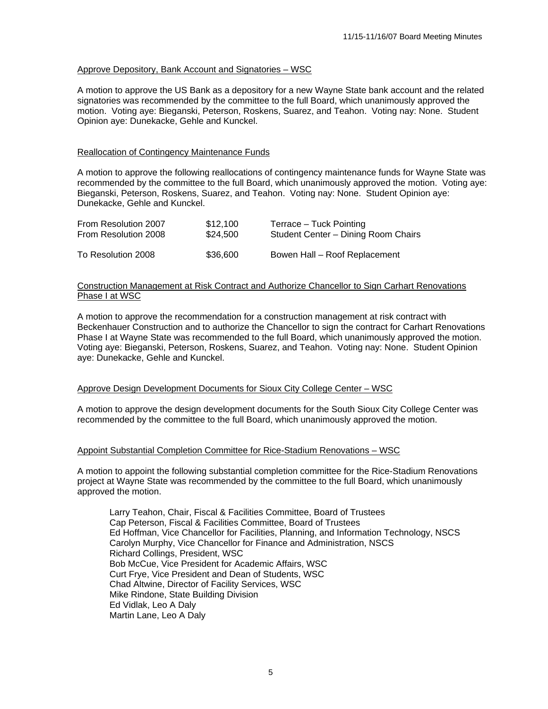#### Approve Depository, Bank Account and Signatories – WSC

A motion to approve the US Bank as a depository for a new Wayne State bank account and the related signatories was recommended by the committee to the full Board, which unanimously approved the motion. Voting aye: Bieganski, Peterson, Roskens, Suarez, and Teahon. Voting nay: None. Student Opinion aye: Dunekacke, Gehle and Kunckel.

#### Reallocation of Contingency Maintenance Funds

A motion to approve the following reallocations of contingency maintenance funds for Wayne State was recommended by the committee to the full Board, which unanimously approved the motion. Voting aye: Bieganski, Peterson, Roskens, Suarez, and Teahon. Voting nay: None. Student Opinion aye: Dunekacke, Gehle and Kunckel.

| From Resolution 2007 | \$12.100 | Terrace – Tuck Pointing             |
|----------------------|----------|-------------------------------------|
| From Resolution 2008 | \$24.500 | Student Center - Dining Room Chairs |
| To Resolution 2008   | \$36,600 | Bowen Hall - Roof Replacement       |

#### Construction Management at Risk Contract and Authorize Chancellor to Sign Carhart Renovations Phase I at WSC

A motion to approve the recommendation for a construction management at risk contract with Beckenhauer Construction and to authorize the Chancellor to sign the contract for Carhart Renovations Phase I at Wayne State was recommended to the full Board, which unanimously approved the motion. Voting aye: Bieganski, Peterson, Roskens, Suarez, and Teahon. Voting nay: None. Student Opinion aye: Dunekacke, Gehle and Kunckel.

#### Approve Design Development Documents for Sioux City College Center – WSC

A motion to approve the design development documents for the South Sioux City College Center was recommended by the committee to the full Board, which unanimously approved the motion.

#### Appoint Substantial Completion Committee for Rice-Stadium Renovations – WSC

A motion to appoint the following substantial completion committee for the Rice-Stadium Renovations project at Wayne State was recommended by the committee to the full Board, which unanimously approved the motion.

 Larry Teahon, Chair, Fiscal & Facilities Committee, Board of Trustees Cap Peterson, Fiscal & Facilities Committee, Board of Trustees Ed Hoffman, Vice Chancellor for Facilities, Planning, and Information Technology, NSCS Carolyn Murphy, Vice Chancellor for Finance and Administration, NSCS Richard Collings, President, WSC Bob McCue, Vice President for Academic Affairs, WSC Curt Frye, Vice President and Dean of Students, WSC Chad Altwine, Director of Facility Services, WSC Mike Rindone, State Building Division Ed Vidlak, Leo A Daly Martin Lane, Leo A Daly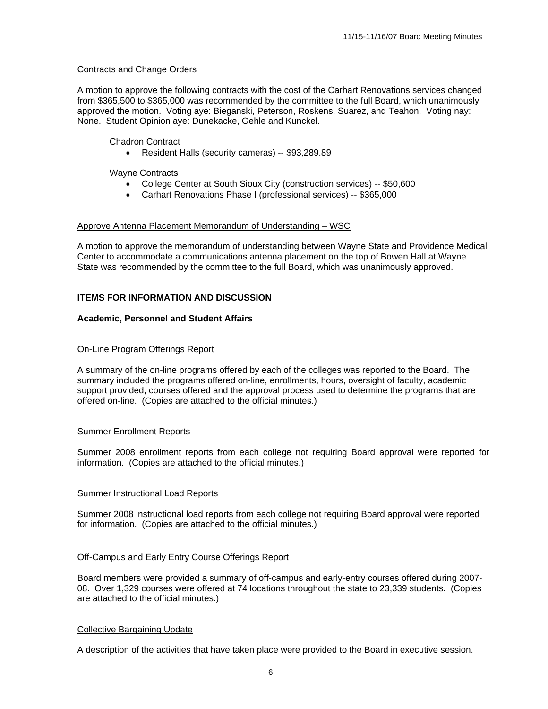#### Contracts and Change Orders

A motion to approve the following contracts with the cost of the Carhart Renovations services changed from \$365,500 to \$365,000 was recommended by the committee to the full Board, which unanimously approved the motion. Voting aye: Bieganski, Peterson, Roskens, Suarez, and Teahon. Voting nay: None. Student Opinion aye: Dunekacke, Gehle and Kunckel.

#### Chadron Contract

• Resident Halls (security cameras) -- \$93,289.89

Wayne Contracts

- College Center at South Sioux City (construction services) -- \$50,600
- Carhart Renovations Phase I (professional services) -- \$365,000

#### Approve Antenna Placement Memorandum of Understanding – WSC

A motion to approve the memorandum of understanding between Wayne State and Providence Medical Center to accommodate a communications antenna placement on the top of Bowen Hall at Wayne State was recommended by the committee to the full Board, which was unanimously approved.

#### **ITEMS FOR INFORMATION AND DISCUSSION**

#### **Academic, Personnel and Student Affairs**

#### On-Line Program Offerings Report

A summary of the on-line programs offered by each of the colleges was reported to the Board. The summary included the programs offered on-line, enrollments, hours, oversight of faculty, academic support provided, courses offered and the approval process used to determine the programs that are offered on-line. (Copies are attached to the official minutes.)

#### Summer Enrollment Reports

Summer 2008 enrollment reports from each college not requiring Board approval were reported for information. (Copies are attached to the official minutes.)

#### Summer Instructional Load Reports

Summer 2008 instructional load reports from each college not requiring Board approval were reported for information. (Copies are attached to the official minutes.)

#### Off-Campus and Early Entry Course Offerings Report

Board members were provided a summary of off-campus and early-entry courses offered during 2007- 08. Over 1,329 courses were offered at 74 locations throughout the state to 23,339 students. (Copies are attached to the official minutes.)

#### Collective Bargaining Update

A description of the activities that have taken place were provided to the Board in executive session.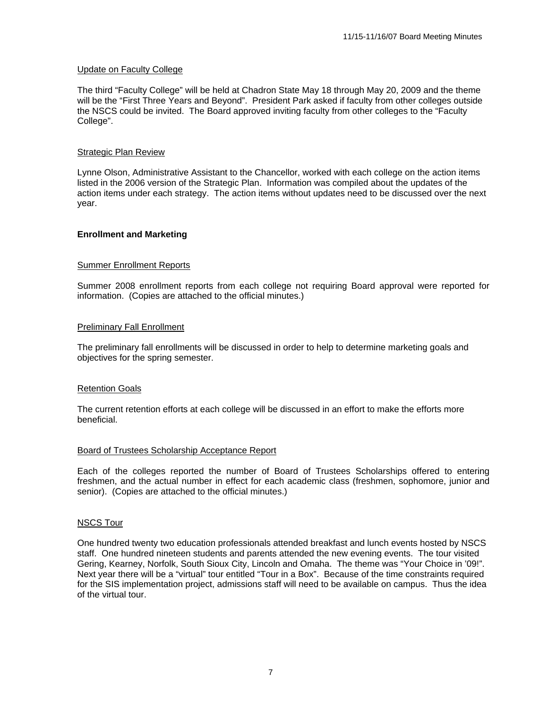#### Update on Faculty College

The third "Faculty College" will be held at Chadron State May 18 through May 20, 2009 and the theme will be the "First Three Years and Beyond". President Park asked if faculty from other colleges outside the NSCS could be invited. The Board approved inviting faculty from other colleges to the "Faculty College".

#### Strategic Plan Review

Lynne Olson, Administrative Assistant to the Chancellor, worked with each college on the action items listed in the 2006 version of the Strategic Plan. Information was compiled about the updates of the action items under each strategy. The action items without updates need to be discussed over the next year.

#### **Enrollment and Marketing**

#### Summer Enrollment Reports

Summer 2008 enrollment reports from each college not requiring Board approval were reported for information. (Copies are attached to the official minutes.)

#### Preliminary Fall Enrollment

The preliminary fall enrollments will be discussed in order to help to determine marketing goals and objectives for the spring semester.

#### Retention Goals

The current retention efforts at each college will be discussed in an effort to make the efforts more beneficial.

#### Board of Trustees Scholarship Acceptance Report

Each of the colleges reported the number of Board of Trustees Scholarships offered to entering freshmen, and the actual number in effect for each academic class (freshmen, sophomore, junior and senior). (Copies are attached to the official minutes.)

#### NSCS Tour

One hundred twenty two education professionals attended breakfast and lunch events hosted by NSCS staff. One hundred nineteen students and parents attended the new evening events. The tour visited Gering, Kearney, Norfolk, South Sioux City, Lincoln and Omaha. The theme was "Your Choice in '09!". Next year there will be a "virtual" tour entitled "Tour in a Box". Because of the time constraints required for the SIS implementation project, admissions staff will need to be available on campus. Thus the idea of the virtual tour.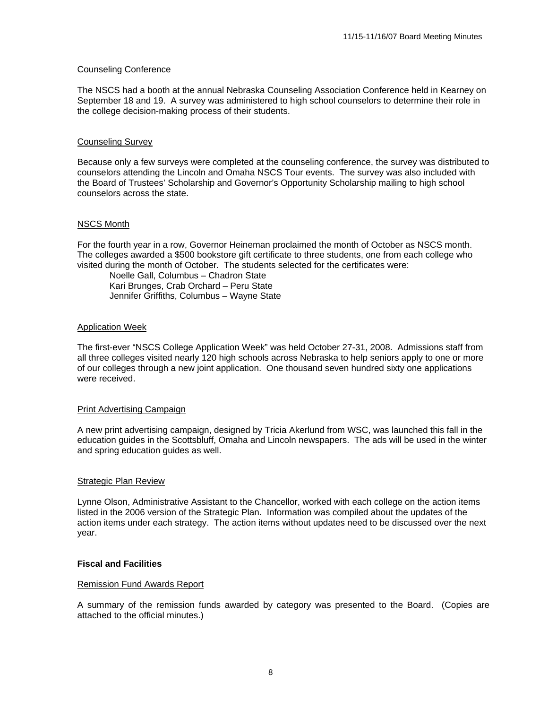#### Counseling Conference

The NSCS had a booth at the annual Nebraska Counseling Association Conference held in Kearney on September 18 and 19. A survey was administered to high school counselors to determine their role in the college decision-making process of their students.

#### Counseling Survey

Because only a few surveys were completed at the counseling conference, the survey was distributed to counselors attending the Lincoln and Omaha NSCS Tour events. The survey was also included with the Board of Trustees' Scholarship and Governor's Opportunity Scholarship mailing to high school counselors across the state.

#### NSCS Month

For the fourth year in a row, Governor Heineman proclaimed the month of October as NSCS month. The colleges awarded a \$500 bookstore gift certificate to three students, one from each college who visited during the month of October. The students selected for the certificates were:

 Noelle Gall, Columbus – Chadron State Kari Brunges, Crab Orchard – Peru State Jennifer Griffiths, Columbus – Wayne State

#### Application Week

The first-ever "NSCS College Application Week" was held October 27-31, 2008. Admissions staff from all three colleges visited nearly 120 high schools across Nebraska to help seniors apply to one or more of our colleges through a new joint application. One thousand seven hundred sixty one applications were received.

#### Print Advertising Campaign

A new print advertising campaign, designed by Tricia Akerlund from WSC, was launched this fall in the education guides in the Scottsbluff, Omaha and Lincoln newspapers. The ads will be used in the winter and spring education guides as well.

#### Strategic Plan Review

Lynne Olson, Administrative Assistant to the Chancellor, worked with each college on the action items listed in the 2006 version of the Strategic Plan. Information was compiled about the updates of the action items under each strategy. The action items without updates need to be discussed over the next year.

#### **Fiscal and Facilities**

#### Remission Fund Awards Report

A summary of the remission funds awarded by category was presented to the Board. (Copies are attached to the official minutes.)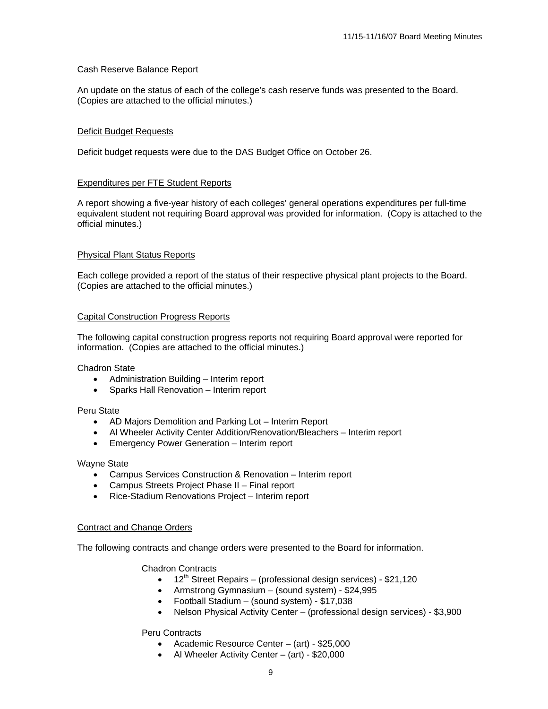#### Cash Reserve Balance Report

An update on the status of each of the college's cash reserve funds was presented to the Board. (Copies are attached to the official minutes.)

#### Deficit Budget Requests

Deficit budget requests were due to the DAS Budget Office on October 26.

#### Expenditures per FTE Student Reports

A report showing a five-year history of each colleges' general operations expenditures per full-time equivalent student not requiring Board approval was provided for information. (Copy is attached to the official minutes.)

#### Physical Plant Status Reports

Each college provided a report of the status of their respective physical plant projects to the Board. (Copies are attached to the official minutes.)

#### Capital Construction Progress Reports

The following capital construction progress reports not requiring Board approval were reported for information. (Copies are attached to the official minutes.)

Chadron State

- Administration Building Interim report
- Sparks Hall Renovation Interim report

#### Peru State

- AD Majors Demolition and Parking Lot Interim Report
- Al Wheeler Activity Center Addition/Renovation/Bleachers Interim report
- Emergency Power Generation Interim report

#### Wayne State

- Campus Services Construction & Renovation Interim report
- Campus Streets Project Phase II Final report
- Rice-Stadium Renovations Project Interim report

#### Contract and Change Orders

The following contracts and change orders were presented to the Board for information.

Chadron Contracts

- $12^{th}$  Street Repairs (professional design services) \$21,120
- Armstrong Gymnasium (sound system) \$24,995
- Football Stadium (sound system) \$17,038
- Nelson Physical Activity Center (professional design services) \$3,900

#### Peru Contracts

- Academic Resource Center (art) \$25,000
- Al Wheeler Activity Center (art) \$20,000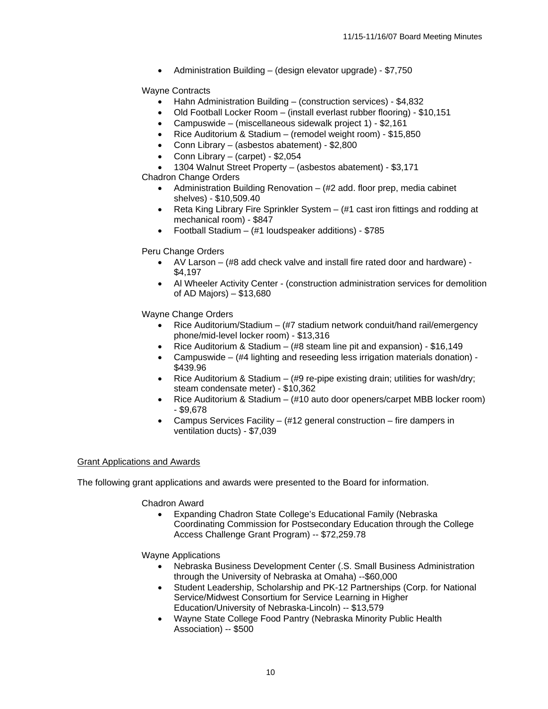• Administration Building – (design elevator upgrade) - \$7,750

#### Wayne Contracts

- Hahn Administration Building (construction services) \$4,832
- Old Football Locker Room (install everlast rubber flooring) \$10,151
- Campuswide (miscellaneous sidewalk project 1) \$2,161
- Rice Auditorium & Stadium (remodel weight room) \$15,850
- Conn Library (asbestos abatement) \$2,800
- Conn Library (carpet) \$2,054
- 1304 Walnut Street Property (asbestos abatement) \$3,171

Chadron Change Orders

- Administration Building Renovation  $-$  (#2 add. floor prep, media cabinet shelves) - \$10,509.40
- Reta King Library Fire Sprinkler System (#1 cast iron fittings and rodding at mechanical room) - \$847
- Football Stadium (#1 loudspeaker additions) \$785

#### Peru Change Orders

- AV Larson (#8 add check valve and install fire rated door and hardware) \$4,197
- Al Wheeler Activity Center (construction administration services for demolition of AD Majors) – \$13,680

Wayne Change Orders

- Rice Auditorium/Stadium (#7 stadium network conduit/hand rail/emergency phone/mid-level locker room) - \$13,316
- Rice Auditorium & Stadium (#8 steam line pit and expansion) \$16,149
- Campuswide (#4 lighting and reseeding less irrigation materials donation) \$439.96
- Rice Auditorium & Stadium (#9 re-pipe existing drain; utilities for wash/dry; steam condensate meter) - \$10,362
- Rice Auditorium & Stadium (#10 auto door openers/carpet MBB locker room) - \$9,678
- Campus Services Facility (#12 general construction fire dampers in ventilation ducts) - \$7,039

#### Grant Applications and Awards

The following grant applications and awards were presented to the Board for information.

Chadron Award

• Expanding Chadron State College's Educational Family (Nebraska Coordinating Commission for Postsecondary Education through the College Access Challenge Grant Program) -- \$72,259.78

Wayne Applications

- Nebraska Business Development Center (.S. Small Business Administration through the University of Nebraska at Omaha) --\$60,000
- Student Leadership, Scholarship and PK-12 Partnerships (Corp. for National Service/Midwest Consortium for Service Learning in Higher Education/University of Nebraska-Lincoln) -- \$13,579
- Wayne State College Food Pantry (Nebraska Minority Public Health Association) -- \$500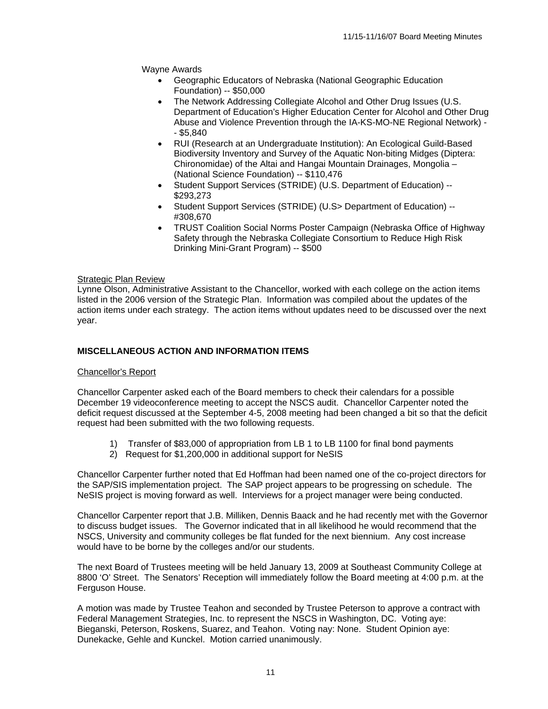Wayne Awards

- Geographic Educators of Nebraska (National Geographic Education Foundation) -- \$50,000
- The Network Addressing Collegiate Alcohol and Other Drug Issues (U.S. Department of Education's Higher Education Center for Alcohol and Other Drug Abuse and Violence Prevention through the IA-KS-MO-NE Regional Network) - - \$5,840
- RUI (Research at an Undergraduate Institution): An Ecological Guild-Based Biodiversity Inventory and Survey of the Aquatic Non-biting Midges (Diptera: Chironomidae) of the Altai and Hangai Mountain Drainages, Mongolia – (National Science Foundation) -- \$110,476
- Student Support Services (STRIDE) (U.S. Department of Education) -- \$293,273
- Student Support Services (STRIDE) (U.S> Department of Education) -- #308,670
- TRUST Coalition Social Norms Poster Campaign (Nebraska Office of Highway Safety through the Nebraska Collegiate Consortium to Reduce High Risk Drinking Mini-Grant Program) -- \$500

#### **Strategic Plan Review**

Lynne Olson, Administrative Assistant to the Chancellor, worked with each college on the action items listed in the 2006 version of the Strategic Plan. Information was compiled about the updates of the action items under each strategy. The action items without updates need to be discussed over the next year.

#### **MISCELLANEOUS ACTION AND INFORMATION ITEMS**

#### Chancellor's Report

Chancellor Carpenter asked each of the Board members to check their calendars for a possible December 19 videoconference meeting to accept the NSCS audit. Chancellor Carpenter noted the deficit request discussed at the September 4-5, 2008 meeting had been changed a bit so that the deficit request had been submitted with the two following requests.

- 1) Transfer of \$83,000 of appropriation from LB 1 to LB 1100 for final bond payments
- 2) Request for \$1,200,000 in additional support for NeSIS

Chancellor Carpenter further noted that Ed Hoffman had been named one of the co-project directors for the SAP/SIS implementation project. The SAP project appears to be progressing on schedule. The NeSIS project is moving forward as well. Interviews for a project manager were being conducted.

Chancellor Carpenter report that J.B. Milliken, Dennis Baack and he had recently met with the Governor to discuss budget issues. The Governor indicated that in all likelihood he would recommend that the NSCS, University and community colleges be flat funded for the next biennium. Any cost increase would have to be borne by the colleges and/or our students.

The next Board of Trustees meeting will be held January 13, 2009 at Southeast Community College at 8800 'O' Street. The Senators' Reception will immediately follow the Board meeting at 4:00 p.m. at the Ferguson House.

A motion was made by Trustee Teahon and seconded by Trustee Peterson to approve a contract with Federal Management Strategies, Inc. to represent the NSCS in Washington, DC. Voting aye: Bieganski, Peterson, Roskens, Suarez, and Teahon. Voting nay: None. Student Opinion aye: Dunekacke, Gehle and Kunckel. Motion carried unanimously.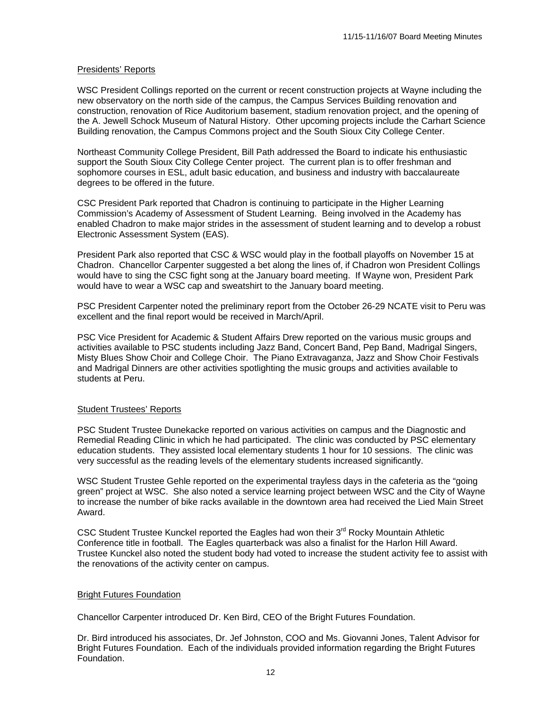#### Presidents' Reports

WSC President Collings reported on the current or recent construction projects at Wayne including the new observatory on the north side of the campus, the Campus Services Building renovation and construction, renovation of Rice Auditorium basement, stadium renovation project, and the opening of the A. Jewell Schock Museum of Natural History. Other upcoming projects include the Carhart Science Building renovation, the Campus Commons project and the South Sioux City College Center.

Northeast Community College President, Bill Path addressed the Board to indicate his enthusiastic support the South Sioux City College Center project. The current plan is to offer freshman and sophomore courses in ESL, adult basic education, and business and industry with baccalaureate degrees to be offered in the future.

CSC President Park reported that Chadron is continuing to participate in the Higher Learning Commission's Academy of Assessment of Student Learning. Being involved in the Academy has enabled Chadron to make major strides in the assessment of student learning and to develop a robust Electronic Assessment System (EAS).

President Park also reported that CSC & WSC would play in the football playoffs on November 15 at Chadron. Chancellor Carpenter suggested a bet along the lines of, if Chadron won President Collings would have to sing the CSC fight song at the January board meeting. If Wayne won, President Park would have to wear a WSC cap and sweatshirt to the January board meeting.

PSC President Carpenter noted the preliminary report from the October 26-29 NCATE visit to Peru was excellent and the final report would be received in March/April.

PSC Vice President for Academic & Student Affairs Drew reported on the various music groups and activities available to PSC students including Jazz Band, Concert Band, Pep Band, Madrigal Singers, Misty Blues Show Choir and College Choir. The Piano Extravaganza, Jazz and Show Choir Festivals and Madrigal Dinners are other activities spotlighting the music groups and activities available to students at Peru.

#### Student Trustees' Reports

PSC Student Trustee Dunekacke reported on various activities on campus and the Diagnostic and Remedial Reading Clinic in which he had participated. The clinic was conducted by PSC elementary education students. They assisted local elementary students 1 hour for 10 sessions. The clinic was very successful as the reading levels of the elementary students increased significantly.

WSC Student Trustee Gehle reported on the experimental trayless days in the cafeteria as the "going green" project at WSC. She also noted a service learning project between WSC and the City of Wayne to increase the number of bike racks available in the downtown area had received the Lied Main Street Award.

CSC Student Trustee Kunckel reported the Eagles had won their  $3<sup>rd</sup>$  Rocky Mountain Athletic Conference title in football. The Eagles quarterback was also a finalist for the Harlon Hill Award. Trustee Kunckel also noted the student body had voted to increase the student activity fee to assist with the renovations of the activity center on campus.

#### Bright Futures Foundation

Chancellor Carpenter introduced Dr. Ken Bird, CEO of the Bright Futures Foundation.

Dr. Bird introduced his associates, Dr. Jef Johnston, COO and Ms. Giovanni Jones, Talent Advisor for Bright Futures Foundation. Each of the individuals provided information regarding the Bright Futures Foundation.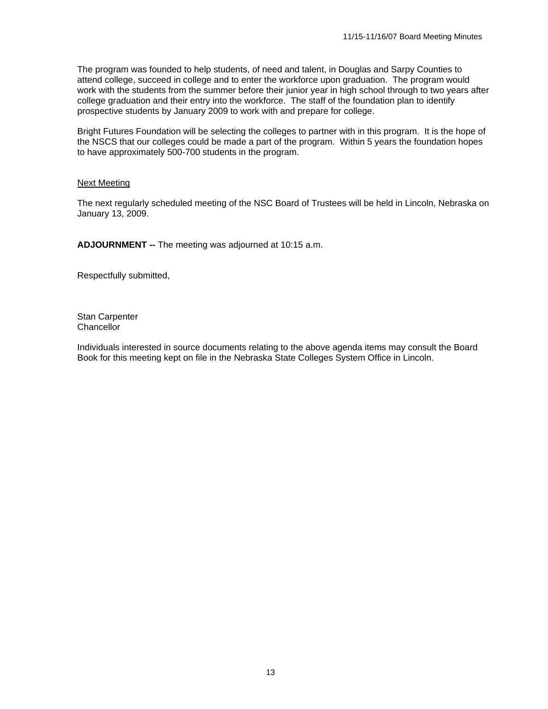The program was founded to help students, of need and talent, in Douglas and Sarpy Counties to attend college, succeed in college and to enter the workforce upon graduation. The program would work with the students from the summer before their junior year in high school through to two years after college graduation and their entry into the workforce. The staff of the foundation plan to identify prospective students by January 2009 to work with and prepare for college.

Bright Futures Foundation will be selecting the colleges to partner with in this program. It is the hope of the NSCS that our colleges could be made a part of the program. Within 5 years the foundation hopes to have approximately 500-700 students in the program.

#### Next Meeting

The next regularly scheduled meeting of the NSC Board of Trustees will be held in Lincoln, Nebraska on January 13, 2009.

**ADJOURNMENT --** The meeting was adjourned at 10:15 a.m.

Respectfully submitted,

Stan Carpenter **Chancellor** 

Individuals interested in source documents relating to the above agenda items may consult the Board Book for this meeting kept on file in the Nebraska State Colleges System Office in Lincoln.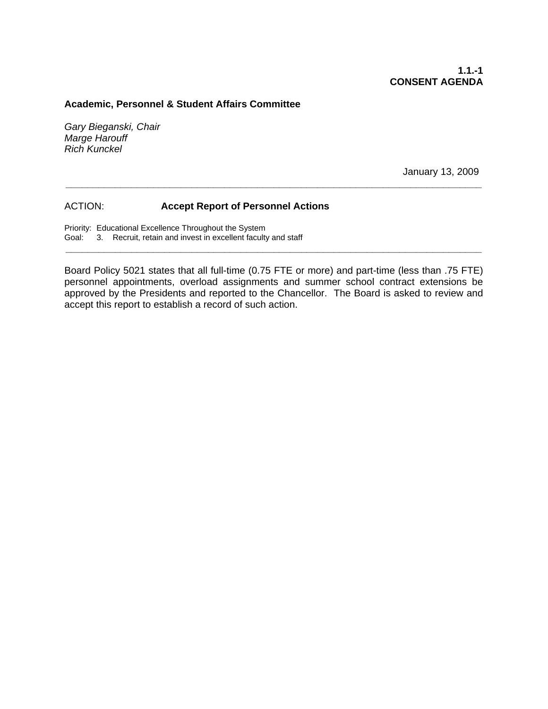#### **Academic, Personnel & Student Affairs Committee**

*Gary Bieganski, Chair Marge Harouff Rich Kunckel* 

January 13, 2009

#### ACTION: **Accept Report of Personnel Actions**

Priority: Educational Excellence Throughout the System Goal: 3. Recruit, retain and invest in excellent faculty and staff

Board Policy 5021 states that all full-time (0.75 FTE or more) and part-time (less than .75 FTE) personnel appointments, overload assignments and summer school contract extensions be approved by the Presidents and reported to the Chancellor. The Board is asked to review and accept this report to establish a record of such action.

**\_\_\_\_\_\_\_\_\_\_\_\_\_\_\_\_\_\_\_\_\_\_\_\_\_\_\_\_\_\_\_\_\_\_\_\_\_\_\_\_\_\_\_\_\_\_\_\_\_\_\_\_\_\_\_\_\_\_\_\_\_\_\_\_\_\_\_\_\_\_\_\_\_\_\_\_** 

**\_\_\_\_\_\_\_\_\_\_\_\_\_\_\_\_\_\_\_\_\_\_\_\_\_\_\_\_\_\_\_\_\_\_\_\_\_\_\_\_\_\_\_\_\_\_\_\_\_\_\_\_\_\_\_\_\_\_\_\_\_\_\_\_\_\_\_\_\_\_\_\_\_\_\_\_**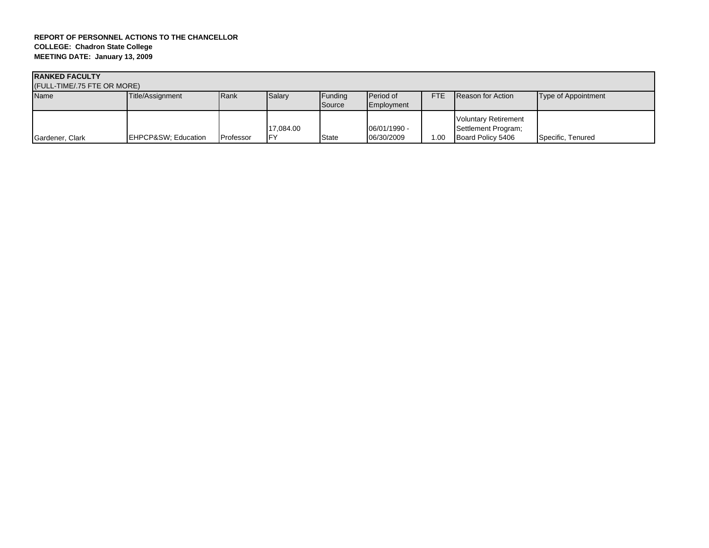| <b>RANKED FACULTY</b><br>(FULL-TIME/.75 FTE OR MORE) |                    |           |                  |                   |                                |            |                                                                         |                     |  |
|------------------------------------------------------|--------------------|-----------|------------------|-------------------|--------------------------------|------------|-------------------------------------------------------------------------|---------------------|--|
| <b>Name</b>                                          | Title/Assignment   | Rank      | Salary           | Funding<br>Source | <b>Period of</b><br>Employment | <b>FTE</b> | <b>Reason for Action</b>                                                | Type of Appointment |  |
| Gardener, Clark                                      | EHPCP&SW Education | Professor | 17.084.00<br>IFY | <b>State</b>      | 06/01/1990 -<br>06/30/2009     | .00        | <b>Voluntary Retirement</b><br>Settlement Program;<br>Board Policy 5406 | Specific, Tenured   |  |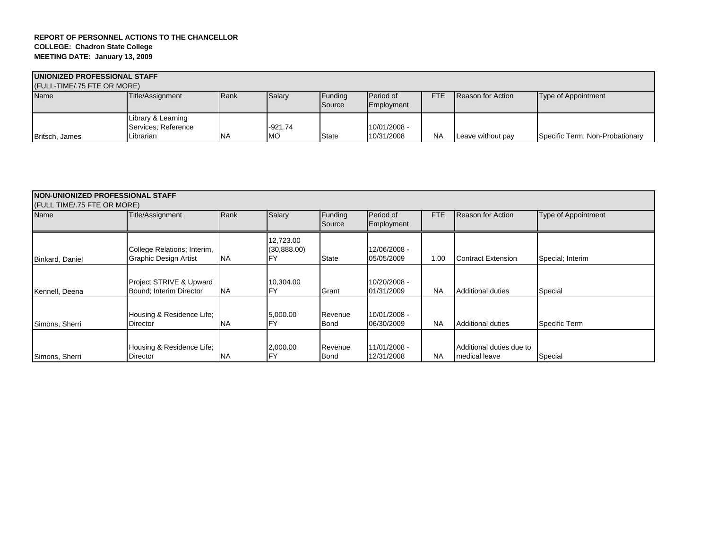| <b>IUNIONIZED PROFESSIONAL STAFF</b> |                                           |      |           |                   |                         |            |                   |                                 |
|--------------------------------------|-------------------------------------------|------|-----------|-------------------|-------------------------|------------|-------------------|---------------------------------|
| (FULL-TIME/.75 FTE OR MORE)          |                                           |      |           |                   |                         |            |                   |                                 |
| <b>Name</b>                          | Title/Assignment                          | Rank | Salary    | Funding<br>Source | Period of<br>Employment | <b>FTE</b> | Reason for Action | Type of Appointment             |
|                                      | Library & Learning<br>Services: Reference |      | $-921.74$ |                   | 10/01/2008 -            |            |                   |                                 |
| Britsch, James                       | Librarian                                 | NA   | <b>MO</b> | State             | 10/31/2008              | <b>NA</b>  | Leave without pay | Specific Term; Non-Probationary |

| <b>NON-UNIONIZED PROFESSIONAL STAFF</b><br>(FULL TIME/.75 FTE OR MORE) |                                                             |           |                                |                        |                            |           |                                           |                     |  |
|------------------------------------------------------------------------|-------------------------------------------------------------|-----------|--------------------------------|------------------------|----------------------------|-----------|-------------------------------------------|---------------------|--|
| Name                                                                   | Title/Assignment                                            | Rank      | Salary                         | Funding<br>Source      | Period of<br>Employment    | FTE       | <b>Reason for Action</b>                  | Type of Appointment |  |
| Binkard, Daniel                                                        | College Relations; Interim,<br><b>Graphic Design Artist</b> | <b>NA</b> | 12,723.00<br>(30,888.00)<br>FY | State                  | 12/06/2008 -<br>05/05/2009 | 1.00      | Contract Extension                        | Special; Interim    |  |
| Kennell, Deena                                                         | Project STRIVE & Upward<br>Bound: Interim Director          | <b>NA</b> | 10,304.00<br>FY                | Grant                  | 10/20/2008 -<br>01/31/2009 | <b>NA</b> | <b>Additional duties</b>                  | Special             |  |
| Simons, Sherri                                                         | Housing & Residence Life;<br>Director                       | <b>NA</b> | 5,000.00<br>FY                 | Revenue<br><b>Bond</b> | 10/01/2008 -<br>06/30/2009 | <b>NA</b> | <b>Additional duties</b>                  | Specific Term       |  |
| Simons, Sherri                                                         | Housing & Residence Life;<br><b>Director</b>                | <b>NA</b> | 2,000.00<br><b>FY</b>          | Revenue<br><b>Bond</b> | 11/01/2008 -<br>12/31/2008 | <b>NA</b> | Additional duties due to<br>medical leave | Special             |  |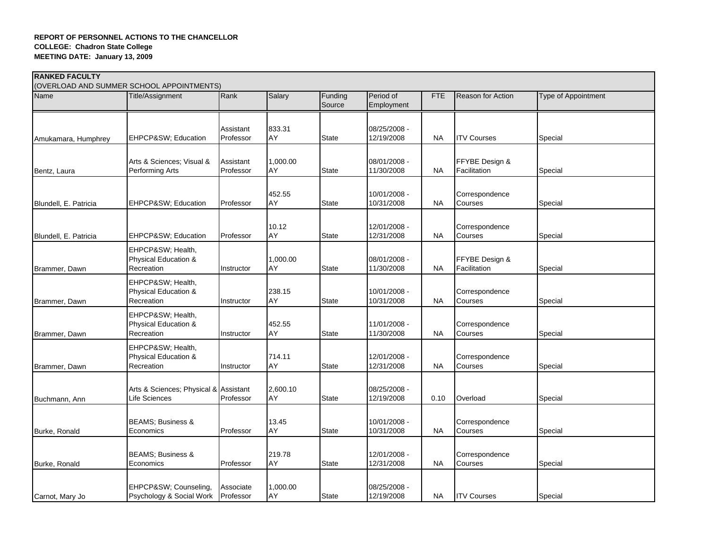|                       | (OVERLOAD AND SUMMER SCHOOL APPOINTMENTS)              |                        |                |                   |                            |            |                                |                            |
|-----------------------|--------------------------------------------------------|------------------------|----------------|-------------------|----------------------------|------------|--------------------------------|----------------------------|
| Name                  | Title/Assignment                                       | Rank                   | Salary         | Funding<br>Source | Period of<br>Employment    | <b>FTE</b> | <b>Reason for Action</b>       | <b>Type of Appointment</b> |
| Amukamara, Humphrey   | EHPCP&SW Education                                     | Assistant<br>Professor | 833.31<br>AY   | <b>State</b>      | 08/25/2008 -<br>12/19/2008 | <b>NA</b>  | <b>ITV Courses</b>             | Special                    |
|                       |                                                        |                        |                |                   |                            |            |                                |                            |
| Bentz, Laura          | Arts & Sciences; Visual &<br>Performing Arts           | Assistant<br>Professor | 1,000.00<br>AY | <b>State</b>      | 08/01/2008 -<br>11/30/2008 | <b>NA</b>  | FFYBE Design &<br>Facilitation | Special                    |
| Blundell, E. Patricia | EHPCP&SW Education                                     | Professor              | 452.55<br>AY   | <b>State</b>      | 10/01/2008 -<br>10/31/2008 | <b>NA</b>  | Correspondence<br>Courses      | Special                    |
| Blundell, E. Patricia | EHPCP&SW Education                                     | Professor              | 10.12<br>AY    | <b>State</b>      | 12/01/2008 -<br>12/31/2008 | <b>NA</b>  | Correspondence<br>Courses      | Special                    |
| Brammer, Dawn         | EHPCP&SW Health,<br>Physical Education &<br>Recreation | Instructor             | 1,000.00<br>AY | <b>State</b>      | 08/01/2008 -<br>11/30/2008 | <b>NA</b>  | FFYBE Design &<br>Facilitation | Special                    |
| Brammer, Dawn         | EHPCP&SW Health,<br>Physical Education &<br>Recreation | Instructor             | 238.15<br>AY   | <b>State</b>      | 10/01/2008 -<br>10/31/2008 | <b>NA</b>  | Correspondence<br>Courses      | Special                    |
| Brammer, Dawn         | EHPCP&SW Health,<br>Physical Education &<br>Recreation | Instructor             | 452.55<br>AY   | <b>State</b>      | 11/01/2008 -<br>11/30/2008 | NA         | Correspondence<br>Courses      | Special                    |
| Brammer, Dawn         | EHPCP&SW Health,<br>Physical Education &<br>Recreation | Instructor             | 714.11<br>AY   | <b>State</b>      | 12/01/2008 -<br>12/31/2008 | <b>NA</b>  | Correspondence<br>Courses      | Special                    |
| Buchmann, Ann         | Arts & Sciences; Physical & Assistant<br>Life Sciences | Professor              | 2,600.10<br>AY | <b>State</b>      | 08/25/2008 -<br>12/19/2008 | 0.10       | Overload                       | Special                    |
| Burke, Ronald         | <b>BEAMS; Business &amp;</b><br>Economics              | Professor              | 13.45<br>AY    | <b>State</b>      | 10/01/2008 -<br>10/31/2008 | <b>NA</b>  | Correspondence<br>Courses      | Special                    |
| Burke, Ronald         | <b>BEAMS; Business &amp;</b><br>Economics              | Professor              | 219.78<br>AY   | <b>State</b>      | 12/01/2008 -<br>12/31/2008 | <b>NA</b>  | Correspondence<br>Courses      | Special                    |
| Carnot, Mary Jo       | EHPCP&SW Counseling.<br>Psychology & Social Work       | Associate<br>Professor | 1,000.00<br>AY | <b>State</b>      | 08/25/2008 -<br>12/19/2008 | NA.        | <b>ITV Courses</b>             | Special                    |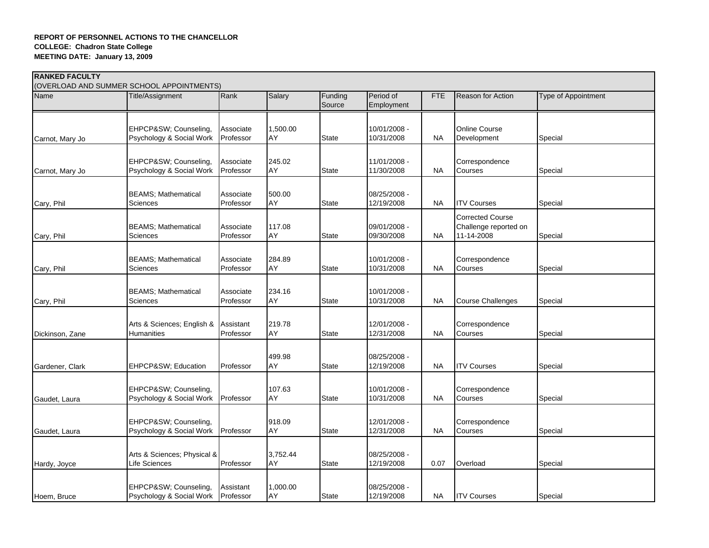|                 | (OVERLOAD AND SUMMER SCHOOL APPOINTMENTS)    |                        |                |                   |                            |            |                           |                     |
|-----------------|----------------------------------------------|------------------------|----------------|-------------------|----------------------------|------------|---------------------------|---------------------|
| Name            | Title/Assignment                             | Rank                   | Salary         | Funding<br>Source | Period of<br>Employment    | <b>FTE</b> | <b>Reason for Action</b>  | Type of Appointment |
|                 |                                              |                        |                |                   |                            |            |                           |                     |
|                 | EHPCP&SW Counseling,                         | Associate              | 1,500.00       |                   | 10/01/2008 -               |            | Online Course             |                     |
| Carnot, Mary Jo | Psychology & Social Work                     | Professor              | AY             | <b>State</b>      | 10/31/2008                 | <b>NA</b>  | Development               | Special             |
|                 | EHPCP&SW Counseling,                         | Associate              | 245.02         |                   | 11/01/2008 -               |            | Correspondence            |                     |
| Carnot, Mary Jo | Psychology & Social Work                     | Professor              | AY             | <b>State</b>      | 11/30/2008                 | <b>NA</b>  | Courses                   | Special             |
|                 | <b>BEAMS; Mathematical</b>                   | Associate              | 500.00         |                   | 08/25/2008 -               |            |                           |                     |
| Cary, Phil      | Sciences                                     | Professor              | AY             | <b>State</b>      | 12/19/2008                 | <b>NA</b>  | <b>ITV Courses</b>        | Special             |
|                 |                                              |                        |                |                   |                            |            | <b>Corrected Course</b>   |                     |
|                 | <b>BEAMS; Mathematical</b>                   | Associate              | 117.08         |                   | 09/01/2008 -               |            | Challenge reported on     |                     |
| Cary, Phil      | Sciences                                     | Professor              | AY             | <b>State</b>      | 09/30/2008                 | <b>NA</b>  | 11-14-2008                | Special             |
|                 |                                              |                        |                |                   |                            |            |                           |                     |
| Cary, Phil      | <b>BEAMS; Mathematical</b><br>Sciences       | Associate<br>Professor | 284.89<br>AY   | <b>State</b>      | 10/01/2008 -<br>10/31/2008 | <b>NA</b>  | Correspondence<br>Courses | Special             |
|                 |                                              |                        |                |                   |                            |            |                           |                     |
|                 | <b>BEAMS; Mathematical</b>                   | Associate              | 234.16         |                   | 10/01/2008 -               |            |                           |                     |
| Cary, Phil      | Sciences                                     | Professor              | AY             | <b>State</b>      | 10/31/2008                 | <b>NA</b>  | <b>Course Challenges</b>  | Special             |
|                 |                                              |                        |                |                   |                            |            |                           |                     |
|                 | Arts & Sciences; English &                   | Assistant              | 219.78         |                   | 12/01/2008 -               |            | Correspondence            |                     |
| Dickinson, Zane | <b>Humanities</b>                            | Professor              | AY             | <b>State</b>      | 12/31/2008                 | <b>NA</b>  | Courses                   | Special             |
|                 |                                              |                        |                |                   |                            |            |                           |                     |
| Gardener, Clark | EHPCP&SW Education                           | Professor              | 499.98<br>AY   | <b>State</b>      | 08/25/2008 -<br>12/19/2008 | <b>NA</b>  | <b>ITV Courses</b>        | Special             |
|                 |                                              |                        |                |                   |                            |            |                           |                     |
|                 | EHPCP&SW Counseling,                         |                        | 107.63         |                   | 10/01/2008 -               |            | Correspondence            |                     |
| Gaudet, Laura   | Psychology & Social Work                     | Professor              | AY             | <b>State</b>      | 10/31/2008                 | <b>NA</b>  | Courses                   | Special             |
|                 |                                              |                        |                |                   |                            |            |                           |                     |
|                 | EHPCP&SW Counseling,                         |                        | 918.09         |                   | 12/01/2008 -               |            | Correspondence            |                     |
| Gaudet, Laura   | Psychology & Social Work                     | Professor              | AY             | <b>State</b>      | 12/31/2008                 | <b>NA</b>  | Courses                   | Special             |
|                 |                                              |                        |                |                   |                            |            |                           |                     |
|                 | Arts & Sciences; Physical &<br>Life Sciences |                        | 3,752.44<br>AY | <b>State</b>      | 08/25/2008 -<br>12/19/2008 | 0.07       | Overload                  |                     |
| Hardy, Joyce    |                                              | Professor              |                |                   |                            |            |                           | Special             |
|                 | EHPCP&SW Counseling.                         | Assistant              | 1,000.00       |                   | 08/25/2008 -               |            |                           |                     |
| Hoem, Bruce     | Psychology & Social Work                     | Professor              | AY             | <b>State</b>      | 12/19/2008                 | NA.        | <b>ITV Courses</b>        | Special             |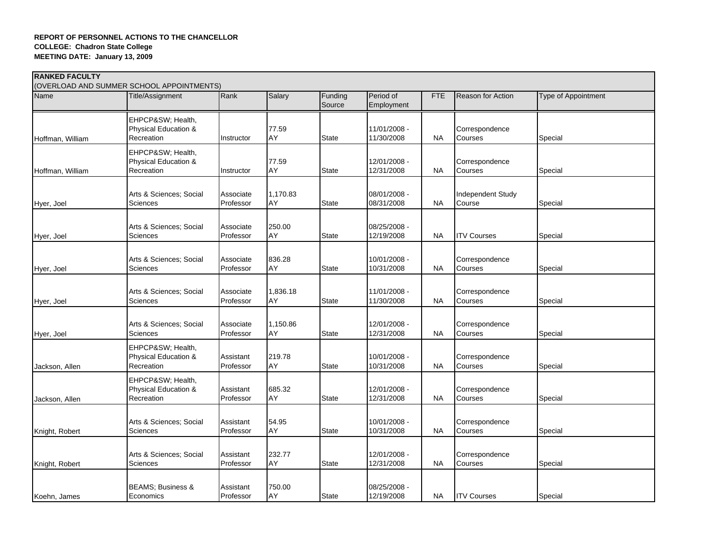| <b>RANKED FACULTY</b><br>(OVERLOAD AND SUMMER SCHOOL APPOINTMENTS) |                                                        |                        |                |                   |                            |            |                             |                            |  |  |
|--------------------------------------------------------------------|--------------------------------------------------------|------------------------|----------------|-------------------|----------------------------|------------|-----------------------------|----------------------------|--|--|
| Name                                                               | Title/Assignment                                       | Rank                   | Salary         | Funding<br>Source | Period of<br>Employment    | <b>FTE</b> | <b>Reason for Action</b>    | <b>Type of Appointment</b> |  |  |
| Hoffman, William                                                   | EHPCP&SW Health,<br>Physical Education &<br>Recreation | Instructor             | 77.59<br>AY    | <b>State</b>      | 11/01/2008 -<br>11/30/2008 | <b>NA</b>  | Correspondence<br>Courses   | Special                    |  |  |
| Hoffman, William                                                   | EHPCP&SW Health,<br>Physical Education &<br>Recreation | Instructor             | 77.59<br>AY    | <b>State</b>      | 12/01/2008 -<br>12/31/2008 | <b>NA</b>  | Correspondence<br>Courses   | Special                    |  |  |
| Hyer, Joel                                                         | Arts & Sciences; Social<br>Sciences                    | Associate<br>Professor | 1,170.83<br>AY | State             | 08/01/2008 -<br>08/31/2008 | NA.        | Independent Study<br>Course | Special                    |  |  |
| Hyer, Joel                                                         | Arts & Sciences; Social<br>Sciences                    | Associate<br>Professor | 250.00<br>AY   | <b>State</b>      | 08/25/2008 -<br>12/19/2008 | NA         | <b>ITV Courses</b>          | Special                    |  |  |
| Hyer, Joel                                                         | Arts & Sciences: Social<br>Sciences                    | Associate<br>Professor | 836.28<br>AY   | State             | 10/01/2008 -<br>10/31/2008 | <b>NA</b>  | Correspondence<br>Courses   | Special                    |  |  |
| Hyer, Joel                                                         | Arts & Sciences; Social<br>Sciences                    | Associate<br>Professor | 1,836.18<br>AY | <b>State</b>      | 11/01/2008 -<br>11/30/2008 | ΝA         | Correspondence<br>Courses   | Special                    |  |  |
| Hyer, Joel                                                         | Arts & Sciences; Social<br>Sciences                    | Associate<br>Professor | 1,150.86<br>AY | <b>State</b>      | 12/01/2008 -<br>12/31/2008 | <b>NA</b>  | Correspondence<br>Courses   | Special                    |  |  |
| Jackson, Allen                                                     | EHPCP&SW Health,<br>Physical Education &<br>Recreation | Assistant<br>Professor | 219.78<br>AY   | <b>State</b>      | 10/01/2008 -<br>10/31/2008 | NA         | Correspondence<br>Courses   | Special                    |  |  |
| Jackson, Allen                                                     | EHPCP&SW Health,<br>Physical Education &<br>Recreation | Assistant<br>Professor | 685.32<br>AY   | <b>State</b>      | 12/01/2008 -<br>12/31/2008 | <b>NA</b>  | Correspondence<br>Courses   | Special                    |  |  |
| Knight, Robert                                                     | Arts & Sciences; Social<br>Sciences                    | Assistant<br>Professor | 54.95<br>AY    | State             | 10/01/2008 -<br>10/31/2008 | NA.        | Correspondence<br>Courses   | Special                    |  |  |
| Knight, Robert                                                     | Arts & Sciences; Social<br>Sciences                    | Assistant<br>Professor | 232.77<br>AY   | State             | 12/01/2008 -<br>12/31/2008 | NA.        | Correspondence<br>Courses   | Special                    |  |  |
| Koehn, James                                                       | <b>BEAMS</b> ; Business &<br>Economics                 | Assistant<br>Professor | 750.00<br>AY   | <b>State</b>      | 08/25/2008 -<br>12/19/2008 | NA.        | <b>ITV Courses</b>          | Special                    |  |  |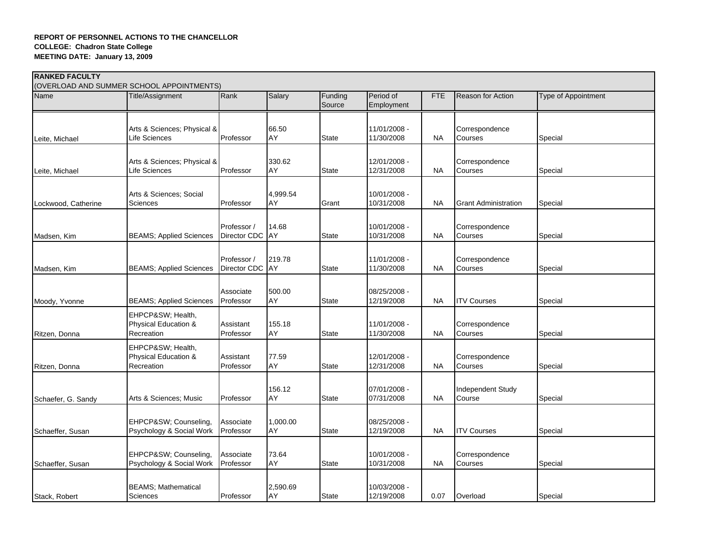| <b>RANKED FACULTY</b><br>(OVERLOAD AND SUMMER SCHOOL APPOINTMENTS) |                                                        |                                |                     |                   |                            |            |                             |                     |  |  |
|--------------------------------------------------------------------|--------------------------------------------------------|--------------------------------|---------------------|-------------------|----------------------------|------------|-----------------------------|---------------------|--|--|
| Name                                                               | Title/Assignment                                       | Rank                           | Salary              | Funding<br>Source | Period of<br>Employment    | <b>FTE</b> | <b>Reason for Action</b>    | Type of Appointment |  |  |
| Leite, Michael                                                     | Arts & Sciences; Physical &<br>Life Sciences           | Professor                      | 66.50<br>AY         | <b>State</b>      | 11/01/2008 -<br>11/30/2008 | <b>NA</b>  | Correspondence<br>Courses   | Special             |  |  |
| Leite, Michael                                                     | Arts & Sciences; Physical &<br>Life Sciences           | Professor                      | 330.62<br>AY        | <b>State</b>      | 12/01/2008 -<br>12/31/2008 | <b>NA</b>  | Correspondence<br>Courses   | Special             |  |  |
| Lockwood, Catherine                                                | Arts & Sciences; Social<br>Sciences                    | Professor                      | 4,999.54<br>AY      | Grant             | 10/01/2008 -<br>10/31/2008 | <b>NA</b>  | <b>Grant Administration</b> | Special             |  |  |
| Madsen, Kim                                                        | <b>BEAMS; Applied Sciences</b>                         | Professor /<br>Director CDC AY | 14.68               | <b>State</b>      | 10/01/2008 -<br>10/31/2008 | <b>NA</b>  | Correspondence<br>Courses   | Special             |  |  |
| Madsen, Kim                                                        | <b>BEAMS; Applied Sciences</b>                         | Professor /<br>Director CDC    | 219.78<br><b>AY</b> | <b>State</b>      | 11/01/2008 -<br>11/30/2008 | <b>NA</b>  | Correspondence<br>Courses   | Special             |  |  |
| Moody, Yvonne                                                      | <b>BEAMS; Applied Sciences</b>                         | Associate<br>Professor         | 500.00<br>AY        | <b>State</b>      | 08/25/2008 -<br>12/19/2008 | <b>NA</b>  | <b>ITV Courses</b>          | Special             |  |  |
| Ritzen, Donna                                                      | EHPCP&SW Health,<br>Physical Education &<br>Recreation | Assistant<br>Professor         | 155.18<br>AY        | <b>State</b>      | 11/01/2008 -<br>11/30/2008 | NA         | Correspondence<br>Courses   | Special             |  |  |
| Ritzen, Donna                                                      | EHPCP&SW Health,<br>Physical Education &<br>Recreation | Assistant<br>Professor         | 77.59<br>AY         | <b>State</b>      | 12/01/2008 -<br>12/31/2008 | <b>NA</b>  | Correspondence<br>Courses   | Special             |  |  |
| Schaefer, G. Sandy                                                 | Arts & Sciences; Music                                 | Professor                      | 156.12<br>AY        | <b>State</b>      | 07/01/2008 -<br>07/31/2008 | <b>NA</b>  | Independent Study<br>Course | Special             |  |  |
| Schaeffer, Susan                                                   | EHPCP&SW Counseling,<br>Psychology & Social Work       | Associate<br>Professor         | 1,000.00<br>AY      | <b>State</b>      | 08/25/2008 -<br>12/19/2008 | <b>NA</b>  | <b>ITV Courses</b>          | Special             |  |  |
| Schaeffer, Susan                                                   | EHPCP&SW Counseling,<br>Psychology & Social Work       | Associate<br>Professor         | 73.64<br>AY         | <b>State</b>      | 10/01/2008 -<br>10/31/2008 | <b>NA</b>  | Correspondence<br>Courses   | Special             |  |  |
| Stack, Robert                                                      | <b>BEAMS; Mathematical</b><br>Sciences                 | Professor                      | 2,590.69<br>AY      | <b>State</b>      | 10/03/2008 -<br>12/19/2008 | 0.07       | Overload                    | Special             |  |  |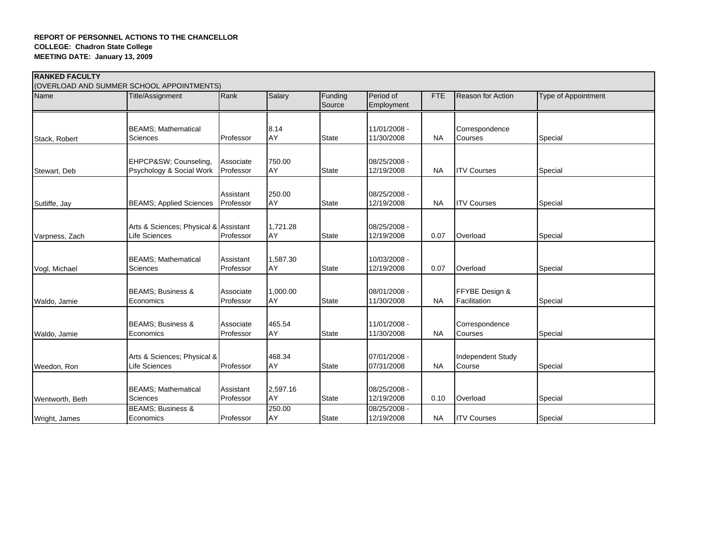| <b>RANKED FACULTY</b> |                                                        |                        |                |                   |                            |            |                                    |                     |
|-----------------------|--------------------------------------------------------|------------------------|----------------|-------------------|----------------------------|------------|------------------------------------|---------------------|
|                       | (OVERLOAD AND SUMMER SCHOOL APPOINTMENTS)              |                        |                |                   |                            |            |                                    |                     |
| Name                  | Title/Assignment                                       | Rank                   | Salary         | Funding<br>Source | Period of<br>Employment    | <b>FTE</b> | <b>Reason for Action</b>           | Type of Appointment |
|                       |                                                        |                        |                |                   |                            |            |                                    |                     |
|                       | <b>BEAMS</b> ; Mathematical                            |                        | 8.14           |                   | 11/01/2008 -               |            | Correspondence                     |                     |
| Stack, Robert         | Sciences                                               | Professor              | AY             | <b>State</b>      | 11/30/2008                 | <b>NA</b>  | Courses                            | Special             |
|                       |                                                        |                        |                |                   |                            |            |                                    |                     |
|                       | EHPCP&SW Counseling,<br>Psychology & Social Work       | Associate<br>Professor | 750.00<br>AY   | <b>State</b>      | 08/25/2008 -<br>12/19/2008 | <b>NA</b>  | <b>ITV Courses</b>                 | Special             |
| Stewart, Deb          |                                                        |                        |                |                   |                            |            |                                    |                     |
|                       |                                                        |                        |                |                   |                            |            |                                    |                     |
|                       | <b>BEAMS; Applied Sciences</b>                         | Assistant<br>Professor | 250.00<br>AY   | <b>State</b>      | 08/25/2008 -<br>12/19/2008 | <b>NA</b>  | <b>ITV Courses</b>                 | Special             |
| Sutliffe, Jay         |                                                        |                        |                |                   |                            |            |                                    |                     |
|                       |                                                        |                        |                |                   |                            |            |                                    |                     |
| Varpness, Zach        | Arts & Sciences; Physical & Assistant<br>Life Sciences | Professor              | 1,721.28<br>AY | State             | 08/25/2008 -<br>12/19/2008 | 0.07       | Overload                           | Special             |
|                       |                                                        |                        |                |                   |                            |            |                                    |                     |
|                       |                                                        |                        |                |                   |                            |            |                                    |                     |
| Vogl, Michael         | <b>BEAMS; Mathematical</b><br>Sciences                 | Assistant<br>Professor | 1,587.30<br>AY | <b>State</b>      | 10/03/2008 -<br>12/19/2008 | 0.07       | Overload                           | Special             |
|                       |                                                        |                        |                |                   |                            |            |                                    |                     |
|                       |                                                        |                        |                |                   |                            |            |                                    |                     |
| Waldo, Jamie          | <b>BEAMS</b> ; Business &<br>Economics                 | Associate<br>Professor | 1,000.00<br>AY | <b>State</b>      | 08/01/2008 -<br>11/30/2008 | <b>NA</b>  | FFYBE Design &<br>Facilitation     | Special             |
|                       |                                                        |                        |                |                   |                            |            |                                    |                     |
|                       |                                                        |                        |                |                   |                            |            |                                    |                     |
| Waldo, Jamie          | <b>BEAMS</b> ; Business &<br>Economics                 | Associate<br>Professor | 465.54<br>AY   | <b>State</b>      | 11/01/2008 -<br>11/30/2008 | <b>NA</b>  | Correspondence<br>Courses          | Special             |
|                       |                                                        |                        |                |                   |                            |            |                                    |                     |
|                       |                                                        |                        |                |                   |                            |            |                                    |                     |
| Weedon, Ron           | Arts & Sciences; Physical &<br>Life Sciences           | Professor              | 468.34<br>AY   | <b>State</b>      | 07/01/2008 -<br>07/31/2008 | <b>NA</b>  | <b>Independent Study</b><br>Course | Special             |
|                       |                                                        |                        |                |                   |                            |            |                                    |                     |
|                       |                                                        |                        |                |                   |                            |            |                                    |                     |
| Wentworth, Beth       | <b>BEAMS; Mathematical</b><br>Sciences                 | Assistant<br>Professor | 2,597.16<br>AY | State             | 08/25/2008 -<br>12/19/2008 | 0.10       | Overload                           | Special             |
|                       | <b>BEAMS: Business &amp;</b>                           |                        | 250.00         |                   | 08/25/2008 -               |            |                                    |                     |
| Wright, James         | Economics                                              | Professor              | AY             | <b>State</b>      | 12/19/2008                 | NA         | <b>ITV Courses</b>                 | Special             |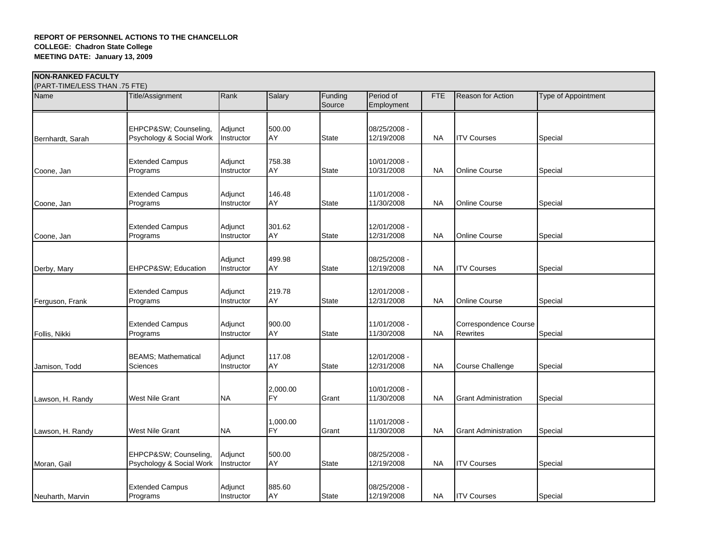| <b> NON-RANKED FACULTY</b><br>(PART-TIME/LESS THAN .75 FTE) |                                                  |                       |                       |                   |                            |            |                                          |                            |  |  |
|-------------------------------------------------------------|--------------------------------------------------|-----------------------|-----------------------|-------------------|----------------------------|------------|------------------------------------------|----------------------------|--|--|
| Name                                                        | Title/Assignment                                 | Rank                  | Salary                | Funding<br>Source | Period of<br>Employment    | <b>FTE</b> | <b>Reason for Action</b>                 | <b>Type of Appointment</b> |  |  |
|                                                             | EHPCP&SW Counseling,                             | Adjunct               | 500.00                |                   | 08/25/2008 -               |            |                                          |                            |  |  |
| Bernhardt, Sarah                                            | Psychology & Social Work                         | Instructor            | AY                    | <b>State</b>      | 12/19/2008                 | NA         | <b>ITV Courses</b>                       | Special                    |  |  |
| Coone, Jan                                                  | <b>Extended Campus</b><br>Programs               | Adjunct<br>Instructor | 758.38<br>AY          | <b>State</b>      | 10/01/2008 -<br>10/31/2008 | NA         | <b>Online Course</b>                     | Special                    |  |  |
| Coone, Jan                                                  | <b>Extended Campus</b><br>Programs               | Adjunct<br>Instructor | 146.48<br>AY          | <b>State</b>      | 11/01/2008 -<br>11/30/2008 | <b>NA</b>  | <b>Online Course</b>                     | Special                    |  |  |
| Coone, Jan                                                  | <b>Extended Campus</b><br>Programs               | Adjunct<br>Instructor | 301.62<br>AY          | <b>State</b>      | 12/01/2008 -<br>12/31/2008 | <b>NA</b>  | <b>Online Course</b>                     | Special                    |  |  |
| Derby, Mary                                                 | EHPCP&SW Education                               | Adjunct<br>Instructor | 499.98<br>AY          | <b>State</b>      | 08/25/2008 -<br>12/19/2008 | <b>NA</b>  | <b>ITV Courses</b>                       | Special                    |  |  |
| Ferguson, Frank                                             | <b>Extended Campus</b><br>Programs               | Adjunct<br>Instructor | 219.78<br>AY          | <b>State</b>      | 12/01/2008 -<br>12/31/2008 | NA         | <b>Online Course</b>                     | Special                    |  |  |
| Follis, Nikki                                               | <b>Extended Campus</b><br>Programs               | Adjunct<br>Instructor | 900.00<br>AY          | <b>State</b>      | 11/01/2008 -<br>11/30/2008 | <b>NA</b>  | Correspondence Course<br><b>Rewrites</b> | Special                    |  |  |
| Jamison, Todd                                               | <b>BEAMS; Mathematical</b><br>Sciences           | Adjunct<br>Instructor | 117.08<br>AY          | <b>State</b>      | 12/01/2008 -<br>12/31/2008 | <b>NA</b>  | Course Challenge                         | Special                    |  |  |
| Lawson, H. Randy                                            | <b>West Nile Grant</b>                           | <b>NA</b>             | 2,000.00<br><b>FY</b> | Grant             | 10/01/2008 -<br>11/30/2008 | NA         | <b>Grant Administration</b>              | Special                    |  |  |
| Lawson, H. Randy                                            | West Nile Grant                                  | <b>NA</b>             | 1,000.00<br><b>FY</b> | Grant             | 11/01/2008 -<br>11/30/2008 | <b>NA</b>  | <b>Grant Administration</b>              | Special                    |  |  |
| Moran, Gail                                                 | EHPCP&SW Counseling,<br>Psychology & Social Work | Adjunct<br>Instructor | 500.00<br>AY          | <b>State</b>      | 08/25/2008 -<br>12/19/2008 | NA         | <b>ITV Courses</b>                       | Special                    |  |  |
| Neuharth, Marvin                                            | <b>Extended Campus</b><br>Programs               | Adjunct<br>Instructor | 885.60<br>AY          | <b>State</b>      | 08/25/2008 -<br>12/19/2008 | NA         | <b>ITV Courses</b>                       | Special                    |  |  |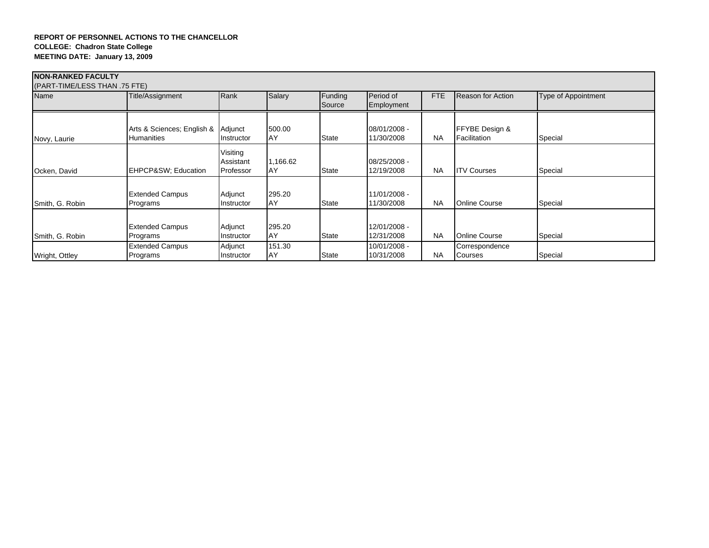| <b>NON-RANKED FACULTY</b>     |                                    |                                    |                |                   |                            |           |                                  |                            |  |  |  |  |
|-------------------------------|------------------------------------|------------------------------------|----------------|-------------------|----------------------------|-----------|----------------------------------|----------------------------|--|--|--|--|
| (PART-TIME/LESS THAN .75 FTE) |                                    |                                    |                |                   |                            |           |                                  |                            |  |  |  |  |
| Name                          | Title/Assignment                   | Rank                               | Salary         | Funding<br>Source | Period of<br>Employment    | FTE       | Reason for Action                | <b>Type of Appointment</b> |  |  |  |  |
|                               | Arts & Sciences; English &         | Adjunct                            | 500.00         |                   | 08/01/2008 -               |           | FFYBE Design &                   |                            |  |  |  |  |
| Novy, Laurie                  | <b>Humanities</b>                  | Instructor                         | AY             | <b>State</b>      | 11/30/2008                 | <b>NA</b> | Facilitation                     | Special                    |  |  |  |  |
| Ocken, David                  | EHPCP&SW Education                 | Visiting<br>Assistant<br>Professor | 1,166.62<br>AY | <b>State</b>      | 08/25/2008 -<br>12/19/2008 | <b>NA</b> | <b>ITV Courses</b>               | Special                    |  |  |  |  |
| Smith, G. Robin               | <b>Extended Campus</b><br>Programs | Adjunct<br>Instructor              | 295.20<br>AY   | <b>State</b>      | 11/01/2008 -<br>11/30/2008 | <b>NA</b> | <b>Online Course</b>             | Special                    |  |  |  |  |
| Smith, G. Robin               | <b>Extended Campus</b><br>Programs | Adjunct<br>Instructor              | 295.20<br>AY   | <b>State</b>      | 12/01/2008 -<br>12/31/2008 | <b>NA</b> | <b>Online Course</b>             | Special                    |  |  |  |  |
| Wright, Ottley                | <b>Extended Campus</b><br>Programs | Adjunct<br>Instructor              | 151.30<br>AY   | <b>State</b>      | 10/01/2008 -<br>10/31/2008 | <b>NA</b> | Correspondence<br><b>Courses</b> | Special                    |  |  |  |  |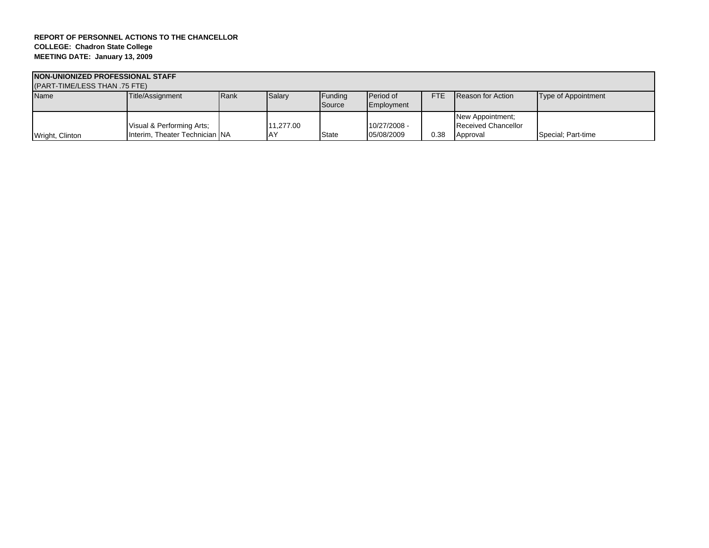| NON-UNIONIZED PROFESSIONAL STAFF |                                                             |      |           |                   |                            |            |                                                            |                     |  |  |  |
|----------------------------------|-------------------------------------------------------------|------|-----------|-------------------|----------------------------|------------|------------------------------------------------------------|---------------------|--|--|--|
| (PART-TIME/LESS THAN .75 FTE)    |                                                             |      |           |                   |                            |            |                                                            |                     |  |  |  |
| <b>Name</b>                      | Title/Assignment                                            | Rank | Salary    | Funding<br>Source | Period of<br>Employment    | <b>FTE</b> | <b>Reason for Action</b>                                   | Type of Appointment |  |  |  |
| Wright, Clinton                  | Visual & Performing Arts;<br>Interim, Theater Technician NA |      | 11.277.00 | <b>State</b>      | 10/27/2008 -<br>05/08/2009 | 0.38       | New Appointment;<br><b>Received Chancellor</b><br>Approval | Special: Part-time  |  |  |  |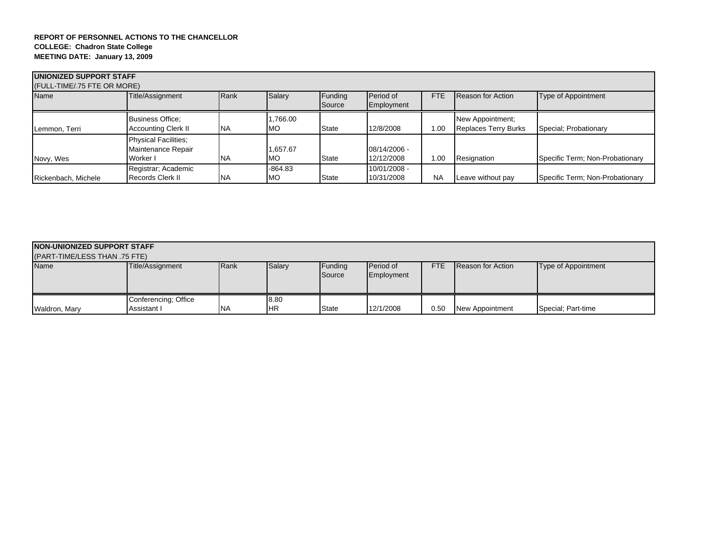| UNIONIZED SUPPORT STAFF<br>(FULL-TIME/.75 FTE OR MORE) |                                                               |           |                        |                   |                            |            |                                                 |                                 |  |  |  |
|--------------------------------------------------------|---------------------------------------------------------------|-----------|------------------------|-------------------|----------------------------|------------|-------------------------------------------------|---------------------------------|--|--|--|
| Name                                                   | Title/Assignment                                              | Rank      | Salary                 | Funding<br>Source | Period of<br>Employment    | <b>FTE</b> | Reason for Action                               | Type of Appointment             |  |  |  |
| Lemmon, Terri                                          | <b>Business Office:</b><br><b>Accounting Clerk II</b>         | <b>NA</b> | ,766.00<br><b>MO</b>   | <b>State</b>      | 12/8/2008                  | 1.00       | New Appointment;<br><b>Replaces Terry Burks</b> | Special; Probationary           |  |  |  |
| Novy, Wes                                              | <b>Physical Facilities:</b><br>Maintenance Repair<br>Worker I | <b>NA</b> | 1,657.67<br>МO         | <b>State</b>      | 08/14/2006 -<br>12/12/2008 | 1.00       | Resignation                                     | Specific Term; Non-Probationary |  |  |  |
| Rickenbach, Michele                                    | Registrar; Academic<br>Records Clerk II                       | <b>NA</b> | $-864.83$<br><b>MO</b> | <b>State</b>      | 10/01/2008 -<br>10/31/2008 | <b>NA</b>  | Leave without pay                               | Specific Term; Non-Probationary |  |  |  |

| <b>NON-UNIONIZED SUPPORT STAFF</b><br>(PART-TIME/LESS THAN .75 FTE) |                                     |           |                    |                   |                         |            |                          |                     |  |  |  |
|---------------------------------------------------------------------|-------------------------------------|-----------|--------------------|-------------------|-------------------------|------------|--------------------------|---------------------|--|--|--|
| <b>Name</b>                                                         | Title/Assignment                    | Rank      | Salary             | Funding<br>Source | Period of<br>Employment | <b>FTE</b> | <b>Reason for Action</b> | Type of Appointment |  |  |  |
| Waldron, Mary                                                       | Conferencing; Office<br>Assistant I | <b>NA</b> | 8.80<br><b>IHR</b> | State             | 12/1/2008               | 0.50       | <b>New Appointment</b>   | Special; Part-time  |  |  |  |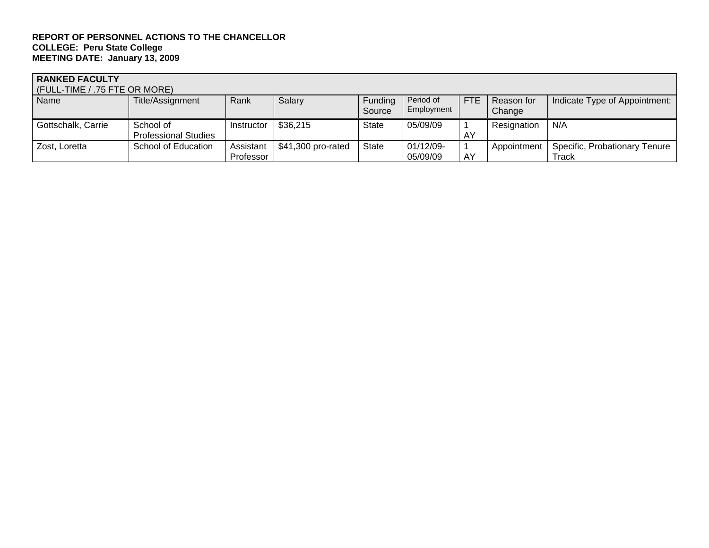# **RANKED FACULTY**

| (FULL-TIME / .75 FTE OR MORE) |                             |            |                    |                   |                         |            |                      |                               |  |  |  |
|-------------------------------|-----------------------------|------------|--------------------|-------------------|-------------------------|------------|----------------------|-------------------------------|--|--|--|
| Name                          | Title/Assignment            | Rank       | Salary             | Funding<br>Source | Period of<br>Employment | <b>FTE</b> | Reason for<br>Change | Indicate Type of Appointment: |  |  |  |
| Gottschalk, Carrie            | School of                   | Instructor | \$36,215           | <b>State</b>      | 05/09/09                |            | Resignation          | N/A                           |  |  |  |
|                               |                             |            |                    |                   |                         |            |                      |                               |  |  |  |
|                               | <b>Professional Studies</b> |            |                    |                   |                         | AY         |                      |                               |  |  |  |
| Zost, Loretta                 | School of Education         | Assistant  | \$41,300 pro-rated | <b>State</b>      | 01/12/09-               |            | Appointment          | Specific, Probationary Tenure |  |  |  |
|                               |                             | Professor  |                    |                   | 05/09/09                | AY         |                      | Track                         |  |  |  |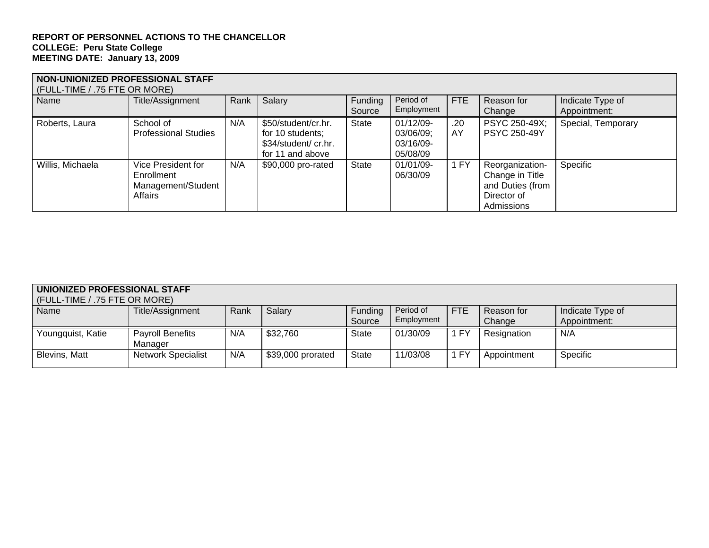| NON-UNIONIZED PROFESSIONAL STAFF<br>(FULL-TIME / .75 FTE OR MORE) |                                                                   |      |                                                                                     |                   |                                                 |            |                                                                                     |                                  |  |  |  |
|-------------------------------------------------------------------|-------------------------------------------------------------------|------|-------------------------------------------------------------------------------------|-------------------|-------------------------------------------------|------------|-------------------------------------------------------------------------------------|----------------------------------|--|--|--|
| Name                                                              | Title/Assignment                                                  | Rank | Salary                                                                              | Funding<br>Source | Period of<br>Employment                         | <b>FTE</b> | Reason for<br>Change                                                                | Indicate Type of<br>Appointment: |  |  |  |
| Roberts, Laura                                                    | School of<br><b>Professional Studies</b>                          | N/A  | \$50/student/cr.hr.<br>for 10 students;<br>\$34/student/ cr.hr.<br>for 11 and above | <b>State</b>      | 01/12/09-<br>03/06/09;<br>03/16/09-<br>05/08/09 | .20<br>AY  | PSYC 250-49X;<br><b>PSYC 250-49Y</b>                                                | Special, Temporary               |  |  |  |
| Willis, Michaela                                                  | Vice President for<br>Enrollment<br>Management/Student<br>Affairs | N/A  | \$90,000 pro-rated                                                                  | <b>State</b>      | 01/01/09-<br>06/30/09                           | 1 FY       | Reorganization-<br>Change in Title<br>and Duties (from<br>Director of<br>Admissions | Specific                         |  |  |  |

| UNIONIZED PROFESSIONAL STAFF<br>(FULL-TIME / .75 FTE OR MORE) |                                    |      |                   |                   |                         |            |                      |                                  |  |  |  |
|---------------------------------------------------------------|------------------------------------|------|-------------------|-------------------|-------------------------|------------|----------------------|----------------------------------|--|--|--|
| Name                                                          | Title/Assignment                   | Rank | Salary            | Funding<br>Source | Period of<br>Employment | <b>FTE</b> | Reason for<br>Change | Indicate Type of<br>Appointment: |  |  |  |
| Youngquist, Katie                                             | <b>Payroll Benefits</b><br>Manager | N/A  | \$32,760          | <b>State</b>      | 01/30/09                | 1 FY       | Resignation          | N/A                              |  |  |  |
| Blevins, Matt                                                 | <b>Network Specialist</b>          | N/A  | \$39,000 prorated | <b>State</b>      | 11/03/08                | 1 FY       | Appointment          | Specific                         |  |  |  |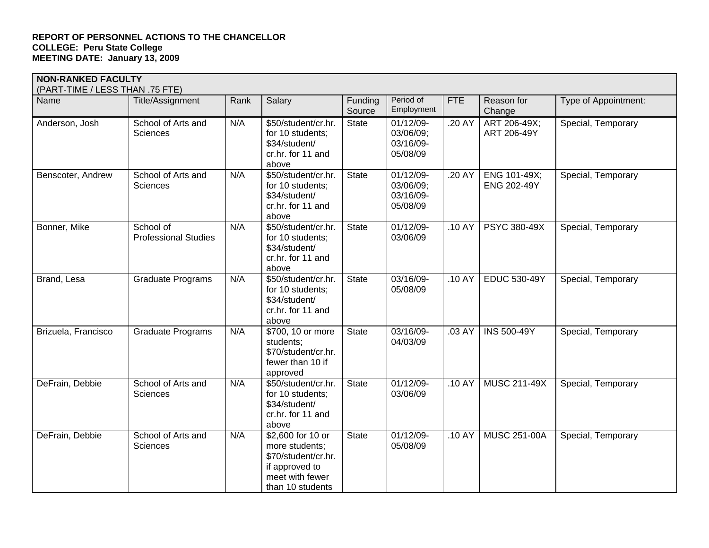| <b>NON-RANKED FACULTY</b><br>(PART-TIME / LESS THAN .75 FTE) |                                          |      |                                                                                                                     |                   |                                                 |            |                                    |                      |
|--------------------------------------------------------------|------------------------------------------|------|---------------------------------------------------------------------------------------------------------------------|-------------------|-------------------------------------------------|------------|------------------------------------|----------------------|
| Name                                                         | Title/Assignment                         | Rank | Salary                                                                                                              | Funding<br>Source | Period of<br>Employment                         | <b>FTE</b> | Reason for<br>Change               | Type of Appointment: |
| Anderson, Josh                                               | School of Arts and<br><b>Sciences</b>    | N/A  | \$50/student/cr.hr.<br>for 10 students;<br>\$34/student/<br>cr.hr. for 11 and<br>above                              | State             | 01/12/09-<br>03/06/09;<br>03/16/09-<br>05/08/09 | .20 AY     | ART 206-49X;<br>ART 206-49Y        | Special, Temporary   |
| Benscoter, Andrew                                            | School of Arts and<br><b>Sciences</b>    | N/A  | \$50/student/cr.hr.<br>for 10 students;<br>\$34/student/<br>cr.hr. for 11 and<br>above                              | <b>State</b>      | 01/12/09-<br>03/06/09;<br>03/16/09-<br>05/08/09 | .20 AY     | ENG 101-49X;<br><b>ENG 202-49Y</b> | Special, Temporary   |
| Bonner, Mike                                                 | School of<br><b>Professional Studies</b> | N/A  | \$50/student/cr.hr.<br>for 10 students;<br>\$34/student/<br>cr.hr. for 11 and<br>above                              | <b>State</b>      | 01/12/09-<br>03/06/09                           | .10 AY     | PSYC 380-49X                       | Special, Temporary   |
| Brand, Lesa                                                  | <b>Graduate Programs</b>                 | N/A  | \$50/student/cr.hr.<br>for 10 students;<br>\$34/student/<br>cr.hr. for 11 and<br>above                              | <b>State</b>      | 03/16/09-<br>05/08/09                           | .10 AY     | <b>EDUC 530-49Y</b>                | Special, Temporary   |
| Brizuela, Francisco                                          | <b>Graduate Programs</b>                 | N/A  | \$700, 10 or more<br>students;<br>\$70/student/cr.hr.<br>fewer than 10 if<br>approved                               | <b>State</b>      | 03/16/09-<br>04/03/09                           | .03 AY     | <b>INS 500-49Y</b>                 | Special, Temporary   |
| DeFrain, Debbie                                              | School of Arts and<br><b>Sciences</b>    | N/A  | \$50/student/cr.hr.<br>for 10 students;<br>\$34/student/<br>cr.hr. for 11 and<br>above                              | <b>State</b>      | 01/12/09-<br>03/06/09                           | .10 AY     | <b>MUSC 211-49X</b>                | Special, Temporary   |
| DeFrain, Debbie                                              | School of Arts and<br>Sciences           | N/A  | \$2,600 for 10 or<br>more students;<br>\$70/student/cr.hr.<br>if approved to<br>meet with fewer<br>than 10 students | <b>State</b>      | $01/12/09 -$<br>05/08/09                        | .10 AY     | <b>MUSC 251-00A</b>                | Special, Temporary   |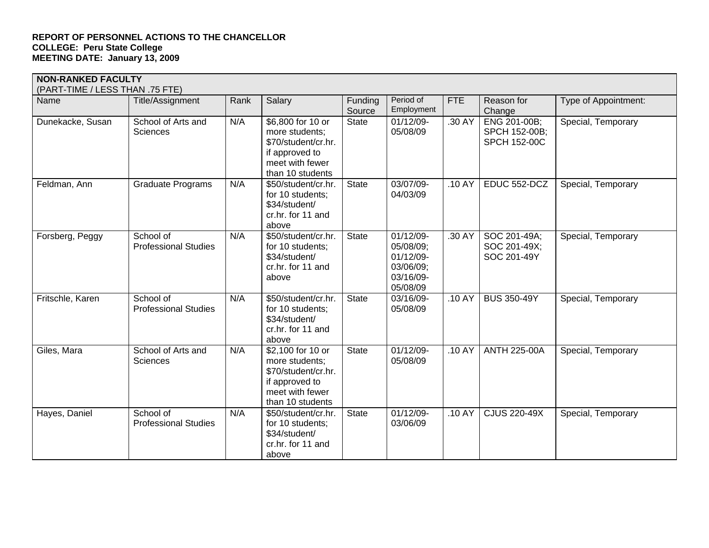|                  | <b>NON-RANKED FACULTY</b><br>(PART-TIME / LESS THAN .75 FTE) |      |                                                                                                                     |                   |                                                                           |            |                                                      |                      |  |  |  |
|------------------|--------------------------------------------------------------|------|---------------------------------------------------------------------------------------------------------------------|-------------------|---------------------------------------------------------------------------|------------|------------------------------------------------------|----------------------|--|--|--|
| Name             | Title/Assignment                                             | Rank | Salary                                                                                                              | Funding<br>Source | Period of<br>Employment                                                   | <b>FTE</b> | Reason for<br>Change                                 | Type of Appointment: |  |  |  |
| Dunekacke, Susan | School of Arts and<br>Sciences                               | N/A  | \$6,800 for 10 or<br>more students:<br>\$70/student/cr.hr.<br>if approved to<br>meet with fewer<br>than 10 students | <b>State</b>      | 01/12/09-<br>05/08/09                                                     | .30 AY     | ENG 201-00B;<br>SPCH 152-00B;<br><b>SPCH 152-00C</b> | Special, Temporary   |  |  |  |
| Feldman, Ann     | <b>Graduate Programs</b>                                     | N/A  | \$50/student/cr.hr.<br>for 10 students;<br>\$34/student/<br>cr.hr. for 11 and<br>above                              | <b>State</b>      | 03/07/09-<br>04/03/09                                                     | .10 AY     | EDUC 552-DCZ                                         | Special, Temporary   |  |  |  |
| Forsberg, Peggy  | School of<br><b>Professional Studies</b>                     | N/A  | \$50/student/cr.hr.<br>for 10 students;<br>\$34/student/<br>cr.hr. for 11 and<br>above                              | <b>State</b>      | 01/12/09-<br>05/08/09;<br>01/12/09-<br>03/06/09;<br>03/16/09-<br>05/08/09 | .30 AY     | SOC 201-49A;<br>SOC 201-49X;<br>SOC 201-49Y          | Special, Temporary   |  |  |  |
| Fritschle, Karen | School of<br><b>Professional Studies</b>                     | N/A  | \$50/student/cr.hr.<br>for 10 students;<br>\$34/student/<br>cr.hr. for 11 and<br>above                              | <b>State</b>      | 03/16/09-<br>05/08/09                                                     | .10 AY     | <b>BUS 350-49Y</b>                                   | Special, Temporary   |  |  |  |
| Giles, Mara      | School of Arts and<br><b>Sciences</b>                        | N/A  | \$2,100 for 10 or<br>more students;<br>\$70/student/cr.hr.<br>if approved to<br>meet with fewer<br>than 10 students | <b>State</b>      | $01/12/09 -$<br>05/08/09                                                  | .10 AY     | <b>ANTH 225-00A</b>                                  | Special, Temporary   |  |  |  |
| Hayes, Daniel    | School of<br><b>Professional Studies</b>                     | N/A  | \$50/student/cr.hr.<br>for 10 students;<br>\$34/student/<br>cr.hr. for 11 and<br>above                              | <b>State</b>      | 01/12/09-<br>03/06/09                                                     | .10 AY     | <b>CJUS 220-49X</b>                                  | Special, Temporary   |  |  |  |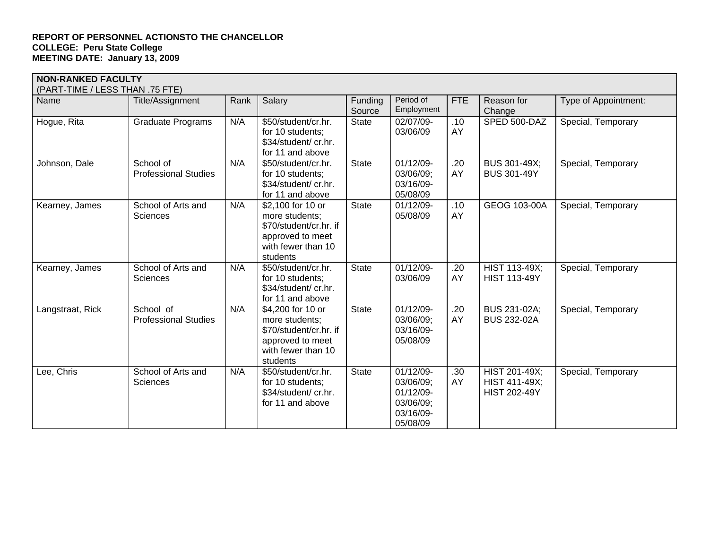| <b>NON-RANKED FACULTY</b><br>(PART-TIME / LESS THAN .75 FTE) |                                          |      |                                                                                                                     |                   |                                                                           |            |                                                       |                      |
|--------------------------------------------------------------|------------------------------------------|------|---------------------------------------------------------------------------------------------------------------------|-------------------|---------------------------------------------------------------------------|------------|-------------------------------------------------------|----------------------|
| Name                                                         | Title/Assignment                         | Rank | Salary                                                                                                              | Funding<br>Source | Period of<br>Employment                                                   | <b>FTE</b> | Reason for<br>Change                                  | Type of Appointment: |
| Hogue, Rita                                                  | <b>Graduate Programs</b>                 | N/A  | \$50/student/cr.hr.<br>for 10 students;<br>\$34/student/ cr.hr.<br>for 11 and above                                 | <b>State</b>      | 02/07/09-<br>03/06/09                                                     | .10<br>AY  | SPED 500-DAZ                                          | Special, Temporary   |
| Johnson, Dale                                                | School of<br><b>Professional Studies</b> | N/A  | \$50/student/cr.hr.<br>for 10 students;<br>\$34/student/ cr.hr.<br>for 11 and above                                 | <b>State</b>      | 01/12/09-<br>03/06/09;<br>03/16/09-<br>05/08/09                           | .20<br>AY  | <b>BUS 301-49X;</b><br><b>BUS 301-49Y</b>             | Special, Temporary   |
| Kearney, James                                               | School of Arts and<br>Sciences           | N/A  | \$2,100 for 10 or<br>more students;<br>\$70/student/cr.hr. if<br>approved to meet<br>with fewer than 10<br>students | <b>State</b>      | 01/12/09-<br>05/08/09                                                     | .10<br>AY  | GEOG 103-00A                                          | Special, Temporary   |
| Kearney, James                                               | School of Arts and<br>Sciences           | N/A  | \$50/student/cr.hr.<br>for 10 students;<br>\$34/student/ cr.hr.<br>for 11 and above                                 | <b>State</b>      | 01/12/09-<br>03/06/09                                                     | .20<br>AY  | HIST 113-49X;<br><b>HIST 113-49Y</b>                  | Special, Temporary   |
| Langstraat, Rick                                             | School of<br><b>Professional Studies</b> | N/A  | \$4,200 for 10 or<br>more students;<br>\$70/student/cr.hr. if<br>approved to meet<br>with fewer than 10<br>students | <b>State</b>      | 01/12/09-<br>03/06/09;<br>03/16/09-<br>05/08/09                           | .20<br>AY  | <b>BUS 231-02A;</b><br><b>BUS 232-02A</b>             | Special, Temporary   |
| Lee, Chris                                                   | School of Arts and<br>Sciences           | N/A  | \$50/student/cr.hr.<br>for 10 students;<br>\$34/student/ cr.hr.<br>for 11 and above                                 | <b>State</b>      | 01/12/09-<br>03/06/09;<br>01/12/09-<br>03/06/09;<br>03/16/09-<br>05/08/09 | .30<br>AY  | HIST 201-49X;<br>HIST 411-49X;<br><b>HIST 202-49Y</b> | Special, Temporary   |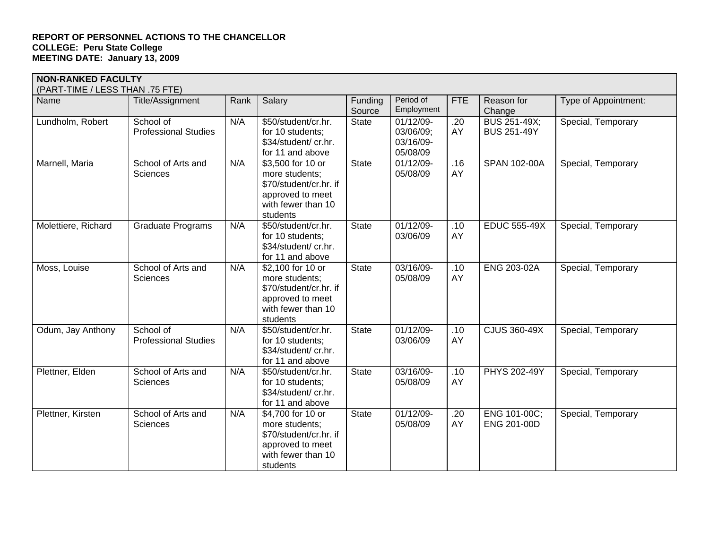| <b>NON-RANKED FACULTY</b>       |                                          |      |                                                                                                                     |                   |                                                 |            |                                           |                      |  |  |
|---------------------------------|------------------------------------------|------|---------------------------------------------------------------------------------------------------------------------|-------------------|-------------------------------------------------|------------|-------------------------------------------|----------------------|--|--|
| (PART-TIME / LESS THAN .75 FTE) |                                          |      |                                                                                                                     |                   |                                                 |            |                                           |                      |  |  |
| Name                            | Title/Assignment                         | Rank | Salary                                                                                                              | Funding<br>Source | Period of<br>Employment                         | <b>FTE</b> | Reason for<br>Change                      | Type of Appointment: |  |  |
| Lundholm, Robert                | School of<br><b>Professional Studies</b> | N/A  | \$50/student/cr.hr.<br>for 10 students;<br>\$34/student/ cr.hr.<br>for 11 and above                                 | State             | 01/12/09-<br>03/06/09;<br>03/16/09-<br>05/08/09 | .20<br>AY  | <b>BUS 251-49X;</b><br><b>BUS 251-49Y</b> | Special, Temporary   |  |  |
| Marnell, Maria                  | School of Arts and<br>Sciences           | N/A  | \$3,500 for 10 or<br>more students;<br>\$70/student/cr.hr. if<br>approved to meet<br>with fewer than 10<br>students | <b>State</b>      | 01/12/09-<br>05/08/09                           | .16<br>AY  | SPAN 102-00A                              | Special, Temporary   |  |  |
| Molettiere, Richard             | <b>Graduate Programs</b>                 | N/A  | \$50/student/cr.hr.<br>for 10 students;<br>\$34/student/ cr.hr.<br>for 11 and above                                 | State             | $01/12/09 -$<br>03/06/09                        | .10<br>AY  | <b>EDUC 555-49X</b>                       | Special, Temporary   |  |  |
| Moss, Louise                    | School of Arts and<br>Sciences           | N/A  | \$2,100 for 10 or<br>more students;<br>\$70/student/cr.hr. if<br>approved to meet<br>with fewer than 10<br>students | <b>State</b>      | 03/16/09-<br>05/08/09                           | .10<br>AY  | <b>ENG 203-02A</b>                        | Special, Temporary   |  |  |
| Odum, Jay Anthony               | School of<br><b>Professional Studies</b> | N/A  | \$50/student/cr.hr.<br>for 10 students;<br>\$34/student/ cr.hr.<br>for 11 and above                                 | State             | 01/12/09-<br>03/06/09                           | .10<br>AY  | <b>CJUS 360-49X</b>                       | Special, Temporary   |  |  |
| Plettner, Elden                 | School of Arts and<br>Sciences           | N/A  | \$50/student/cr.hr.<br>for 10 students;<br>\$34/student/ cr.hr.<br>for 11 and above                                 | <b>State</b>      | 03/16/09-<br>05/08/09                           | .10<br>AY  | PHYS 202-49Y                              | Special, Temporary   |  |  |
| Plettner, Kirsten               | School of Arts and<br>Sciences           | N/A  | \$4,700 for 10 or<br>more students;<br>\$70/student/cr.hr. if<br>approved to meet<br>with fewer than 10<br>students | State             | 01/12/09-<br>05/08/09                           | .20<br>AY  | ENG 101-00C;<br>ENG 201-00D               | Special, Temporary   |  |  |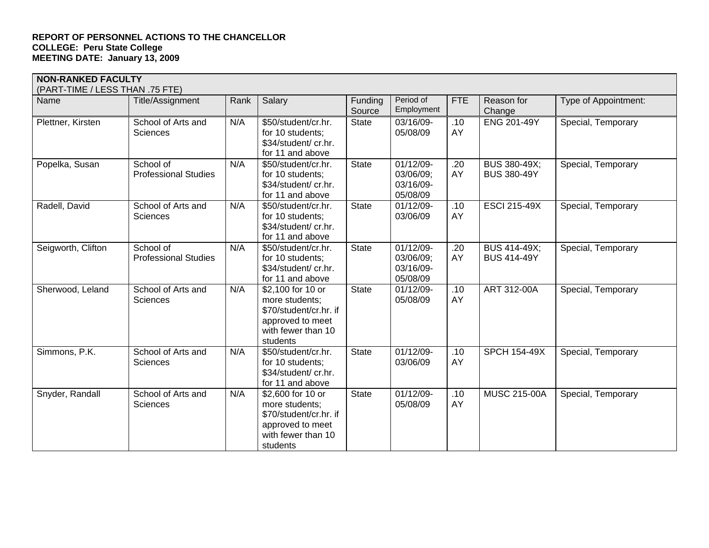|                    | <b>NON-RANKED FACULTY</b><br>(PART-TIME / LESS THAN .75 FTE) |      |                                                                                                                     |                   |                                                 |            |                                           |                      |  |  |  |
|--------------------|--------------------------------------------------------------|------|---------------------------------------------------------------------------------------------------------------------|-------------------|-------------------------------------------------|------------|-------------------------------------------|----------------------|--|--|--|
| Name               | Title/Assignment                                             | Rank | Salary                                                                                                              | Funding<br>Source | Period of<br>Employment                         | <b>FTE</b> | Reason for<br>Change                      | Type of Appointment: |  |  |  |
| Plettner, Kirsten  | School of Arts and<br><b>Sciences</b>                        | N/A  | \$50/student/cr.hr.<br>for 10 students;<br>\$34/student/ cr.hr.<br>for 11 and above                                 | <b>State</b>      | 03/16/09-<br>05/08/09                           | .10<br>AY  | <b>ENG 201-49Y</b>                        | Special, Temporary   |  |  |  |
| Popelka, Susan     | School of<br><b>Professional Studies</b>                     | N/A  | \$50/student/cr.hr.<br>for 10 students;<br>\$34/student/ cr.hr.<br>for 11 and above                                 | State             | 01/12/09-<br>03/06/09;<br>03/16/09-<br>05/08/09 | .20<br>AY  | <b>BUS 380-49X;</b><br><b>BUS 380-49Y</b> | Special, Temporary   |  |  |  |
| Radell, David      | School of Arts and<br><b>Sciences</b>                        | N/A  | \$50/student/cr.hr.<br>for 10 students;<br>\$34/student/ cr.hr.<br>for 11 and above                                 | <b>State</b>      | 01/12/09-<br>03/06/09                           | .10<br>AY  | <b>ESCI 215-49X</b>                       | Special, Temporary   |  |  |  |
| Seigworth, Clifton | School of<br><b>Professional Studies</b>                     | N/A  | \$50/student/cr.hr.<br>for 10 students;<br>\$34/student/ cr.hr.<br>for 11 and above                                 | <b>State</b>      | 01/12/09-<br>03/06/09;<br>03/16/09-<br>05/08/09 | .20<br>AY  | <b>BUS 414-49X;</b><br><b>BUS 414-49Y</b> | Special, Temporary   |  |  |  |
| Sherwood, Leland   | School of Arts and<br><b>Sciences</b>                        | N/A  | \$2,100 for 10 or<br>more students;<br>\$70/student/cr.hr. if<br>approved to meet<br>with fewer than 10<br>students | State             | 01/12/09-<br>05/08/09                           | .10<br>AY  | ART 312-00A                               | Special, Temporary   |  |  |  |
| Simmons, P.K.      | School of Arts and<br><b>Sciences</b>                        | N/A  | \$50/student/cr.hr.<br>for 10 students;<br>\$34/student/ cr.hr.<br>for 11 and above                                 | <b>State</b>      | 01/12/09-<br>03/06/09                           | .10<br>AY  | <b>SPCH 154-49X</b>                       | Special, Temporary   |  |  |  |
| Snyder, Randall    | School of Arts and<br><b>Sciences</b>                        | N/A  | \$2,600 for 10 or<br>more students;<br>\$70/student/cr.hr. if<br>approved to meet<br>with fewer than 10<br>students | <b>State</b>      | 01/12/09-<br>05/08/09                           | .10<br>AY  | <b>MUSC 215-00A</b>                       | Special, Temporary   |  |  |  |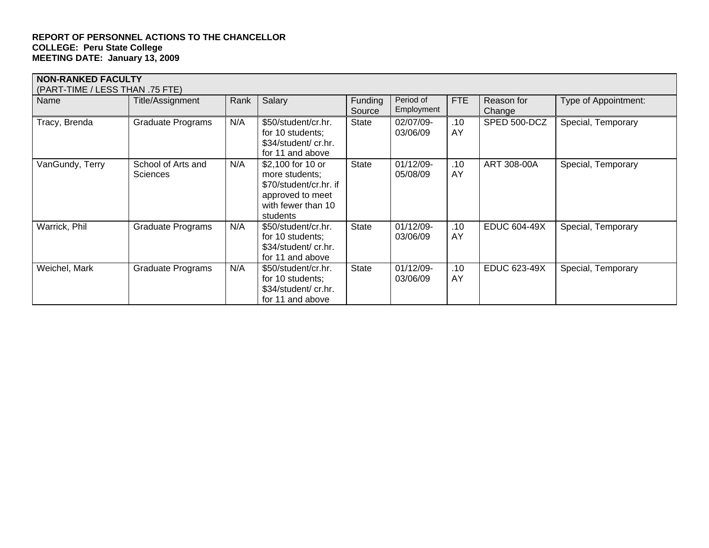| <b>NON-RANKED FACULTY</b><br>(PART-TIME / LESS THAN .75 FTE) |                                       |      |                                                                                                                     |                   |                         |           |                      |                      |  |
|--------------------------------------------------------------|---------------------------------------|------|---------------------------------------------------------------------------------------------------------------------|-------------------|-------------------------|-----------|----------------------|----------------------|--|
| Name                                                         | Title/Assignment                      | Rank | Salary                                                                                                              | Funding<br>Source | Period of<br>Employment | FTE       | Reason for<br>Change | Type of Appointment: |  |
| Tracy, Brenda                                                | <b>Graduate Programs</b>              | N/A  | \$50/student/cr.hr.<br>for 10 students;<br>\$34/student/ cr.hr.<br>for 11 and above                                 | <b>State</b>      | 02/07/09-<br>03/06/09   | .10<br>AY | SPED 500-DCZ         | Special, Temporary   |  |
| VanGundy, Terry                                              | School of Arts and<br><b>Sciences</b> | N/A  | \$2,100 for 10 or<br>more students;<br>\$70/student/cr.hr. if<br>approved to meet<br>with fewer than 10<br>students | <b>State</b>      | 01/12/09-<br>05/08/09   | .10<br>AY | ART 308-00A          | Special, Temporary   |  |
| Warrick, Phil                                                | <b>Graduate Programs</b>              | N/A  | \$50/student/cr.hr.<br>for 10 students;<br>\$34/student/ cr.hr.<br>for 11 and above                                 | <b>State</b>      | 01/12/09-<br>03/06/09   | .10<br>AY | <b>EDUC 604-49X</b>  | Special, Temporary   |  |
| Weichel, Mark                                                | <b>Graduate Programs</b>              | N/A  | \$50/student/cr.hr.<br>for 10 students;<br>\$34/student/ cr.hr.<br>for 11 and above                                 | <b>State</b>      | 01/12/09-<br>03/06/09   | .10<br>AY | EDUC 623-49X         | Special, Temporary   |  |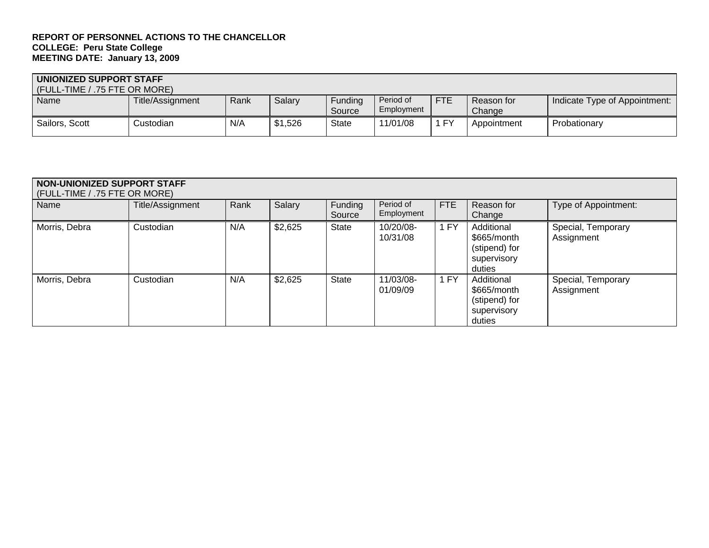| UNIONIZED SUPPORT STAFF<br>(FULL-TIME / .75 FTE OR MORE) |                  |      |         |                   |                         |            |                      |                               |  |
|----------------------------------------------------------|------------------|------|---------|-------------------|-------------------------|------------|----------------------|-------------------------------|--|
| Name                                                     | Title/Assignment | Rank | Salary  | Fundina<br>Source | Period of<br>Employment | <b>FTE</b> | Reason for<br>Change | Indicate Type of Appointment: |  |
| Sailors, Scott                                           | Custodian        | N/A  | \$1,526 | <b>State</b>      | 11/01/08                | <b>FY</b>  | Appointment          | Probationary                  |  |

# **NON-UNIONIZED SUPPORT STAFF**  (FULL-TIME / .75 FTE OR MORE)

| Name          | Title/Assignment | Rank | Salary  | Funding<br>Source | Period of<br>Employment | FTE  | Reason for<br>Change                                                | Type of Appointment:             |
|---------------|------------------|------|---------|-------------------|-------------------------|------|---------------------------------------------------------------------|----------------------------------|
| Morris, Debra | Custodian        | N/A  | \$2,625 | <b>State</b>      | 10/20/08-<br>10/31/08   | 1 FY | Additional<br>\$665/month<br>(stipend) for<br>supervisory<br>duties | Special, Temporary<br>Assignment |
| Morris, Debra | Custodian        | N/A  | \$2,625 | <b>State</b>      | 11/03/08-<br>01/09/09   | 1 FY | Additional<br>\$665/month<br>(stipend) for<br>supervisory<br>duties | Special, Temporary<br>Assignment |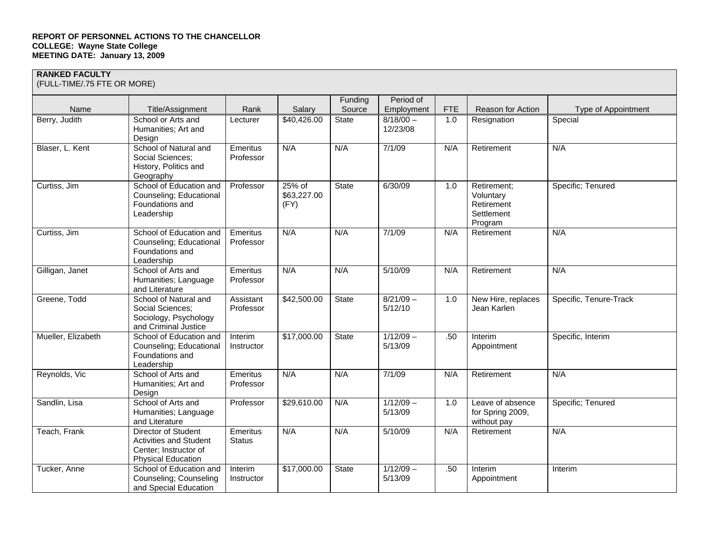**RANKED FACULTY**  (FULL-TIME/.75 FTE OR MORE)

| Name               | Title/Assignment                                                                                           | Rank                      | Salary                        | Funding<br>Source | Period of<br>Employment | <b>FTE</b> | Reason for Action                                               | Type of Appointment    |
|--------------------|------------------------------------------------------------------------------------------------------------|---------------------------|-------------------------------|-------------------|-------------------------|------------|-----------------------------------------------------------------|------------------------|
| Berry, Judith      | School or Arts and<br>Humanities; Art and<br>Design                                                        | Lecturer                  | \$40,426.00                   | <b>State</b>      | $8/18/00 -$<br>12/23/08 | 1.0        | Resignation                                                     | Special                |
| Blaser, L. Kent    | School of Natural and<br>Social Sciences;<br>History, Politics and<br>Geography                            | Emeritus<br>Professor     | N/A                           | N/A               | 7/1/09                  | N/A        | Retirement                                                      | N/A                    |
| Curtiss, Jim       | School of Education and<br>Counseling; Educational<br>Foundations and<br>Leadership                        | Professor                 | 25% of<br>\$63,227.00<br>(FY) | <b>State</b>      | 6/30/09                 | 1.0        | Retirement;<br>Voluntary<br>Retirement<br>Settlement<br>Program | Specific; Tenured      |
| Curtiss, Jim       | School of Education and<br>Counseling; Educational<br>Foundations and<br>Leadership                        | Emeritus<br>Professor     | N/A                           | N/A               | 7/1/09                  | N/A        | Retirement                                                      | N/A                    |
| Gilligan, Janet    | School of Arts and<br>Humanities; Language<br>and Literature                                               | Emeritus<br>Professor     | N/A                           | N/A               | 5/10/09                 | N/A        | Retirement                                                      | N/A                    |
| Greene, Todd       | School of Natural and<br>Social Sciences;<br>Sociology, Psychology<br>and Criminal Justice                 | Assistant<br>Professor    | \$42,500.00                   | State             | $8/21/09 -$<br>5/12/10  | 1.0        | New Hire, replaces<br>Jean Karlen                               | Specific, Tenure-Track |
| Mueller, Elizabeth | School of Education and<br>Counseling; Educational<br>Foundations and<br>Leadership                        | Interim<br>Instructor     | \$17,000.00                   | State             | $1/12/09 -$<br>5/13/09  | .50        | Interim<br>Appointment                                          | Specific, Interim      |
| Reynolds, Vic      | School of Arts and<br>Humanities; Art and<br>Design                                                        | Emeritus<br>Professor     | N/A                           | N/A               | 7/1/09                  | N/A        | Retirement                                                      | N/A                    |
| Sandlin, Lisa      | School of Arts and<br>Humanities; Language<br>and Literature                                               | Professor                 | \$29,610.00                   | N/A               | $1/12/09 -$<br>5/13/09  | 1.0        | Leave of absence<br>for Spring 2009,<br>without pay             | Specific; Tenured      |
| Teach, Frank       | Director of Student<br><b>Activities and Student</b><br>Center; Instructor of<br><b>Physical Education</b> | Emeritus<br><b>Status</b> | N/A                           | N/A               | 5/10/09                 | N/A        | Retirement                                                      | N/A                    |
| Tucker, Anne       | School of Education and<br>Counseling; Counseling<br>and Special Education                                 | Interim<br>Instructor     | \$17,000.00                   | <b>State</b>      | $1/12/09 -$<br>5/13/09  | .50        | Interim<br>Appointment                                          | Interim                |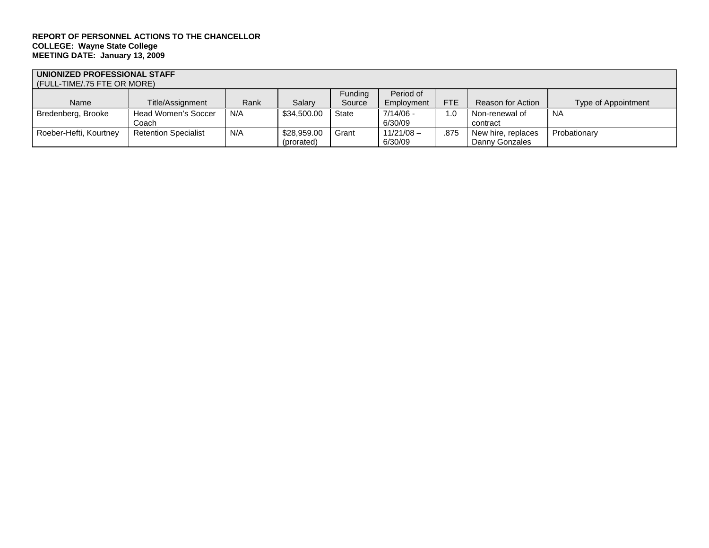# **UNIONIZED PROFESSIONAL STAFF**  (FULL-TIME/.75 FTE OR MORE)

|                        | (1 OLL-TIME/./J T TE OR MORE) |      |             |              |              |            |                    |                     |  |  |
|------------------------|-------------------------------|------|-------------|--------------|--------------|------------|--------------------|---------------------|--|--|
|                        |                               |      |             | Funding      | Period of    |            |                    |                     |  |  |
| Name                   | Title/Assignment              | Rank | Salarv      | Source       | Employment   | <b>FTE</b> | Reason for Action  | Type of Appointment |  |  |
| Bredenberg, Brooke     | Head Women's Soccer           | N/A  | \$34,500.00 | <b>State</b> | 7/14/06 -    | $\cdot$ .0 | Non-renewal of     | <b>NA</b>           |  |  |
|                        | Coach                         |      |             |              | 6/30/09      |            | contract           |                     |  |  |
| Roeber-Hefti, Kourtney | <b>Retention Specialist</b>   | N/A  | \$28,959.00 | Grant        | $11/21/08 -$ | .875       | New hire, replaces | Probationary        |  |  |
|                        |                               |      | (prorated)  |              | 6/30/09      |            | Danny Gonzales     |                     |  |  |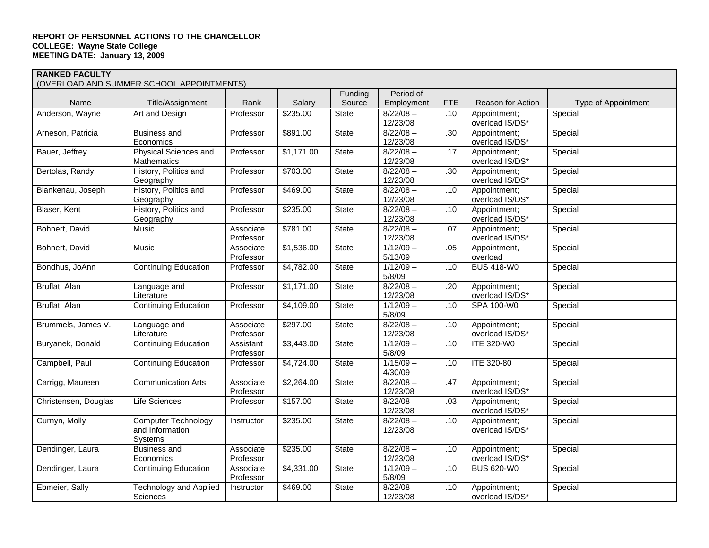**RANKED FACULTY**  (OVERLOAD AND SUMMER SCHOOL APPOINTMENTS)

|                      | (OVERLOAD AND SUMMER SCHOOL APPOINTMENTS) |                        |            |                   |                         |                  |                                 |                     |
|----------------------|-------------------------------------------|------------------------|------------|-------------------|-------------------------|------------------|---------------------------------|---------------------|
| Name                 | Title/Assignment                          | Rank                   | Salary     | Funding<br>Source | Period of<br>Employment | <b>FTE</b>       | Reason for Action               | Type of Appointment |
| Anderson, Wayne      | Art and Design                            | Professor              | \$235.00   | <b>State</b>      | $8/22/08 -$             | .10              |                                 | Special             |
|                      |                                           |                        |            |                   | 12/23/08                |                  | Appointment;<br>overload IS/DS* |                     |
| Arneson, Patricia    | <b>Business and</b>                       | Professor              | \$891.00   | <b>State</b>      | $8/22/08 -$             | $\overline{.30}$ | Appointment;                    | Special             |
|                      | Economics                                 |                        |            |                   | 12/23/08                |                  | overload IS/DS*                 |                     |
| Bauer, Jeffrey       | Physical Sciences and                     | Professor              | \$1,171.00 | State             | $8/22/08 -$             | .17              | Appointment;                    | Special             |
|                      | Mathematics                               |                        |            |                   | 12/23/08                |                  | overload IS/DS*                 |                     |
| Bertolas, Randy      | History, Politics and                     | Professor              | \$703.00   | State             | $8/22/08 -$             | .30              | Appointment;                    | Special             |
|                      | Geography                                 |                        |            |                   | 12/23/08                |                  | overload IS/DS*                 |                     |
| Blankenau, Joseph    | History, Politics and                     | Professor              | \$469.00   | State             | $8/22/08 -$             | .10              | Appointment;                    | Special             |
|                      | Geography                                 |                        |            |                   | 12/23/08                |                  | overload IS/DS*                 |                     |
| Blaser, Kent         | History, Politics and                     | Professor              | \$235.00   | <b>State</b>      | $8/22/08 -$             | .10              | Appointment;                    | Special             |
|                      | Geography                                 |                        |            |                   | 12/23/08                |                  | overload IS/DS*                 |                     |
| Bohnert, David       | Music                                     | Associate              | \$781.00   | State             | $8/22/08 -$             | .07              | Appointment;                    | Special             |
|                      |                                           | Professor              |            |                   | 12/23/08                |                  | overload IS/DS*                 |                     |
| Bohnert, David       | Music                                     | Associate              | \$1,536.00 | State             | $1/12/09 -$             | .05              | Appointment,                    | Special             |
|                      |                                           | Professor              |            |                   | 5/13/09                 |                  | overload                        |                     |
| Bondhus, JoAnn       | <b>Continuing Education</b>               | Professor              | \$4,782.00 | <b>State</b>      | $1/12/09 -$             | .10              | <b>BUS 418-W0</b>               | Special             |
|                      |                                           |                        |            |                   | 5/8/09                  |                  |                                 |                     |
| Bruflat, Alan        | Language and                              | Professor              | \$1,171.00 | State             | $8/22/08 -$             | .20              | Appointment;                    | Special             |
|                      | Literature                                |                        |            |                   | 12/23/08                |                  | overload IS/DS*                 |                     |
| Bruflat, Alan        | <b>Continuing Education</b>               | Professor              | \$4,109.00 | <b>State</b>      | $1/12/09 -$             | .10              | SPA 100-W0                      | Special             |
|                      |                                           |                        |            |                   | 5/8/09                  |                  |                                 |                     |
| Brummels, James V.   | Language and                              | Associate              | \$297.00   | <b>State</b>      | $8/22/08 -$             | .10              | Appointment;                    | Special             |
|                      | Literature                                | Professor              |            |                   | 12/23/08                |                  | overload IS/DS*                 |                     |
| Buryanek, Donald     | <b>Continuing Education</b>               | Assistant              | \$3,443.00 | State             | $1/12/09 -$             | .10              | <b>ITE 320-W0</b>               | Special             |
|                      |                                           | Professor              |            |                   | 5/8/09                  |                  |                                 |                     |
| Campbell, Paul       | <b>Continuing Education</b>               | Professor              | \$4,724.00 | State             | $1/15/09 -$             | .10              | ITE 320-80                      | Special             |
|                      |                                           |                        |            |                   | 4/30/09                 |                  |                                 |                     |
| Carrigg, Maureen     | <b>Communication Arts</b>                 | Associate<br>Professor | \$2,264.00 | State             | $8/22/08 -$<br>12/23/08 | .47              | Appointment;<br>overload IS/DS* | Special             |
| Christensen, Douglas | Life Sciences                             | Professor              | \$157.00   | State             | $8/22/08 -$             | .03              | Appointment;                    | Special             |
|                      |                                           |                        |            |                   | 12/23/08                |                  | overload IS/DS*                 |                     |
| Curnyn, Molly        | <b>Computer Technology</b>                | Instructor             | \$235.00   | <b>State</b>      | $8/22/08 -$             | .10              | Appointment;                    | Special             |
|                      | and Information                           |                        |            |                   | 12/23/08                |                  | overload IS/DS*                 |                     |
|                      | Systems                                   |                        |            |                   |                         |                  |                                 |                     |
| Dendinger, Laura     | <b>Business and</b>                       | Associate              | \$235.00   | State             | $8/22/08 -$             | .10              | Appointment;                    | Special             |
|                      | Economics                                 | Professor              |            |                   | 12/23/08                |                  | overload IS/DS*                 |                     |
| Dendinger, Laura     | <b>Continuing Education</b>               | Associate              | \$4,331.00 | State             | $1/12/09 -$             | .10              | <b>BUS 620-W0</b>               | Special             |
|                      |                                           | Professor              |            |                   | 5/8/09                  |                  |                                 |                     |
| Ebmeier, Sally       | <b>Technology and Applied</b>             | Instructor             | \$469.00   | State             | $8/22/08 -$             | .10              | Appointment;                    | Special             |
|                      | Sciences                                  |                        |            |                   | 12/23/08                |                  | overload IS/DS*                 |                     |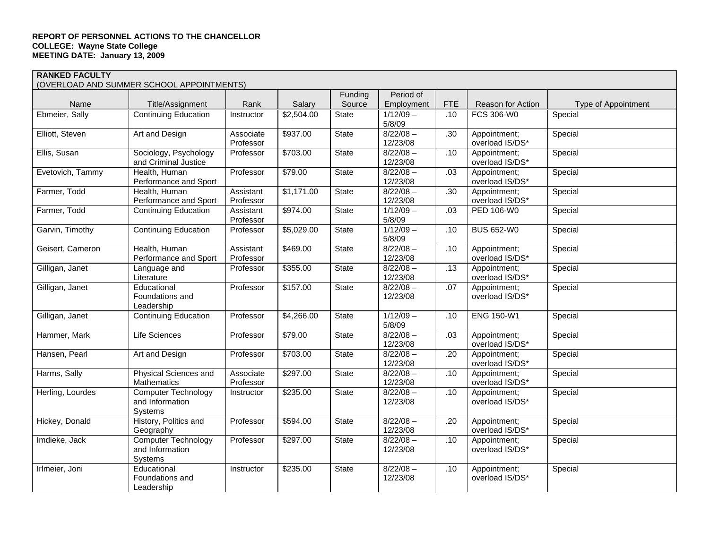### **RANKED FACULTY**

(OVERLOAD AND SUMMER SCHOOL APPOINTMENTS)

|                  | $\sigma$ , and the comment of the continuum of $\sigma$  |                        |            | Funding      | Period of               |            |                                 |                     |
|------------------|----------------------------------------------------------|------------------------|------------|--------------|-------------------------|------------|---------------------------------|---------------------|
| Name             | Title/Assignment                                         | Rank                   | Salary     | Source       | Employment              | <b>FTE</b> | Reason for Action               | Type of Appointment |
| Ebmeier, Sally   | <b>Continuing Education</b>                              | Instructor             | \$2,504.00 | State        | $1/12/09 -$<br>5/8/09   | .10        | FCS 306-W0                      | Special             |
| Elliott, Steven  | Art and Design                                           | Associate<br>Professor | \$937.00   | State        | $8/22/08 -$<br>12/23/08 | .30        | Appointment;<br>overload IS/DS* | Special             |
| Ellis, Susan     | Sociology, Psychology<br>and Criminal Justice            | Professor              | \$703.00   | State        | $8/22/08 -$<br>12/23/08 | .10        | Appointment;<br>overload IS/DS* | Special             |
| Evetovich, Tammy | Health, Human<br>Performance and Sport                   | Professor              | \$79.00    | State        | $8/22/08 -$<br>12/23/08 | .03        | Appointment;<br>overload IS/DS* | Special             |
| Farmer, Todd     | Health, Human<br>Performance and Sport                   | Assistant<br>Professor | \$1,171.00 | State        | $8/22/08 -$<br>12/23/08 | .30        | Appointment;<br>overload IS/DS* | Special             |
| Farmer, Todd     | <b>Continuing Education</b>                              | Assistant<br>Professor | \$974.00   | State        | $1/12/09 -$<br>5/8/09   | .03        | PED 106-W0                      | Special             |
| Garvin, Timothy  | <b>Continuing Education</b>                              | Professor              | \$5,029.00 | State        | $1/12/09 -$<br>5/8/09   | .10        | <b>BUS 652-W0</b>               | Special             |
| Geisert, Cameron | Health, Human<br>Performance and Sport                   | Assistant<br>Professor | \$469.00   | State        | $8/22/08 -$<br>12/23/08 | .10        | Appointment;<br>overload IS/DS* | Special             |
| Gilligan, Janet  | Language and<br>Literature                               | Professor              | \$355.00   | <b>State</b> | $8/22/08 -$<br>12/23/08 | .13        | Appointment:<br>overload IS/DS* | Special             |
| Gilligan, Janet  | Educational<br>Foundations and<br>Leadership             | Professor              | \$157.00   | State        | $8/22/08 -$<br>12/23/08 | .07        | Appointment;<br>overload IS/DS* | Special             |
| Gilligan, Janet  | <b>Continuing Education</b>                              | Professor              | \$4,266.00 | State        | $1/12/09 -$<br>5/8/09   | .10        | <b>ENG 150-W1</b>               | Special             |
| Hammer, Mark     | Life Sciences                                            | Professor              | \$79.00    | State        | $8/22/08 -$<br>12/23/08 | .03        | Appointment;<br>overload IS/DS* | Special             |
| Hansen, Pearl    | Art and Design                                           | Professor              | \$703.00   | State        | $8/22/08 -$<br>12/23/08 | .20        | Appointment;<br>overload IS/DS* | Special             |
| Harms, Sally     | Physical Sciences and<br>Mathematics                     | Associate<br>Professor | \$297.00   | State        | $8/22/08 -$<br>12/23/08 | .10        | Appointment;<br>overload IS/DS* | Special             |
| Herling, Lourdes | <b>Computer Technology</b><br>and Information<br>Systems | Instructor             | \$235.00   | State        | $8/22/08 -$<br>12/23/08 | .10        | Appointment;<br>overload IS/DS* | Special             |
| Hickey, Donald   | History, Politics and<br>Geography                       | Professor              | \$594.00   | State        | $8/22/08 -$<br>12/23/08 | .20        | Appointment;<br>overload IS/DS* | Special             |
| Imdieke, Jack    | <b>Computer Technology</b><br>and Information<br>Systems | Professor              | \$297.00   | State        | $8/22/08 -$<br>12/23/08 | .10        | Appointment;<br>overload IS/DS* | Special             |
| Irlmeier, Joni   | Educational<br>Foundations and<br>Leadership             | Instructor             | \$235.00   | State        | $8/22/08 -$<br>12/23/08 | .10        | Appointment;<br>overload IS/DS* | Special             |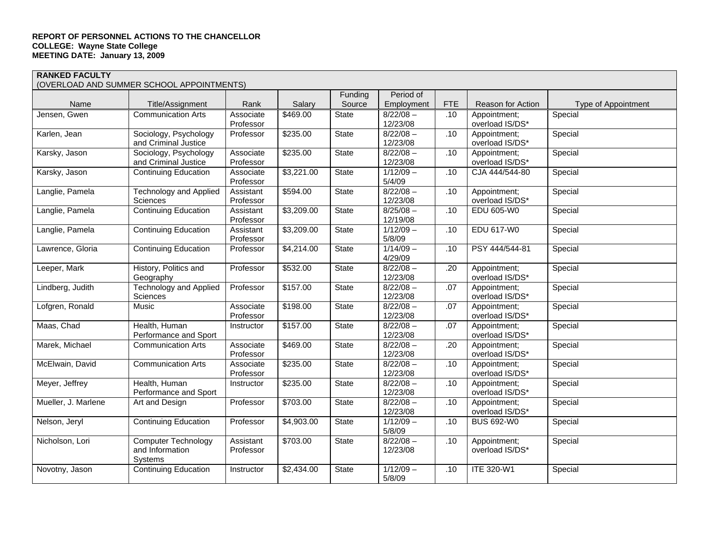**RANKED FACULTY**  (OVERLOAD AND SUMMER SCHOOL APPOINTMENTS)

|                     |                               |            |            | Funding      | Period of   |            |                   |                     |
|---------------------|-------------------------------|------------|------------|--------------|-------------|------------|-------------------|---------------------|
| Name                | Title/Assignment              | Rank       | Salary     | Source       | Employment  | <b>FTE</b> | Reason for Action | Type of Appointment |
| Jensen, Gwen        | <b>Communication Arts</b>     | Associate  | \$469.00   | State        | $8/22/08 -$ | .10        | Appointment;      | Special             |
|                     |                               | Professor  |            |              | 12/23/08    |            | overload IS/DS*   |                     |
| Karlen, Jean        | Sociology, Psychology         | Professor  | \$235.00   | <b>State</b> | $8/22/08 -$ | .10        | Appointment;      | Special             |
|                     | and Criminal Justice          |            |            |              | 12/23/08    |            | overload IS/DS*   |                     |
| Karsky, Jason       | Sociology, Psychology         | Associate  | \$235.00   | <b>State</b> | $8/22/08 -$ | .10        | Appointment;      | Special             |
|                     | and Criminal Justice          | Professor  |            |              | 12/23/08    |            | overload IS/DS*   |                     |
| Karsky, Jason       | <b>Continuing Education</b>   | Associate  | \$3,221.00 | State        | $1/12/09 -$ | .10        | CJA 444/544-80    | Special             |
|                     |                               | Professor  |            |              | 5/4/09      |            |                   |                     |
| Langlie, Pamela     | <b>Technology and Applied</b> | Assistant  | \$594.00   | State        | $8/22/08 -$ | .10        | Appointment;      | Special             |
|                     | Sciences                      | Professor  |            |              | 12/23/08    |            | overload IS/DS*   |                     |
| Langlie, Pamela     | <b>Continuing Education</b>   | Assistant  | \$3,209.00 | State        | $8/25/08 -$ | .10        | EDU 605-W0        | Special             |
|                     |                               | Professor  |            |              | 12/19/08    |            |                   |                     |
| Langlie, Pamela     | <b>Continuing Education</b>   | Assistant  | \$3,209.00 | State        | $1/12/09 -$ | .10        | EDU 617-W0        | Special             |
|                     |                               | Professor  |            |              | 5/8/09      |            |                   |                     |
| Lawrence, Gloria    | <b>Continuing Education</b>   | Professor  | \$4,214.00 | <b>State</b> | $1/14/09 -$ | .10        | PSY 444/544-81    | Special             |
|                     |                               |            |            |              | 4/29/09     |            |                   |                     |
| Leeper, Mark        | History, Politics and         | Professor  | \$532.00   | State        | $8/22/08 -$ | .20        | Appointment;      | Special             |
|                     | Geography                     |            |            |              | 12/23/08    |            | overload IS/DS*   |                     |
| Lindberg, Judith    | <b>Technology and Applied</b> | Professor  | \$157.00   | State        | $8/22/08 -$ | .07        | Appointment;      | Special             |
|                     | Sciences                      |            |            |              | 12/23/08    |            | overload IS/DS*   |                     |
| Lofgren, Ronald     | Music                         | Associate  | \$198.00   | <b>State</b> | $8/22/08 -$ | .07        | Appointment;      | Special             |
|                     |                               | Professor  |            |              | 12/23/08    |            | overload IS/DS*   |                     |
| Maas, Chad          | Health, Human                 | Instructor | \$157.00   | <b>State</b> | $8/22/08 -$ | .07        | Appointment:      | Special             |
|                     | Performance and Sport         |            |            |              | 12/23/08    |            | overload IS/DS*   |                     |
| Marek, Michael      | <b>Communication Arts</b>     | Associate  | \$469.00   | <b>State</b> | $8/22/08 -$ | .20        | Appointment;      | Special             |
|                     |                               | Professor  |            |              | 12/23/08    |            | overload IS/DS*   |                     |
| McElwain, David     | <b>Communication Arts</b>     | Associate  | \$235.00   | State        | $8/22/08 -$ | .10        | Appointment:      | Special             |
|                     |                               | Professor  |            |              | 12/23/08    |            | overload IS/DS*   |                     |
| Meyer, Jeffrey      | Health, Human                 | Instructor | \$235.00   | State        | $8/22/08 -$ | .10        | Appointment;      | Special             |
|                     | Performance and Sport         |            |            |              | 12/23/08    |            | overload IS/DS*   |                     |
| Mueller, J. Marlene | Art and Design                | Professor  | \$703.00   | <b>State</b> | $8/22/08 -$ | .10        | Appointment;      | Special             |
|                     |                               |            |            |              | 12/23/08    |            | overload IS/DS*   |                     |
| Nelson, Jeryl       | <b>Continuing Education</b>   | Professor  | \$4,903.00 | State        | $1/12/09 -$ | .10        | <b>BUS 692-W0</b> | Special             |
|                     |                               |            |            |              | 5/8/09      |            |                   |                     |
| Nicholson, Lori     | <b>Computer Technology</b>    | Assistant  | \$703.00   | State        | $8/22/08 -$ | .10        | Appointment;      | Special             |
|                     | and Information               | Professor  |            |              | 12/23/08    |            | overload IS/DS*   |                     |
|                     | Systems                       |            |            |              |             |            |                   |                     |
| Novotny, Jason      | <b>Continuing Education</b>   | Instructor | \$2,434.00 | <b>State</b> | $1/12/09 -$ | .10        | <b>ITE 320-W1</b> | Special             |
|                     |                               |            |            |              | 5/8/09      |            |                   |                     |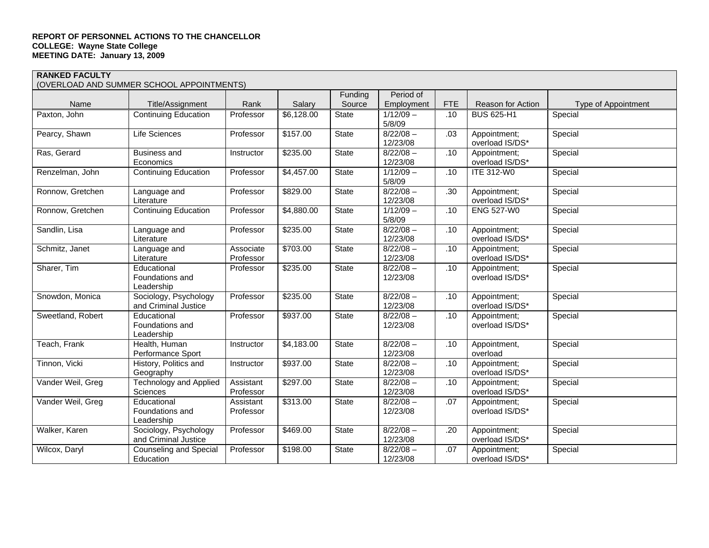**RANKED FACULTY**  (OVERLOAD AND SUMMER SCHOOL APPOINTMENTS)

|                   | OVEREOAD AND SOMMER SOLIOOL AFT OINTIMENTS)   |                        |            |                   |                         |            |                                 |                     |
|-------------------|-----------------------------------------------|------------------------|------------|-------------------|-------------------------|------------|---------------------------------|---------------------|
| Name              | Title/Assignment                              | Rank                   | Salary     | Funding<br>Source | Period of<br>Employment | <b>FTE</b> | Reason for Action               | Type of Appointment |
| Paxton, John      | <b>Continuing Education</b>                   | Professor              | \$6,128.00 | <b>State</b>      | $1/12/09 -$<br>5/8/09   | .10        | <b>BUS 625-H1</b>               | Special             |
| Pearcy, Shawn     | <b>Life Sciences</b>                          | Professor              | \$157.00   | State             | $8/22/08 -$<br>12/23/08 | .03        | Appointment;<br>overload IS/DS* | Special             |
| Ras, Gerard       | <b>Business and</b><br>Economics              | Instructor             | \$235.00   | State             | $8/22/08 -$<br>12/23/08 | .10        | Appointment:<br>overload IS/DS* | Special             |
| Renzelman, John   | <b>Continuing Education</b>                   | Professor              | \$4,457.00 | State             | $1/12/09 -$<br>5/8/09   | .10        | <b>ITE 312-W0</b>               | Special             |
| Ronnow, Gretchen  | Language and<br>Literature                    | Professor              | \$829.00   | State             | $8/22/08 -$<br>12/23/08 | .30        | Appointment;<br>overload IS/DS* | Special             |
| Ronnow, Gretchen  | <b>Continuing Education</b>                   | Professor              | \$4,880.00 | State             | $1/12/09 -$<br>5/8/09   | .10        | <b>ENG 527-W0</b>               | Special             |
| Sandlin, Lisa     | Language and<br>Literature                    | Professor              | \$235.00   | State             | $8/22/08 -$<br>12/23/08 | .10        | Appointment;<br>overload IS/DS* | Special             |
| Schmitz, Janet    | Language and<br>Literature                    | Associate<br>Professor | \$703.00   | State             | $8/22/08 -$<br>12/23/08 | .10        | Appointment;<br>overload IS/DS* | Special             |
| Sharer, Tim       | Educational<br>Foundations and<br>Leadership  | Professor              | \$235.00   | State             | $8/22/08 -$<br>12/23/08 | .10        | Appointment;<br>overload IS/DS* | Special             |
| Snowdon, Monica   | Sociology, Psychology<br>and Criminal Justice | Professor              | \$235.00   | State             | $8/22/08 -$<br>12/23/08 | .10        | Appointment;<br>overload IS/DS* | Special             |
| Sweetland, Robert | Educational<br>Foundations and<br>Leadership  | Professor              | \$937.00   | State             | $8/22/08 -$<br>12/23/08 | .10        | Appointment;<br>overload IS/DS* | Special             |
| Teach, Frank      | Health, Human<br>Performance Sport            | Instructor             | \$4,183.00 | State             | $8/22/08 -$<br>12/23/08 | .10        | Appointment,<br>overload        | Special             |
| Tinnon, Vicki     | History, Politics and<br>Geography            | Instructor             | \$937.00   | State             | $8/22/08 -$<br>12/23/08 | .10        | Appointment:<br>overload IS/DS* | Special             |
| Vander Weil, Greg | <b>Technology and Applied</b><br>Sciences     | Assistant<br>Professor | \$297.00   | State             | $8/22/08 -$<br>12/23/08 | .10        | Appointment;<br>overload IS/DS* | Special             |
| Vander Weil, Greg | Educational<br>Foundations and<br>Leadership  | Assistant<br>Professor | \$313.00   | State             | $8/22/08 -$<br>12/23/08 | .07        | Appointment;<br>overload IS/DS* | Special             |
| Walker, Karen     | Sociology, Psychology<br>and Criminal Justice | Professor              | \$469.00   | State             | $8/22/08 -$<br>12/23/08 | .20        | Appointment;<br>overload IS/DS* | Special             |
| Wilcox, Daryl     | <b>Counseling and Special</b><br>Education    | Professor              | \$198.00   | <b>State</b>      | $8/22/08 -$<br>12/23/08 | .07        | Appointment;<br>overload IS/DS* | Special             |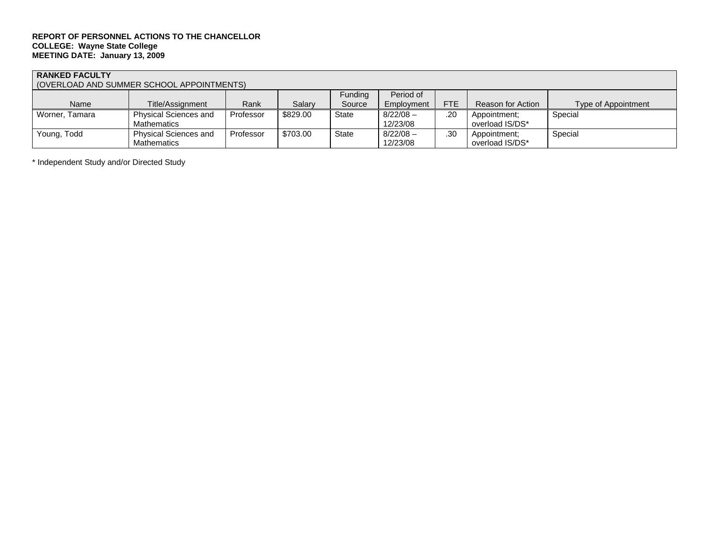## **RANKED FACULTY**

(OVERLOAD AND SUMMER SCHOOL APPOINTMENTS)

|                |                              |           |          | Funding      | Period of   |            |                   |                     |
|----------------|------------------------------|-----------|----------|--------------|-------------|------------|-------------------|---------------------|
| Name           | Title/Assignment             | Rank      | Salarv   | Source       | Employment  | <b>FTE</b> | Reason for Action | Type of Appointment |
| Worner, Tamara | <b>Physical Sciences and</b> | Professor | \$829.00 | <b>State</b> | $8/22/08 -$ | .20        | Appointment:      | Special             |
|                | <b>Mathematics</b>           |           |          |              | 12/23/08    |            | overload IS/DS*   |                     |
| Young, Todd    | <b>Physical Sciences and</b> | Professor | \$703.00 | <b>State</b> | $8/22/08 -$ | .30        | Appointment:      | Special             |
|                | Mathematics                  |           |          |              | 12/23/08    |            | overload IS/DS*   |                     |

\* Independent Study and/or Directed Study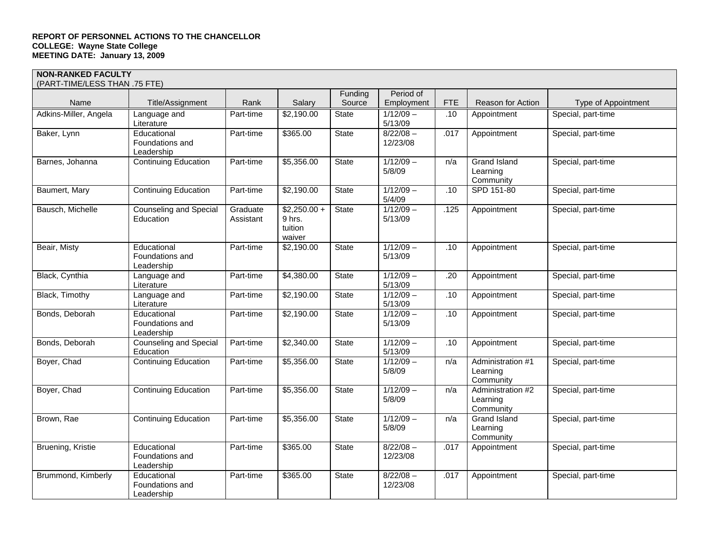| (PART-TIME/LESS THAN .75 FTE) |                                              |                       |                                              |                   |                         |            |                                            |                     |
|-------------------------------|----------------------------------------------|-----------------------|----------------------------------------------|-------------------|-------------------------|------------|--------------------------------------------|---------------------|
| Name                          | Title/Assignment                             | Rank                  | Salary                                       | Funding<br>Source | Period of<br>Employment | <b>FTE</b> | Reason for Action                          | Type of Appointment |
| Adkins-Miller, Angela         | Language and<br>Literature                   | Part-time             | \$2,190.00                                   | <b>State</b>      | $1/12/09 -$<br>5/13/09  | .10        | Appointment                                | Special, part-time  |
| Baker, Lynn                   | Educational<br>Foundations and<br>Leadership | Part-time             | \$365.00                                     | State             | $8/22/08 -$<br>12/23/08 | .017       | Appointment                                | Special, part-time  |
| Barnes, Johanna               | <b>Continuing Education</b>                  | Part-time             | \$5,356.00                                   | <b>State</b>      | $1/12/09 -$<br>5/8/09   | n/a        | Grand Island<br>Learning<br>Community      | Special, part-time  |
| Baumert, Mary                 | <b>Continuing Education</b>                  | Part-time             | \$2,190.00                                   | <b>State</b>      | $1/12/09 -$<br>5/4/09   | .10        | SPD 151-80                                 | Special, part-time  |
| Bausch, Michelle              | <b>Counseling and Special</b><br>Education   | Graduate<br>Assistant | $$2,250.00 +$<br>9 hrs.<br>tuition<br>waiver | <b>State</b>      | $1/12/09 -$<br>5/13/09  | .125       | Appointment                                | Special, part-time  |
| Beair, Misty                  | Educational<br>Foundations and<br>Leadership | Part-time             | \$2,190.00                                   | State             | $1/12/09 -$<br>5/13/09  | .10        | Appointment                                | Special, part-time  |
| Black, Cynthia                | Language and<br>Literature                   | Part-time             | \$4,380.00                                   | <b>State</b>      | $1/12/09 -$<br>5/13/09  | .20        | Appointment                                | Special, part-time  |
| Black, Timothy                | Language and<br>Literature                   | Part-time             | \$2,190.00                                   | <b>State</b>      | $1/12/09 -$<br>5/13/09  | .10        | Appointment                                | Special, part-time  |
| Bonds, Deborah                | Educational<br>Foundations and<br>Leadership | Part-time             | \$2,190.00                                   | <b>State</b>      | $1/12/09 -$<br>5/13/09  | .10        | Appointment                                | Special, part-time  |
| Bonds, Deborah                | <b>Counseling and Special</b><br>Education   | Part-time             | \$2,340.00                                   | <b>State</b>      | $1/12/09 -$<br>5/13/09  | .10        | Appointment                                | Special, part-time  |
| Boyer, Chad                   | <b>Continuing Education</b>                  | Part-time             | \$5,356.00                                   | <b>State</b>      | $1/12/09 -$<br>5/8/09   | n/a        | Administration #1<br>Learning<br>Community | Special, part-time  |
| Boyer, Chad                   | <b>Continuing Education</b>                  | Part-time             | \$5,356.00                                   | <b>State</b>      | $1/12/09 -$<br>5/8/09   | n/a        | Administration #2<br>Learning<br>Community | Special, part-time  |
| Brown, Rae                    | <b>Continuing Education</b>                  | Part-time             | \$5,356.00                                   | <b>State</b>      | $1/12/09 -$<br>5/8/09   | n/a        | Grand Island<br>Learning<br>Community      | Special, part-time  |
| Bruening, Kristie             | Educational<br>Foundations and<br>Leadership | Part-time             | \$365.00                                     | <b>State</b>      | $8/22/08 -$<br>12/23/08 | .017       | Appointment                                | Special, part-time  |
| Brummond, Kimberly            | Educational<br>Foundations and<br>Leadership | Part-time             | \$365.00                                     | <b>State</b>      | $8/22/08 -$<br>12/23/08 | .017       | Appointment                                | Special, part-time  |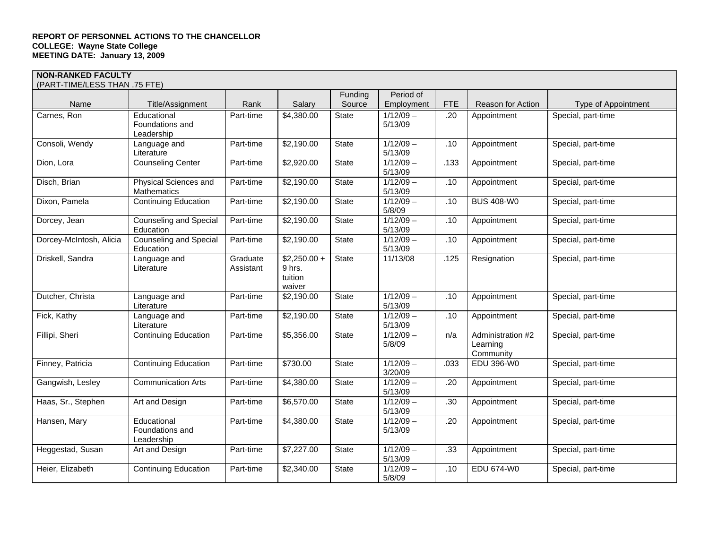| (PART-TIME/LESS THAN .75 FTE) |                                              |                       |                                              |              |                        |            |                                            |                     |
|-------------------------------|----------------------------------------------|-----------------------|----------------------------------------------|--------------|------------------------|------------|--------------------------------------------|---------------------|
|                               |                                              |                       |                                              | Funding      | Period of              |            |                                            |                     |
| Name                          | Title/Assignment                             | Rank                  | Salary                                       | Source       | Employment             | <b>FTE</b> | Reason for Action                          | Type of Appointment |
| Carnes, Ron                   | Educational<br>Foundations and<br>Leadership | Part-time             | \$4,380.00                                   | State        | $1/12/09 -$<br>5/13/09 | .20        | Appointment                                | Special, part-time  |
| Consoli, Wendy                | Language and<br>Literature                   | Part-time             | \$2,190.00                                   | State        | $1/12/09 -$<br>5/13/09 | .10        | Appointment                                | Special, part-time  |
| Dion, Lora                    | <b>Counseling Center</b>                     | Part-time             | \$2,920.00                                   | State        | $1/12/09 -$<br>5/13/09 | .133       | Appointment                                | Special, part-time  |
| Disch, Brian                  | Physical Sciences and<br><b>Mathematics</b>  | Part-time             | \$2,190.00                                   | State        | $1/12/09 -$<br>5/13/09 | .10        | Appointment                                | Special, part-time  |
| Dixon, Pamela                 | <b>Continuing Education</b>                  | Part-time             | \$2,190.00                                   | State        | $1/12/09 -$<br>5/8/09  | .10        | <b>BUS 408-W0</b>                          | Special, part-time  |
| Dorcey, Jean                  | <b>Counseling and Special</b><br>Education   | Part-time             | \$2,190.00                                   | State        | $1/12/09 -$<br>5/13/09 | .10        | Appointment                                | Special, part-time  |
| Dorcey-McIntosh, Alicia       | <b>Counseling and Special</b><br>Education   | Part-time             | \$2,190.00                                   | State        | $1/12/09 -$<br>5/13/09 | .10        | Appointment                                | Special, part-time  |
| Driskell, Sandra              | Language and<br>Literature                   | Graduate<br>Assistant | $$2,250.00 +$<br>9 hrs.<br>tuition<br>waiver | State        | 11/13/08               | .125       | Resignation                                | Special, part-time  |
| Dutcher, Christa              | Language and<br>Literature                   | Part-time             | \$2,190.00                                   | State        | $1/12/09 -$<br>5/13/09 | .10        | Appointment                                | Special, part-time  |
| Fick, Kathy                   | Language and<br>Literature                   | Part-time             | \$2,190.00                                   | State        | $1/12/09 -$<br>5/13/09 | .10        | Appointment                                | Special, part-time  |
| Fillipi, Sheri                | <b>Continuing Education</b>                  | Part-time             | \$5,356.00                                   | <b>State</b> | $1/12/09 -$<br>5/8/09  | n/a        | Administration #2<br>Learning<br>Community | Special, part-time  |
| Finney, Patricia              | <b>Continuing Education</b>                  | Part-time             | \$730.00                                     | State        | $1/12/09 -$<br>3/20/09 | .033       | EDU 396-W0                                 | Special, part-time  |
| Gangwish, Lesley              | <b>Communication Arts</b>                    | Part-time             | \$4,380.00                                   | State        | $1/12/09 -$<br>5/13/09 | .20        | Appointment                                | Special, part-time  |
| Haas, Sr., Stephen            | Art and Design                               | Part-time             | \$6,570.00                                   | State        | $1/12/09 -$<br>5/13/09 | .30        | Appointment                                | Special, part-time  |
| Hansen, Mary                  | Educational<br>Foundations and<br>Leadership | Part-time             | \$4,380.00                                   | <b>State</b> | $1/12/09 -$<br>5/13/09 | .20        | Appointment                                | Special, part-time  |
| Heggestad, Susan              | Art and Design                               | Part-time             | \$7,227.00                                   | State        | $1/12/09 -$<br>5/13/09 | .33        | Appointment                                | Special, part-time  |
| Heier, Elizabeth              | <b>Continuing Education</b>                  | Part-time             | $\overline{$}2,340.00$                       | State        | $1/12/09 -$<br>5/8/09  | .10        | <b>EDU 674-W0</b>                          | Special, part-time  |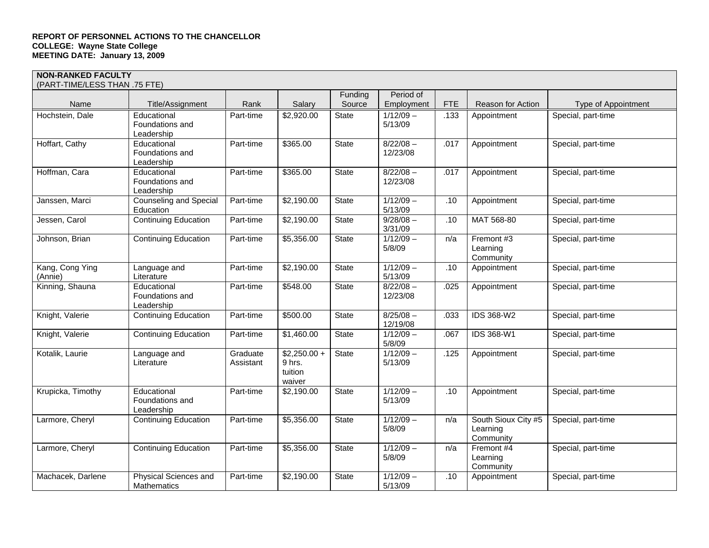| (PART-TIME/LESS THAN .75 FTE) |                                              |                       |                                              |              |                         |            |                                              |                     |
|-------------------------------|----------------------------------------------|-----------------------|----------------------------------------------|--------------|-------------------------|------------|----------------------------------------------|---------------------|
|                               |                                              |                       |                                              | Funding      | Period of               |            |                                              |                     |
| Name                          | Title/Assignment                             | Rank                  | Salary                                       | Source       | Employment              | <b>FTE</b> | Reason for Action                            | Type of Appointment |
| Hochstein, Dale               | Educational<br>Foundations and<br>Leadership | Part-time             | \$2,920.00                                   | State        | $1/12/09 -$<br>5/13/09  | .133       | Appointment                                  | Special, part-time  |
| Hoffart, Cathy                | Educational<br>Foundations and<br>Leadership | Part-time             | \$365.00                                     | State        | $8/22/08 -$<br>12/23/08 | .017       | Appointment                                  | Special, part-time  |
| Hoffman, Cara                 | Educational<br>Foundations and<br>Leadership | Part-time             | \$365.00                                     | State        | $8/22/08 -$<br>12/23/08 | .017       | Appointment                                  | Special, part-time  |
| Janssen, Marci                | <b>Counseling and Special</b><br>Education   | Part-time             | \$2,190.00                                   | <b>State</b> | $1/12/09 -$<br>5/13/09  | .10        | Appointment                                  | Special, part-time  |
| Jessen, Carol                 | <b>Continuing Education</b>                  | Part-time             | \$2,190.00                                   | <b>State</b> | $9/28/08 -$<br>3/31/09  | .10        | MAT 568-80                                   | Special, part-time  |
| Johnson, Brian                | <b>Continuing Education</b>                  | Part-time             | \$5,356.00                                   | <b>State</b> | $1/12/09 -$<br>5/8/09   | n/a        | Fremont #3<br>Learning<br>Community          | Special, part-time  |
| Kang, Cong Ying<br>(Annie)    | Language and<br>Literature                   | Part-time             | \$2,190.00                                   | <b>State</b> | $1/12/09 -$<br>5/13/09  | .10        | Appointment                                  | Special, part-time  |
| Kinning, Shauna               | Educational<br>Foundations and<br>Leadership | Part-time             | \$548.00                                     | State        | $8/22/08 -$<br>12/23/08 | .025       | Appointment                                  | Special, part-time  |
| Knight, Valerie               | <b>Continuing Education</b>                  | Part-time             | \$500.00                                     | State        | $8/25/08 -$<br>12/19/08 | .033       | IDS 368-W2                                   | Special, part-time  |
| Knight, Valerie               | <b>Continuing Education</b>                  | Part-time             | \$1,460.00                                   | <b>State</b> | $1/12/09 -$<br>5/8/09   | .067       | IDS 368-W1                                   | Special, part-time  |
| Kotalik, Laurie               | Language and<br>Literature                   | Graduate<br>Assistant | $$2,250.00 +$<br>9 hrs.<br>tuition<br>waiver | State        | $1/12/09 -$<br>5/13/09  | .125       | Appointment                                  | Special, part-time  |
| Krupicka, Timothy             | Educational<br>Foundations and<br>Leadership | Part-time             | \$2,190.00                                   | State        | $1/12/09 -$<br>5/13/09  | .10        | Appointment                                  | Special, part-time  |
| Larmore, Cheryl               | <b>Continuing Education</b>                  | Part-time             | \$5,356.00                                   | <b>State</b> | $1/12/09 -$<br>5/8/09   | n/a        | South Sioux City #5<br>Learning<br>Community | Special, part-time  |
| Larmore, Cheryl               | <b>Continuing Education</b>                  | Part-time             | \$5,356.00                                   | <b>State</b> | $1/12/09 -$<br>5/8/09   | n/a        | Fremont #4<br>Learning<br>Community          | Special, part-time  |
| Machacek, Darlene             | Physical Sciences and<br><b>Mathematics</b>  | Part-time             | \$2,190.00                                   | <b>State</b> | $1/12/09 -$<br>5/13/09  | .10        | Appointment                                  | Special, part-time  |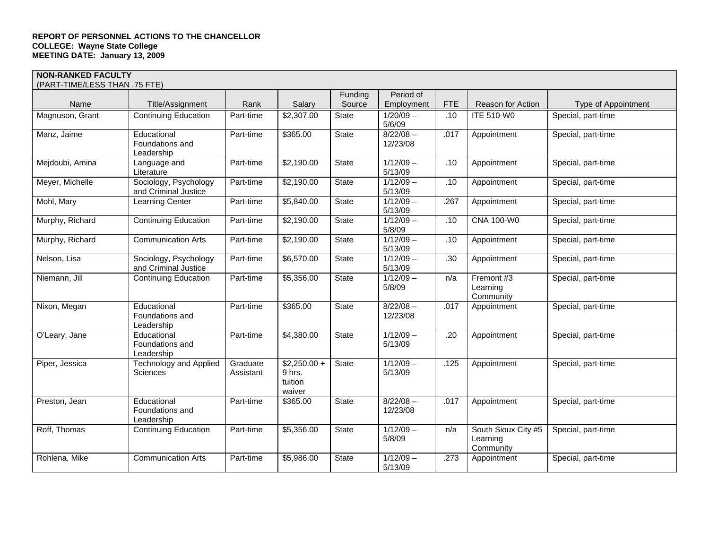|                 |                                                  |                       |                                              | Funding      | Period of               |            |                                              |                     |
|-----------------|--------------------------------------------------|-----------------------|----------------------------------------------|--------------|-------------------------|------------|----------------------------------------------|---------------------|
| Name            | Title/Assignment                                 | Rank                  | Salary                                       | Source       | Employment              | <b>FTE</b> | Reason for Action                            | Type of Appointment |
| Magnuson, Grant | <b>Continuing Education</b>                      | Part-time             | \$2,307.00                                   | State        | $1/20/09 -$<br>5/6/09   | .10        | <b>ITE 510-W0</b>                            | Special, part-time  |
| Manz, Jaime     | Educational<br>Foundations and<br>Leadership     | Part-time             | \$365.00                                     | State        | $8/22/08 -$<br>12/23/08 | .017       | Appointment                                  | Special, part-time  |
| Mejdoubi, Amina | Language and<br>Literature                       | Part-time             | \$2,190.00                                   | State        | $1/12/09 -$<br>5/13/09  | .10        | Appointment                                  | Special, part-time  |
| Meyer, Michelle | Sociology, Psychology<br>and Criminal Justice    | Part-time             | \$2,190.00                                   | State        | $1/12/09 -$<br>5/13/09  | .10        | Appointment                                  | Special, part-time  |
| Mohl, Mary      | Learning Center                                  | Part-time             | \$5,840.00                                   | State        | $1/12/09 -$<br>5/13/09  | .267       | Appointment                                  | Special, part-time  |
| Murphy, Richard | <b>Continuing Education</b>                      | Part-time             | \$2,190.00                                   | <b>State</b> | $1/12/09 -$<br>5/8/09   | .10        | CNA 100-W0                                   | Special, part-time  |
| Murphy, Richard | <b>Communication Arts</b>                        | Part-time             | \$2,190.00                                   | State        | $1/12/09 -$<br>5/13/09  | .10        | Appointment                                  | Special, part-time  |
| Nelson, Lisa    | Sociology, Psychology<br>and Criminal Justice    | Part-time             | \$6,570.00                                   | State        | $1/12/09 -$<br>5/13/09  | .30        | Appointment                                  | Special, part-time  |
| Niemann, Jill   | <b>Continuing Education</b>                      | Part-time             | \$5,356.00                                   | <b>State</b> | $1/12/09 -$<br>5/8/09   | n/a        | Fremont #3<br>Learning<br>Community          | Special, part-time  |
| Nixon, Megan    | Educational<br>Foundations and<br>Leadership     | Part-time             | \$365.00                                     | State        | $8/22/08 -$<br>12/23/08 | .017       | Appointment                                  | Special, part-time  |
| O'Leary, Jane   | Educational<br>Foundations and<br>Leadership     | Part-time             | \$4,380.00                                   | State        | $1/12/09 -$<br>5/13/09  | .20        | Appointment                                  | Special, part-time  |
| Piper, Jessica  | <b>Technology and Applied</b><br><b>Sciences</b> | Graduate<br>Assistant | $$2,250.00 +$<br>9 hrs.<br>tuition<br>waiver | State        | $1/12/09 -$<br>5/13/09  | .125       | Appointment                                  | Special, part-time  |
| Preston, Jean   | Educational<br>Foundations and<br>Leadership     | Part-time             | \$365.00                                     | <b>State</b> | $8/22/08 -$<br>12/23/08 | .017       | Appointment                                  | Special, part-time  |
| Roff, Thomas    | <b>Continuing Education</b>                      | Part-time             | \$5,356.00                                   | State        | $1/12/09 -$<br>5/8/09   | n/a        | South Sioux City #5<br>Learning<br>Community | Special, part-time  |
| Rohlena, Mike   | <b>Communication Arts</b>                        | Part-time             | \$5,986.00                                   | State        | $1/12/09 -$<br>5/13/09  | .273       | Appointment                                  | Special, part-time  |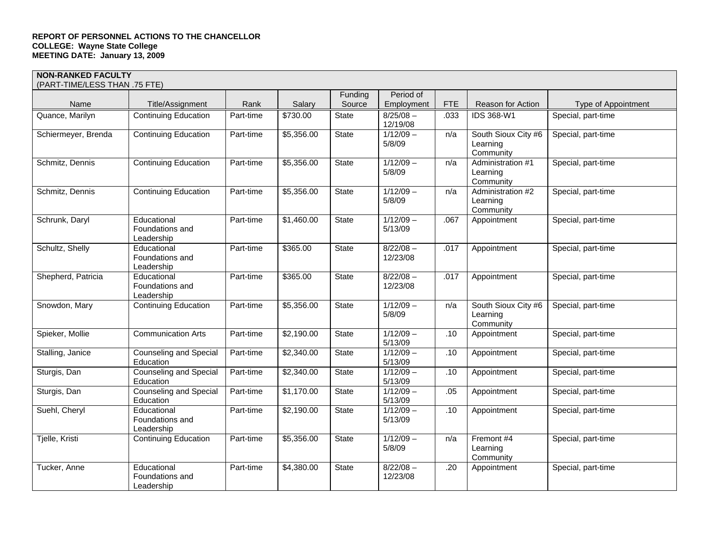| (PART-TIME/LESS THAN .75 FTE) |                                              |           |            |              |                         |            |                                              |                     |
|-------------------------------|----------------------------------------------|-----------|------------|--------------|-------------------------|------------|----------------------------------------------|---------------------|
|                               |                                              |           |            | Funding      | Period of               |            |                                              |                     |
| Name                          | Title/Assignment                             | Rank      | Salary     | Source       | Employment              | <b>FTE</b> | Reason for Action                            | Type of Appointment |
| Quance, Marilyn               | <b>Continuing Education</b>                  | Part-time | \$730.00   | State        | $8/25/08 -$<br>12/19/08 | .033       | IDS 368-W1                                   | Special, part-time  |
| Schiermeyer, Brenda           | <b>Continuing Education</b>                  | Part-time | \$5,356.00 | State        | $1/12/09 -$<br>5/8/09   | n/a        | South Sioux City #6<br>Learning<br>Community | Special, part-time  |
| Schmitz, Dennis               | <b>Continuing Education</b>                  | Part-time | \$5,356.00 | <b>State</b> | $1/12/09 -$<br>5/8/09   | n/a        | Administration #1<br>Learning<br>Community   | Special, part-time  |
| Schmitz, Dennis               | <b>Continuing Education</b>                  | Part-time | \$5,356.00 | <b>State</b> | $1/12/09 -$<br>5/8/09   | n/a        | Administration #2<br>Learning<br>Community   | Special, part-time  |
| Schrunk, Daryl                | Educational<br>Foundations and<br>Leadership | Part-time | \$1,460.00 | State        | $1/12/09 -$<br>5/13/09  | .067       | Appointment                                  | Special, part-time  |
| Schultz, Shelly               | Educational<br>Foundations and<br>Leadership | Part-time | \$365.00   | State        | $8/22/08 -$<br>12/23/08 | .017       | Appointment                                  | Special, part-time  |
| Shepherd, Patricia            | Educational<br>Foundations and<br>Leadership | Part-time | \$365.00   | State        | $8/22/08 -$<br>12/23/08 | .017       | Appointment                                  | Special, part-time  |
| Snowdon, Mary                 | <b>Continuing Education</b>                  | Part-time | \$5,356.00 | State        | $1/12/09 -$<br>5/8/09   | n/a        | South Sioux City #6<br>Learning<br>Community | Special, part-time  |
| Spieker, Mollie               | <b>Communication Arts</b>                    | Part-time | \$2,190.00 | State        | $1/12/09 -$<br>5/13/09  | .10        | Appointment                                  | Special, part-time  |
| Stalling, Janice              | <b>Counseling and Special</b><br>Education   | Part-time | \$2,340.00 | State        | $1/12/09 -$<br>5/13/09  | .10        | Appointment                                  | Special, part-time  |
| Sturgis, Dan                  | <b>Counseling and Special</b><br>Education   | Part-time | \$2,340.00 | State        | $1/12/09 -$<br>5/13/09  | .10        | Appointment                                  | Special, part-time  |
| Sturgis, Dan                  | <b>Counseling and Special</b><br>Education   | Part-time | \$1,170.00 | State        | $1/12/09 -$<br>5/13/09  | .05        | Appointment                                  | Special, part-time  |
| Suehl, Cheryl                 | Educational<br>Foundations and<br>Leadership | Part-time | \$2,190.00 | <b>State</b> | $1/12/09 -$<br>5/13/09  | .10        | Appointment                                  | Special, part-time  |
| Tjelle, Kristi                | <b>Continuing Education</b>                  | Part-time | \$5,356.00 | State        | $1/12/09 -$<br>5/8/09   | n/a        | Fremont #4<br>Learning<br>Community          | Special, part-time  |
| Tucker, Anne                  | Educational<br>Foundations and<br>Leadership | Part-time | \$4,380.00 | State        | $8/22/08 -$<br>12/23/08 | .20        | Appointment                                  | Special, part-time  |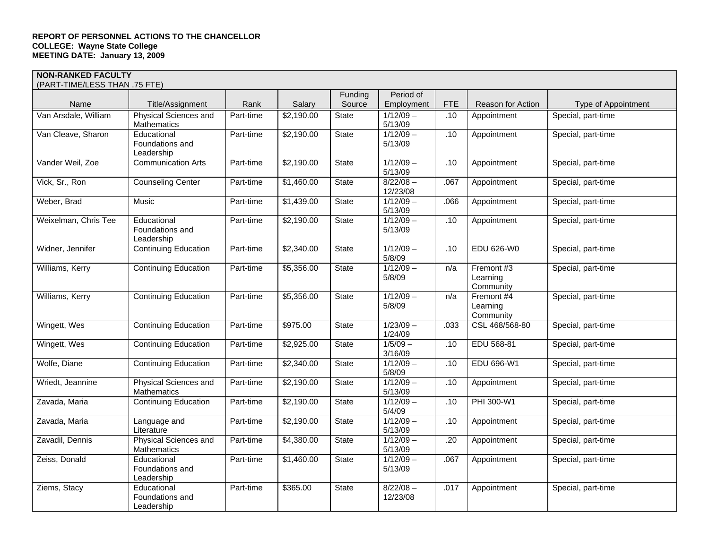|                      |                                              |           |            | Funding      | Period of               |            |                                     |                     |
|----------------------|----------------------------------------------|-----------|------------|--------------|-------------------------|------------|-------------------------------------|---------------------|
| Name                 | Title/Assignment                             | Rank      | Salary     | Source       | Employment              | <b>FTE</b> | <b>Reason for Action</b>            | Type of Appointment |
| Van Arsdale, William | Physical Sciences and<br>Mathematics         | Part-time | \$2,190.00 | State        | $1/12/09 -$<br>5/13/09  | .10        | Appointment                         | Special, part-time  |
| Van Cleave, Sharon   | Educational<br>Foundations and<br>Leadership | Part-time | \$2,190.00 | State        | $1/12/09 -$<br>5/13/09  | .10        | Appointment                         | Special, part-time  |
| Vander Weil, Zoe     | <b>Communication Arts</b>                    | Part-time | \$2,190.00 | State        | $1/12/09 -$<br>5/13/09  | .10        | Appointment                         | Special, part-time  |
| Vick, Sr., Ron       | <b>Counseling Center</b>                     | Part-time | \$1,460.00 | State        | $8/22/08 -$<br>12/23/08 | .067       | Appointment                         | Special, part-time  |
| Weber, Brad          | <b>Music</b>                                 | Part-time | \$1,439.00 | State        | $1/12/09 -$<br>5/13/09  | .066       | Appointment                         | Special, part-time  |
| Weixelman, Chris Tee | Educational<br>Foundations and<br>Leadership | Part-time | \$2,190.00 | State        | $1/12/09 -$<br>5/13/09  | .10        | Appointment                         | Special, part-time  |
| Widner, Jennifer     | <b>Continuing Education</b>                  | Part-time | \$2,340.00 | State        | $1/12/09 -$<br>5/8/09   | .10        | <b>EDU 626-W0</b>                   | Special, part-time  |
| Williams, Kerry      | <b>Continuing Education</b>                  | Part-time | \$5,356.00 | <b>State</b> | $1/12/09 -$<br>5/8/09   | n/a        | Fremont #3<br>Learning<br>Community | Special, part-time  |
| Williams, Kerry      | <b>Continuing Education</b>                  | Part-time | \$5,356.00 | State        | $1/12/09 -$<br>5/8/09   | n/a        | Fremont #4<br>Learning<br>Community | Special, part-time  |
| Wingett, Wes         | <b>Continuing Education</b>                  | Part-time | \$975.00   | State        | $1/23/09 -$<br>1/24/09  | .033       | CSL 468/568-80                      | Special, part-time  |
| Wingett, Wes         | <b>Continuing Education</b>                  | Part-time | \$2,925.00 | State        | $1/5/09 -$<br>3/16/09   | .10        | EDU 568-81                          | Special, part-time  |
| Wolfe, Diane         | <b>Continuing Education</b>                  | Part-time | \$2,340.00 | State        | $1/12/09 -$<br>5/8/09   | .10        | EDU 696-W1                          | Special, part-time  |
| Wriedt, Jeannine     | Physical Sciences and<br><b>Mathematics</b>  | Part-time | \$2,190.00 | State        | $1/12/09 -$<br>5/13/09  | .10        | Appointment                         | Special, part-time  |
| Zavada, Maria        | <b>Continuing Education</b>                  | Part-time | \$2,190.00 | State        | $1/12/09 -$<br>5/4/09   | .10        | PHI 300-W1                          | Special, part-time  |
| Zavada, Maria        | Language and<br>Literature                   | Part-time | \$2,190.00 | State        | $1/12/09 -$<br>5/13/09  | .10        | Appointment                         | Special, part-time  |
| Zavadil, Dennis      | Physical Sciences and<br><b>Mathematics</b>  | Part-time | \$4,380.00 | State        | $1/12/09 -$<br>5/13/09  | .20        | Appointment                         | Special, part-time  |
| Zeiss, Donald        | Educational<br>Foundations and<br>Leadership | Part-time | \$1,460.00 | State        | $1/12/09 -$<br>5/13/09  | .067       | Appointment                         | Special, part-time  |
| Ziems, Stacy         | Educational<br>Foundations and<br>Leadership | Part-time | \$365.00   | <b>State</b> | $8/22/08 -$<br>12/23/08 | .017       | Appointment                         | Special, part-time  |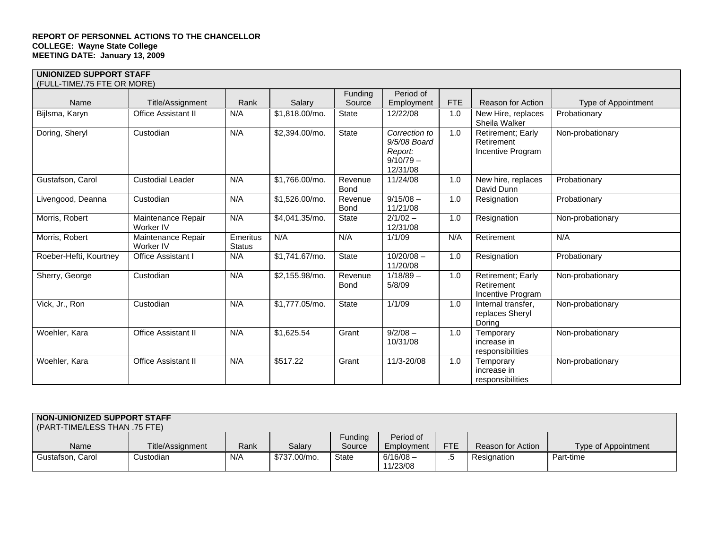## **UNIONIZED SUPPORT STAFF**

| (FULL-TIME/.75 FTE OR MORE) |                                 |                           |                |                        |                                                                     |            |                                                      |                     |
|-----------------------------|---------------------------------|---------------------------|----------------|------------------------|---------------------------------------------------------------------|------------|------------------------------------------------------|---------------------|
| Name                        | Title/Assignment                | Rank                      | Salary         | Funding<br>Source      | Period of<br>Employment                                             | <b>FTE</b> | Reason for Action                                    | Type of Appointment |
| Bijlsma, Karyn              | Office Assistant II             | N/A                       | \$1,818.00/mo. | <b>State</b>           | 12/22/08                                                            | 1.0        | New Hire, replaces<br>Sheila Walker                  | Probationary        |
| Doring, Sheryl              | Custodian                       | N/A                       | \$2,394.00/mo. | <b>State</b>           | Correction to<br>9/5/08 Board<br>Report:<br>$9/10/79 -$<br>12/31/08 | 1.0        | Retirement; Early<br>Retirement<br>Incentive Program | Non-probationary    |
| Gustafson, Carol            | <b>Custodial Leader</b>         | N/A                       | \$1,766.00/mo. | Revenue<br><b>Bond</b> | 11/24/08                                                            | 1.0        | New hire, replaces<br>David Dunn                     | Probationary        |
| Livengood, Deanna           | Custodian                       | N/A                       | \$1,526.00/mo. | Revenue<br><b>Bond</b> | $9/15/08 -$<br>11/21/08                                             | 1.0        | Resignation                                          | Probationary        |
| Morris, Robert              | Maintenance Repair<br>Worker IV | N/A                       | \$4,041.35/mo. | <b>State</b>           | $2/1/02 -$<br>12/31/08                                              | 1.0        | Resignation                                          | Non-probationary    |
| Morris, Robert              | Maintenance Repair<br>Worker IV | Emeritus<br><b>Status</b> | N/A            | N/A                    | 1/1/09                                                              | N/A        | Retirement                                           | N/A                 |
| Roeber-Hefti, Kourtney      | Office Assistant I              | N/A                       | \$1,741.67/mo. | State                  | $10/20/08 -$<br>11/20/08                                            | 1.0        | Resignation                                          | Probationary        |
| Sherry, George              | Custodian                       | N/A                       | \$2,155.98/mo. | Revenue<br><b>Bond</b> | $1/18/89 -$<br>5/8/09                                               | 1.0        | Retirement; Early<br>Retirement<br>Incentive Program | Non-probationary    |
| Vick, Jr., Ron              | Custodian                       | N/A                       | \$1,777.05/mo. | <b>State</b>           | 1/1/09                                                              | 1.0        | Internal transfer.<br>replaces Sheryl<br>Doring      | Non-probationary    |
| Woehler, Kara               | <b>Office Assistant II</b>      | N/A                       | \$1,625.54     | Grant                  | $9/2/08 -$<br>10/31/08                                              | 1.0        | Temporary<br>increase in<br>responsibilities         | Non-probationary    |
| Woehler, Kara               | <b>Office Assistant II</b>      | N/A                       | \$517.22       | Grant                  | 11/3-20/08                                                          | 1.0        | Temporary<br>increase in<br>responsibilities         | Non-probationary    |

## **NON-UNIONIZED SUPPORT STAFF**

| (PART-TIME/LESS THAN .75 FTE) |                  |      |              |              |             |            |                          |                     |  |
|-------------------------------|------------------|------|--------------|--------------|-------------|------------|--------------------------|---------------------|--|
|                               |                  |      |              | Fundina      | Period of   |            |                          |                     |  |
| Name                          | Title/Assignment | Rank | Salarv       | Source       | Employment  | <b>FTE</b> | <b>Reason for Action</b> | Type of Appointment |  |
| Gustafson, Carol              | Custodian        | N/A  | \$737.00/mo. | <b>State</b> | $6/16/08 -$ | ٠          | Resignation              | Part-time           |  |
|                               |                  |      |              |              | 11/23/08    |            |                          |                     |  |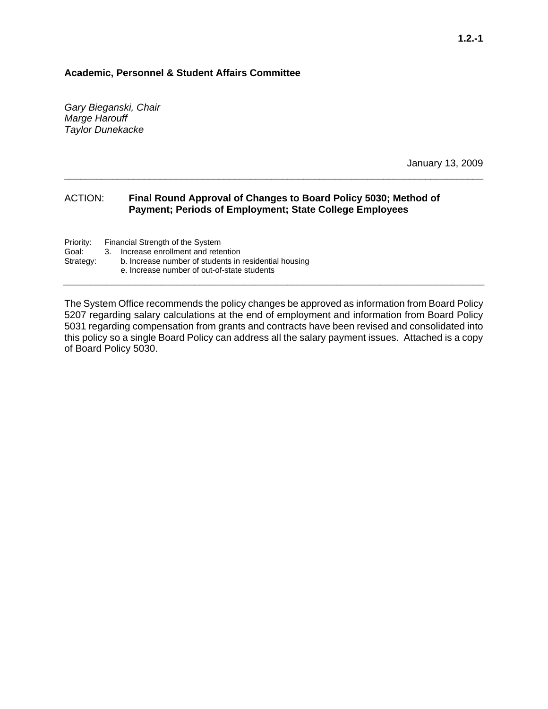## **Academic, Personnel & Student Affairs Committee**

*Gary Bieganski, Chair Marge Harouff Taylor Dunekacke* 

January 13, 2009

## ACTION: **Final Round Approval of Changes to Board Policy 5030; Method of Payment; Periods of Employment; State College Employees**

**\_\_\_\_\_\_\_\_\_\_\_\_\_\_\_\_\_\_\_\_\_\_\_\_\_\_\_\_\_\_\_\_\_\_\_\_\_\_\_\_\_\_\_\_\_\_\_\_\_\_\_\_\_\_\_\_\_\_\_\_\_\_\_\_\_\_\_\_\_\_\_\_\_\_\_\_\_\_\_** 

Priority: Financial Strength of the System<br>Goal: 3. Increase enrollment and rete Goal: 3. Increase enrollment and retention<br>Strategy: b. Increase number of students in

b. Increase number of students in residential housing e. Increase number of out-of-state students

The System Office recommends the policy changes be approved as information from Board Policy 5207 regarding salary calculations at the end of employment and information from Board Policy 5031 regarding compensation from grants and contracts have been revised and consolidated into this policy so a single Board Policy can address all the salary payment issues. Attached is a copy of Board Policy 5030.

**\_\_\_\_\_\_\_\_\_\_\_\_\_\_\_\_\_\_\_\_\_\_\_\_\_\_\_\_\_\_\_\_\_\_\_\_\_\_\_\_\_\_\_\_\_\_\_\_\_\_\_\_\_\_\_\_\_\_\_\_\_\_\_\_\_\_\_\_\_\_\_\_\_\_\_\_\_**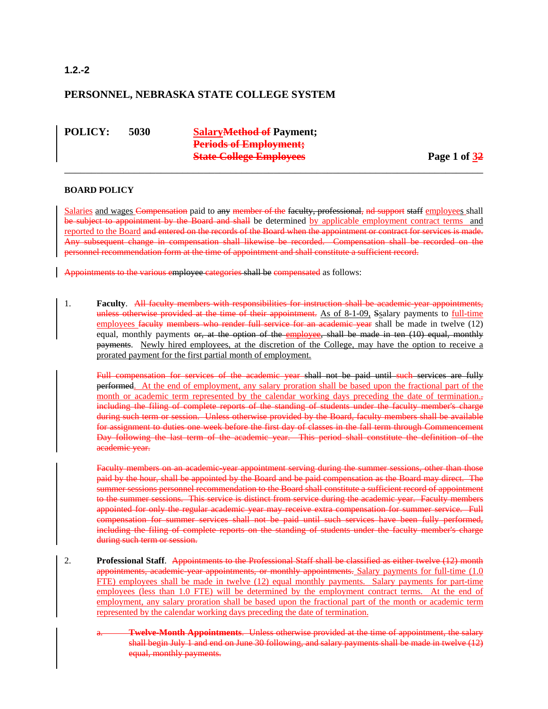## **1.2.-2**

## **PERSONNEL, NEBRASKA STATE COLLEGE SYSTEM**

**POLICY: 5030 SalaryMethod of Payment; Periods of Employment; State College Employees** Page 1 of 32

## **BOARD POLICY**

Salaries and wages Compensation paid to any member of the faculty, professional, nd support staff employees shall be subject to appointment by the Board and shall be determined by applicable employment contract terms and reported to the Board and entered on the records of the Board when the appointment or contract for services is made. Any subsequent change in compensation shall likewise be recorded. Compensation shall be recorded on the personnel recommendation form at the time of appointment and shall constitute a sufficient record.

\_\_\_\_\_\_\_\_\_\_\_\_\_\_\_\_\_\_\_\_\_\_\_\_\_\_\_\_\_\_\_\_\_\_\_\_\_\_\_\_\_\_\_\_\_\_\_\_\_\_\_\_\_\_\_\_\_\_\_\_\_\_\_\_\_\_\_\_\_\_\_\_\_\_\_\_\_\_

Appointments to the various employee categories shall be compensated as follows:

1. **Faculty**. All faculty members with responsibilities for instruction shall be academic-year appointments, unless otherwise provided at the time of their appointment. As of 8-1-09, Ssalary payments to full-time employees faculty members who render full service for an academic year shall be made in twelve (12) equal, monthly payments or, at the option of the employee, shall be made in ten (10) equal, monthly payments. Newly hired employees, at the discretion of the College, may have the option to receive a prorated payment for the first partial month of employment.

Full compensation for services of the academic year shall not be paid until such services are fully performed. At the end of employment, any salary proration shall be based upon the fractional part of the month or academic term represented by the calendar working days preceding the date of termination. $\frac{1}{2}$ including the filing of complete reports of the standing of students under the faculty member's charge during such term or session. Unless otherwise provided by the Board, faculty members shall be available for assignment to duties one week before the first day of classes in the fall term through Commencement Day following the last term of the academic year. This period shall constitute the definition of the academic year.

Faculty members on an academic year appointment serving during the summer sessions, other than those paid by the hour, shall be appointed by the Board and be paid compensation as the Board may direct. The summer sessions personnel recommendation to the Board shall constitute a sufficient record of appointment to the summer sessions. This service is distinct from service during the academic year. Faculty members appointed for only the regular academic year may receive extra compensation for summer service. Full compensation for summer services shall not be paid until such services have been fully performed, including the filing of complete reports on the standing of students under the faculty member's charge during such term or session.

- 2. **Professional Staff**. Appointments to the Professional Staff shall be classified as either twelve (12) month appointments, academic year appointments, or monthly appointments. Salary payments for full-time (1.0 FTE) employees shall be made in twelve (12) equal monthly payments. Salary payments for part-time employees (less than 1.0 FTE) will be determined by the employment contract terms. At the end of employment, any salary proration shall be based upon the fractional part of the month or academic term represented by the calendar working days preceding the date of termination.
	- a. **Twelve-Month Appointments**. Unless otherwise provided at the time of appointment, the salary shall begin July 1 and end on June 30 following, and salary payments shall be made in twelve (12) equal, monthly payments.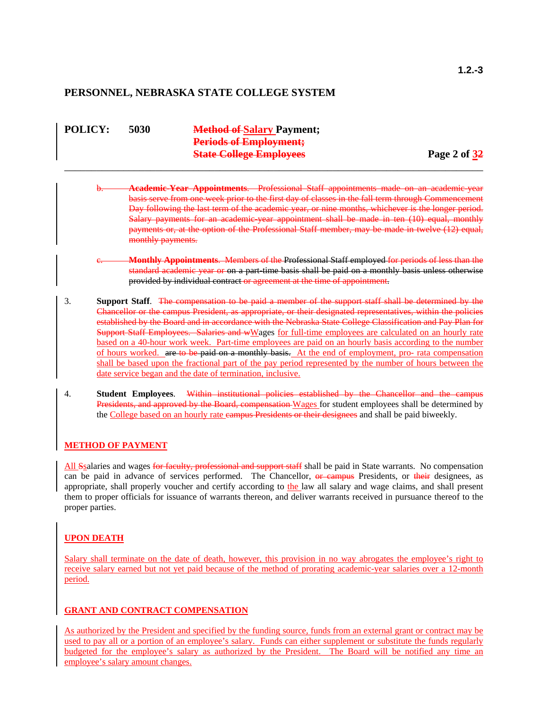## **PERSONNEL, NEBRASKA STATE COLLEGE SYSTEM**

| <b>POLICY:</b> | 5030 | <b>Method of Salary Payment;</b> |              |
|----------------|------|----------------------------------|--------------|
|                |      | <b>Periods of Employment;</b>    |              |
|                |      | <b>State College Employees</b>   | Page 2 of 32 |
|                |      |                                  |              |

- b. **Academic-Year Appointments**. Professional Staff appointments made on an academic-year basis serve from one week prior to the first day of classes in the fall term through Commencement Day following the last term of the academic year, or nine months, whichever is the longer period. Salary payments for an academic year appointment shall be made in ten (10) equal, monthly payments or, at the option of the Professional Staff member, may be made in twelve (12) equal, monthly payments.
- c. **Monthly Appointments**. Members of the Professional Staff employed for periods of less than the standard academic year or on a part-time basis shall be paid on a monthly basis unless otherwise provided by individual contract or agreement at the time of appointment.
- 3. **Support Staff**. The compensation to be paid a member of the support staff shall be determined by the Chancellor or the campus President, as appropriate, or their designated representatives, within the policies established by the Board and in accordance with the Nebraska State College Classification and Pay Plan for Support Staff Employees. Salaries and wWages for full-time employees are calculated on an hourly rate based on a 40-hour work week. Part-time employees are paid on an hourly basis according to the number of hours worked. are to be paid on a monthly basis. At the end of employment, pro- rata compensation shall be based upon the fractional part of the pay period represented by the number of hours between the date service began and the date of termination, inclusive.
- 4. **Student Employees**. Within institutional policies established by the Chancellor and the campus Presidents, and approved by the Board, compensation Wages for student employees shall be determined by the College based on an hourly rate eampus Presidents or their designees and shall be paid biweekly.

## **METHOD OF PAYMENT**

All Ssalaries and wages for faculty, professional and support staff shall be paid in State warrants. No compensation can be paid in advance of services performed. The Chancellor, or campus Presidents, or their designees, as appropriate, shall properly voucher and certify according to the law all salary and wage claims, and shall present them to proper officials for issuance of warrants thereon, and deliver warrants received in pursuance thereof to the proper parties.

### **UPON DEATH**

Salary shall terminate on the date of death, however, this provision in no way abrogates the employee's right to receive salary earned but not yet paid because of the method of prorating academic-year salaries over a 12-month period.

## **GRANT AND CONTRACT COMPENSATION**

As authorized by the President and specified by the funding source, funds from an external grant or contract may be used to pay all or a portion of an employee's salary. Funds can either supplement or substitute the funds regularly budgeted for the employee's salary as authorized by the President. The Board will be notified any time an employee's salary amount changes.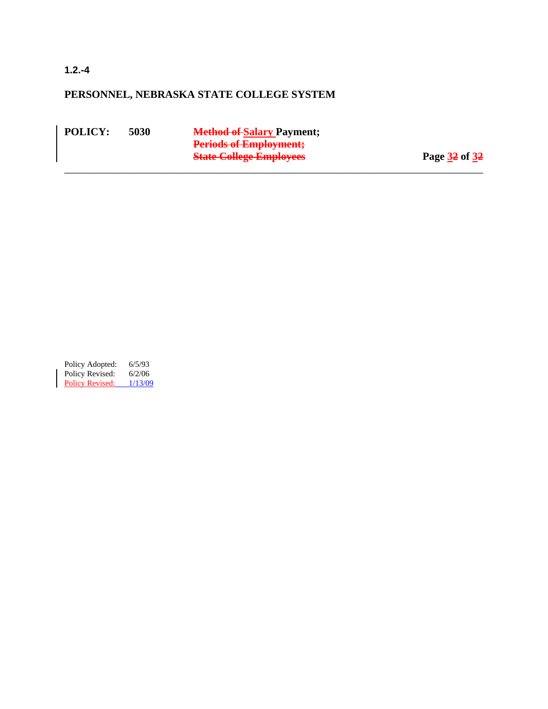**1.2.-4** 

## **PERSONNEL, NEBRASKA STATE COLLEGE SYSTEM**

**POLICY: 5030 Method of Salary Payment; Periods of Employment; State College Employees** Page 32 of 32 \_\_\_\_\_\_\_\_\_\_\_\_\_\_\_\_\_\_\_\_\_\_\_\_\_\_\_\_\_\_\_\_\_\_\_\_\_\_\_\_\_\_\_\_\_\_\_\_\_\_\_\_\_\_\_\_\_\_\_\_\_\_\_\_\_\_\_\_\_\_\_\_\_\_\_\_\_\_

Policy Adopted: 6/5/93 Policy Revised: 6/2/06 Policy Revised: 1/13/09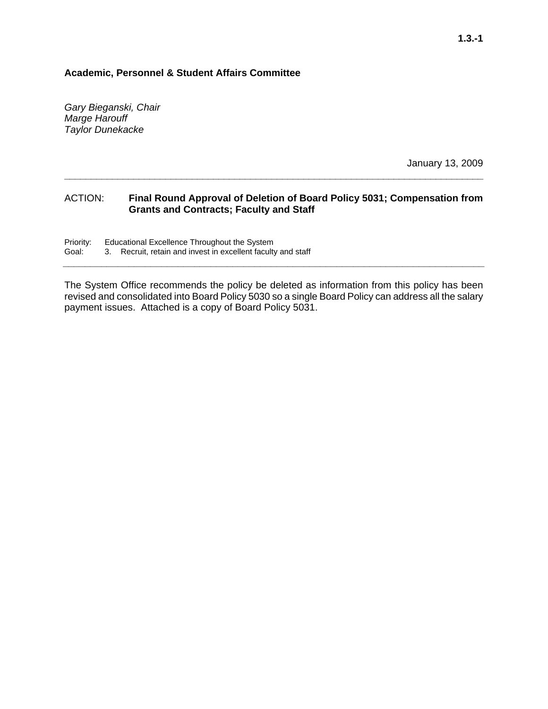## **Academic, Personnel & Student Affairs Committee**

*Gary Bieganski, Chair Marge Harouff Taylor Dunekacke* 

January 13, 2009

## ACTION: **Final Round Approval of Deletion of Board Policy 5031; Compensation from Grants and Contracts; Faculty and Staff**

**\_\_\_\_\_\_\_\_\_\_\_\_\_\_\_\_\_\_\_\_\_\_\_\_\_\_\_\_\_\_\_\_\_\_\_\_\_\_\_\_\_\_\_\_\_\_\_\_\_\_\_\_\_\_\_\_\_\_\_\_\_\_\_\_\_\_\_\_\_\_\_\_\_\_\_\_\_\_\_** 

Priority: Educational Excellence Throughout the System<br>Goal: 3. Recruit, retain and invest in excellent faculty 3. Recruit, retain and invest in excellent faculty and staff

The System Office recommends the policy be deleted as information from this policy has been revised and consolidated into Board Policy 5030 so a single Board Policy can address all the salary payment issues. Attached is a copy of Board Policy 5031.

**\_\_\_\_\_\_\_\_\_\_\_\_\_\_\_\_\_\_\_\_\_\_\_\_\_\_\_\_\_\_\_\_\_\_\_\_\_\_\_\_\_\_\_\_\_\_\_\_\_\_\_\_\_\_\_\_\_\_\_\_\_\_\_\_\_\_\_\_\_\_\_\_\_\_\_\_\_**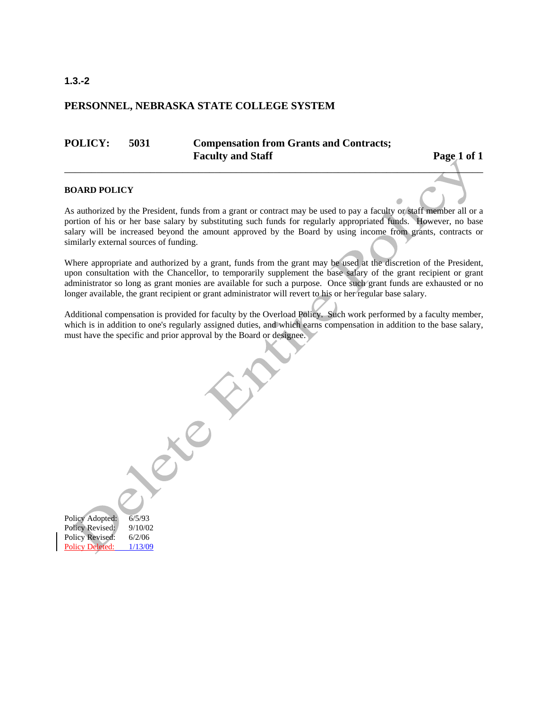## **PERSONNEL, NEBRASKA STATE COLLEGE SYSTEM**

## **POLICY: 5031 Compensation from Grants and Contracts;**  Faculty and Staff Page 1 of 1

۵

### **BOARD POLICY**

As authorized by the President, funds from a grant or contract may be used to pay a faculty or staff member all or a portion of his or her base salary by substituting such funds for regularly appropriated funds. However, no base salary will be increased beyond the amount approved by the Board by using income from grants, contracts or similarly external sources of funding.

 $\mathcal{L}_{\mathcal{L}}$  , and the set of the set of the set of the set of the set of the set of the set of the set of the set of the set of the set of the set of the set of the set of the set of the set of the set of the set of th

Where appropriate and authorized by a grant, funds from the grant may be used at the discretion of the President, upon consultation with the Chancellor, to temporarily supplement the base salary of the grant recipient or grant administrator so long as grant monies are available for such a purpose. Once such grant funds are exhausted or no longer available, the grant recipient or grant administrator will revert to his or her regular base salary.

Additional compensation is provided for faculty by the Overload Policy. Such work performed by a faculty member, which is in addition to one's regularly assigned duties, and which earns compensation in addition to the base salary, must have the specific and prior approval by the Board or designee.

Policy Adopted: 6/5/93 Policy Revised: 9/10/02 Policy Revised: 6/2/06 Policy Deleted:  $1/13/09$ 

**1.3.-2**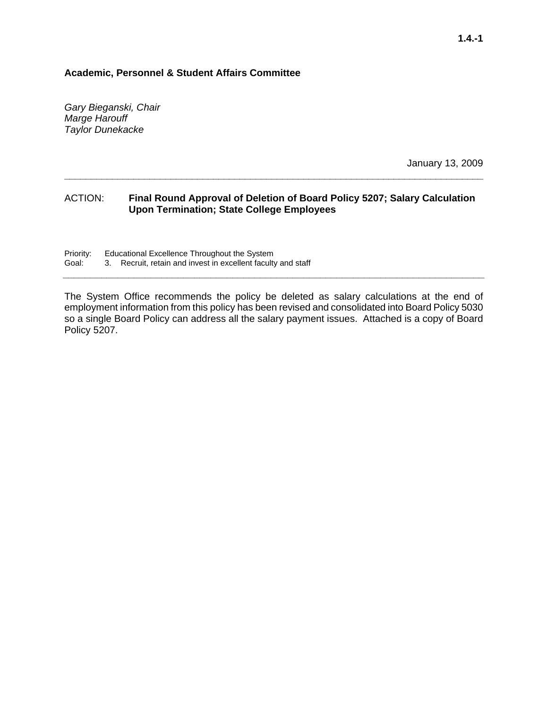## **Academic, Personnel & Student Affairs Committee**

*Gary Bieganski, Chair Marge Harouff Taylor Dunekacke* 

January 13, 2009

## ACTION: **Final Round Approval of Deletion of Board Policy 5207; Salary Calculation Upon Termination; State College Employees**

**\_\_\_\_\_\_\_\_\_\_\_\_\_\_\_\_\_\_\_\_\_\_\_\_\_\_\_\_\_\_\_\_\_\_\_\_\_\_\_\_\_\_\_\_\_\_\_\_\_\_\_\_\_\_\_\_\_\_\_\_\_\_\_\_\_\_\_\_\_\_\_\_\_\_\_\_\_\_\_** 

Priority: Educational Excellence Throughout the System<br>Goal: 3. Recruit, retain and invest in excellent faculty 3. Recruit, retain and invest in excellent faculty and staff

The System Office recommends the policy be deleted as salary calculations at the end of employment information from this policy has been revised and consolidated into Board Policy 5030 so a single Board Policy can address all the salary payment issues. Attached is a copy of Board Policy 5207.

**\_\_\_\_\_\_\_\_\_\_\_\_\_\_\_\_\_\_\_\_\_\_\_\_\_\_\_\_\_\_\_\_\_\_\_\_\_\_\_\_\_\_\_\_\_\_\_\_\_\_\_\_\_\_\_\_\_\_\_\_\_\_\_\_\_\_\_\_\_\_\_\_\_\_\_\_\_**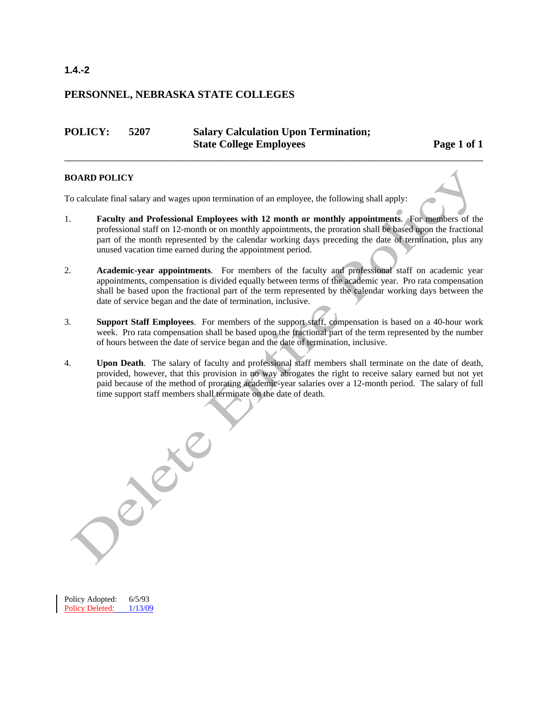## **PERSONNEL, NEBRASKA STATE COLLEGES**

## **POLICY: 5207 Salary Calculation Upon Termination; State College Employees** Page 1 of 1

## **BOARD POLICY**

To calculate final salary and wages upon termination of an employee, the following shall apply:

1. **Faculty and Professional Employees with 12 month or monthly appointments**. For members of the professional staff on 12-month or on monthly appointments, the proration shall be based upon the fractional part of the month represented by the calendar working days preceding the date of termination, plus any unused vacation time earned during the appointment period.

\_\_\_\_\_\_\_\_\_\_\_\_\_\_\_\_\_\_\_\_\_\_\_\_\_\_\_\_\_\_\_\_\_\_\_\_\_\_\_\_\_\_\_\_\_\_\_\_\_\_\_\_\_\_\_\_\_\_\_\_\_\_\_\_\_\_\_\_\_\_\_\_\_\_\_\_\_\_

- 2. **Academic-year appointments**. For members of the faculty and professional staff on academic year appointments, compensation is divided equally between terms of the academic year. Pro rata compensation shall be based upon the fractional part of the term represented by the calendar working days between the date of service began and the date of termination, inclusive.
- 3. **Support Staff Employees**. For members of the support staff, compensation is based on a 40-hour work week. Pro rata compensation shall be based upon the fractional part of the term represented by the number of hours between the date of service began and the date of termination, inclusive.
- 4. **Upon Death**. The salary of faculty and professional staff members shall terminate on the date of death, provided, however, that this provision in no way abrogates the right to receive salary earned but not yet paid because of the method of prorating academic-year salaries over a 12-month period. The salary of full time support staff members shall terminate on the date of death.

Policy Adopted: 6/5/93 Policy Deleted: 1/13/09

## **1.4.-2**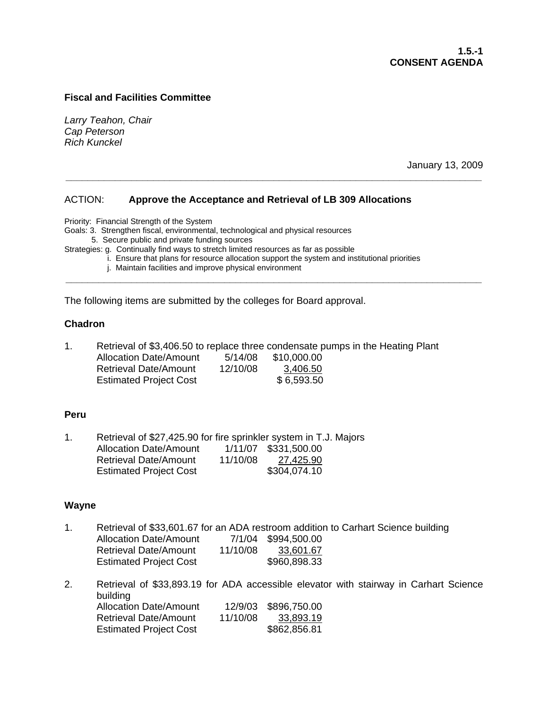## **Fiscal and Facilities Committee**

*Larry Teahon, Chair Cap Peterson Rich Kunckel* 

January 13, 2009

## ACTION: **Approve the Acceptance and Retrieval of LB 309 Allocations**

Priority: Financial Strength of the System

Goals: 3. Strengthen fiscal, environmental, technological and physical resources

5. Secure public and private funding sources

Strategies: g. Continually find ways to stretch limited resources as far as possible

i. Ensure that plans for resource allocation support the system and institutional priorities

**\_\_\_\_\_\_\_\_\_\_\_\_\_\_\_\_\_\_\_\_\_\_\_\_\_\_\_\_\_\_\_\_\_\_\_\_\_\_\_\_\_\_\_\_\_\_\_\_\_\_\_\_\_\_\_\_\_\_\_\_\_\_\_\_\_\_\_\_\_\_\_\_\_\_\_\_** 

**\_\_\_\_\_\_\_\_\_\_\_\_\_\_\_\_\_\_\_\_\_\_\_\_\_\_\_\_\_\_\_\_\_\_\_\_\_\_\_\_\_\_\_\_\_\_\_\_\_\_\_\_\_\_\_\_\_\_\_\_\_\_\_\_\_\_\_\_\_\_\_\_\_\_\_\_** 

j. Maintain facilities and improve physical environment

The following items are submitted by the colleges for Board approval.

## **Chadron**

| Retrieval of \$3,406.50 to replace three condensate pumps in the Heating Plant |          |             |  |
|--------------------------------------------------------------------------------|----------|-------------|--|
| Allocation Date/Amount                                                         | 5/14/08  | \$10.000.00 |  |
| <b>Retrieval Date/Amount</b>                                                   | 12/10/08 | 3.406.50    |  |
| <b>Estimated Project Cost</b>                                                  |          | \$6,593.50  |  |

## **Peru**

| 1 | Retrieval of \$27,425.90 for fire sprinkler system in T.J. Majors |          |                      |  |
|---|-------------------------------------------------------------------|----------|----------------------|--|
|   | <b>Allocation Date/Amount</b>                                     |          | 1/11/07 \$331,500.00 |  |
|   | <b>Retrieval Date/Amount</b>                                      | 11/10/08 | 27,425.90            |  |
|   | <b>Estimated Project Cost</b>                                     |          | \$304,074.10         |  |

## **Wayne**

- 1. Retrieval of \$33,601.67 for an ADA restroom addition to Carhart Science building Allocation Date/Amount 7/1/04 \$994,500.00 Retrieval Date/Amount 11/10/08 33,601.67 Estimated Project Cost \$960,898.33
- 2. Retrieval of \$33,893.19 for ADA accessible elevator with stairway in Carhart Science building Allocation Date/Amount 12/9/03 \$896,750.00 Retrieval Date/Amount 11/10/08 33,893.19 Estimated Project Cost \$862,856.81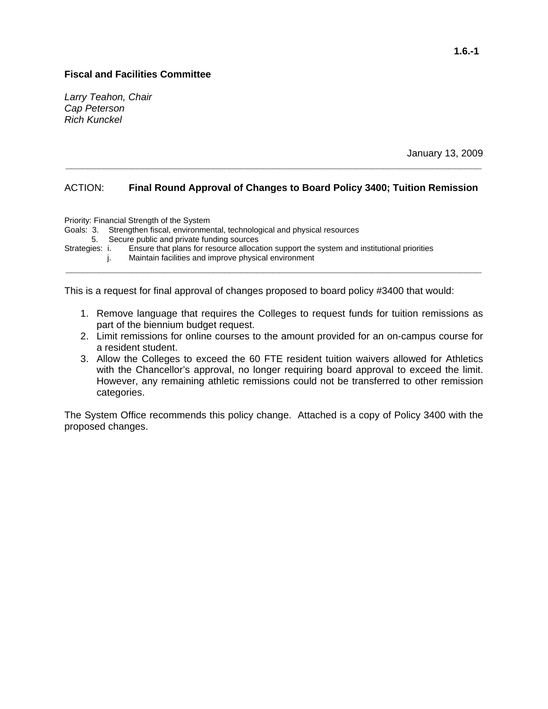## **Fiscal and Facilities Committee**

*Larry Teahon, Chair Cap Peterson Rich Kunckel* 

January 13, 2009

## ACTION: **Final Round Approval of Changes to Board Policy 3400; Tuition Remission**

**\_\_\_\_\_\_\_\_\_\_\_\_\_\_\_\_\_\_\_\_\_\_\_\_\_\_\_\_\_\_\_\_\_\_\_\_\_\_\_\_\_\_\_\_\_\_\_\_\_\_\_\_\_\_\_\_\_\_\_\_\_\_\_\_\_\_\_\_\_\_\_\_\_\_\_\_** 

Priority: Financial Strength of the System Goals: 3. Strengthen fiscal, environmental, technological and physical resources 5. Secure public and private funding sources<br>Strategies: i. Ensure that plans for resource alloca Ensure that plans for resource allocation support the system and institutional priorities

 j. Maintain facilities and improve physical environment **\_\_\_\_\_\_\_\_\_\_\_\_\_\_\_\_\_\_\_\_\_\_\_\_\_\_\_\_\_\_\_\_\_\_\_\_\_\_\_\_\_\_\_\_\_\_\_\_\_\_\_\_\_\_\_\_\_\_\_\_\_\_\_\_\_\_\_\_\_\_\_\_\_\_\_\_** 

This is a request for final approval of changes proposed to board policy #3400 that would:

- 1. Remove language that requires the Colleges to request funds for tuition remissions as part of the biennium budget request.
- 2. Limit remissions for online courses to the amount provided for an on-campus course for a resident student.
- 3. Allow the Colleges to exceed the 60 FTE resident tuition waivers allowed for Athletics with the Chancellor's approval, no longer requiring board approval to exceed the limit. However, any remaining athletic remissions could not be transferred to other remission categories.

The System Office recommends this policy change. Attached is a copy of Policy 3400 with the proposed changes.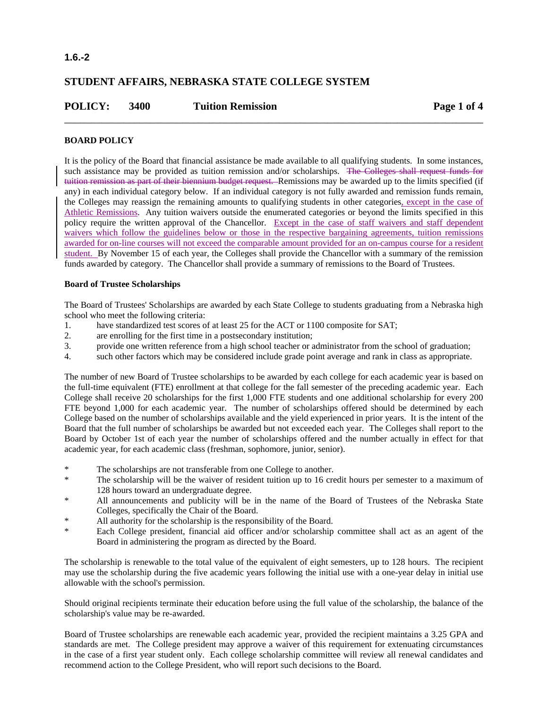## **1.6.-2**

## **STUDENT AFFAIRS, NEBRASKA STATE COLLEGE SYSTEM**

| <b>POLICY:</b> | 3400 | <b>Tuition Remission</b> | Page 1 of 4 |
|----------------|------|--------------------------|-------------|
|                |      |                          |             |

## **BOARD POLICY**

It is the policy of the Board that financial assistance be made available to all qualifying students. In some instances, such assistance may be provided as tuition remission and/or scholarships. The Colleges shall request funds for tuition remission as part of their biennium budget request. Remissions may be awarded up to the limits specified (if any) in each individual category below. If an individual category is not fully awarded and remission funds remain, the Colleges may reassign the remaining amounts to qualifying students in other categories, except in the case of Athletic Remissions. Any tuition waivers outside the enumerated categories or beyond the limits specified in this policy require the written approval of the Chancellor. Except in the case of staff waivers and staff dependent waivers which follow the guidelines below or those in the respective bargaining agreements, tuition remissions awarded for on-line courses will not exceed the comparable amount provided for an on-campus course for a resident student. By November 15 of each year, the Colleges shall provide the Chancellor with a summary of the remission funds awarded by category. The Chancellor shall provide a summary of remissions to the Board of Trustees.

## **Board of Trustee Scholarships**

The Board of Trustees' Scholarships are awarded by each State College to students graduating from a Nebraska high school who meet the following criteria:

- 1. have standardized test scores of at least 25 for the ACT or 1100 composite for SAT;
- 2. are enrolling for the first time in a postsecondary institution;
- 3. provide one written reference from a high school teacher or administrator from the school of graduation;
- 4. such other factors which may be considered include grade point average and rank in class as appropriate.

The number of new Board of Trustee scholarships to be awarded by each college for each academic year is based on the full-time equivalent (FTE) enrollment at that college for the fall semester of the preceding academic year. Each College shall receive 20 scholarships for the first 1,000 FTE students and one additional scholarship for every 200 FTE beyond 1,000 for each academic year. The number of scholarships offered should be determined by each College based on the number of scholarships available and the yield experienced in prior years. It is the intent of the Board that the full number of scholarships be awarded but not exceeded each year. The Colleges shall report to the Board by October 1st of each year the number of scholarships offered and the number actually in effect for that academic year, for each academic class (freshman, sophomore, junior, senior).

- \* The scholarships are not transferable from one College to another.
- \* The scholarship will be the waiver of resident tuition up to 16 credit hours per semester to a maximum of 128 hours toward an undergraduate degree.
- All announcements and publicity will be in the name of the Board of Trustees of the Nebraska State Colleges, specifically the Chair of the Board.
- \* All authority for the scholarship is the responsibility of the Board.
- \* Each College president, financial aid officer and/or scholarship committee shall act as an agent of the Board in administering the program as directed by the Board.

The scholarship is renewable to the total value of the equivalent of eight semesters, up to 128 hours. The recipient may use the scholarship during the five academic years following the initial use with a one-year delay in initial use allowable with the school's permission.

Should original recipients terminate their education before using the full value of the scholarship, the balance of the scholarship's value may be re-awarded.

Board of Trustee scholarships are renewable each academic year, provided the recipient maintains a 3.25 GPA and standards are met. The College president may approve a waiver of this requirement for extenuating circumstances in the case of a first year student only. Each college scholarship committee will review all renewal candidates and recommend action to the College President, who will report such decisions to the Board.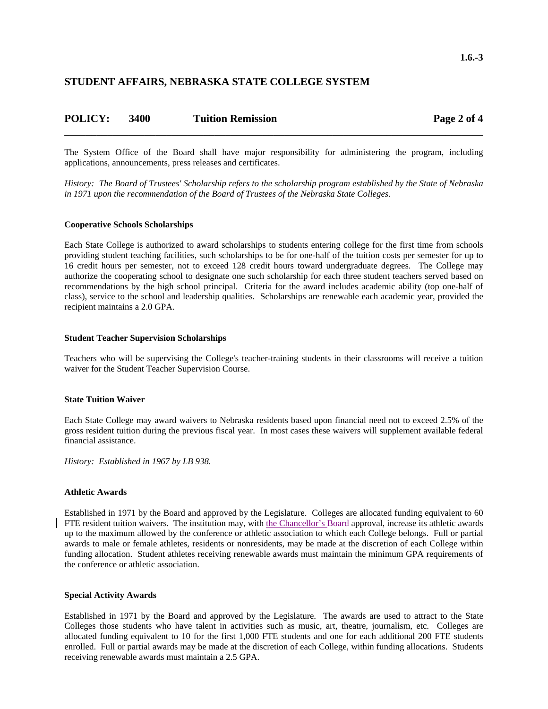## **STUDENT AFFAIRS, NEBRASKA STATE COLLEGE SYSTEM**

| <b>POLICY:</b> | 3400 | <b>Tuition Remission</b> | Page 2 of 4 |
|----------------|------|--------------------------|-------------|
|                |      |                          |             |

The System Office of the Board shall have major responsibility for administering the program, including applications, announcements, press releases and certificates.

*History: The Board of Trustees' Scholarship refers to the scholarship program established by the State of Nebraska in 1971 upon the recommendation of the Board of Trustees of the Nebraska State Colleges.*

#### **Cooperative Schools Scholarships**

Each State College is authorized to award scholarships to students entering college for the first time from schools providing student teaching facilities, such scholarships to be for one-half of the tuition costs per semester for up to 16 credit hours per semester, not to exceed 128 credit hours toward undergraduate degrees. The College may authorize the cooperating school to designate one such scholarship for each three student teachers served based on recommendations by the high school principal. Criteria for the award includes academic ability (top one-half of class), service to the school and leadership qualities. Scholarships are renewable each academic year, provided the recipient maintains a 2.0 GPA.

#### **Student Teacher Supervision Scholarships**

Teachers who will be supervising the College's teacher-training students in their classrooms will receive a tuition waiver for the Student Teacher Supervision Course.

#### **State Tuition Waiver**

Each State College may award waivers to Nebraska residents based upon financial need not to exceed 2.5% of the gross resident tuition during the previous fiscal year. In most cases these waivers will supplement available federal financial assistance.

*History: Established in 1967 by LB 938.*

### **Athletic Awards**

Established in 1971 by the Board and approved by the Legislature. Colleges are allocated funding equivalent to 60 FTE resident tuition waivers. The institution may, with the Chancellor's Board approval, increase its athletic awards up to the maximum allowed by the conference or athletic association to which each College belongs. Full or partial awards to male or female athletes, residents or nonresidents, may be made at the discretion of each College within funding allocation. Student athletes receiving renewable awards must maintain the minimum GPA requirements of the conference or athletic association.

#### **Special Activity Awards**

Established in 1971 by the Board and approved by the Legislature. The awards are used to attract to the State Colleges those students who have talent in activities such as music, art, theatre, journalism, etc. Colleges are allocated funding equivalent to 10 for the first 1,000 FTE students and one for each additional 200 FTE students enrolled. Full or partial awards may be made at the discretion of each College, within funding allocations. Students receiving renewable awards must maintain a 2.5 GPA.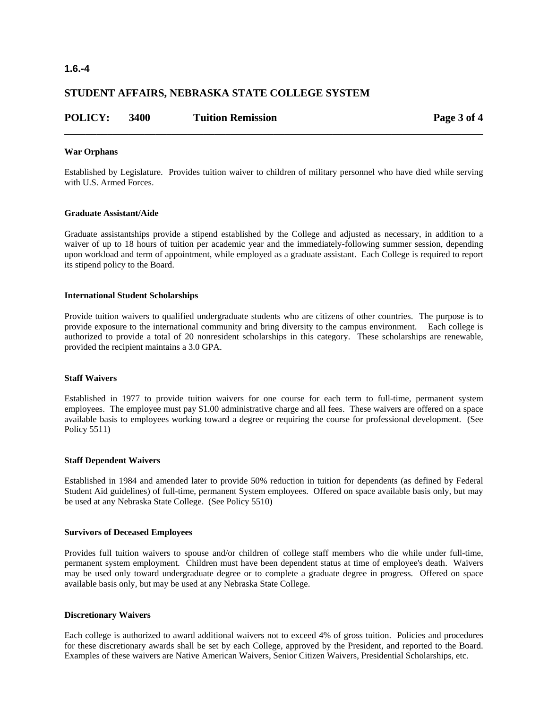## **1.6.-4**

## **STUDENT AFFAIRS, NEBRASKA STATE COLLEGE SYSTEM**

| <b>POLICY:</b> | 3400 | <b>Tuition Remission</b> | Page 3 of 4 |
|----------------|------|--------------------------|-------------|
|                |      |                          |             |

#### **War Orphans**

Established by Legislature. Provides tuition waiver to children of military personnel who have died while serving with U.S. Armed Forces.

### **Graduate Assistant/Aide**

Graduate assistantships provide a stipend established by the College and adjusted as necessary, in addition to a waiver of up to 18 hours of tuition per academic year and the immediately-following summer session, depending upon workload and term of appointment, while employed as a graduate assistant. Each College is required to report its stipend policy to the Board.

#### **International Student Scholarships**

Provide tuition waivers to qualified undergraduate students who are citizens of other countries. The purpose is to provide exposure to the international community and bring diversity to the campus environment. Each college is authorized to provide a total of 20 nonresident scholarships in this category. These scholarships are renewable, provided the recipient maintains a 3.0 GPA.

#### **Staff Waivers**

Established in 1977 to provide tuition waivers for one course for each term to full-time, permanent system employees. The employee must pay \$1.00 administrative charge and all fees. These waivers are offered on a space available basis to employees working toward a degree or requiring the course for professional development. (See Policy 5511)

#### **Staff Dependent Waivers**

Established in 1984 and amended later to provide 50% reduction in tuition for dependents (as defined by Federal Student Aid guidelines) of full-time, permanent System employees. Offered on space available basis only, but may be used at any Nebraska State College. (See Policy 5510)

#### **Survivors of Deceased Employees**

Provides full tuition waivers to spouse and/or children of college staff members who die while under full-time, permanent system employment. Children must have been dependent status at time of employee's death. Waivers may be used only toward undergraduate degree or to complete a graduate degree in progress. Offered on space available basis only, but may be used at any Nebraska State College.

### **Discretionary Waivers**

Each college is authorized to award additional waivers not to exceed 4% of gross tuition. Policies and procedures for these discretionary awards shall be set by each College, approved by the President, and reported to the Board. Examples of these waivers are Native American Waivers, Senior Citizen Waivers, Presidential Scholarships, etc.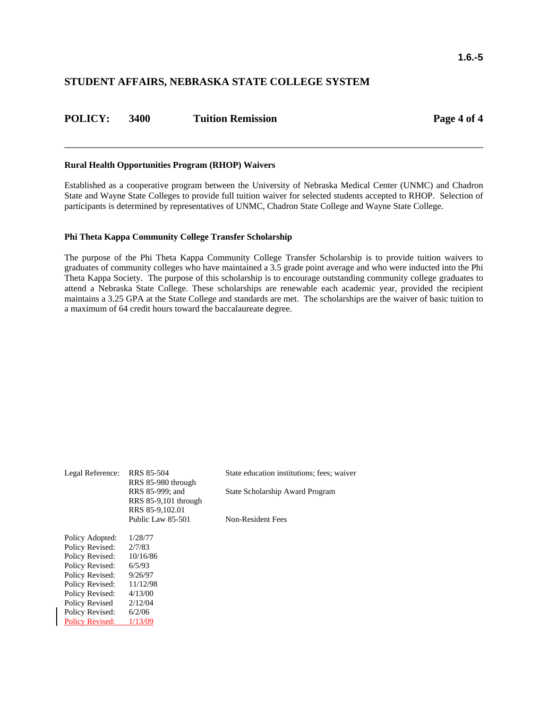## **STUDENT AFFAIRS, NEBRASKA STATE COLLEGE SYSTEM**

| <b>POLICY:</b> | 3400 | <b>Tuition Remission</b> |
|----------------|------|--------------------------|
|                |      |                          |

**Page 4 of 4** 

#### **Rural Health Opportunities Program (RHOP) Waivers**

Established as a cooperative program between the University of Nebraska Medical Center (UNMC) and Chadron State and Wayne State Colleges to provide full tuition waiver for selected students accepted to RHOP. Selection of participants is determined by representatives of UNMC, Chadron State College and Wayne State College.

\_\_\_\_\_\_\_\_\_\_\_\_\_\_\_\_\_\_\_\_\_\_\_\_\_\_\_\_\_\_\_\_\_\_\_\_\_\_\_\_\_\_\_\_\_\_\_\_\_\_\_\_\_\_\_\_\_\_\_\_\_\_\_\_\_\_\_\_\_\_\_\_\_\_\_\_\_\_

#### **Phi Theta Kappa Community College Transfer Scholarship**

The purpose of the Phi Theta Kappa Community College Transfer Scholarship is to provide tuition waivers to graduates of community colleges who have maintained a 3.5 grade point average and who were inducted into the Phi Theta Kappa Society. The purpose of this scholarship is to encourage outstanding community college graduates to attend a Nebraska State College. These scholarships are renewable each academic year, provided the recipient maintains a 3.25 GPA at the State College and standards are met. The scholarships are the waiver of basic tuition to a maximum of 64 credit hours toward the baccalaureate degree.

| Legal Reference:       | <b>RRS 85-504</b>                                             | State education institutions; fees; waiver |  |  |
|------------------------|---------------------------------------------------------------|--------------------------------------------|--|--|
|                        | RRS 85-980 through<br>RRS 85-999; and<br>RRS 85-9,101 through | State Scholarship Award Program            |  |  |
|                        | RRS 85-9,102.01<br>Public Law 85-501                          | Non-Resident Fees                          |  |  |
| Policy Adopted:        | 1/28/77                                                       |                                            |  |  |
| Policy Revised:        | 2/7/83                                                        |                                            |  |  |
| Policy Revised:        | 10/16/86                                                      |                                            |  |  |
| Policy Revised:        | 6/5/93                                                        |                                            |  |  |
| Policy Revised:        | 9/26/97                                                       |                                            |  |  |
| Policy Revised:        | 11/12/98                                                      |                                            |  |  |
| Policy Revised:        | 4/13/00                                                       |                                            |  |  |
| Policy Revised         | 2/12/04                                                       |                                            |  |  |
| Policy Revised:        | 6/2/06                                                        |                                            |  |  |
| <b>Policy Revised:</b> | 1/13/09                                                       |                                            |  |  |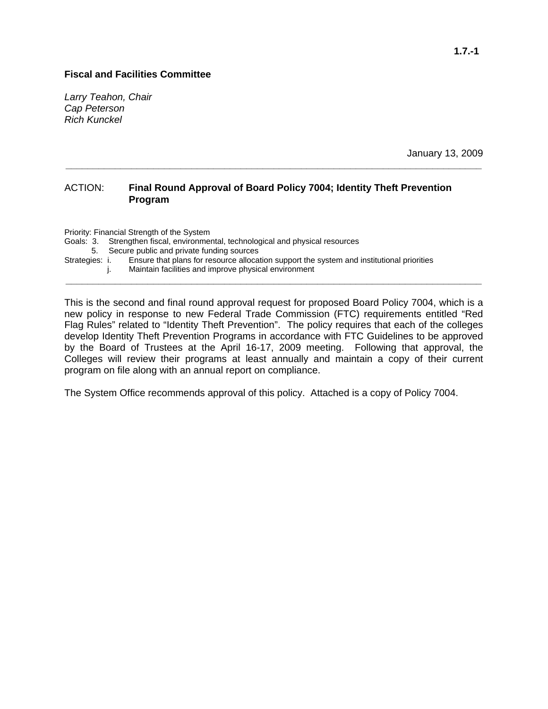## **Fiscal and Facilities Committee**

*Larry Teahon, Chair Cap Peterson Rich Kunckel* 

January 13, 2009

## ACTION: **Final Round Approval of Board Policy 7004; Identity Theft Prevention Program**

**\_\_\_\_\_\_\_\_\_\_\_\_\_\_\_\_\_\_\_\_\_\_\_\_\_\_\_\_\_\_\_\_\_\_\_\_\_\_\_\_\_\_\_\_\_\_\_\_\_\_\_\_\_\_\_\_\_\_\_\_\_\_\_\_\_\_\_\_\_\_\_\_\_\_\_\_** 

Priority: Financial Strength of the System Goals: 3. Strengthen fiscal, environmental, technological and physical resources 5. Secure public and private funding sources Strategies: i. Ensure that plans for resource allocation support the system and institutional priorities j. Maintain facilities and improve physical environment **\_\_\_\_\_\_\_\_\_\_\_\_\_\_\_\_\_\_\_\_\_\_\_\_\_\_\_\_\_\_\_\_\_\_\_\_\_\_\_\_\_\_\_\_\_\_\_\_\_\_\_\_\_\_\_\_\_\_\_\_\_\_\_\_\_\_\_\_\_\_\_\_\_\_\_\_** 

This is the second and final round approval request for proposed Board Policy 7004, which is a new policy in response to new Federal Trade Commission (FTC) requirements entitled "Red Flag Rules" related to "Identity Theft Prevention". The policy requires that each of the colleges develop Identity Theft Prevention Programs in accordance with FTC Guidelines to be approved by the Board of Trustees at the April 16-17, 2009 meeting. Following that approval, the Colleges will review their programs at least annually and maintain a copy of their current program on file along with an annual report on compliance.

The System Office recommends approval of this policy. Attached is a copy of Policy 7004.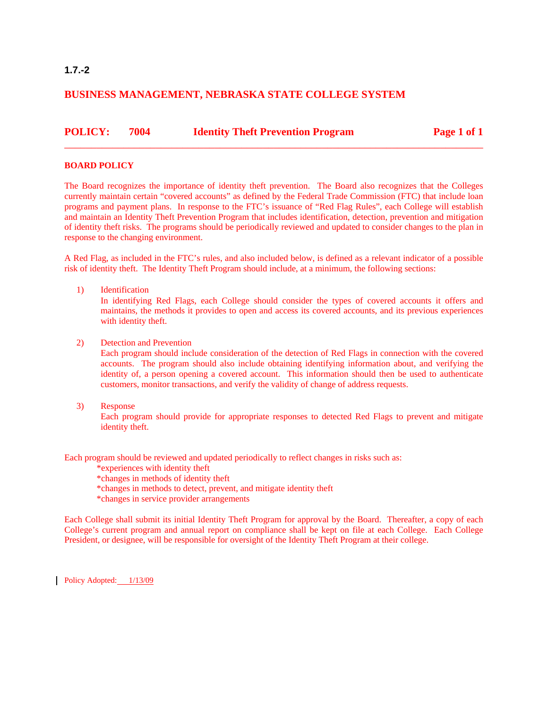## **BUSINESS MANAGEMENT, NEBRASKA STATE COLLEGE SYSTEM**

| <b>POLICY: 7004</b> | <b>Identity Theft Prevention Program</b> | Page 1 of 1 |
|---------------------|------------------------------------------|-------------|
|                     |                                          |             |

## **BOARD POLICY**

The Board recognizes the importance of identity theft prevention. The Board also recognizes that the Colleges currently maintain certain "covered accounts" as defined by the Federal Trade Commission (FTC) that include loan programs and payment plans. In response to the FTC's issuance of "Red Flag Rules", each College will establish and maintain an Identity Theft Prevention Program that includes identification, detection, prevention and mitigation of identity theft risks. The programs should be periodically reviewed and updated to consider changes to the plan in response to the changing environment.

A Red Flag, as included in the FTC's rules, and also included below, is defined as a relevant indicator of a possible risk of identity theft. The Identity Theft Program should include, at a minimum, the following sections:

1) Identification

In identifying Red Flags, each College should consider the types of covered accounts it offers and maintains, the methods it provides to open and access its covered accounts, and its previous experiences with identity theft.

2) Detection and Prevention

Each program should include consideration of the detection of Red Flags in connection with the covered accounts. The program should also include obtaining identifying information about, and verifying the identity of, a person opening a covered account. This information should then be used to authenticate customers, monitor transactions, and verify the validity of change of address requests.

3) Response

Each program should provide for appropriate responses to detected Red Flags to prevent and mitigate identity theft.

Each program should be reviewed and updated periodically to reflect changes in risks such as:

\*experiences with identity theft

- \*changes in methods of identity theft
- \*changes in methods to detect, prevent, and mitigate identity theft
- \*changes in service provider arrangements

Each College shall submit its initial Identity Theft Program for approval by the Board. Thereafter, a copy of each College's current program and annual report on compliance shall be kept on file at each College. Each College President, or designee, will be responsible for oversight of the Identity Theft Program at their college.

Policy Adopted: 1/13/09

## **1.7.-2**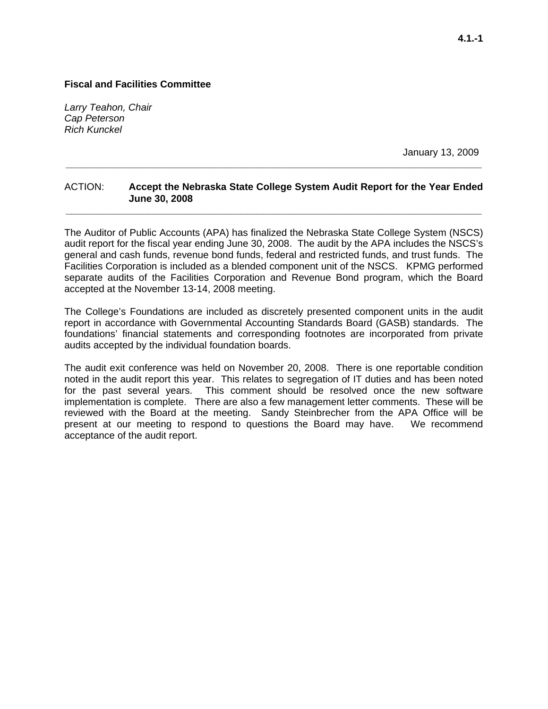*Larry Teahon, Chair Cap Peterson Rich Kunckel* 

January 13, 2009

## ACTION: **Accept the Nebraska State College System Audit Report for the Year Ended June 30, 2008 \_\_\_\_\_\_\_\_\_\_\_\_\_\_\_\_\_\_\_\_\_\_\_\_\_\_\_\_\_\_\_\_\_\_\_\_\_\_\_\_\_\_\_\_\_\_\_\_\_\_\_\_\_\_\_\_\_\_\_\_\_\_\_\_\_\_\_\_\_\_\_\_\_\_\_\_**

**\_\_\_\_\_\_\_\_\_\_\_\_\_\_\_\_\_\_\_\_\_\_\_\_\_\_\_\_\_\_\_\_\_\_\_\_\_\_\_\_\_\_\_\_\_\_\_\_\_\_\_\_\_\_\_\_\_\_\_\_\_\_\_\_\_\_\_\_\_\_\_\_\_\_\_\_** 

The Auditor of Public Accounts (APA) has finalized the Nebraska State College System (NSCS) audit report for the fiscal year ending June 30, 2008. The audit by the APA includes the NSCS's general and cash funds, revenue bond funds, federal and restricted funds, and trust funds. The Facilities Corporation is included as a blended component unit of the NSCS. KPMG performed separate audits of the Facilities Corporation and Revenue Bond program, which the Board accepted at the November 13-14, 2008 meeting.

The College's Foundations are included as discretely presented component units in the audit report in accordance with Governmental Accounting Standards Board (GASB) standards. The foundations' financial statements and corresponding footnotes are incorporated from private audits accepted by the individual foundation boards.

The audit exit conference was held on November 20, 2008. There is one reportable condition noted in the audit report this year. This relates to segregation of IT duties and has been noted for the past several years. This comment should be resolved once the new software implementation is complete. There are also a few management letter comments. These will be reviewed with the Board at the meeting. Sandy Steinbrecher from the APA Office will be present at our meeting to respond to questions the Board may have. We recommend acceptance of the audit report.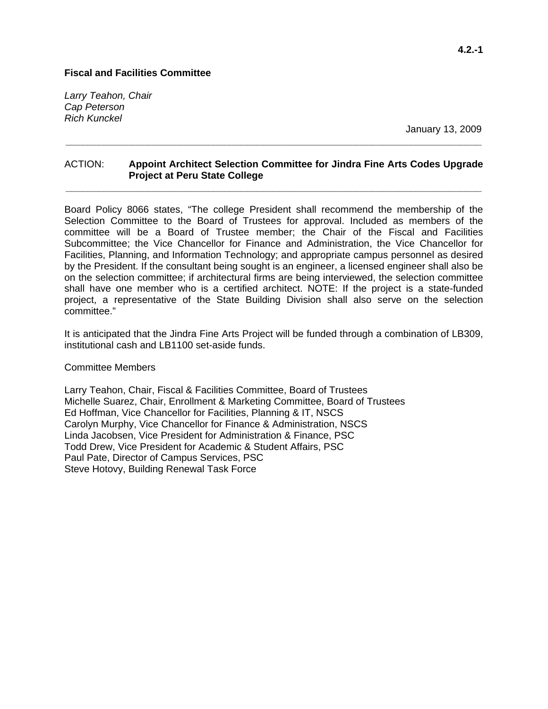*Larry Teahon, Chair Cap Peterson Rich Kunckel* 

January 13, 2009

## ACTION: **Appoint Architect Selection Committee for Jindra Fine Arts Codes Upgrade Project at Peru State College**

**\_\_\_\_\_\_\_\_\_\_\_\_\_\_\_\_\_\_\_\_\_\_\_\_\_\_\_\_\_\_\_\_\_\_\_\_\_\_\_\_\_\_\_\_\_\_\_\_\_\_\_\_\_\_\_\_\_\_\_\_\_\_\_\_\_\_\_\_\_\_\_\_\_\_\_\_** 

**\_\_\_\_\_\_\_\_\_\_\_\_\_\_\_\_\_\_\_\_\_\_\_\_\_\_\_\_\_\_\_\_\_\_\_\_\_\_\_\_\_\_\_\_\_\_\_\_\_\_\_\_\_\_\_\_\_\_\_\_\_\_\_\_\_\_\_\_\_\_\_\_\_\_\_\_** 

Board Policy 8066 states, "The college President shall recommend the membership of the Selection Committee to the Board of Trustees for approval. Included as members of the committee will be a Board of Trustee member; the Chair of the Fiscal and Facilities Subcommittee; the Vice Chancellor for Finance and Administration, the Vice Chancellor for Facilities, Planning, and Information Technology; and appropriate campus personnel as desired by the President. If the consultant being sought is an engineer, a licensed engineer shall also be on the selection committee; if architectural firms are being interviewed, the selection committee shall have one member who is a certified architect. NOTE: If the project is a state-funded project, a representative of the State Building Division shall also serve on the selection committee."

It is anticipated that the Jindra Fine Arts Project will be funded through a combination of LB309, institutional cash and LB1100 set-aside funds.

#### Committee Members

Larry Teahon, Chair, Fiscal & Facilities Committee, Board of Trustees Michelle Suarez, Chair, Enrollment & Marketing Committee, Board of Trustees Ed Hoffman, Vice Chancellor for Facilities, Planning & IT, NSCS Carolyn Murphy, Vice Chancellor for Finance & Administration, NSCS Linda Jacobsen, Vice President for Administration & Finance, PSC Todd Drew, Vice President for Academic & Student Affairs, PSC Paul Pate, Director of Campus Services, PSC Steve Hotovy, Building Renewal Task Force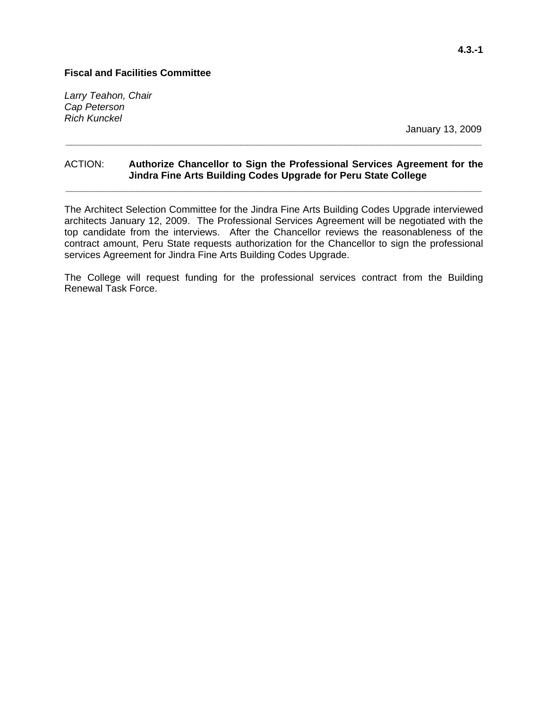*Larry Teahon, Chair Cap Peterson Rich Kunckel* 

January 13, 2009

## ACTION: **Authorize Chancellor to Sign the Professional Services Agreement for the Jindra Fine Arts Building Codes Upgrade for Peru State College \_\_\_\_\_\_\_\_\_\_\_\_\_\_\_\_\_\_\_\_\_\_\_\_\_\_\_\_\_\_\_\_\_\_\_\_\_\_\_\_\_\_\_\_\_\_\_\_\_\_\_\_\_\_\_\_\_\_\_\_\_\_\_\_\_\_\_\_\_\_\_\_\_\_\_\_**

**\_\_\_\_\_\_\_\_\_\_\_\_\_\_\_\_\_\_\_\_\_\_\_\_\_\_\_\_\_\_\_\_\_\_\_\_\_\_\_\_\_\_\_\_\_\_\_\_\_\_\_\_\_\_\_\_\_\_\_\_\_\_\_\_\_\_\_\_\_\_\_\_\_\_\_\_** 

The Architect Selection Committee for the Jindra Fine Arts Building Codes Upgrade interviewed architects January 12, 2009. The Professional Services Agreement will be negotiated with the top candidate from the interviews. After the Chancellor reviews the reasonableness of the contract amount, Peru State requests authorization for the Chancellor to sign the professional services Agreement for Jindra Fine Arts Building Codes Upgrade.

The College will request funding for the professional services contract from the Building Renewal Task Force.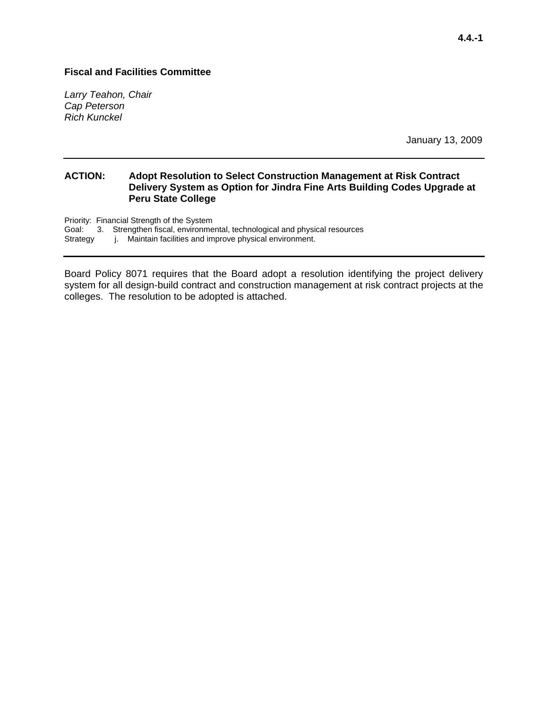*Larry Teahon, Chair Cap Peterson Rich Kunckel* 

January 13, 2009

#### **ACTION: Adopt Resolution to Select Construction Management at Risk Contract Delivery System as Option for Jindra Fine Arts Building Codes Upgrade at Peru State College**

Priority: Financial Strength of the System Goal: 3. Strengthen fiscal, environmental, technological and physical resources

Strategy j. Maintain facilities and improve physical environment.

Board Policy 8071 requires that the Board adopt a resolution identifying the project delivery system for all design-build contract and construction management at risk contract projects at the colleges. The resolution to be adopted is attached.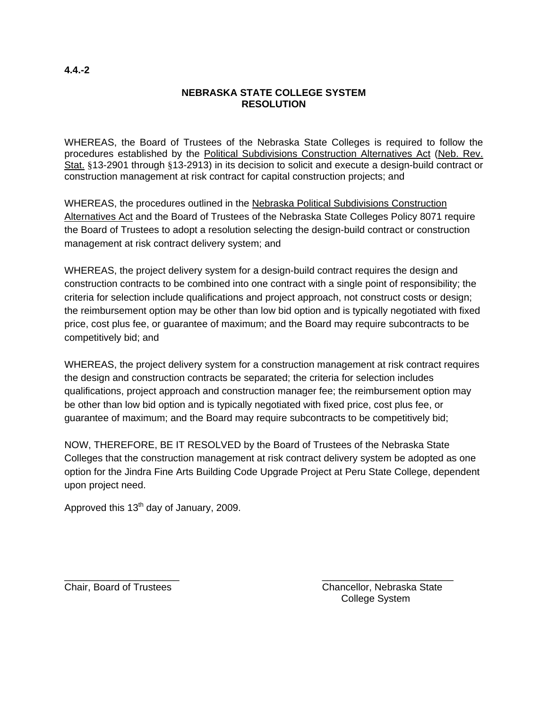## **NEBRASKA STATE COLLEGE SYSTEM RESOLUTION**

WHEREAS, the Board of Trustees of the Nebraska State Colleges is required to follow the procedures established by the Political Subdivisions Construction Alternatives Act (Neb. Rev. Stat. §13-2901 through §13-2913) in its decision to solicit and execute a design-build contract or construction management at risk contract for capital construction projects; and

WHEREAS, the procedures outlined in the Nebraska Political Subdivisions Construction Alternatives Act and the Board of Trustees of the Nebraska State Colleges Policy 8071 require the Board of Trustees to adopt a resolution selecting the design-build contract or construction management at risk contract delivery system; and

WHEREAS, the project delivery system for a design-build contract requires the design and construction contracts to be combined into one contract with a single point of responsibility; the criteria for selection include qualifications and project approach, not construct costs or design; the reimbursement option may be other than low bid option and is typically negotiated with fixed price, cost plus fee, or guarantee of maximum; and the Board may require subcontracts to be competitively bid; and

WHEREAS, the project delivery system for a construction management at risk contract requires the design and construction contracts be separated; the criteria for selection includes qualifications, project approach and construction manager fee; the reimbursement option may be other than low bid option and is typically negotiated with fixed price, cost plus fee, or guarantee of maximum; and the Board may require subcontracts to be competitively bid;

NOW, THEREFORE, BE IT RESOLVED by the Board of Trustees of the Nebraska State Colleges that the construction management at risk contract delivery system be adopted as one option for the Jindra Fine Arts Building Code Upgrade Project at Peru State College, dependent upon project need.

Approved this 13<sup>th</sup> day of January, 2009.

\_\_\_\_\_\_\_\_\_\_\_\_\_\_\_\_\_\_\_\_\_ \_\_\_\_\_\_\_\_\_\_\_\_\_\_\_\_\_\_\_\_\_\_\_\_ Chair, Board of Trustees Chancellor, Nebraska State College System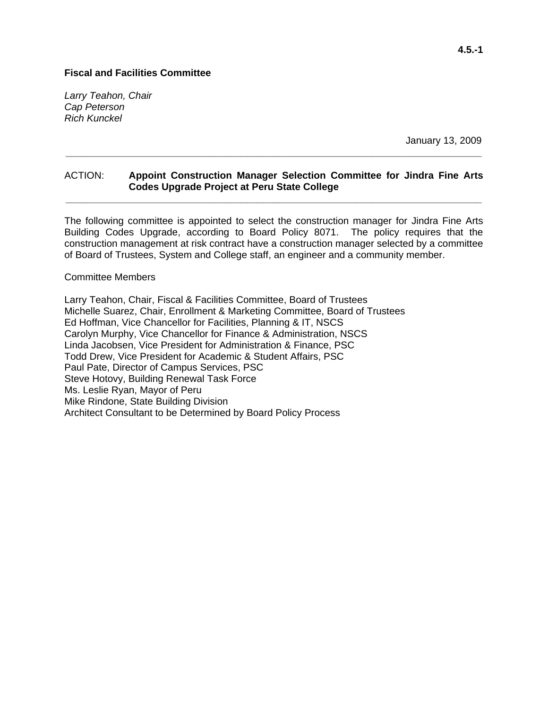*Larry Teahon, Chair Cap Peterson Rich Kunckel* 

January 13, 2009

### ACTION: **Appoint Construction Manager Selection Committee for Jindra Fine Arts Codes Upgrade Project at Peru State College \_\_\_\_\_\_\_\_\_\_\_\_\_\_\_\_\_\_\_\_\_\_\_\_\_\_\_\_\_\_\_\_\_\_\_\_\_\_\_\_\_\_\_\_\_\_\_\_\_\_\_\_\_\_\_\_\_\_\_\_\_\_\_\_\_\_\_\_\_\_\_\_\_\_\_\_**

**\_\_\_\_\_\_\_\_\_\_\_\_\_\_\_\_\_\_\_\_\_\_\_\_\_\_\_\_\_\_\_\_\_\_\_\_\_\_\_\_\_\_\_\_\_\_\_\_\_\_\_\_\_\_\_\_\_\_\_\_\_\_\_\_\_\_\_\_\_\_\_\_\_\_\_\_** 

The following committee is appointed to select the construction manager for Jindra Fine Arts Building Codes Upgrade, according to Board Policy 8071. The policy requires that the construction management at risk contract have a construction manager selected by a committee of Board of Trustees, System and College staff, an engineer and a community member.

#### Committee Members

Larry Teahon, Chair, Fiscal & Facilities Committee, Board of Trustees Michelle Suarez, Chair, Enrollment & Marketing Committee, Board of Trustees Ed Hoffman, Vice Chancellor for Facilities, Planning & IT, NSCS Carolyn Murphy, Vice Chancellor for Finance & Administration, NSCS Linda Jacobsen, Vice President for Administration & Finance, PSC Todd Drew, Vice President for Academic & Student Affairs, PSC Paul Pate, Director of Campus Services, PSC Steve Hotovy, Building Renewal Task Force Ms. Leslie Ryan, Mayor of Peru Mike Rindone, State Building Division Architect Consultant to be Determined by Board Policy Process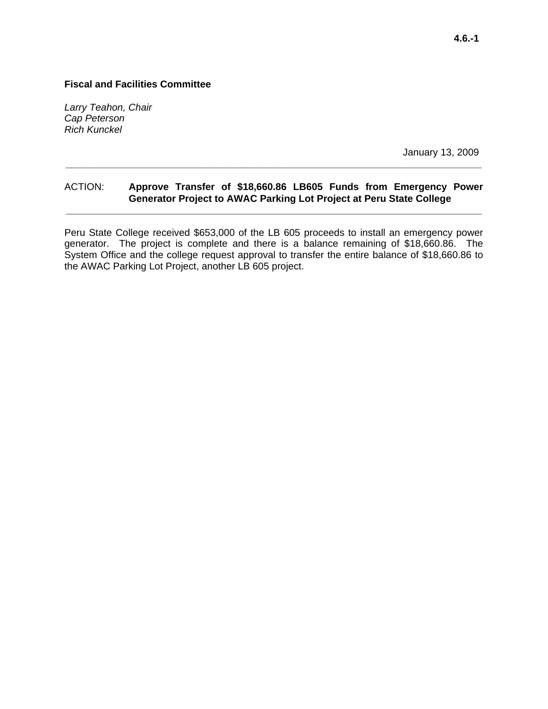*Larry Teahon, Chair Cap Peterson Rich Kunckel* 

January 13, 2009

## ACTION: **Approve Transfer of \$18,660.86 LB605 Funds from Emergency Power Generator Project to AWAC Parking Lot Project at Peru State College**

**\_\_\_\_\_\_\_\_\_\_\_\_\_\_\_\_\_\_\_\_\_\_\_\_\_\_\_\_\_\_\_\_\_\_\_\_\_\_\_\_\_\_\_\_\_\_\_\_\_\_\_\_\_\_\_\_\_\_\_\_\_\_\_\_\_\_\_\_\_\_\_\_\_\_\_\_** 

**\_\_\_\_\_\_\_\_\_\_\_\_\_\_\_\_\_\_\_\_\_\_\_\_\_\_\_\_\_\_\_\_\_\_\_\_\_\_\_\_\_\_\_\_\_\_\_\_\_\_\_\_\_\_\_\_\_\_\_\_\_\_\_\_\_\_\_\_\_\_\_\_\_\_\_\_** 

Peru State College received \$653,000 of the LB 605 proceeds to install an emergency power generator. The project is complete and there is a balance remaining of \$18,660.86. The System Office and the college request approval to transfer the entire balance of \$18,660.86 to the AWAC Parking Lot Project, another LB 605 project.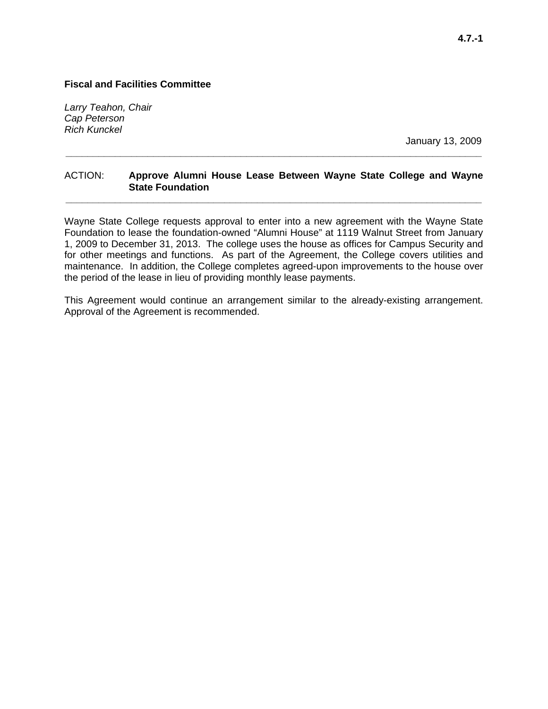*Larry Teahon, Chair Cap Peterson Rich Kunckel* 

January 13, 2009

### ACTION: **Approve Alumni House Lease Between Wayne State College and Wayne State Foundation \_\_\_\_\_\_\_\_\_\_\_\_\_\_\_\_\_\_\_\_\_\_\_\_\_\_\_\_\_\_\_\_\_\_\_\_\_\_\_\_\_\_\_\_\_\_\_\_\_\_\_\_\_\_\_\_\_\_\_\_\_\_\_\_\_\_\_\_\_\_\_\_\_\_\_\_**

**\_\_\_\_\_\_\_\_\_\_\_\_\_\_\_\_\_\_\_\_\_\_\_\_\_\_\_\_\_\_\_\_\_\_\_\_\_\_\_\_\_\_\_\_\_\_\_\_\_\_\_\_\_\_\_\_\_\_\_\_\_\_\_\_\_\_\_\_\_\_\_\_\_\_\_\_** 

Wayne State College requests approval to enter into a new agreement with the Wayne State Foundation to lease the foundation-owned "Alumni House" at 1119 Walnut Street from January 1, 2009 to December 31, 2013. The college uses the house as offices for Campus Security and for other meetings and functions. As part of the Agreement, the College covers utilities and maintenance. In addition, the College completes agreed-upon improvements to the house over the period of the lease in lieu of providing monthly lease payments.

This Agreement would continue an arrangement similar to the already-existing arrangement. Approval of the Agreement is recommended.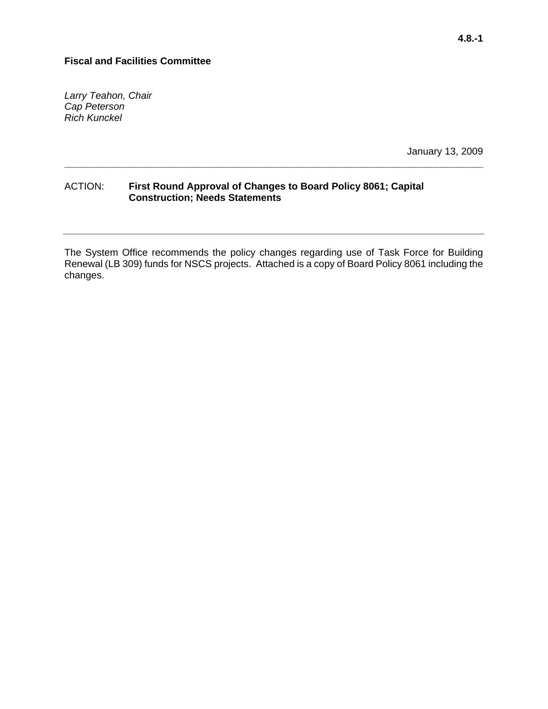*Larry Teahon, Chair Cap Peterson Rich Kunckel* 

January 13, 2009

### ACTION: **First Round Approval of Changes to Board Policy 8061; Capital Construction; Needs Statements**

The System Office recommends the policy changes regarding use of Task Force for Building Renewal (LB 309) funds for NSCS projects. Attached is a copy of Board Policy 8061 including the changes.

**\_\_\_\_\_\_\_\_\_\_\_\_\_\_\_\_\_\_\_\_\_\_\_\_\_\_\_\_\_\_\_\_\_\_\_\_\_\_\_\_\_\_\_\_\_\_\_\_\_\_\_\_\_\_\_\_\_\_\_\_\_\_\_\_\_\_\_\_\_\_\_\_\_\_\_\_\_** 

**\_\_\_\_\_\_\_\_\_\_\_\_\_\_\_\_\_\_\_\_\_\_\_\_\_\_\_\_\_\_\_\_\_\_\_\_\_\_\_\_\_\_\_\_\_\_\_\_\_\_\_\_\_\_\_\_\_\_\_\_\_\_\_\_\_\_\_\_\_\_\_\_\_\_\_\_\_\_\_**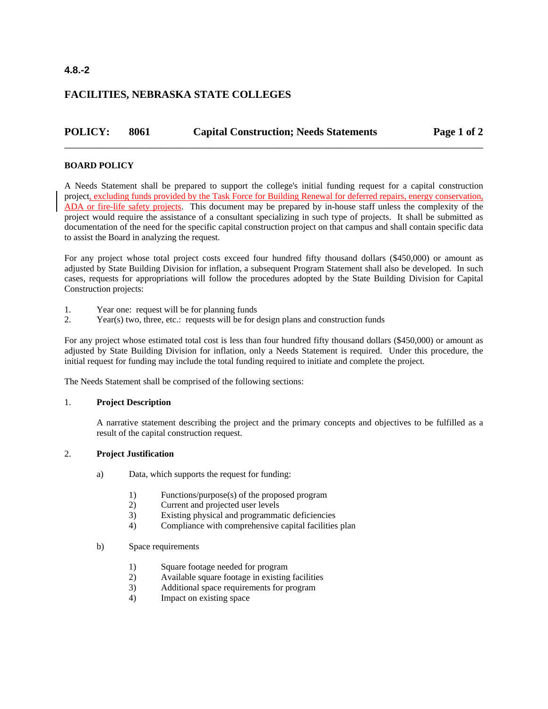### **4.8.-2**

## **FACILITIES, NEBRASKA STATE COLLEGES**

# **POLICY: 8061 Capital Construction; Needs Statements Page 1 of 2** \_\_\_\_\_\_\_\_\_\_\_\_\_\_\_\_\_\_\_\_\_\_\_\_\_\_\_\_\_\_\_\_\_\_\_\_\_\_\_\_\_\_\_\_\_\_\_\_\_\_\_\_\_\_\_\_\_\_\_\_\_\_\_\_\_\_\_\_\_\_\_\_\_\_\_\_\_\_

#### **BOARD POLICY**

A Needs Statement shall be prepared to support the college's initial funding request for a capital construction project, excluding funds provided by the Task Force for Building Renewal for deferred repairs, energy conservation, ADA or fire-life safety projects. This document may be prepared by in-house staff unless the complexity of the project would require the assistance of a consultant specializing in such type of projects. It shall be submitted as documentation of the need for the specific capital construction project on that campus and shall contain specific data to assist the Board in analyzing the request.

For any project whose total project costs exceed four hundred fifty thousand dollars (\$450,000) or amount as adjusted by State Building Division for inflation, a subsequent Program Statement shall also be developed. In such cases, requests for appropriations will follow the procedures adopted by the State Building Division for Capital Construction projects:

- 1. Year one: request will be for planning funds
- 2. Year(s) two, three, etc.: requests will be for design plans and construction funds

For any project whose estimated total cost is less than four hundred fifty thousand dollars (\$450,000) or amount as adjusted by State Building Division for inflation, only a Needs Statement is required. Under this procedure, the initial request for funding may include the total funding required to initiate and complete the project.

The Needs Statement shall be comprised of the following sections:

#### 1. **Project Description**

A narrative statement describing the project and the primary concepts and objectives to be fulfilled as a result of the capital construction request.

#### 2. **Project Justification**

- a) Data, which supports the request for funding:
	- 1) Functions/purpose(s) of the proposed program
	- 2) Current and projected user levels
	- 3) Existing physical and programmatic deficiencies
	- 4) Compliance with comprehensive capital facilities plan
- b) Space requirements
	- 1) Square footage needed for program
	- 2) Available square footage in existing facilities
	- 3) Additional space requirements for program
	- 4) Impact on existing space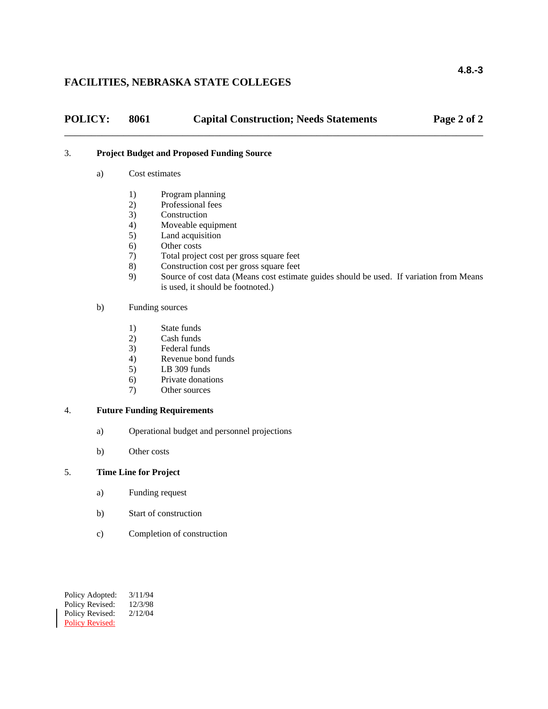## **FACILITIES, NEBRASKA STATE COLLEGES**

| <b>POLICY:</b> | 8061           | <b>Capital Construction; Needs Statements</b>     | Page 2 of 2 |
|----------------|----------------|---------------------------------------------------|-------------|
|                |                | <b>Project Budget and Proposed Funding Source</b> |             |
| a)             | Cost estimates |                                                   |             |

- 1) Program planning
- 2) Professional fees
- 3) Construction
- 4) Moveable equipment
- 5) Land acquisition
- 6) Other costs<br>7) Total projec
- 7) Total project cost per gross square feet
- 8) Construction cost per gross square feet
- 9) Source of cost data (Means cost estimate guides should be used. If variation from Means is used, it should be footnoted.)

#### b) Funding sources

- 1) State funds
- 2) Cash funds
- 3) Federal funds
- 4) Revenue bond funds
- 5) LB 309 funds
- 6) Private donations
- 7) Other sources

#### 4. **Future Funding Requirements**

- a) Operational budget and personnel projections
- b) Other costs

#### 5. **Time Line for Project**

- a) Funding request
- b) Start of construction
- c) Completion of construction

Policy Adopted: 3/11/94 Policy Revised: 12/3/98 Policy Revised:  $2/12/04$ Policy Revised: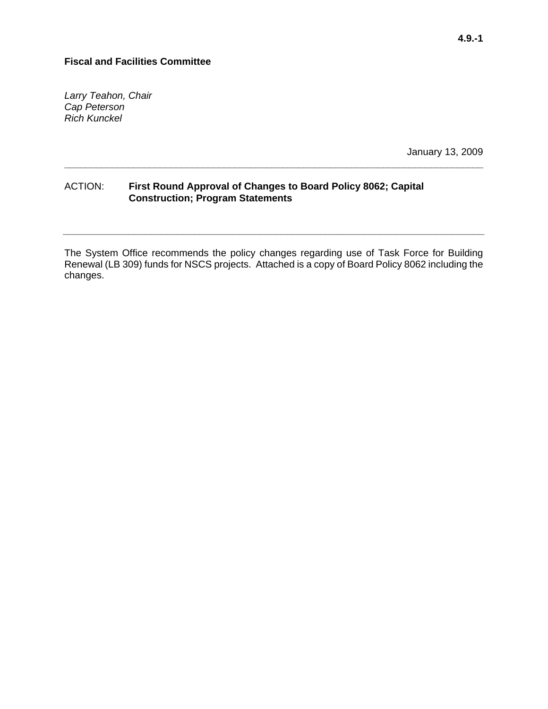*Larry Teahon, Chair Cap Peterson Rich Kunckel* 

January 13, 2009

### ACTION: **First Round Approval of Changes to Board Policy 8062; Capital Construction; Program Statements**

The System Office recommends the policy changes regarding use of Task Force for Building Renewal (LB 309) funds for NSCS projects. Attached is a copy of Board Policy 8062 including the changes.

**\_\_\_\_\_\_\_\_\_\_\_\_\_\_\_\_\_\_\_\_\_\_\_\_\_\_\_\_\_\_\_\_\_\_\_\_\_\_\_\_\_\_\_\_\_\_\_\_\_\_\_\_\_\_\_\_\_\_\_\_\_\_\_\_\_\_\_\_\_\_\_\_\_\_\_\_\_** 

**\_\_\_\_\_\_\_\_\_\_\_\_\_\_\_\_\_\_\_\_\_\_\_\_\_\_\_\_\_\_\_\_\_\_\_\_\_\_\_\_\_\_\_\_\_\_\_\_\_\_\_\_\_\_\_\_\_\_\_\_\_\_\_\_\_\_\_\_\_\_\_\_\_\_\_\_\_\_\_**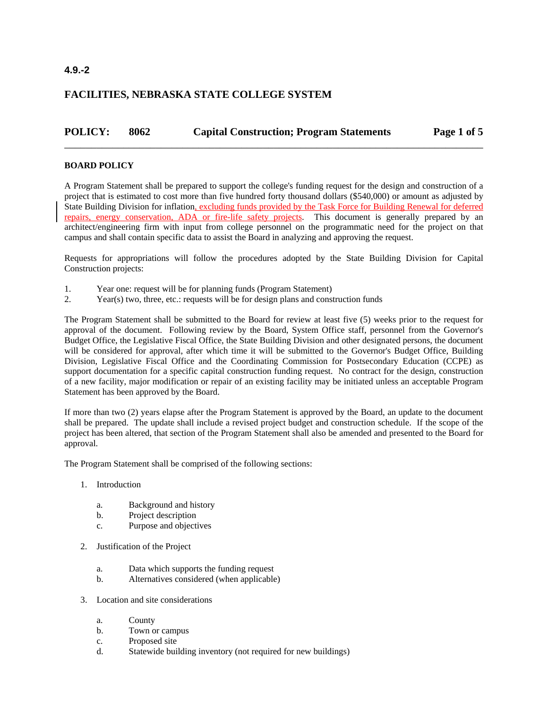## **4.9.-2**

## **FACILITIES, NEBRASKA STATE COLLEGE SYSTEM**

# **POLICY: 8062 Capital Construction; Program Statements Page 1 of 5** \_\_\_\_\_\_\_\_\_\_\_\_\_\_\_\_\_\_\_\_\_\_\_\_\_\_\_\_\_\_\_\_\_\_\_\_\_\_\_\_\_\_\_\_\_\_\_\_\_\_\_\_\_\_\_\_\_\_\_\_\_\_\_\_\_\_\_\_\_\_\_\_\_\_\_\_\_\_

#### **BOARD POLICY**

A Program Statement shall be prepared to support the college's funding request for the design and construction of a project that is estimated to cost more than five hundred forty thousand dollars (\$540,000) or amount as adjusted by State Building Division for inflation, excluding funds provided by the Task Force for Building Renewal for deferred repairs, energy conservation, ADA or fire-life safety projects. This document is generally prepared by an architect/engineering firm with input from college personnel on the programmatic need for the project on that campus and shall contain specific data to assist the Board in analyzing and approving the request.

Requests for appropriations will follow the procedures adopted by the State Building Division for Capital Construction projects:

- 1. Year one: request will be for planning funds (Program Statement)
- 2. Year(s) two, three, etc.: requests will be for design plans and construction funds

The Program Statement shall be submitted to the Board for review at least five (5) weeks prior to the request for approval of the document. Following review by the Board, System Office staff, personnel from the Governor's Budget Office, the Legislative Fiscal Office, the State Building Division and other designated persons, the document will be considered for approval, after which time it will be submitted to the Governor's Budget Office, Building Division, Legislative Fiscal Office and the Coordinating Commission for Postsecondary Education (CCPE) as support documentation for a specific capital construction funding request. No contract for the design, construction of a new facility, major modification or repair of an existing facility may be initiated unless an acceptable Program Statement has been approved by the Board.

If more than two (2) years elapse after the Program Statement is approved by the Board, an update to the document shall be prepared. The update shall include a revised project budget and construction schedule. If the scope of the project has been altered, that section of the Program Statement shall also be amended and presented to the Board for approval.

The Program Statement shall be comprised of the following sections:

- 1. Introduction
	- a. Background and history
	- b. Project description
	- c. Purpose and objectives
- 2. Justification of the Project
	- a. Data which supports the funding request
	- b. Alternatives considered (when applicable)
- 3. Location and site considerations
	- a. County
	- b. Town or campus
	- c. Proposed site
	- d. Statewide building inventory (not required for new buildings)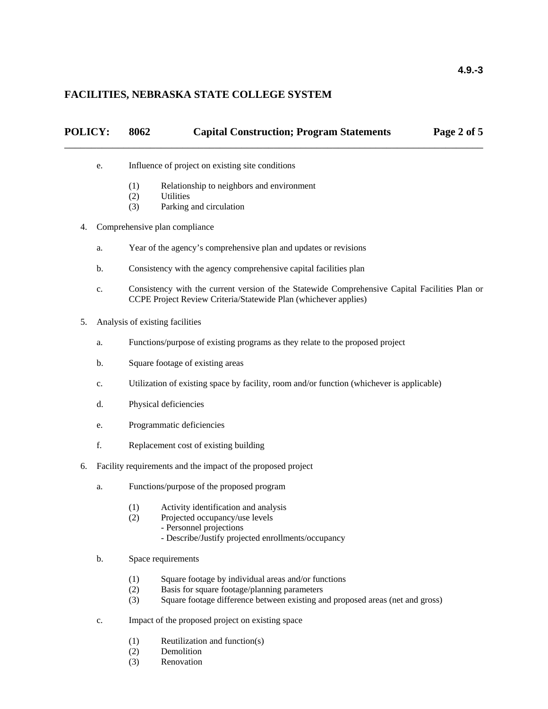### **FACILITIES, NEBRASKA STATE COLLEGE SYSTEM**

| POLICY: | 8062<br><b>Capital Construction; Program Statements</b><br>Page 2 of 5                                                                                            |
|---------|-------------------------------------------------------------------------------------------------------------------------------------------------------------------|
| e.      | Influence of project on existing site conditions                                                                                                                  |
|         | (1)<br>Relationship to neighbors and environment                                                                                                                  |
|         | <b>Utilities</b><br>(2)<br>Parking and circulation<br>(3)                                                                                                         |
| 4.      | Comprehensive plan compliance                                                                                                                                     |
| a.      | Year of the agency's comprehensive plan and updates or revisions                                                                                                  |
| b.      | Consistency with the agency comprehensive capital facilities plan                                                                                                 |
| c.      | Consistency with the current version of the Statewide Comprehensive Capital Facilities Plan or<br>CCPE Project Review Criteria/Statewide Plan (whichever applies) |
| 5.      | Analysis of existing facilities                                                                                                                                   |
| a.      | Functions/purpose of existing programs as they relate to the proposed project                                                                                     |
| b.      | Square footage of existing areas                                                                                                                                  |
| c.      | Utilization of existing space by facility, room and/or function (whichever is applicable)                                                                         |
| d.      | Physical deficiencies                                                                                                                                             |
| e.      | Programmatic deficiencies                                                                                                                                         |
|         |                                                                                                                                                                   |

- f. Replacement cost of existing building
- 6. Facility requirements and the impact of the proposed project
	- a. Functions/purpose of the proposed program
		- (1) Activity identification and analysis
		- (2) Projected occupancy/use levels
			- Personnel projections
				- Describe/Justify projected enrollments/occupancy
	- b. Space requirements
		- (1) Square footage by individual areas and/or functions
		- (2) Basis for square footage/planning parameters
		- (3) Square footage difference between existing and proposed areas (net and gross)
	- c. Impact of the proposed project on existing space
		- (1) Reutilization and function(s)<br>(2) Demolition
		- **Demolition**
		- (3) Renovation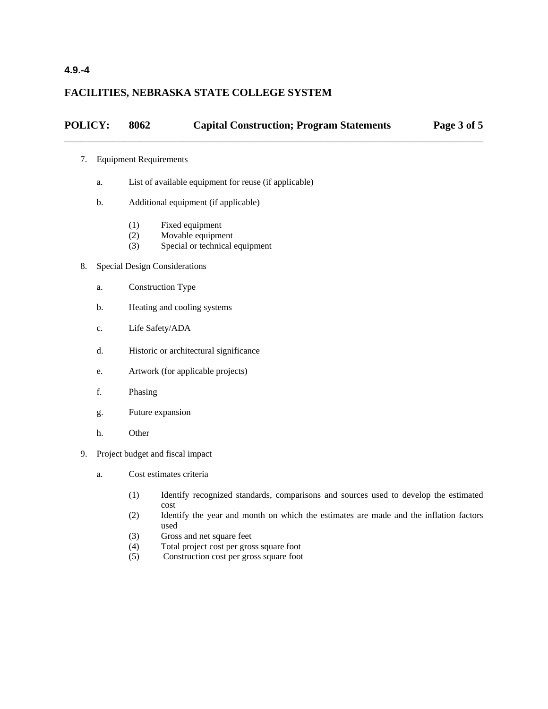## **4.9.-4**

### **FACILITIES, NEBRASKA STATE COLLEGE SYSTEM**

# **POLICY: 8062 Capital Construction; Program Statements Page 3 of 5** \_\_\_\_\_\_\_\_\_\_\_\_\_\_\_\_\_\_\_\_\_\_\_\_\_\_\_\_\_\_\_\_\_\_\_\_\_\_\_\_\_\_\_\_\_\_\_\_\_\_\_\_\_\_\_\_\_\_\_\_\_\_\_\_\_\_\_\_\_\_\_\_\_\_\_\_\_\_

#### 7. Equipment Requirements

- a. List of available equipment for reuse (if applicable)
- b. Additional equipment (if applicable)
	- (1) Fixed equipment
	- (2) Movable equipment
	- (3) Special or technical equipment

#### 8. Special Design Considerations

- a. Construction Type
- b. Heating and cooling systems
- c. Life Safety/ADA
- d. Historic or architectural significance
- e. Artwork (for applicable projects)
- f. Phasing
- g. Future expansion
- h. Other
- 9. Project budget and fiscal impact
	- a. Cost estimates criteria
		- (1) Identify recognized standards, comparisons and sources used to develop the estimated cost
		- (2) Identify the year and month on which the estimates are made and the inflation factors used
		- (3) Gross and net square feet
		- (4) Total project cost per gross square foot
		- (5) Construction cost per gross square foot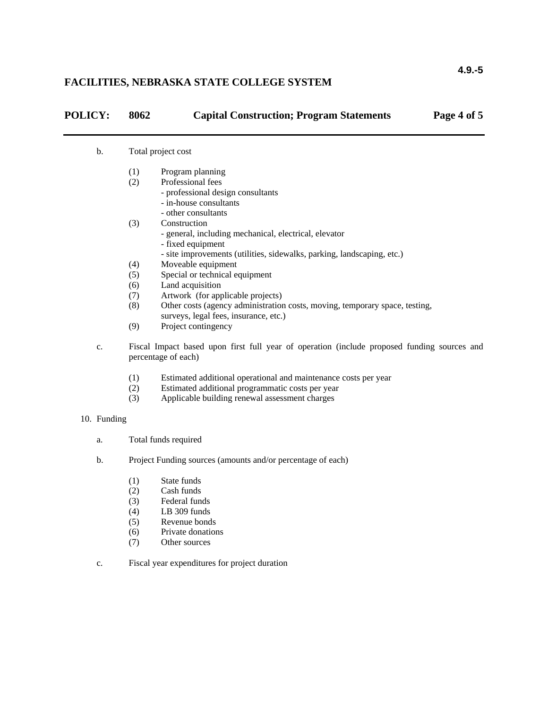## **FACILITIES, NEBRASKA STATE COLLEGE SYSTEM**

| <b>POLICY:</b> | 8062 | <b>Capital Construction; Program Statements</b> | Page 4 of 5 |
|----------------|------|-------------------------------------------------|-------------|
|                |      |                                                 |             |

#### b. Total project cost

- (1) Program planning
- (2) Professional fees
	- professional design consultants
	- in-house consultants
	- other consultants
- (3) Construction
	- general, including mechanical, electrical, elevator
	- fixed equipment
	- site improvements (utilities, sidewalks, parking, landscaping, etc.)
- (4) Moveable equipment
- (5) Special or technical equipment
- (6) Land acquisition
- (7) Artwork (for applicable projects)
- (8) Other costs (agency administration costs, moving, temporary space, testing, surveys, legal fees, insurance, etc.)
- (9) Project contingency
- c. Fiscal Impact based upon first full year of operation (include proposed funding sources and percentage of each)
	- (1) Estimated additional operational and maintenance costs per year
	- (2) Estimated additional programmatic costs per year
	- (3) Applicable building renewal assessment charges

#### 10. Funding

- a. Total funds required
- b. Project Funding sources (amounts and/or percentage of each)
	- (1) State funds
	- (2) Cash funds
	- (3) Federal funds
	- (4) LB 309 funds
	- (5) Revenue bonds
	- (6) Private donations
	- (7) Other sources
- c. Fiscal year expenditures for project duration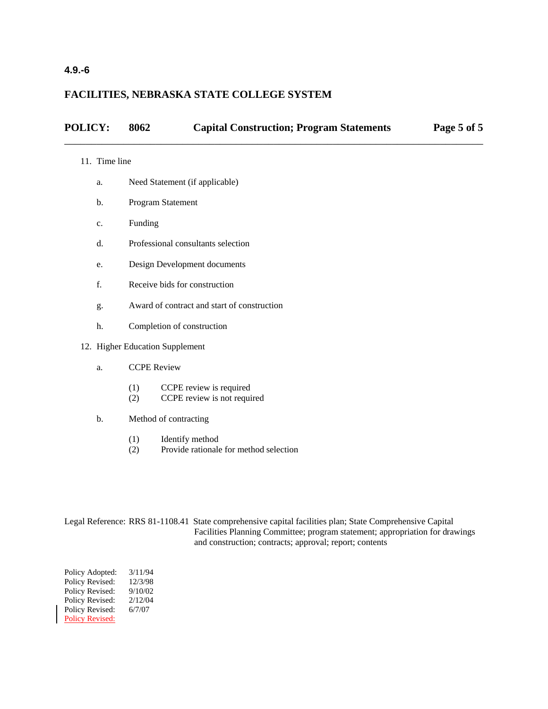# **4.9.-6**

## **FACILITIES, NEBRASKA STATE COLLEGE SYSTEM**

| <b>POLICY:</b> | 8062 | <b>Capital Construction; Program Statements</b> | Page 5 of 5 |
|----------------|------|-------------------------------------------------|-------------|
|                |      |                                                 |             |

#### 11. Time line

- a. Need Statement (if applicable)
- b. Program Statement
- c. Funding
- d. Professional consultants selection
- e. Design Development documents
- f. Receive bids for construction
- g. Award of contract and start of construction
- h. Completion of construction
- 12. Higher Education Supplement
	- a. CCPE Review
		- (1) CCPE review is required
		- (2) CCPE review is not required
	- b. Method of contracting
		- (1) Identify method
		- (2) Provide rationale for method selection

| Legal Reference: RRS 81-1108.41 State comprehensive capital facilities plan; State Comprehensive Capital |
|----------------------------------------------------------------------------------------------------------|
| Facilities Planning Committee; program statement; appropriation for drawings                             |
| and construction; contracts; approval; report; contents                                                  |

Policy Adopted: 3/11/94 Policy Revised: 12/3/98 Policy Revised: 9/10/02 Policy Revised:  $2/12/04$ Policy Revised: 6/7/07 Policy Revised: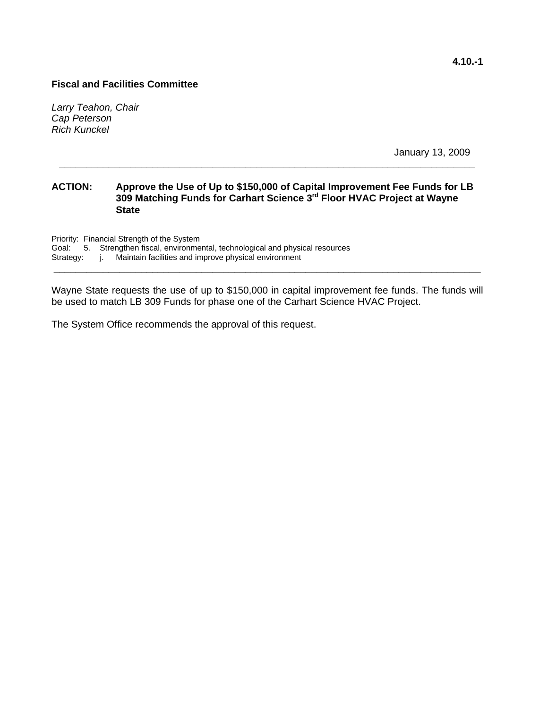*Larry Teahon, Chair Cap Peterson Rich Kunckel* 

January 13, 2009

### **ACTION: Approve the Use of Up to \$150,000 of Capital Improvement Fee Funds for LB 309 Matching Funds for Carhart Science 3rd Floor HVAC Project at Wayne State**

**\_\_\_\_\_\_\_\_\_\_\_\_\_\_\_\_\_\_\_\_\_\_\_\_\_\_\_\_\_\_\_\_\_\_\_\_\_\_\_\_\_\_\_\_\_\_\_\_\_\_\_\_\_\_\_\_\_\_\_\_\_\_\_\_\_\_\_\_\_\_\_\_\_\_\_\_** 

Priority: Financial Strength of the System

Goal: 5. Strengthen fiscal, environmental, technological and physical resources

Strategy: j. Maintain facilities and improve physical environment **\_\_\_\_\_\_\_\_\_\_\_\_\_\_\_\_\_\_\_\_\_\_\_\_\_\_\_\_\_\_\_\_\_\_\_\_\_\_\_\_\_\_\_\_\_\_\_\_\_\_\_\_\_\_\_\_\_\_\_\_\_\_\_\_\_\_\_\_\_\_\_\_\_\_\_\_\_\_** 

Wayne State requests the use of up to \$150,000 in capital improvement fee funds. The funds will be used to match LB 309 Funds for phase one of the Carhart Science HVAC Project.

The System Office recommends the approval of this request.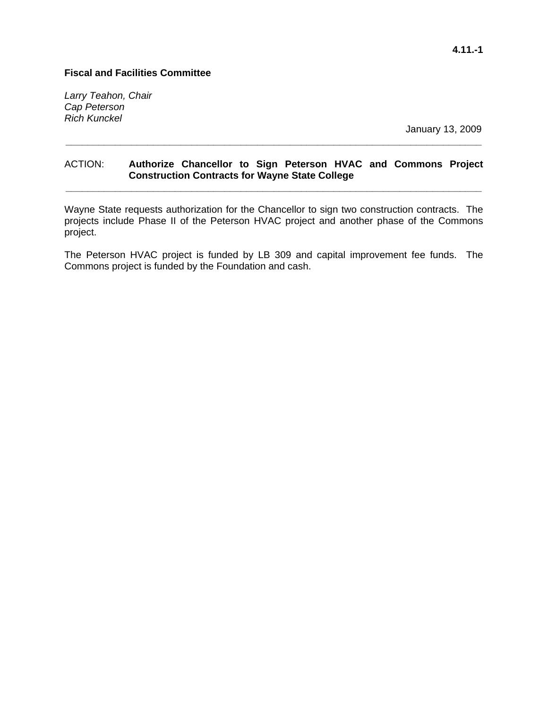*Larry Teahon, Chair Cap Peterson Rich Kunckel* 

January 13, 2009

## ACTION: **Authorize Chancellor to Sign Peterson HVAC and Commons Project Construction Contracts for Wayne State College**

**\_\_\_\_\_\_\_\_\_\_\_\_\_\_\_\_\_\_\_\_\_\_\_\_\_\_\_\_\_\_\_\_\_\_\_\_\_\_\_\_\_\_\_\_\_\_\_\_\_\_\_\_\_\_\_\_\_\_\_\_\_\_\_\_\_\_\_\_\_\_\_\_\_\_\_\_** 

**\_\_\_\_\_\_\_\_\_\_\_\_\_\_\_\_\_\_\_\_\_\_\_\_\_\_\_\_\_\_\_\_\_\_\_\_\_\_\_\_\_\_\_\_\_\_\_\_\_\_\_\_\_\_\_\_\_\_\_\_\_\_\_\_\_\_\_\_\_\_\_\_\_\_\_\_** 

Wayne State requests authorization for the Chancellor to sign two construction contracts. The projects include Phase II of the Peterson HVAC project and another phase of the Commons project.

The Peterson HVAC project is funded by LB 309 and capital improvement fee funds. The Commons project is funded by the Foundation and cash.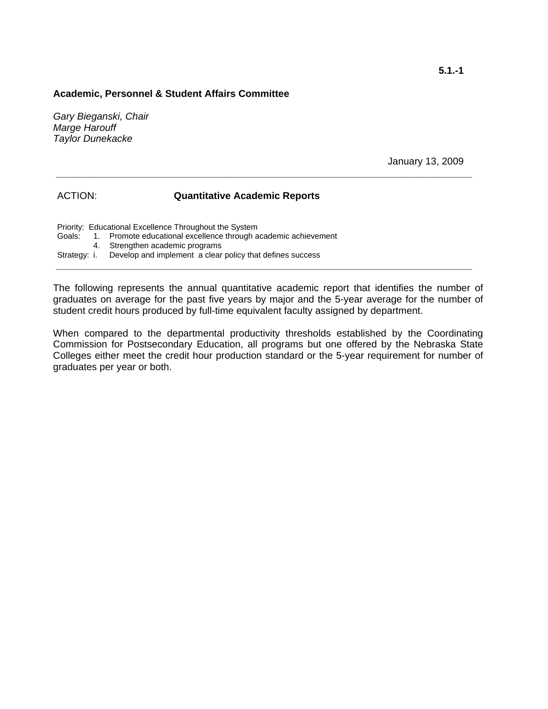#### **Academic, Personnel & Student Affairs Committee**

*Gary Bieganski, Chair Marge Harouff Taylor Dunekacke*

January 13, 2009

#### ACTION: **Quantitative Academic Reports**

Priority: Educational Excellence Throughout the System Goals: 1. Promote educational excellence through academic achievement 4. Strengthen academic programs Strategy: i. Develop and implement a clear policy that defines success **\_\_\_\_\_\_\_\_\_\_\_\_\_\_\_\_\_\_\_\_\_\_\_\_\_\_\_\_\_\_\_\_\_\_\_\_\_\_\_\_\_\_\_\_\_\_\_\_\_\_\_\_\_\_\_\_\_\_\_\_\_\_\_\_\_\_\_\_\_\_\_\_\_\_\_\_** 

The following represents the annual quantitative academic report that identifies the number of graduates on average for the past five years by major and the 5-year average for the number of student credit hours produced by full-time equivalent faculty assigned by department.

**\_\_\_\_\_\_\_\_\_\_\_\_\_\_\_\_\_\_\_\_\_\_\_\_\_\_\_\_\_\_\_\_\_\_\_\_\_\_\_\_\_\_\_\_\_\_\_\_\_\_\_\_\_\_\_\_\_\_\_\_\_\_\_\_\_\_\_\_\_\_\_\_\_\_\_\_** 

When compared to the departmental productivity thresholds established by the Coordinating Commission for Postsecondary Education, all programs but one offered by the Nebraska State Colleges either meet the credit hour production standard or the 5-year requirement for number of graduates per year or both.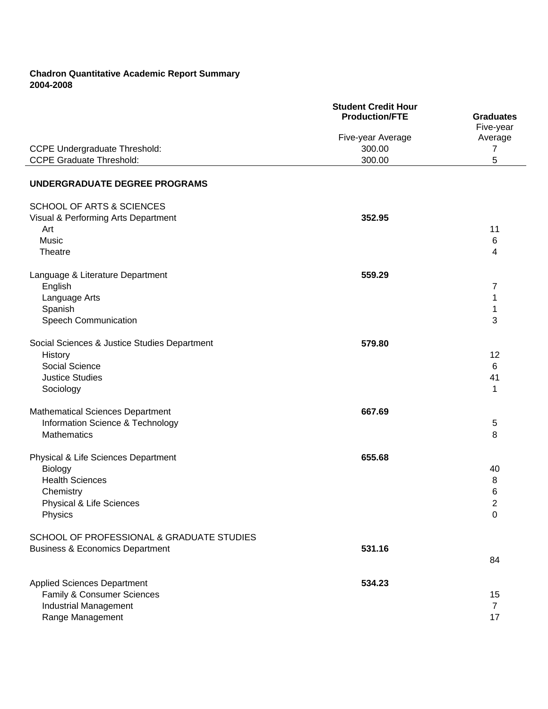## **Chadron Quantitative Academic Report Summary 2004-2008**

|                                              | <b>Student Credit Hour</b><br><b>Production/FTE</b> |                               |
|----------------------------------------------|-----------------------------------------------------|-------------------------------|
|                                              |                                                     | <b>Graduates</b><br>Five-year |
|                                              | Five-year Average                                   | Average                       |
| <b>CCPE Undergraduate Threshold:</b>         | 300.00                                              | $\overline{7}$                |
| <b>CCPE Graduate Threshold:</b>              | 300.00                                              | 5                             |
|                                              |                                                     |                               |
| UNDERGRADUATE DEGREE PROGRAMS                |                                                     |                               |
| <b>SCHOOL OF ARTS &amp; SCIENCES</b>         |                                                     |                               |
| Visual & Performing Arts Department          | 352.95                                              |                               |
| Art                                          |                                                     | 11                            |
| Music                                        |                                                     | $\,6$                         |
| Theatre                                      |                                                     | 4                             |
| Language & Literature Department             | 559.29                                              |                               |
| English                                      |                                                     | 7                             |
| Language Arts                                |                                                     | 1                             |
| Spanish                                      |                                                     | 1                             |
| Speech Communication                         |                                                     | 3                             |
|                                              |                                                     |                               |
| Social Sciences & Justice Studies Department | 579.80                                              |                               |
| History                                      |                                                     | 12                            |
| Social Science                               |                                                     | 6                             |
| <b>Justice Studies</b>                       |                                                     | 41                            |
| Sociology                                    |                                                     | 1                             |
|                                              |                                                     |                               |
| Mathematical Sciences Department             | 667.69                                              |                               |
| Information Science & Technology             |                                                     | 5                             |
| <b>Mathematics</b>                           |                                                     | 8                             |
| Physical & Life Sciences Department          | 655.68                                              |                               |
| Biology                                      |                                                     | 40                            |
| <b>Health Sciences</b>                       |                                                     | 8                             |
| Chemistry                                    |                                                     | 6                             |
| Physical & Life Sciences                     |                                                     | າ<br>ے                        |
| Physics                                      |                                                     | 0                             |
|                                              |                                                     |                               |
| SCHOOL OF PROFESSIONAL & GRADUATE STUDIES    |                                                     |                               |
| <b>Business &amp; Economics Department</b>   | 531.16                                              |                               |
|                                              |                                                     | 84                            |
|                                              |                                                     |                               |
| <b>Applied Sciences Department</b>           | 534.23                                              |                               |
| Family & Consumer Sciences                   |                                                     | 15                            |
| <b>Industrial Management</b>                 |                                                     | $\overline{7}$                |
| Range Management                             |                                                     | 17                            |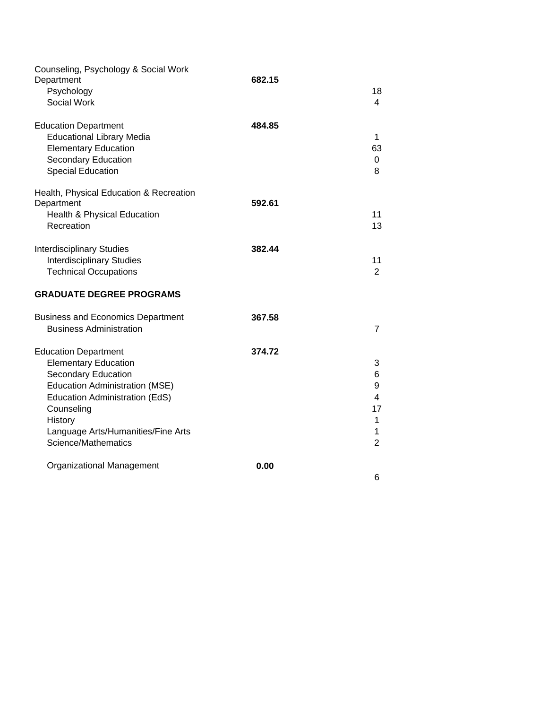| Counseling, Psychology & Social Work<br>Department<br>Psychology<br>Social Work                                                                                                                                                                    | 682.15 | 18<br>$\overline{4}$                                                                  |
|----------------------------------------------------------------------------------------------------------------------------------------------------------------------------------------------------------------------------------------------------|--------|---------------------------------------------------------------------------------------|
| <b>Education Department</b><br><b>Educational Library Media</b><br><b>Elementary Education</b><br><b>Secondary Education</b><br><b>Special Education</b>                                                                                           | 484.85 | $\mathbf{1}$<br>63<br>$\mathbf 0$<br>8                                                |
| Health, Physical Education & Recreation<br>Department<br>Health & Physical Education<br>Recreation                                                                                                                                                 | 592.61 | 11<br>13                                                                              |
| <b>Interdisciplinary Studies</b><br><b>Interdisciplinary Studies</b><br><b>Technical Occupations</b>                                                                                                                                               | 382.44 | 11<br>$\overline{2}$                                                                  |
| <b>GRADUATE DEGREE PROGRAMS</b>                                                                                                                                                                                                                    |        |                                                                                       |
| <b>Business and Economics Department</b><br><b>Business Administration</b>                                                                                                                                                                         | 367.58 | $\overline{7}$                                                                        |
| <b>Education Department</b><br><b>Elementary Education</b><br>Secondary Education<br><b>Education Administration (MSE)</b><br>Education Administration (EdS)<br>Counseling<br>History<br>Language Arts/Humanities/Fine Arts<br>Science/Mathematics | 374.72 | 3<br>6<br>9<br>$\overline{4}$<br>17<br>$\mathbf{1}$<br>$\mathbf{1}$<br>$\overline{2}$ |
| Organizational Management                                                                                                                                                                                                                          | 0.00   | 6                                                                                     |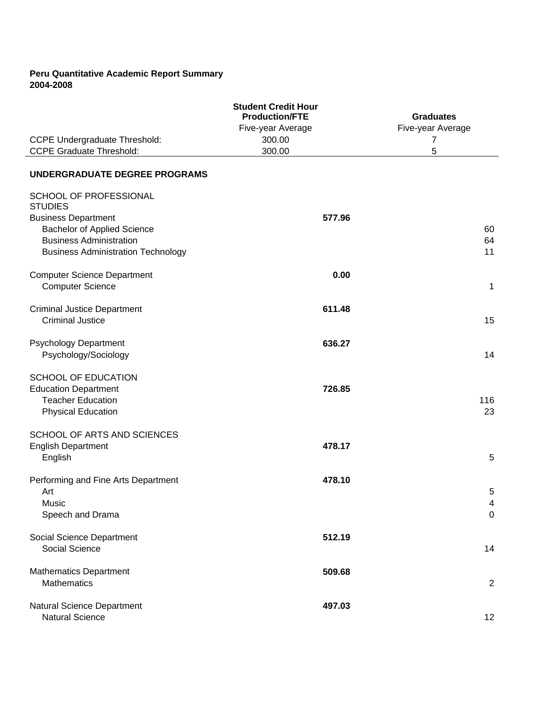### **Peru Quantitative Academic Report Summary 2004-2008**

| <b>CCPE Undergraduate Threshold:</b>                                                                               | <b>Student Credit Hour</b><br><b>Production/FTE</b><br>Five-year Average<br>300.00 | <b>Graduates</b><br>Five-year Average<br>7 |
|--------------------------------------------------------------------------------------------------------------------|------------------------------------------------------------------------------------|--------------------------------------------|
| <b>CCPE Graduate Threshold:</b>                                                                                    | 300.00                                                                             | 5                                          |
| <b>UNDERGRADUATE DEGREE PROGRAMS</b>                                                                               |                                                                                    |                                            |
| SCHOOL OF PROFESSIONAL<br><b>STUDIES</b><br><b>Business Department</b>                                             | 577.96                                                                             |                                            |
| <b>Bachelor of Applied Science</b><br><b>Business Administration</b><br><b>Business Administration Technology</b>  |                                                                                    | 60<br>64<br>11                             |
| <b>Computer Science Department</b><br><b>Computer Science</b>                                                      | 0.00                                                                               | $\mathbf 1$                                |
| <b>Criminal Justice Department</b><br><b>Criminal Justice</b>                                                      | 611.48                                                                             | 15                                         |
| <b>Psychology Department</b><br>Psychology/Sociology                                                               | 636.27                                                                             | 14                                         |
| <b>SCHOOL OF EDUCATION</b><br><b>Education Department</b><br><b>Teacher Education</b><br><b>Physical Education</b> | 726.85                                                                             | 116<br>23                                  |
| SCHOOL OF ARTS AND SCIENCES<br><b>English Department</b><br>English                                                | 478.17                                                                             | 5                                          |
| Performing and Fine Arts Department<br>Art<br>Music<br>Speech and Drama                                            | 478.10                                                                             | 5<br>4<br>$\boldsymbol{0}$                 |
| Social Science Department<br>Social Science                                                                        | 512.19                                                                             | 14                                         |
| <b>Mathematics Department</b><br>Mathematics                                                                       | 509.68                                                                             | $\overline{2}$                             |
| Natural Science Department<br><b>Natural Science</b>                                                               | 497.03                                                                             | 12 <sub>2</sub>                            |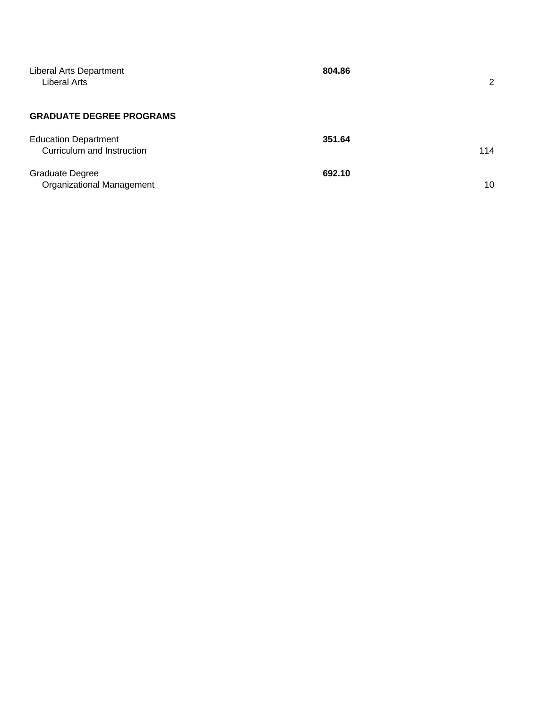| Liberal Arts Department<br>Liberal Arts                    | 804.86 | 2   |
|------------------------------------------------------------|--------|-----|
| <b>GRADUATE DEGREE PROGRAMS</b>                            |        |     |
| <b>Education Department</b><br>Curriculum and Instruction  | 351.64 | 114 |
| <b>Graduate Degree</b><br><b>Organizational Management</b> | 692.10 | 10  |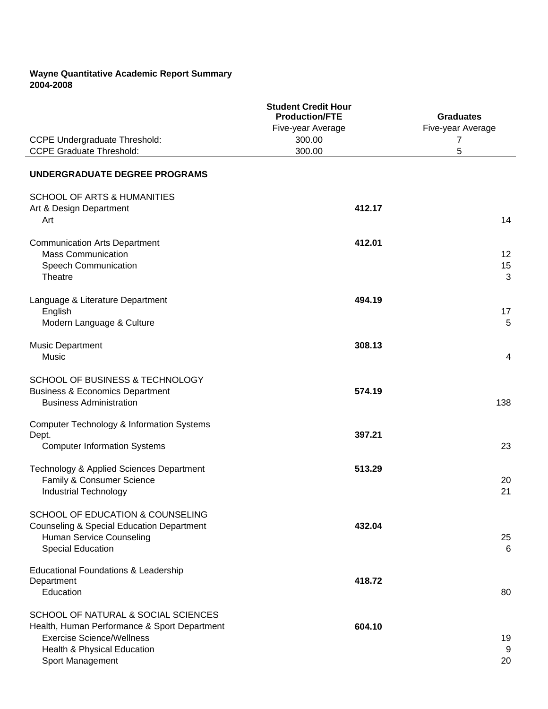## **Wayne Quantitative Academic Report Summary 2004-2008**

|                                                                                                                                                                            | <b>Student Credit Hour</b><br><b>Production/FTE</b><br>Five-year Average | <b>Graduates</b><br>Five-year Average |
|----------------------------------------------------------------------------------------------------------------------------------------------------------------------------|--------------------------------------------------------------------------|---------------------------------------|
| <b>CCPE Undergraduate Threshold:</b><br><b>CCPE Graduate Threshold:</b>                                                                                                    | 300.00<br>300.00                                                         | 7<br>5                                |
|                                                                                                                                                                            |                                                                          |                                       |
| UNDERGRADUATE DEGREE PROGRAMS                                                                                                                                              |                                                                          |                                       |
| <b>SCHOOL OF ARTS &amp; HUMANITIES</b><br>Art & Design Department<br>Art                                                                                                   | 412.17                                                                   | 14                                    |
| <b>Communication Arts Department</b><br><b>Mass Communication</b><br>Speech Communication<br>Theatre                                                                       | 412.01                                                                   | 12 <sup>°</sup><br>15<br>3            |
| Language & Literature Department<br>English<br>Modern Language & Culture                                                                                                   | 494.19                                                                   | 17<br>5                               |
| <b>Music Department</b><br>Music                                                                                                                                           | 308.13                                                                   | $\overline{4}$                        |
| SCHOOL OF BUSINESS & TECHNOLOGY<br><b>Business &amp; Economics Department</b><br><b>Business Administration</b>                                                            | 574.19                                                                   | 138                                   |
| Computer Technology & Information Systems<br>Dept.<br><b>Computer Information Systems</b>                                                                                  | 397.21                                                                   | 23                                    |
| Technology & Applied Sciences Department<br>Family & Consumer Science<br><b>Industrial Technology</b>                                                                      | 513.29                                                                   | 20<br>21                              |
| SCHOOL OF EDUCATION & COUNSELING<br><b>Counseling &amp; Special Education Department</b><br>Human Service Counseling<br><b>Special Education</b>                           | 432.04                                                                   | 25<br>6                               |
| Educational Foundations & Leadership<br>Department<br>Education                                                                                                            | 418.72                                                                   | 80                                    |
| SCHOOL OF NATURAL & SOCIAL SCIENCES<br>Health, Human Performance & Sport Department<br><b>Exercise Science/Wellness</b><br>Health & Physical Education<br>Sport Management | 604.10                                                                   | 19<br>9<br>20                         |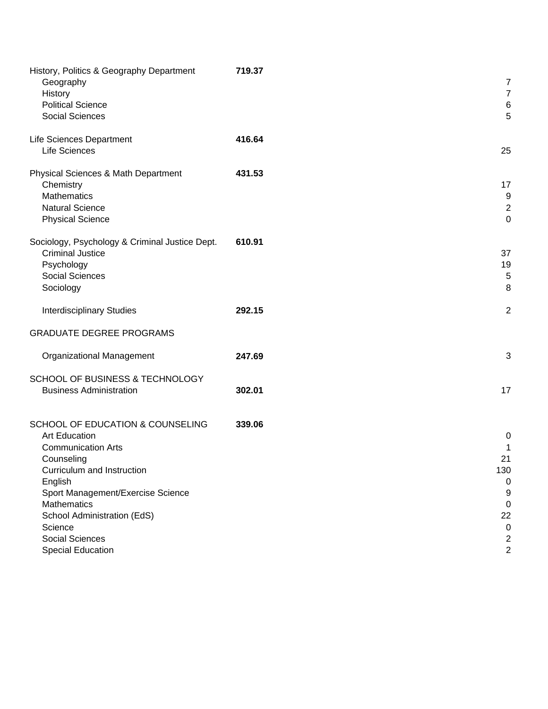| History, Politics & Geography Department<br>Geography<br>History<br><b>Political Science</b><br><b>Social Sciences</b>                                                                                                                                                                    | 719.37 | 7<br>$\overline{7}$<br>$\,6$<br>5                                                                   |
|-------------------------------------------------------------------------------------------------------------------------------------------------------------------------------------------------------------------------------------------------------------------------------------------|--------|-----------------------------------------------------------------------------------------------------|
| Life Sciences Department<br><b>Life Sciences</b>                                                                                                                                                                                                                                          | 416.64 | 25                                                                                                  |
| Physical Sciences & Math Department<br>Chemistry<br>Mathematics<br><b>Natural Science</b><br><b>Physical Science</b>                                                                                                                                                                      | 431.53 | 17<br>$9\,$<br>$\overline{2}$<br>$\mathbf 0$                                                        |
| Sociology, Psychology & Criminal Justice Dept.<br><b>Criminal Justice</b><br>Psychology<br>Social Sciences<br>Sociology                                                                                                                                                                   | 610.91 | 37<br>19<br>$\sqrt{5}$<br>8                                                                         |
| <b>Interdisciplinary Studies</b>                                                                                                                                                                                                                                                          | 292.15 | $\overline{2}$                                                                                      |
| <b>GRADUATE DEGREE PROGRAMS</b>                                                                                                                                                                                                                                                           |        |                                                                                                     |
| Organizational Management                                                                                                                                                                                                                                                                 | 247.69 | 3                                                                                                   |
| SCHOOL OF BUSINESS & TECHNOLOGY<br><b>Business Administration</b>                                                                                                                                                                                                                         | 302.01 | 17                                                                                                  |
| SCHOOL OF EDUCATION & COUNSELING<br><b>Art Education</b><br><b>Communication Arts</b><br>Counseling<br>Curriculum and Instruction<br>English<br>Sport Management/Exercise Science<br>Mathematics<br>School Administration (EdS)<br>Science<br>Social Sciences<br><b>Special Education</b> | 339.06 | 0<br>1<br>21<br>130<br>0<br>9<br>$\mathbf 0$<br>22<br>$\pmb{0}$<br>$\overline{c}$<br>$\overline{2}$ |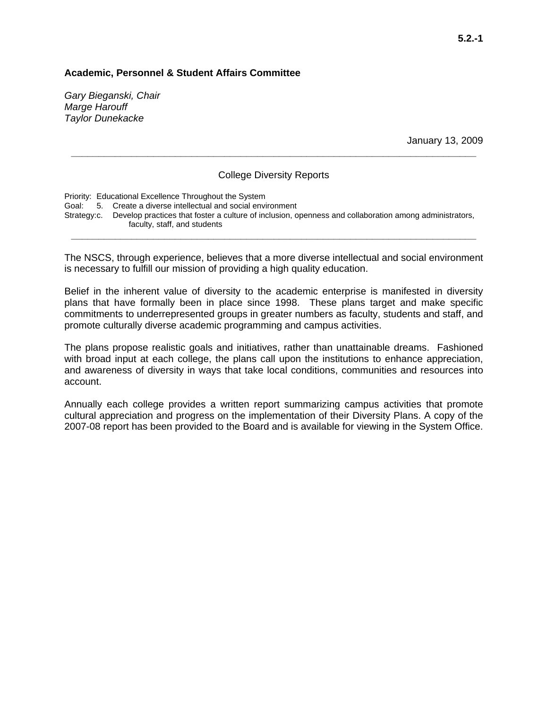### **Academic, Personnel & Student Affairs Committee**

*Gary Bieganski, Chair Marge Harouff Taylor Dunekacke* 

January 13, 2009

#### College Diversity Reports

**\_\_\_\_\_\_\_\_\_\_\_\_\_\_\_\_\_\_\_\_\_\_\_\_\_\_\_\_\_\_\_\_\_\_\_\_\_\_\_\_\_\_\_\_\_\_\_\_\_\_\_\_\_\_\_\_\_\_\_\_\_\_\_\_\_\_\_\_\_\_\_\_\_\_** 

Priority: Educational Excellence Throughout the System Goal: 5. Create a diverse intellectual and social environment Strategy: c. Develop practices that foster a culture of inclusion, openness and collaboration among administrators, faculty, staff, and students **\_\_\_\_\_\_\_\_\_\_\_\_\_\_\_\_\_\_\_\_\_\_\_\_\_\_\_\_\_\_\_\_\_\_\_\_\_\_\_\_\_\_\_\_\_\_\_\_\_\_\_\_\_\_\_\_\_\_\_\_\_\_\_\_\_\_\_\_\_\_\_\_\_\_** 

The NSCS, through experience, believes that a more diverse intellectual and social environment is necessary to fulfill our mission of providing a high quality education.

Belief in the inherent value of diversity to the academic enterprise is manifested in diversity plans that have formally been in place since 1998. These plans target and make specific commitments to underrepresented groups in greater numbers as faculty, students and staff, and promote culturally diverse academic programming and campus activities.

The plans propose realistic goals and initiatives, rather than unattainable dreams. Fashioned with broad input at each college, the plans call upon the institutions to enhance appreciation, and awareness of diversity in ways that take local conditions, communities and resources into account.

Annually each college provides a written report summarizing campus activities that promote cultural appreciation and progress on the implementation of their Diversity Plans. A copy of the 2007-08 report has been provided to the Board and is available for viewing in the System Office.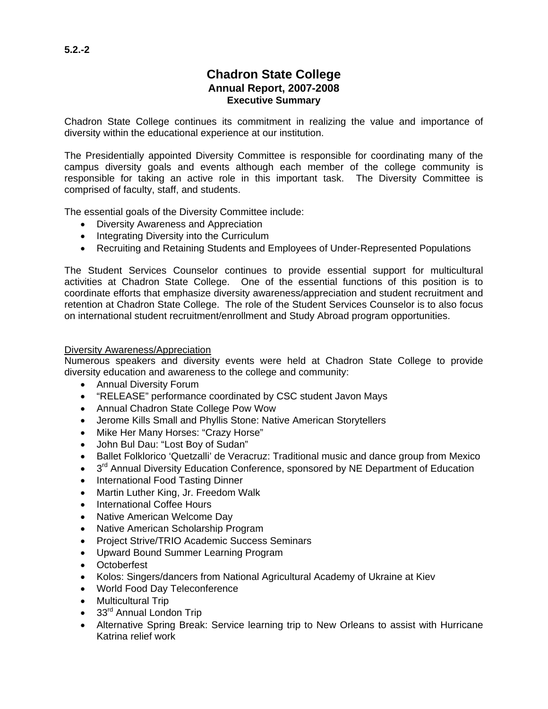# **Chadron State College Annual Report, 2007-2008 Executive Summary**

Chadron State College continues its commitment in realizing the value and importance of diversity within the educational experience at our institution.

The Presidentially appointed Diversity Committee is responsible for coordinating many of the campus diversity goals and events although each member of the college community is responsible for taking an active role in this important task. The Diversity Committee is comprised of faculty, staff, and students.

The essential goals of the Diversity Committee include:

- Diversity Awareness and Appreciation
- Integrating Diversity into the Curriculum
- Recruiting and Retaining Students and Employees of Under-Represented Populations

The Student Services Counselor continues to provide essential support for multicultural activities at Chadron State College. One of the essential functions of this position is to coordinate efforts that emphasize diversity awareness/appreciation and student recruitment and retention at Chadron State College. The role of the Student Services Counselor is to also focus on international student recruitment/enrollment and Study Abroad program opportunities.

#### Diversity Awareness/Appreciation

Numerous speakers and diversity events were held at Chadron State College to provide diversity education and awareness to the college and community:

- Annual Diversity Forum
- "RELEASE" performance coordinated by CSC student Javon Mays
- Annual Chadron State College Pow Wow
- Jerome Kills Small and Phyllis Stone: Native American Storytellers
- Mike Her Many Horses: "Crazy Horse"
- John Bul Dau: "Lost Boy of Sudan"
- Ballet Folklorico 'Quetzalli' de Veracruz: Traditional music and dance group from Mexico
- 3<sup>rd</sup> Annual Diversity Education Conference, sponsored by NE Department of Education
- International Food Tasting Dinner
- Martin Luther King, Jr. Freedom Walk
- International Coffee Hours
- Native American Welcome Day
- Native American Scholarship Program
- Project Strive/TRIO Academic Success Seminars
- Upward Bound Summer Learning Program
- Octoberfest
- Kolos: Singers/dancers from National Agricultural Academy of Ukraine at Kiev
- World Food Day Teleconference
- Multicultural Trip
- 33<sup>rd</sup> Annual London Trip
- Alternative Spring Break: Service learning trip to New Orleans to assist with Hurricane Katrina relief work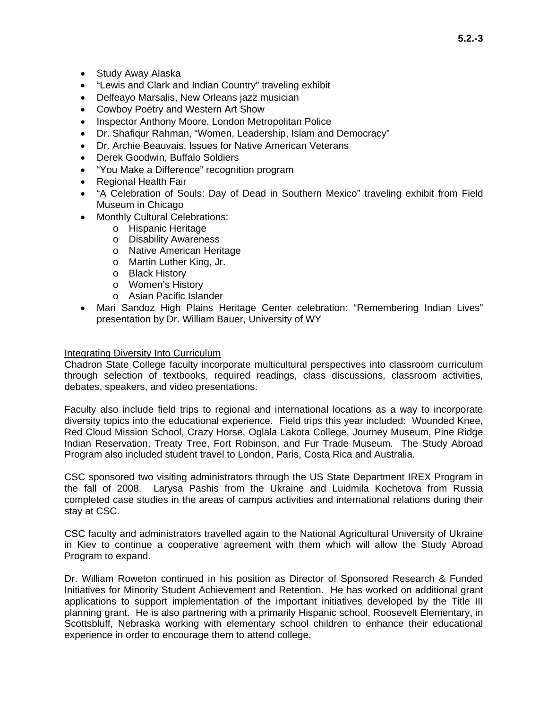- Study Away Alaska
- "Lewis and Clark and Indian Country" traveling exhibit
- Delfeayo Marsalis, New Orleans jazz musician
- Cowboy Poetry and Western Art Show
- Inspector Anthony Moore, London Metropolitan Police
- Dr. Shafiqur Rahman, "Women, Leadership, Islam and Democracy"
- Dr. Archie Beauvais, Issues for Native American Veterans
- Derek Goodwin, Buffalo Soldiers
- "You Make a Difference" recognition program
- Regional Health Fair
- "A Celebration of Souls: Day of Dead in Southern Mexico" traveling exhibit from Field Museum in Chicago
- Monthly Cultural Celebrations:
	- o Hispanic Heritage
	- o Disability Awareness
	- o Native American Heritage
	- o Martin Luther King, Jr.
	- o Black History
	- o Women's History
	- o Asian Pacific Islander
- Mari Sandoz High Plains Heritage Center celebration: "Remembering Indian Lives" presentation by Dr. William Bauer, University of WY

#### Integrating Diversity Into Curriculum

Chadron State College faculty incorporate multicultural perspectives into classroom curriculum through selection of textbooks, required readings, class discussions, classroom activities, debates, speakers, and video presentations.

Faculty also include field trips to regional and international locations as a way to incorporate diversity topics into the educational experience. Field trips this year included: Wounded Knee, Red Cloud Mission School, Crazy Horse, Oglala Lakota College, Journey Museum, Pine Ridge Indian Reservation, Treaty Tree, Fort Robinson, and Fur Trade Museum. The Study Abroad Program also included student travel to London, Paris, Costa Rica and Australia.

CSC sponsored two visiting administrators through the US State Department IREX Program in the fall of 2008. Larysa Pashis from the Ukraine and Luidmila Kochetova from Russia completed case studies in the areas of campus activities and international relations during their stay at CSC.

CSC faculty and administrators travelled again to the National Agricultural University of Ukraine in Kiev to continue a cooperative agreement with them which will allow the Study Abroad Program to expand.

Dr. William Roweton continued in his position as Director of Sponsored Research & Funded Initiatives for Minority Student Achievement and Retention. He has worked on additional grant applications to support implementation of the important initiatives developed by the Title III planning grant. He is also partnering with a primarily Hispanic school, Roosevelt Elementary, in Scottsbluff, Nebraska working with elementary school children to enhance their educational experience in order to encourage them to attend college.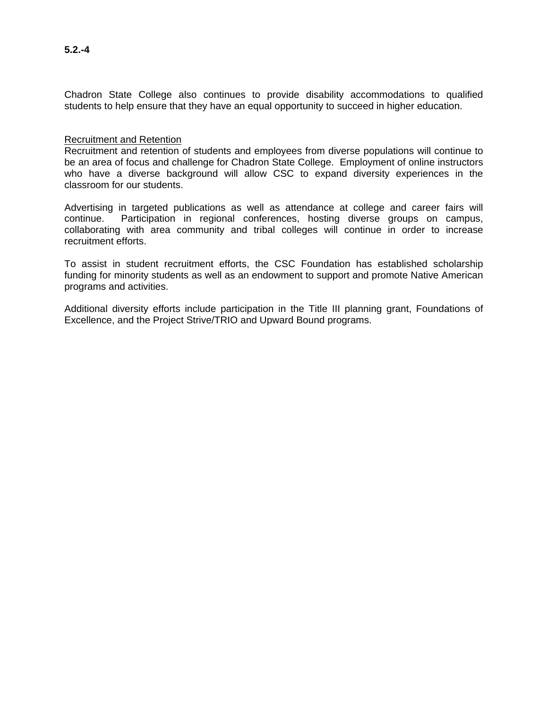### Recruitment and Retention

Recruitment and retention of students and employees from diverse populations will continue to be an area of focus and challenge for Chadron State College. Employment of online instructors who have a diverse background will allow CSC to expand diversity experiences in the classroom for our students.

Advertising in targeted publications as well as attendance at college and career fairs will continue. Participation in regional conferences, hosting diverse groups on campus, collaborating with area community and tribal colleges will continue in order to increase recruitment efforts.

To assist in student recruitment efforts, the CSC Foundation has established scholarship funding for minority students as well as an endowment to support and promote Native American programs and activities.

Additional diversity efforts include participation in the Title III planning grant, Foundations of Excellence, and the Project Strive/TRIO and Upward Bound programs.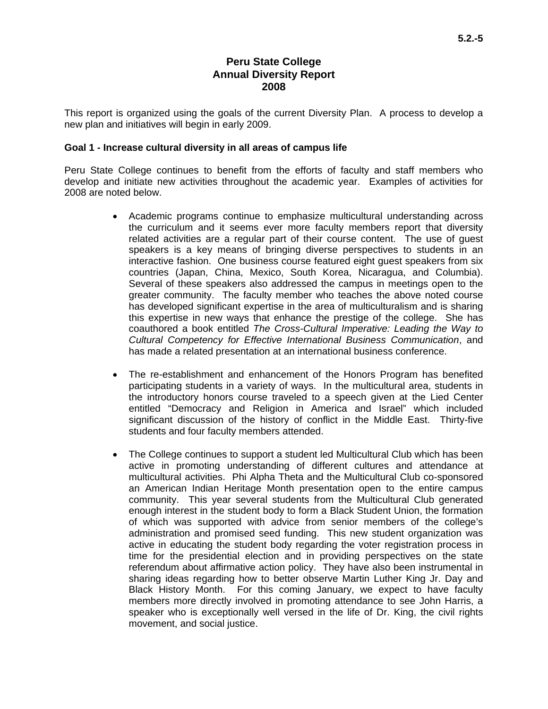# **Peru State College Annual Diversity Report 2008**

This report is organized using the goals of the current Diversity Plan. A process to develop a new plan and initiatives will begin in early 2009.

### **Goal 1 - Increase cultural diversity in all areas of campus life**

Peru State College continues to benefit from the efforts of faculty and staff members who develop and initiate new activities throughout the academic year. Examples of activities for 2008 are noted below.

- Academic programs continue to emphasize multicultural understanding across the curriculum and it seems ever more faculty members report that diversity related activities are a regular part of their course content. The use of guest speakers is a key means of bringing diverse perspectives to students in an interactive fashion. One business course featured eight guest speakers from six countries (Japan, China, Mexico, South Korea, Nicaragua, and Columbia). Several of these speakers also addressed the campus in meetings open to the greater community. The faculty member who teaches the above noted course has developed significant expertise in the area of multiculturalism and is sharing this expertise in new ways that enhance the prestige of the college. She has coauthored a book entitled *The Cross-Cultural Imperative: Leading the Way to Cultural Competency for Effective International Business Communication*, and has made a related presentation at an international business conference.
- The re-establishment and enhancement of the Honors Program has benefited participating students in a variety of ways. In the multicultural area, students in the introductory honors course traveled to a speech given at the Lied Center entitled "Democracy and Religion in America and Israel" which included significant discussion of the history of conflict in the Middle East. Thirty-five students and four faculty members attended.
- The College continues to support a student led Multicultural Club which has been active in promoting understanding of different cultures and attendance at multicultural activities. Phi Alpha Theta and the Multicultural Club co-sponsored an American Indian Heritage Month presentation open to the entire campus community. This year several students from the Multicultural Club generated enough interest in the student body to form a Black Student Union, the formation of which was supported with advice from senior members of the college's administration and promised seed funding. This new student organization was active in educating the student body regarding the voter registration process in time for the presidential election and in providing perspectives on the state referendum about affirmative action policy. They have also been instrumental in sharing ideas regarding how to better observe Martin Luther King Jr. Day and Black History Month. For this coming January, we expect to have faculty members more directly involved in promoting attendance to see John Harris, a speaker who is exceptionally well versed in the life of Dr. King, the civil rights movement, and social justice.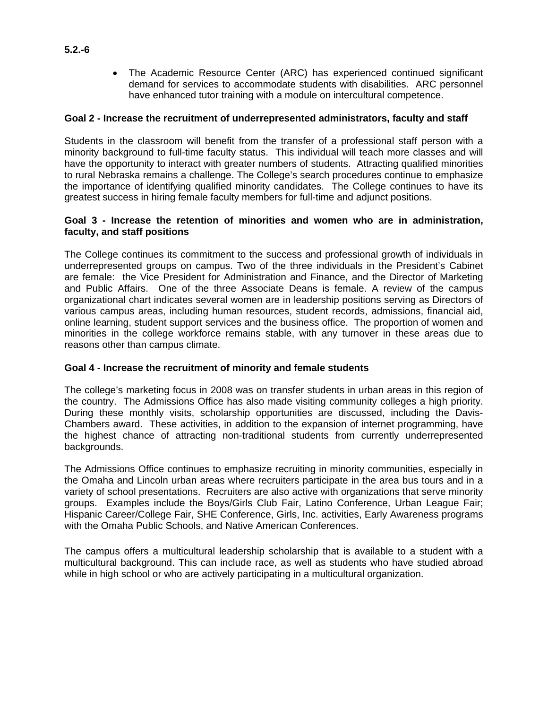• The Academic Resource Center (ARC) has experienced continued significant demand for services to accommodate students with disabilities. ARC personnel have enhanced tutor training with a module on intercultural competence.

### **Goal 2 - Increase the recruitment of underrepresented administrators, faculty and staff**

Students in the classroom will benefit from the transfer of a professional staff person with a minority background to full-time faculty status. This individual will teach more classes and will have the opportunity to interact with greater numbers of students. Attracting qualified minorities to rural Nebraska remains a challenge. The College's search procedures continue to emphasize the importance of identifying qualified minority candidates. The College continues to have its greatest success in hiring female faculty members for full-time and adjunct positions.

### **Goal 3 - Increase the retention of minorities and women who are in administration, faculty, and staff positions**

The College continues its commitment to the success and professional growth of individuals in underrepresented groups on campus. Two of the three individuals in the President's Cabinet are female: the Vice President for Administration and Finance, and the Director of Marketing and Public Affairs. One of the three Associate Deans is female. A review of the campus organizational chart indicates several women are in leadership positions serving as Directors of various campus areas, including human resources, student records, admissions, financial aid, online learning, student support services and the business office. The proportion of women and minorities in the college workforce remains stable, with any turnover in these areas due to reasons other than campus climate.

#### **Goal 4 - Increase the recruitment of minority and female students**

The college's marketing focus in 2008 was on transfer students in urban areas in this region of the country. The Admissions Office has also made visiting community colleges a high priority. During these monthly visits, scholarship opportunities are discussed, including the Davis-Chambers award. These activities, in addition to the expansion of internet programming, have the highest chance of attracting non-traditional students from currently underrepresented backgrounds.

The Admissions Office continues to emphasize recruiting in minority communities, especially in the Omaha and Lincoln urban areas where recruiters participate in the area bus tours and in a variety of school presentations. Recruiters are also active with organizations that serve minority groups. Examples include the Boys/Girls Club Fair, Latino Conference, Urban League Fair; Hispanic Career/College Fair, SHE Conference, Girls, Inc. activities, Early Awareness programs with the Omaha Public Schools, and Native American Conferences.

The campus offers a multicultural leadership scholarship that is available to a student with a multicultural background. This can include race, as well as students who have studied abroad while in high school or who are actively participating in a multicultural organization.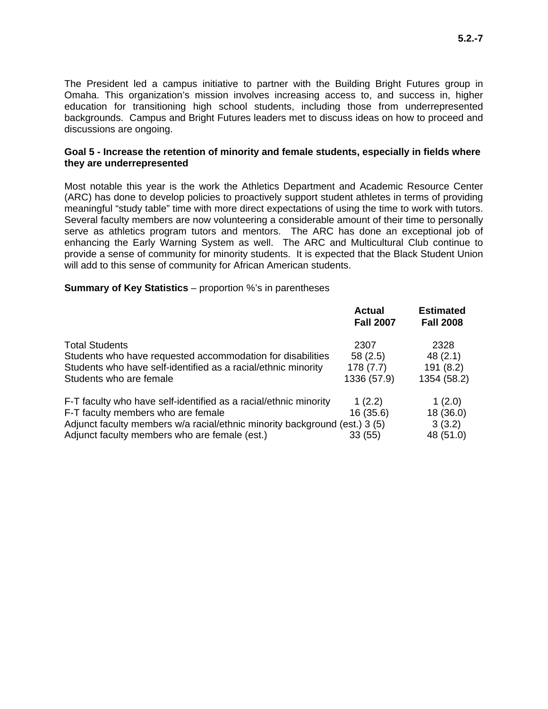The President led a campus initiative to partner with the Building Bright Futures group in Omaha. This organization's mission involves increasing access to, and success in, higher education for transitioning high school students, including those from underrepresented backgrounds. Campus and Bright Futures leaders met to discuss ideas on how to proceed and discussions are ongoing.

#### **Goal 5 - Increase the retention of minority and female students, especially in fields where they are underrepresented**

Most notable this year is the work the Athletics Department and Academic Resource Center (ARC) has done to develop policies to proactively support student athletes in terms of providing meaningful "study table" time with more direct expectations of using the time to work with tutors. Several faculty members are now volunteering a considerable amount of their time to personally serve as athletics program tutors and mentors. The ARC has done an exceptional job of enhancing the Early Warning System as well. The ARC and Multicultural Club continue to provide a sense of community for minority students. It is expected that the Black Student Union will add to this sense of community for African American students.

#### **Summary of Key Statistics** – proportion %'s in parentheses

|                                                                                                                                                                                      | <b>Actual</b><br><b>Fall 2007</b>          | <b>Estimated</b><br><b>Fall 2008</b>        |
|--------------------------------------------------------------------------------------------------------------------------------------------------------------------------------------|--------------------------------------------|---------------------------------------------|
| <b>Total Students</b><br>Students who have requested accommodation for disabilities<br>Students who have self-identified as a racial/ethnic minority<br>Students who are female      | 2307<br>58(2.5)<br>178(7.7)<br>1336 (57.9) | 2328<br>48(2.1)<br>191 (8.2)<br>1354 (58.2) |
| F-T faculty who have self-identified as a racial/ethnic minority<br>F-T faculty members who are female<br>Adjunct faculty members w/a racial/ethnic minority background (est.) 3 (5) | 1(2.2)<br>16(35.6)                         | 1(2.0)<br>18 (36.0)<br>3(3.2)               |
| Adjunct faculty members who are female (est.)                                                                                                                                        | 33 (55)                                    | 48 (51.0)                                   |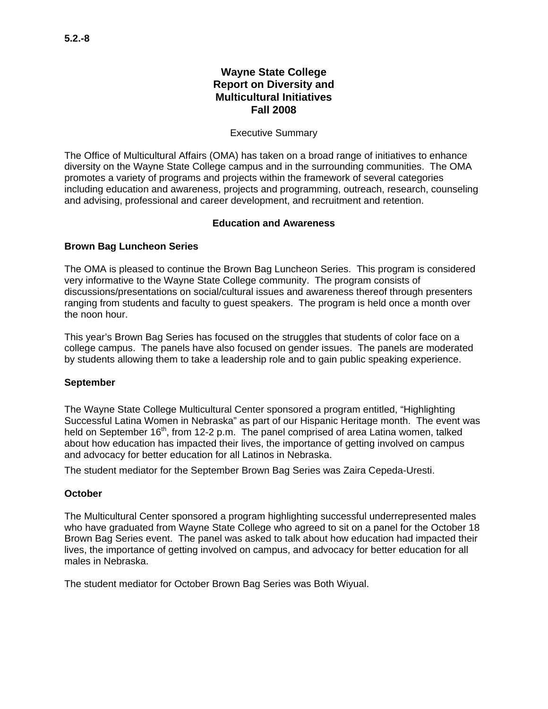### Executive Summary

The Office of Multicultural Affairs (OMA) has taken on a broad range of initiatives to enhance diversity on the Wayne State College campus and in the surrounding communities. The OMA promotes a variety of programs and projects within the framework of several categories including education and awareness, projects and programming, outreach, research, counseling and advising, professional and career development, and recruitment and retention.

### **Education and Awareness**

## **Brown Bag Luncheon Series**

The OMA is pleased to continue the Brown Bag Luncheon Series. This program is considered very informative to the Wayne State College community. The program consists of discussions/presentations on social/cultural issues and awareness thereof through presenters ranging from students and faculty to guest speakers. The program is held once a month over the noon hour.

This year's Brown Bag Series has focused on the struggles that students of color face on a college campus. The panels have also focused on gender issues. The panels are moderated by students allowing them to take a leadership role and to gain public speaking experience.

#### **September**

The Wayne State College Multicultural Center sponsored a program entitled, "Highlighting Successful Latina Women in Nebraska" as part of our Hispanic Heritage month. The event was held on September  $16<sup>th</sup>$ , from 12-2 p.m. The panel comprised of area Latina women, talked about how education has impacted their lives, the importance of getting involved on campus and advocacy for better education for all Latinos in Nebraska.

The student mediator for the September Brown Bag Series was Zaira Cepeda-Uresti.

#### **October**

The Multicultural Center sponsored a program highlighting successful underrepresented males who have graduated from Wayne State College who agreed to sit on a panel for the October 18 Brown Bag Series event. The panel was asked to talk about how education had impacted their lives, the importance of getting involved on campus, and advocacy for better education for all males in Nebraska.

The student mediator for October Brown Bag Series was Both Wiyual.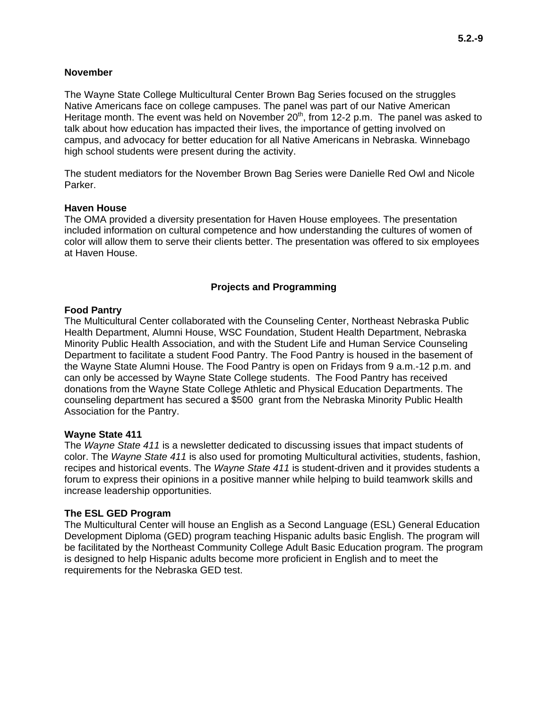The Wayne State College Multicultural Center Brown Bag Series focused on the struggles Native Americans face on college campuses. The panel was part of our Native American Heritage month. The event was held on November  $20<sup>th</sup>$ , from 12-2 p.m. The panel was asked to talk about how education has impacted their lives, the importance of getting involved on campus, and advocacy for better education for all Native Americans in Nebraska. Winnebago high school students were present during the activity.

The student mediators for the November Brown Bag Series were Danielle Red Owl and Nicole Parker.

#### **Haven House**

The OMA provided a diversity presentation for Haven House employees. The presentation included information on cultural competence and how understanding the cultures of women of color will allow them to serve their clients better. The presentation was offered to six employees at Haven House.

#### **Projects and Programming**

#### **Food Pantry**

The Multicultural Center collaborated with the Counseling Center, Northeast Nebraska Public Health Department, Alumni House, WSC Foundation, Student Health Department, Nebraska Minority Public Health Association, and with the Student Life and Human Service Counseling Department to facilitate a student Food Pantry. The Food Pantry is housed in the basement of the Wayne State Alumni House. The Food Pantry is open on Fridays from 9 a.m.-12 p.m. and can only be accessed by Wayne State College students. The Food Pantry has received donations from the Wayne State College Athletic and Physical Education Departments. The counseling department has secured a \$500 grant from the Nebraska Minority Public Health Association for the Pantry.

#### **Wayne State 411**

The *Wayne State 411* is a newsletter dedicated to discussing issues that impact students of color. The *Wayne State 411* is also used for promoting Multicultural activities, students, fashion, recipes and historical events. The *Wayne State 411* is student-driven and it provides students a forum to express their opinions in a positive manner while helping to build teamwork skills and increase leadership opportunities.

#### **The ESL GED Program**

The Multicultural Center will house an English as a Second Language (ESL) General Education Development Diploma (GED) program teaching Hispanic adults basic English. The program will be facilitated by the Northeast Community College Adult Basic Education program. The program is designed to help Hispanic adults become more proficient in English and to meet the requirements for the Nebraska GED test.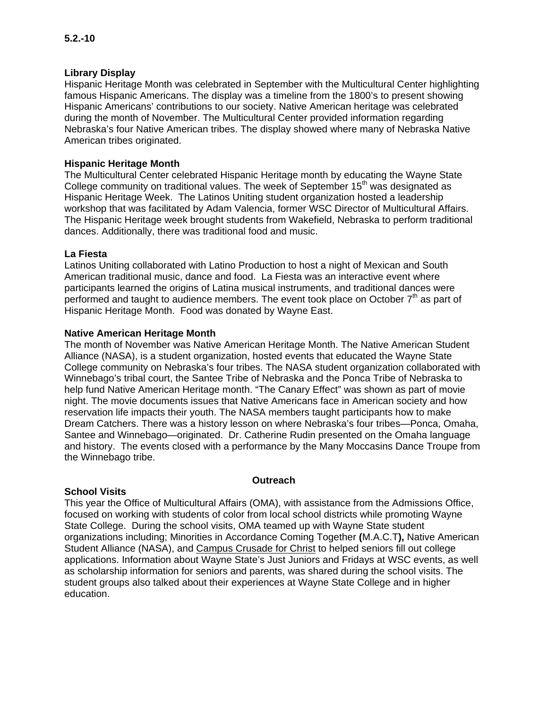## **Library Display**

Hispanic Heritage Month was celebrated in September with the Multicultural Center highlighting famous Hispanic Americans. The display was a timeline from the 1800's to present showing Hispanic Americans' contributions to our society. Native American heritage was celebrated during the month of November. The Multicultural Center provided information regarding Nebraska's four Native American tribes. The display showed where many of Nebraska Native American tribes originated.

## **Hispanic Heritage Month**

The Multicultural Center celebrated Hispanic Heritage month by educating the Wayne State College community on traditional values. The week of September  $15<sup>th</sup>$  was designated as Hispanic Heritage Week. The Latinos Uniting student organization hosted a leadership workshop that was facilitated by Adam Valencia, former WSC Director of Multicultural Affairs. The Hispanic Heritage week brought students from Wakefield, Nebraska to perform traditional dances. Additionally, there was traditional food and music.

### **La Fiesta**

Latinos Uniting collaborated with Latino Production to host a night of Mexican and South American traditional music, dance and food. La Fiesta was an interactive event where participants learned the origins of Latina musical instruments, and traditional dances were performed and taught to audience members. The event took place on October  $7<sup>th</sup>$  as part of Hispanic Heritage Month. Food was donated by Wayne East.

### **Native American Heritage Month**

The month of November was Native American Heritage Month. The Native American Student Alliance (NASA), is a student organization, hosted events that educated the Wayne State College community on Nebraska's four tribes. The NASA student organization collaborated with Winnebago's tribal court, the Santee Tribe of Nebraska and the Ponca Tribe of Nebraska to help fund Native American Heritage month. "The Canary Effect" was shown as part of movie night. The movie documents issues that Native Americans face in American society and how reservation life impacts their youth. The NASA members taught participants how to make Dream Catchers. There was a history lesson on where Nebraska's four tribes—Ponca, Omaha, Santee and Winnebago—originated. Dr. Catherine Rudin presented on the Omaha language and history. The events closed with a performance by the Many Moccasins Dance Troupe from the Winnebago tribe.

#### **Outreach**

## **School Visits**

This year the Office of Multicultural Affairs (OMA), with assistance from the Admissions Office, focused on working with students of color from local school districts while promoting Wayne State College. During the school visits, OMA teamed up with Wayne State student organizations including; Minorities in Accordance Coming Together **(**M.A.C.T**),** Native American Student Alliance (NASA), and Campus Crusade for Christ to helped seniors fill out college applications. Information about Wayne State's Just Juniors and Fridays at WSC events, as well as scholarship information for seniors and parents, was shared during the school visits. The student groups also talked about their experiences at Wayne State College and in higher education.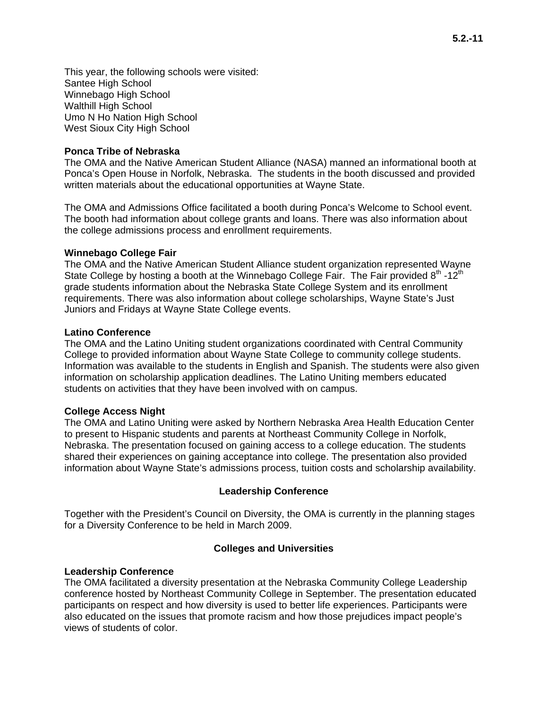This year, the following schools were visited: Santee High School Winnebago High School Walthill High School Umo N Ho Nation High School West Sioux City High School

# **Ponca Tribe of Nebraska**

The OMA and the Native American Student Alliance (NASA) manned an informational booth at Ponca's Open House in Norfolk, Nebraska. The students in the booth discussed and provided written materials about the educational opportunities at Wayne State.

The OMA and Admissions Office facilitated a booth during Ponca's Welcome to School event. The booth had information about college grants and loans. There was also information about the college admissions process and enrollment requirements.

#### **Winnebago College Fair**

The OMA and the Native American Student Alliance student organization represented Wayne State College by hosting a booth at the Winnebago College Fair. The Fair provided  $8<sup>th</sup> -12<sup>th</sup>$ grade students information about the Nebraska State College System and its enrollment requirements. There was also information about college scholarships, Wayne State's Just Juniors and Fridays at Wayne State College events.

#### **Latino Conference**

The OMA and the Latino Uniting student organizations coordinated with Central Community College to provided information about Wayne State College to community college students. Information was available to the students in English and Spanish. The students were also given information on scholarship application deadlines. The Latino Uniting members educated students on activities that they have been involved with on campus.

#### **College Access Night**

The OMA and Latino Uniting were asked by Northern Nebraska Area Health Education Center to present to Hispanic students and parents at Northeast Community College in Norfolk, Nebraska. The presentation focused on gaining access to a college education. The students shared their experiences on gaining acceptance into college. The presentation also provided information about Wayne State's admissions process, tuition costs and scholarship availability.

#### **Leadership Conference**

Together with the President's Council on Diversity, the OMA is currently in the planning stages for a Diversity Conference to be held in March 2009.

#### **Colleges and Universities**

#### **Leadership Conference**

The OMA facilitated a diversity presentation at the Nebraska Community College Leadership conference hosted by Northeast Community College in September. The presentation educated participants on respect and how diversity is used to better life experiences. Participants were also educated on the issues that promote racism and how those prejudices impact people's views of students of color.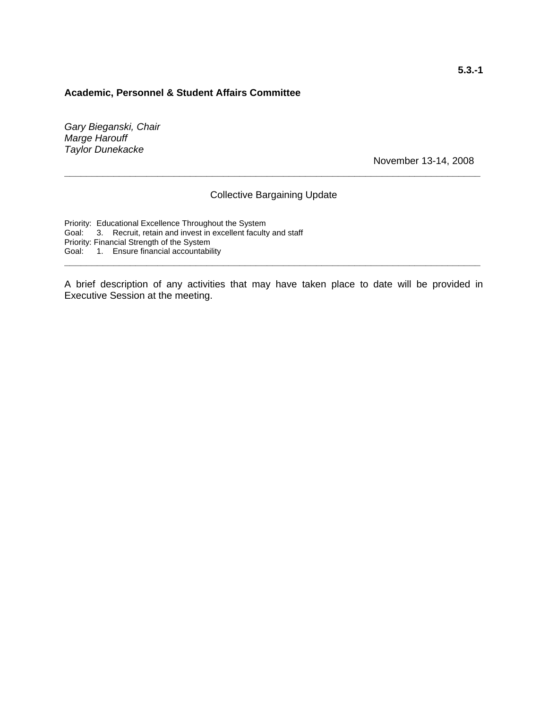#### **Academic, Personnel & Student Affairs Committee**

*Gary Bieganski, Chair Marge Harouff Taylor Dunekacke* 

November 13-14, 2008

#### Collective Bargaining Update

**\_\_\_\_\_\_\_\_\_\_\_\_\_\_\_\_\_\_\_\_\_\_\_\_\_\_\_\_\_\_\_\_\_\_\_\_\_\_\_\_\_\_\_\_\_\_\_\_\_\_\_\_\_\_\_\_\_\_\_\_\_\_\_\_\_\_\_\_\_\_\_\_\_\_\_\_** 

Priority: Educational Excellence Throughout the System Goal: 3. Recruit, retain and invest in excellent faculty and staff Priority: Financial Strength of the System Goal: 1. Ensure financial accountability

A brief description of any activities that may have taken place to date will be provided in Executive Session at the meeting.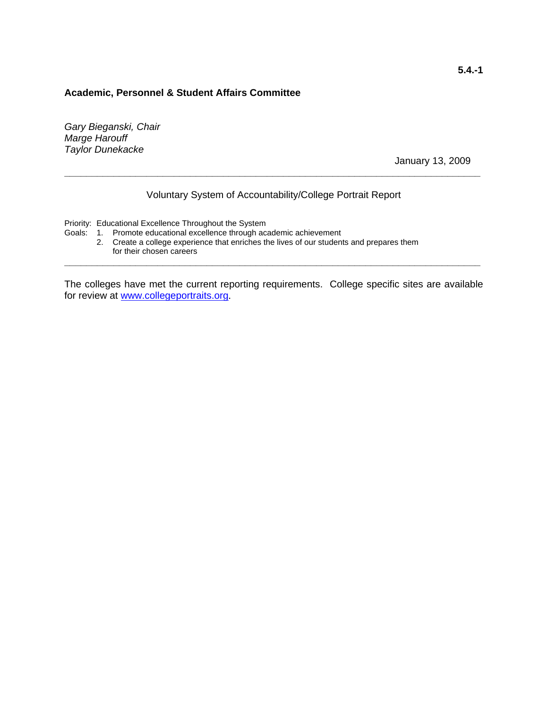#### **Academic, Personnel & Student Affairs Committee**

*Gary Bieganski, Chair Marge Harouff Taylor Dunekacke* 

January 13, 2009

# Voluntary System of Accountability/College Portrait Report

**\_\_\_\_\_\_\_\_\_\_\_\_\_\_\_\_\_\_\_\_\_\_\_\_\_\_\_\_\_\_\_\_\_\_\_\_\_\_\_\_\_\_\_\_\_\_\_\_\_\_\_\_\_\_\_\_\_\_\_\_\_\_\_\_\_\_\_\_\_\_\_\_\_\_\_\_** 

Priority: Educational Excellence Throughout the System

- Goals: 1. Promote educational excellence through academic achievement
	- 2. Create a college experience that enriches the lives of our students and prepares them for their chosen careers

The colleges have met the current reporting requirements. College specific sites are available for review at www.collegeportraits.org.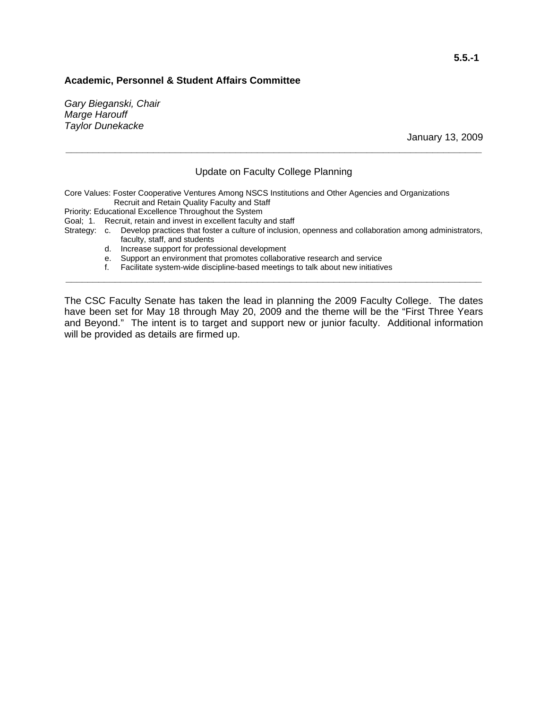### **Academic, Personnel & Student Affairs Committee**

*Gary Bieganski, Chair Marge Harouff Taylor Dunekacke* 

January 13, 2009

## Update on Faculty College Planning

**\_\_\_\_\_\_\_\_\_\_\_\_\_\_\_\_\_\_\_\_\_\_\_\_\_\_\_\_\_\_\_\_\_\_\_\_\_\_\_\_\_\_\_\_\_\_\_\_\_\_\_\_\_\_\_\_\_\_\_\_\_\_\_\_\_\_\_\_\_\_\_\_\_\_\_\_** 

Core Values: Foster Cooperative Ventures Among NSCS Institutions and Other Agencies and Organizations Recruit and Retain Quality Faculty and Staff

Priority: Educational Excellence Throughout the System

Goal; 1. Recruit, retain and invest in excellent faculty and staff

Strategy: c. Develop practices that foster a culture of inclusion, openness and collaboration among administrators, faculty, staff, and students

- d. Increase support for professional development
- e. Support an environment that promotes collaborative research and service
- f. Facilitate system-wide discipline-based meetings to talk about new initiatives

The CSC Faculty Senate has taken the lead in planning the 2009 Faculty College. The dates have been set for May 18 through May 20, 2009 and the theme will be the "First Three Years and Beyond." The intent is to target and support new or junior faculty. Additional information will be provided as details are firmed up.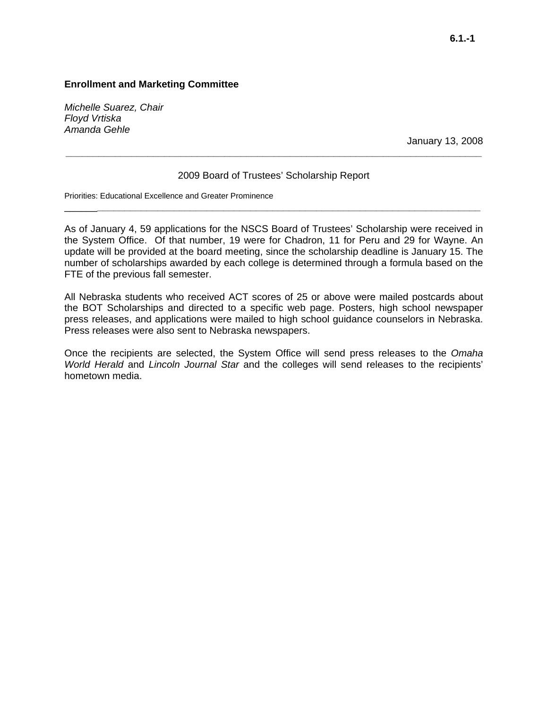*Michelle Suarez, Chair Floyd Vrtiska Amanda Gehle* 

January 13, 2008

## 2009 Board of Trustees' Scholarship Report

\_\_\_\_\_\_**\_\_\_\_\_\_\_\_\_\_\_\_\_\_\_\_\_\_\_\_\_\_\_\_\_\_\_\_\_\_\_\_\_\_\_\_\_\_\_\_\_\_\_\_\_\_\_\_\_\_\_\_\_\_\_\_\_\_\_\_\_\_\_\_\_\_\_\_\_\_**

**\_\_\_\_\_\_\_\_\_\_\_\_\_\_\_\_\_\_\_\_\_\_\_\_\_\_\_\_\_\_\_\_\_\_\_\_\_\_\_\_\_\_\_\_\_\_\_\_\_\_\_\_\_\_\_\_\_\_\_\_\_\_\_\_\_\_\_\_\_\_\_\_\_\_\_\_** 

Priorities: Educational Excellence and Greater Prominence

As of January 4, 59 applications for the NSCS Board of Trustees' Scholarship were received in the System Office. Of that number, 19 were for Chadron, 11 for Peru and 29 for Wayne. An update will be provided at the board meeting, since the scholarship deadline is January 15. The number of scholarships awarded by each college is determined through a formula based on the FTE of the previous fall semester.

All Nebraska students who received ACT scores of 25 or above were mailed postcards about the BOT Scholarships and directed to a specific web page. Posters, high school newspaper press releases, and applications were mailed to high school guidance counselors in Nebraska. Press releases were also sent to Nebraska newspapers.

Once the recipients are selected, the System Office will send press releases to the *Omaha World Herald* and *Lincoln Journal Star* and the colleges will send releases to the recipients' hometown media.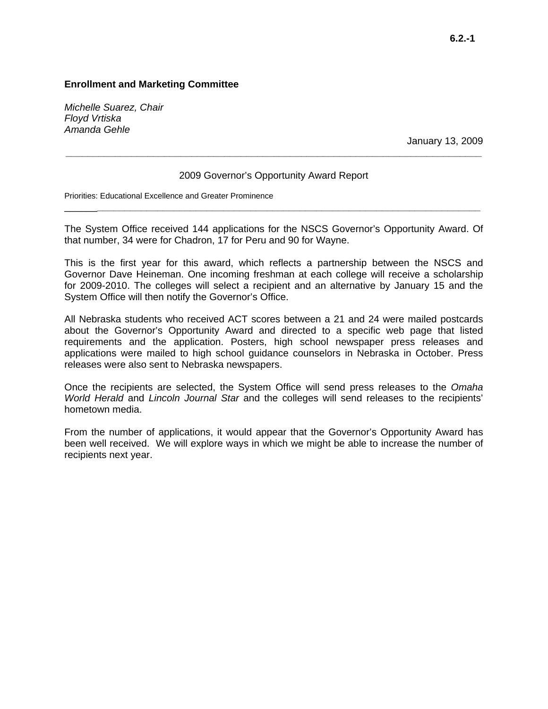*Michelle Suarez, Chair Floyd Vrtiska Amanda Gehle* 

January 13, 2009

#### 2009 Governor's Opportunity Award Report

**\_\_\_\_\_\_\_\_\_\_\_\_\_\_\_\_\_\_\_\_\_\_\_\_\_\_\_\_\_\_\_\_\_\_\_\_\_\_\_\_\_\_\_\_\_\_\_\_\_\_\_\_\_\_\_\_\_\_\_\_\_\_\_\_\_\_\_\_\_\_\_\_\_\_\_\_** 

Priorities: Educational Excellence and Greater Prominence

The System Office received 144 applications for the NSCS Governor's Opportunity Award. Of that number, 34 were for Chadron, 17 for Peru and 90 for Wayne.

\_\_\_\_\_\_**\_\_\_\_\_\_\_\_\_\_\_\_\_\_\_\_\_\_\_\_\_\_\_\_\_\_\_\_\_\_\_\_\_\_\_\_\_\_\_\_\_\_\_\_\_\_\_\_\_\_\_\_\_\_\_\_\_\_\_\_\_\_\_\_\_\_\_\_\_\_**

This is the first year for this award, which reflects a partnership between the NSCS and Governor Dave Heineman. One incoming freshman at each college will receive a scholarship for 2009-2010. The colleges will select a recipient and an alternative by January 15 and the System Office will then notify the Governor's Office.

All Nebraska students who received ACT scores between a 21 and 24 were mailed postcards about the Governor's Opportunity Award and directed to a specific web page that listed requirements and the application. Posters, high school newspaper press releases and applications were mailed to high school guidance counselors in Nebraska in October. Press releases were also sent to Nebraska newspapers.

Once the recipients are selected, the System Office will send press releases to the *Omaha World Herald* and *Lincoln Journal Star* and the colleges will send releases to the recipients' hometown media.

From the number of applications, it would appear that the Governor's Opportunity Award has been well received. We will explore ways in which we might be able to increase the number of recipients next year.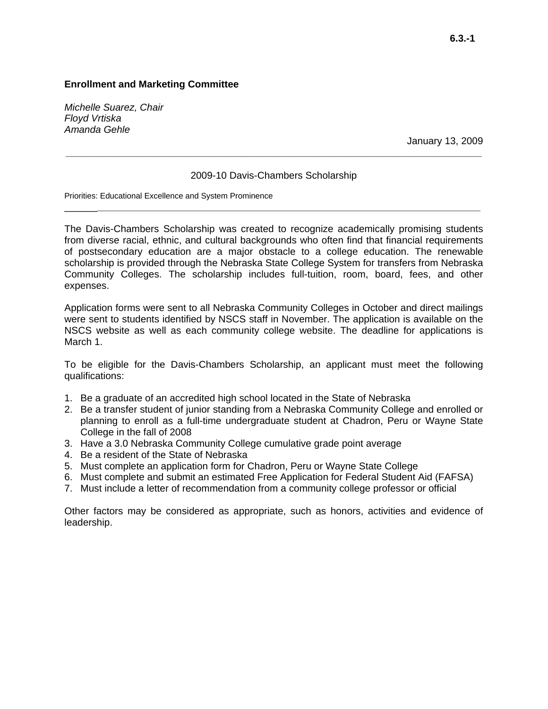*Michelle Suarez, Chair Floyd Vrtiska Amanda Gehle* 

January 13, 2009

#### 2009-10 Davis-Chambers Scholarship

\_\_\_\_\_\_**\_\_\_\_\_\_\_\_\_\_\_\_\_\_\_\_\_\_\_\_\_\_\_\_\_\_\_\_\_\_\_\_\_\_\_\_\_\_\_\_\_\_\_\_\_\_\_\_\_\_\_\_\_\_\_\_\_\_\_\_\_\_\_\_\_\_\_\_\_\_**

**\_\_\_\_\_\_\_\_\_\_\_\_\_\_\_\_\_\_\_\_\_\_\_\_\_\_\_\_\_\_\_\_\_\_\_\_\_\_\_\_\_\_\_\_\_\_\_\_\_\_\_\_\_\_\_\_\_\_\_\_\_\_\_\_\_\_\_\_\_\_\_\_\_\_\_\_** 

Priorities: Educational Excellence and System Prominence

The Davis-Chambers Scholarship was created to recognize academically promising students from diverse racial, ethnic, and cultural backgrounds who often find that financial requirements of postsecondary education are a major obstacle to a college education. The renewable scholarship is provided through the Nebraska State College System for transfers from Nebraska Community Colleges. The scholarship includes full-tuition, room, board, fees, and other expenses.

Application forms were sent to all Nebraska Community Colleges in October and direct mailings were sent to students identified by NSCS staff in November. The application is available on the NSCS website as well as each community college website. The deadline for applications is March 1.

To be eligible for the Davis-Chambers Scholarship, an applicant must meet the following qualifications:

- 1. Be a graduate of an accredited high school located in the State of Nebraska
- 2. Be a transfer student of junior standing from a Nebraska Community College and enrolled or planning to enroll as a full-time undergraduate student at Chadron, Peru or Wayne State College in the fall of 2008
- 3. Have a 3.0 Nebraska Community College cumulative grade point average
- 4. Be a resident of the State of Nebraska
- 5. Must complete an application form for Chadron, Peru or Wayne State College
- 6. Must complete and submit an estimated Free Application for Federal Student Aid (FAFSA)
- 7. Must include a letter of recommendation from a community college professor or official

Other factors may be considered as appropriate, such as honors, activities and evidence of leadership.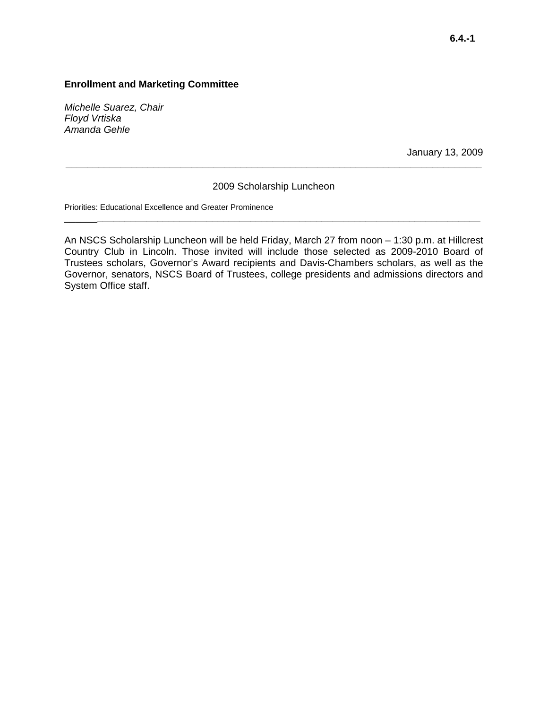*Michelle Suarez, Chair Floyd Vrtiska Amanda Gehle* 

January 13, 2009

## 2009 Scholarship Luncheon

\_\_\_\_\_\_**\_\_\_\_\_\_\_\_\_\_\_\_\_\_\_\_\_\_\_\_\_\_\_\_\_\_\_\_\_\_\_\_\_\_\_\_\_\_\_\_\_\_\_\_\_\_\_\_\_\_\_\_\_\_\_\_\_\_\_\_\_\_\_\_\_\_\_\_\_\_**

**\_\_\_\_\_\_\_\_\_\_\_\_\_\_\_\_\_\_\_\_\_\_\_\_\_\_\_\_\_\_\_\_\_\_\_\_\_\_\_\_\_\_\_\_\_\_\_\_\_\_\_\_\_\_\_\_\_\_\_\_\_\_\_\_\_\_\_\_\_\_\_\_\_\_\_\_** 

Priorities: Educational Excellence and Greater Prominence

An NSCS Scholarship Luncheon will be held Friday, March 27 from noon – 1:30 p.m. at Hillcrest Country Club in Lincoln. Those invited will include those selected as 2009-2010 Board of Trustees scholars, Governor's Award recipients and Davis-Chambers scholars, as well as the Governor, senators, NSCS Board of Trustees, college presidents and admissions directors and System Office staff.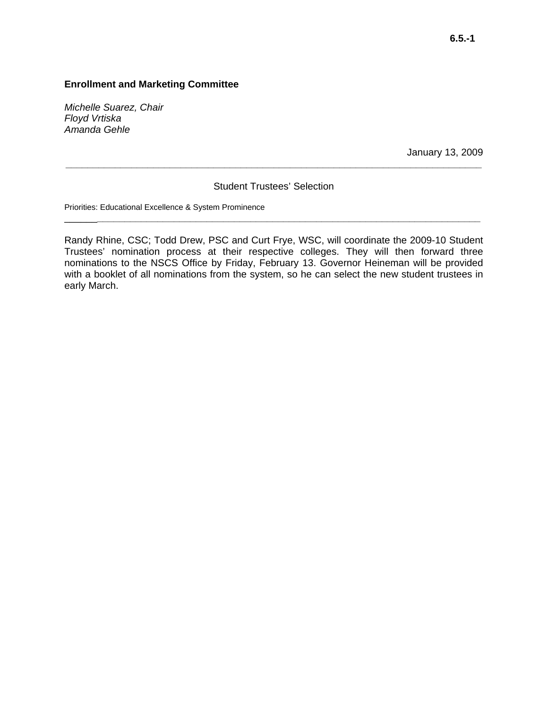*Michelle Suarez, Chair Floyd Vrtiska Amanda Gehle* 

January 13, 2009

## Student Trustees' Selection

\_\_\_\_\_\_**\_\_\_\_\_\_\_\_\_\_\_\_\_\_\_\_\_\_\_\_\_\_\_\_\_\_\_\_\_\_\_\_\_\_\_\_\_\_\_\_\_\_\_\_\_\_\_\_\_\_\_\_\_\_\_\_\_\_\_\_\_\_\_\_\_\_\_\_\_\_**

**\_\_\_\_\_\_\_\_\_\_\_\_\_\_\_\_\_\_\_\_\_\_\_\_\_\_\_\_\_\_\_\_\_\_\_\_\_\_\_\_\_\_\_\_\_\_\_\_\_\_\_\_\_\_\_\_\_\_\_\_\_\_\_\_\_\_\_\_\_\_\_\_\_\_\_\_** 

Priorities: Educational Excellence & System Prominence

Randy Rhine, CSC; Todd Drew, PSC and Curt Frye, WSC, will coordinate the 2009-10 Student Trustees' nomination process at their respective colleges. They will then forward three nominations to the NSCS Office by Friday, February 13. Governor Heineman will be provided with a booklet of all nominations from the system, so he can select the new student trustees in early March.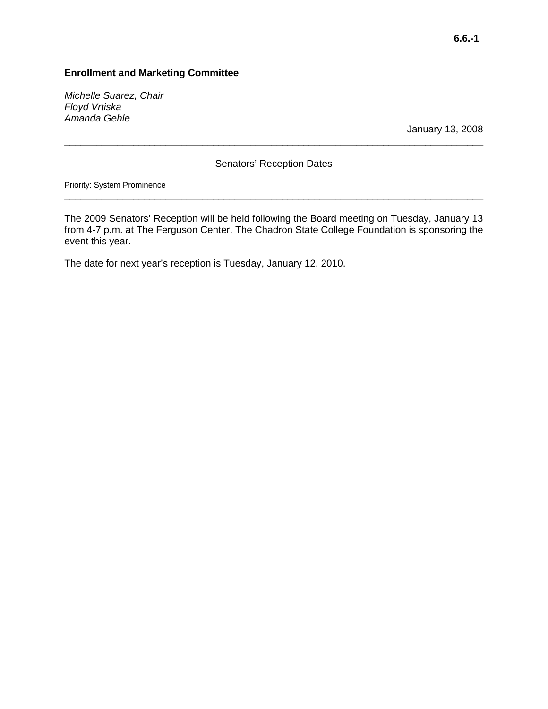*Michelle Suarez, Chair Floyd Vrtiska Amanda Gehle* 

January 13, 2008

## Senators' Reception Dates

**\_\_\_\_\_\_\_\_\_\_\_\_\_\_\_\_\_\_\_\_\_\_\_\_\_\_\_\_\_\_\_\_\_\_\_\_\_\_\_\_\_\_\_\_\_\_\_\_\_\_\_\_\_\_\_\_\_\_\_\_\_\_\_\_\_\_\_\_\_\_\_\_\_\_\_\_\_\_\_** 

Priority: System Prominence

The 2009 Senators' Reception will be held following the Board meeting on Tuesday, January 13 from 4-7 p.m. at The Ferguson Center. The Chadron State College Foundation is sponsoring the event this year.

**\_\_\_\_\_\_\_\_\_\_\_\_\_\_\_\_\_\_\_\_\_\_\_\_\_\_\_\_\_\_\_\_\_\_\_\_\_\_\_\_\_\_\_\_\_\_\_\_\_\_\_\_\_\_\_\_\_\_\_\_\_\_\_\_\_\_\_\_\_\_\_\_\_\_\_\_\_\_\_** 

The date for next year's reception is Tuesday, January 12, 2010.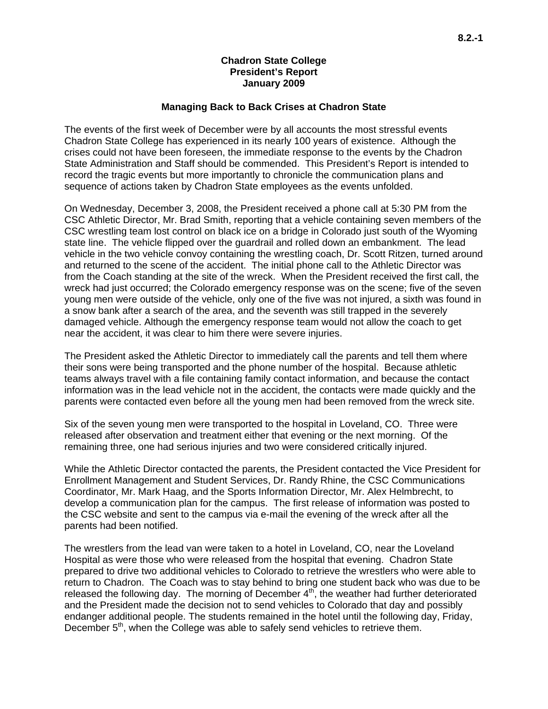### **Chadron State College President's Report January 2009**

#### **Managing Back to Back Crises at Chadron State**

The events of the first week of December were by all accounts the most stressful events Chadron State College has experienced in its nearly 100 years of existence. Although the crises could not have been foreseen, the immediate response to the events by the Chadron State Administration and Staff should be commended. This President's Report is intended to record the tragic events but more importantly to chronicle the communication plans and sequence of actions taken by Chadron State employees as the events unfolded.

On Wednesday, December 3, 2008, the President received a phone call at 5:30 PM from the CSC Athletic Director, Mr. Brad Smith, reporting that a vehicle containing seven members of the CSC wrestling team lost control on black ice on a bridge in Colorado just south of the Wyoming state line. The vehicle flipped over the guardrail and rolled down an embankment. The lead vehicle in the two vehicle convoy containing the wrestling coach, Dr. Scott Ritzen, turned around and returned to the scene of the accident. The initial phone call to the Athletic Director was from the Coach standing at the site of the wreck. When the President received the first call, the wreck had just occurred; the Colorado emergency response was on the scene; five of the seven young men were outside of the vehicle, only one of the five was not injured, a sixth was found in a snow bank after a search of the area, and the seventh was still trapped in the severely damaged vehicle. Although the emergency response team would not allow the coach to get near the accident, it was clear to him there were severe injuries.

The President asked the Athletic Director to immediately call the parents and tell them where their sons were being transported and the phone number of the hospital. Because athletic teams always travel with a file containing family contact information, and because the contact information was in the lead vehicle not in the accident, the contacts were made quickly and the parents were contacted even before all the young men had been removed from the wreck site.

Six of the seven young men were transported to the hospital in Loveland, CO. Three were released after observation and treatment either that evening or the next morning. Of the remaining three, one had serious injuries and two were considered critically injured.

While the Athletic Director contacted the parents, the President contacted the Vice President for Enrollment Management and Student Services, Dr. Randy Rhine, the CSC Communications Coordinator, Mr. Mark Haag, and the Sports Information Director, Mr. Alex Helmbrecht, to develop a communication plan for the campus. The first release of information was posted to the CSC website and sent to the campus via e-mail the evening of the wreck after all the parents had been notified.

The wrestlers from the lead van were taken to a hotel in Loveland, CO, near the Loveland Hospital as were those who were released from the hospital that evening. Chadron State prepared to drive two additional vehicles to Colorado to retrieve the wrestlers who were able to return to Chadron. The Coach was to stay behind to bring one student back who was due to be released the following day. The morning of December  $4<sup>th</sup>$ , the weather had further deteriorated and the President made the decision not to send vehicles to Colorado that day and possibly endanger additional people. The students remained in the hotel until the following day, Friday, December 5<sup>th</sup>, when the College was able to safely send vehicles to retrieve them.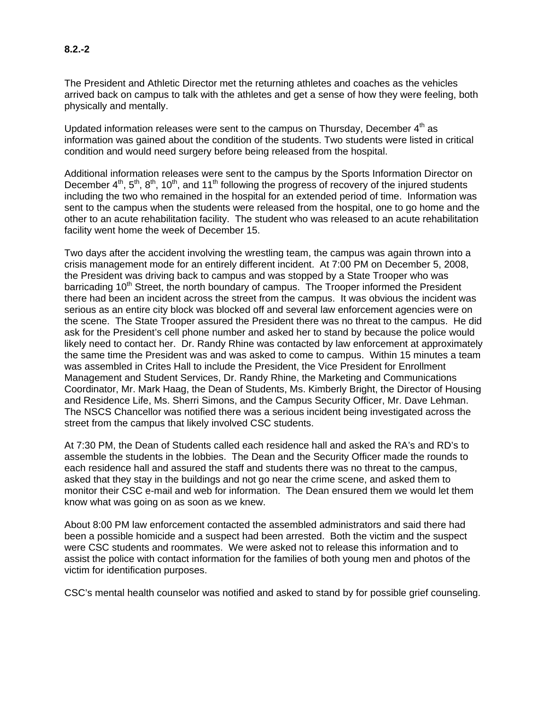# **8.2.-2**

The President and Athletic Director met the returning athletes and coaches as the vehicles arrived back on campus to talk with the athletes and get a sense of how they were feeling, both physically and mentally.

Updated information releases were sent to the campus on Thursday, December  $4<sup>th</sup>$  as information was gained about the condition of the students. Two students were listed in critical condition and would need surgery before being released from the hospital.

Additional information releases were sent to the campus by the Sports Information Director on December  $4<sup>th</sup>$ ,  $5<sup>th</sup>$ ,  $8<sup>th</sup>$ ,  $10<sup>th</sup>$ , and  $11<sup>th</sup>$  following the progress of recovery of the injured students including the two who remained in the hospital for an extended period of time. Information was sent to the campus when the students were released from the hospital, one to go home and the other to an acute rehabilitation facility. The student who was released to an acute rehabilitation facility went home the week of December 15.

Two days after the accident involving the wrestling team, the campus was again thrown into a crisis management mode for an entirely different incident. At 7:00 PM on December 5, 2008, the President was driving back to campus and was stopped by a State Trooper who was barricading 10<sup>th</sup> Street, the north boundary of campus. The Trooper informed the President there had been an incident across the street from the campus. It was obvious the incident was serious as an entire city block was blocked off and several law enforcement agencies were on the scene. The State Trooper assured the President there was no threat to the campus. He did ask for the President's cell phone number and asked her to stand by because the police would likely need to contact her. Dr. Randy Rhine was contacted by law enforcement at approximately the same time the President was and was asked to come to campus. Within 15 minutes a team was assembled in Crites Hall to include the President, the Vice President for Enrollment Management and Student Services, Dr. Randy Rhine, the Marketing and Communications Coordinator, Mr. Mark Haag, the Dean of Students, Ms. Kimberly Bright, the Director of Housing and Residence Life, Ms. Sherri Simons, and the Campus Security Officer, Mr. Dave Lehman. The NSCS Chancellor was notified there was a serious incident being investigated across the street from the campus that likely involved CSC students.

At 7:30 PM, the Dean of Students called each residence hall and asked the RA's and RD's to assemble the students in the lobbies. The Dean and the Security Officer made the rounds to each residence hall and assured the staff and students there was no threat to the campus, asked that they stay in the buildings and not go near the crime scene, and asked them to monitor their CSC e-mail and web for information. The Dean ensured them we would let them know what was going on as soon as we knew.

About 8:00 PM law enforcement contacted the assembled administrators and said there had been a possible homicide and a suspect had been arrested. Both the victim and the suspect were CSC students and roommates. We were asked not to release this information and to assist the police with contact information for the families of both young men and photos of the victim for identification purposes.

CSC's mental health counselor was notified and asked to stand by for possible grief counseling.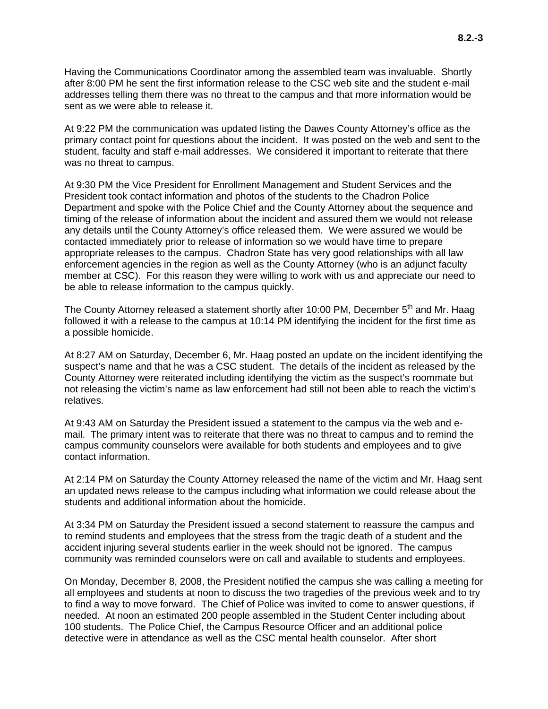Having the Communications Coordinator among the assembled team was invaluable. Shortly after 8:00 PM he sent the first information release to the CSC web site and the student e-mail addresses telling them there was no threat to the campus and that more information would be sent as we were able to release it.

At 9:22 PM the communication was updated listing the Dawes County Attorney's office as the primary contact point for questions about the incident. It was posted on the web and sent to the student, faculty and staff e-mail addresses. We considered it important to reiterate that there was no threat to campus.

At 9:30 PM the Vice President for Enrollment Management and Student Services and the President took contact information and photos of the students to the Chadron Police Department and spoke with the Police Chief and the County Attorney about the sequence and timing of the release of information about the incident and assured them we would not release any details until the County Attorney's office released them. We were assured we would be contacted immediately prior to release of information so we would have time to prepare appropriate releases to the campus. Chadron State has very good relationships with all law enforcement agencies in the region as well as the County Attorney (who is an adjunct faculty member at CSC). For this reason they were willing to work with us and appreciate our need to be able to release information to the campus quickly.

The County Attorney released a statement shortly after 10:00 PM, December 5<sup>th</sup> and Mr. Haag followed it with a release to the campus at 10:14 PM identifying the incident for the first time as a possible homicide.

At 8:27 AM on Saturday, December 6, Mr. Haag posted an update on the incident identifying the suspect's name and that he was a CSC student. The details of the incident as released by the County Attorney were reiterated including identifying the victim as the suspect's roommate but not releasing the victim's name as law enforcement had still not been able to reach the victim's relatives.

At 9:43 AM on Saturday the President issued a statement to the campus via the web and email. The primary intent was to reiterate that there was no threat to campus and to remind the campus community counselors were available for both students and employees and to give contact information.

At 2:14 PM on Saturday the County Attorney released the name of the victim and Mr. Haag sent an updated news release to the campus including what information we could release about the students and additional information about the homicide.

At 3:34 PM on Saturday the President issued a second statement to reassure the campus and to remind students and employees that the stress from the tragic death of a student and the accident injuring several students earlier in the week should not be ignored. The campus community was reminded counselors were on call and available to students and employees.

On Monday, December 8, 2008, the President notified the campus she was calling a meeting for all employees and students at noon to discuss the two tragedies of the previous week and to try to find a way to move forward. The Chief of Police was invited to come to answer questions, if needed. At noon an estimated 200 people assembled in the Student Center including about 100 students. The Police Chief, the Campus Resource Officer and an additional police detective were in attendance as well as the CSC mental health counselor. After short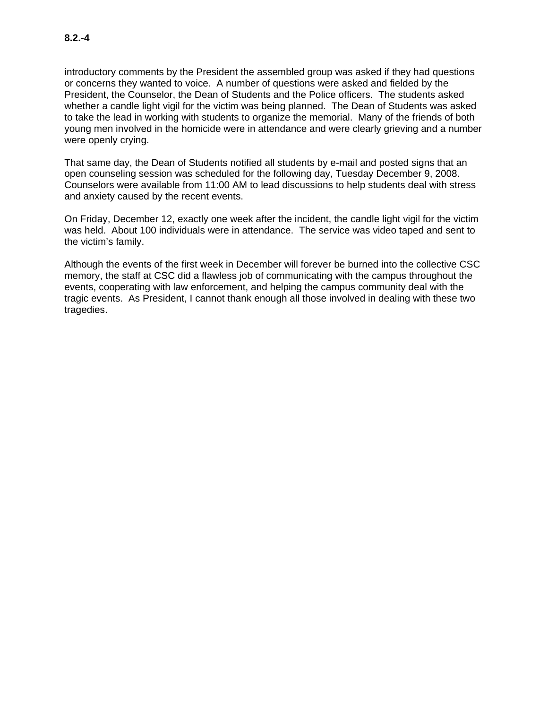introductory comments by the President the assembled group was asked if they had questions or concerns they wanted to voice. A number of questions were asked and fielded by the President, the Counselor, the Dean of Students and the Police officers. The students asked whether a candle light vigil for the victim was being planned. The Dean of Students was asked to take the lead in working with students to organize the memorial. Many of the friends of both young men involved in the homicide were in attendance and were clearly grieving and a number were openly crying.

That same day, the Dean of Students notified all students by e-mail and posted signs that an open counseling session was scheduled for the following day, Tuesday December 9, 2008. Counselors were available from 11:00 AM to lead discussions to help students deal with stress and anxiety caused by the recent events.

On Friday, December 12, exactly one week after the incident, the candle light vigil for the victim was held. About 100 individuals were in attendance. The service was video taped and sent to the victim's family.

Although the events of the first week in December will forever be burned into the collective CSC memory, the staff at CSC did a flawless job of communicating with the campus throughout the events, cooperating with law enforcement, and helping the campus community deal with the tragic events. As President, I cannot thank enough all those involved in dealing with these two tragedies.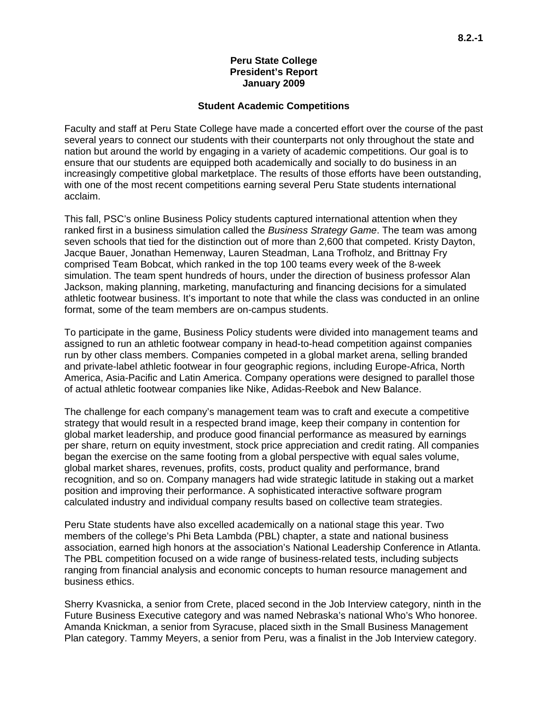#### **Peru State College President's Report January 2009**

#### **Student Academic Competitions**

Faculty and staff at Peru State College have made a concerted effort over the course of the past several years to connect our students with their counterparts not only throughout the state and nation but around the world by engaging in a variety of academic competitions. Our goal is to ensure that our students are equipped both academically and socially to do business in an increasingly competitive global marketplace. The results of those efforts have been outstanding, with one of the most recent competitions earning several Peru State students international acclaim.

This fall, PSC's online Business Policy students captured international attention when they ranked first in a business simulation called the *Business Strategy Game*. The team was among seven schools that tied for the distinction out of more than 2,600 that competed. Kristy Dayton, Jacque Bauer, Jonathan Hemenway, Lauren Steadman, Lana Trofholz, and Brittnay Fry comprised Team Bobcat, which ranked in the top 100 teams every week of the 8-week simulation. The team spent hundreds of hours, under the direction of business professor Alan Jackson, making planning, marketing, manufacturing and financing decisions for a simulated athletic footwear business. It's important to note that while the class was conducted in an online format, some of the team members are on-campus students.

To participate in the game, Business Policy students were divided into management teams and assigned to run an athletic footwear company in head-to-head competition against companies run by other class members. Companies competed in a global market arena, selling branded and private-label athletic footwear in four geographic regions, including Europe-Africa, North America, Asia-Pacific and Latin America. Company operations were designed to parallel those of actual athletic footwear companies like Nike, Adidas-Reebok and New Balance.

The challenge for each company's management team was to craft and execute a competitive strategy that would result in a respected brand image, keep their company in contention for global market leadership, and produce good financial performance as measured by earnings per share, return on equity investment, stock price appreciation and credit rating. All companies began the exercise on the same footing from a global perspective with equal sales volume, global market shares, revenues, profits, costs, product quality and performance, brand recognition, and so on. Company managers had wide strategic latitude in staking out a market position and improving their performance. A sophisticated interactive software program calculated industry and individual company results based on collective team strategies.

Peru State students have also excelled academically on a national stage this year. Two members of the college's Phi Beta Lambda (PBL) chapter, a state and national business association, earned high honors at the association's National Leadership Conference in Atlanta. The PBL competition focused on a wide range of business-related tests, including subjects ranging from financial analysis and economic concepts to human resource management and business ethics.

Sherry Kvasnicka, a senior from Crete, placed second in the Job Interview category, ninth in the Future Business Executive category and was named Nebraska's national Who's Who honoree. Amanda Knickman, a senior from Syracuse, placed sixth in the Small Business Management Plan category. Tammy Meyers, a senior from Peru, was a finalist in the Job Interview category.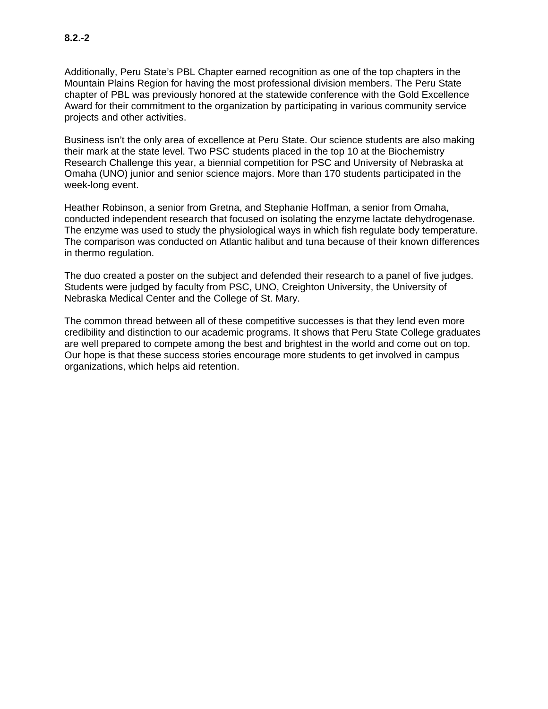Additionally, Peru State's PBL Chapter earned recognition as one of the top chapters in the Mountain Plains Region for having the most professional division members. The Peru State chapter of PBL was previously honored at the statewide conference with the Gold Excellence Award for their commitment to the organization by participating in various community service projects and other activities.

Business isn't the only area of excellence at Peru State. Our science students are also making their mark at the state level. Two PSC students placed in the top 10 at the Biochemistry Research Challenge this year, a biennial competition for PSC and University of Nebraska at Omaha (UNO) junior and senior science majors. More than 170 students participated in the week-long event.

Heather Robinson, a senior from Gretna, and Stephanie Hoffman, a senior from Omaha, conducted independent research that focused on isolating the enzyme lactate dehydrogenase. The enzyme was used to study the physiological ways in which fish regulate body temperature. The comparison was conducted on Atlantic halibut and tuna because of their known differences in thermo regulation.

The duo created a poster on the subject and defended their research to a panel of five judges. Students were judged by faculty from PSC, UNO, Creighton University, the University of Nebraska Medical Center and the College of St. Mary.

The common thread between all of these competitive successes is that they lend even more credibility and distinction to our academic programs. It shows that Peru State College graduates are well prepared to compete among the best and brightest in the world and come out on top. Our hope is that these success stories encourage more students to get involved in campus organizations, which helps aid retention.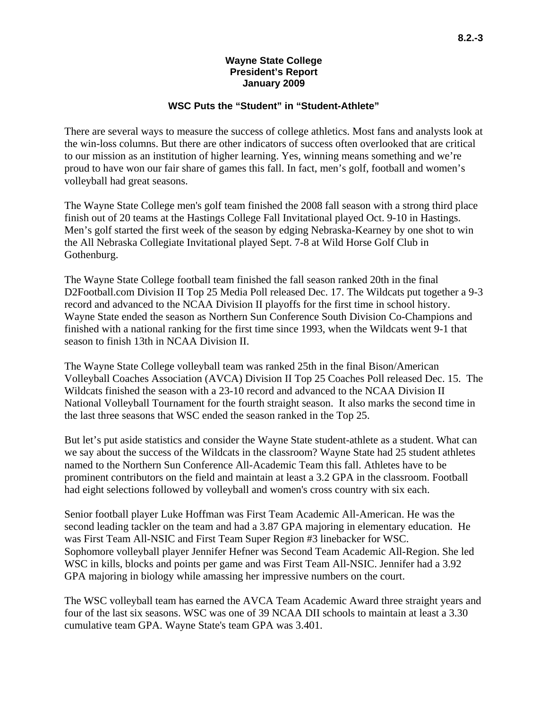## **Wayne State College President's Report January 2009**

## **WSC Puts the "Student" in "Student-Athlete"**

There are several ways to measure the success of college athletics. Most fans and analysts look at the win-loss columns. But there are other indicators of success often overlooked that are critical to our mission as an institution of higher learning. Yes, winning means something and we're proud to have won our fair share of games this fall. In fact, men's golf, football and women's volleyball had great seasons.

The Wayne State College men's golf team finished the 2008 fall season with a strong third place finish out of 20 teams at the Hastings College Fall Invitational played Oct. 9-10 in Hastings. Men's golf started the first week of the season by edging Nebraska-Kearney by one shot to win the All Nebraska Collegiate Invitational played Sept. 7-8 at Wild Horse Golf Club in Gothenburg.

The Wayne State College football team finished the fall season ranked 20th in the final D2Football.com Division II Top 25 Media Poll released Dec. 17. The Wildcats put together a 9-3 record and advanced to the NCAA Division II playoffs for the first time in school history. Wayne State ended the season as Northern Sun Conference South Division Co-Champions and finished with a national ranking for the first time since 1993, when the Wildcats went 9-1 that season to finish 13th in NCAA Division II.

The Wayne State College volleyball team was ranked 25th in the final Bison/American Volleyball Coaches Association (AVCA) Division II Top 25 Coaches Poll released Dec. 15. The Wildcats finished the season with a 23-10 record and advanced to the NCAA Division II National Volleyball Tournament for the fourth straight season. It also marks the second time in the last three seasons that WSC ended the season ranked in the Top 25.

But let's put aside statistics and consider the Wayne State student-athlete as a student. What can we say about the success of the Wildcats in the classroom? Wayne State had 25 student athletes named to the Northern Sun Conference All-Academic Team this fall. Athletes have to be prominent contributors on the field and maintain at least a 3.2 GPA in the classroom. Football had eight selections followed by volleyball and women's cross country with six each.

Senior football player Luke Hoffman was First Team Academic All-American. He was the second leading tackler on the team and had a 3.87 GPA majoring in elementary education. He was First Team All-NSIC and First Team Super Region #3 linebacker for WSC. Sophomore volleyball player Jennifer Hefner was Second Team Academic All-Region. She led WSC in kills, blocks and points per game and was First Team All-NSIC. Jennifer had a 3.92 GPA majoring in biology while amassing her impressive numbers on the court.

The WSC volleyball team has earned the AVCA Team Academic Award three straight years and four of the last six seasons. WSC was one of 39 NCAA DII schools to maintain at least a 3.30 cumulative team GPA. Wayne State's team GPA was 3.401.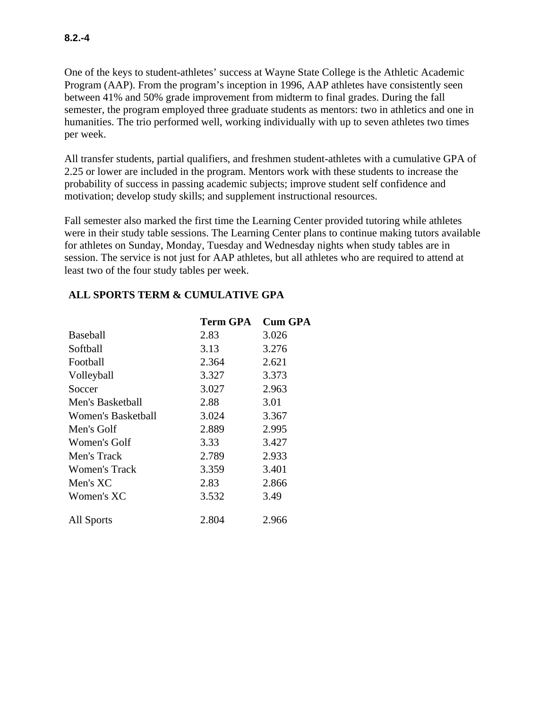**8.2.-4** 

One of the keys to student-athletes' success at Wayne State College is the Athletic Academic Program (AAP). From the program's inception in 1996, AAP athletes have consistently seen between 41% and 50% grade improvement from midterm to final grades. During the fall semester, the program employed three graduate students as mentors: two in athletics and one in humanities. The trio performed well, working individually with up to seven athletes two times per week.

All transfer students, partial qualifiers, and freshmen student-athletes with a cumulative GPA of 2.25 or lower are included in the program. Mentors work with these students to increase the probability of success in passing academic subjects; improve student self confidence and motivation; develop study skills; and supplement instructional resources.

Fall semester also marked the first time the Learning Center provided tutoring while athletes were in their study table sessions. The Learning Center plans to continue making tutors available for athletes on Sunday, Monday, Tuesday and Wednesday nights when study tables are in session. The service is not just for AAP athletes, but all athletes who are required to attend at least two of the four study tables per week.

# **ALL SPORTS TERM & CUMULATIVE GPA**

|                    | <b>Term GPA</b> | <b>Cum GPA</b> |
|--------------------|-----------------|----------------|
| Baseball           | 2.83            | 3.026          |
| Softball           | 3.13            | 3.276          |
| Football           | 2.364           | 2.621          |
| Volleyball         | 3.327           | 3.373          |
| Soccer             | 3.027           | 2.963          |
| Men's Basketball   | 2.88            | 3.01           |
| Women's Basketball | 3.024           | 3.367          |
| Men's Golf         | 2.889           | 2.995          |
| Women's Golf       | 3.33            | 3.427          |
| Men's Track        | 2.789           | 2.933          |
| Women's Track      | 3.359           | 3.401          |
| Men's XC           | 2.83            | 2.866          |
| Women's XC         | 3.532           | 3.49           |
| All Sports         | 2.804           | 2.966          |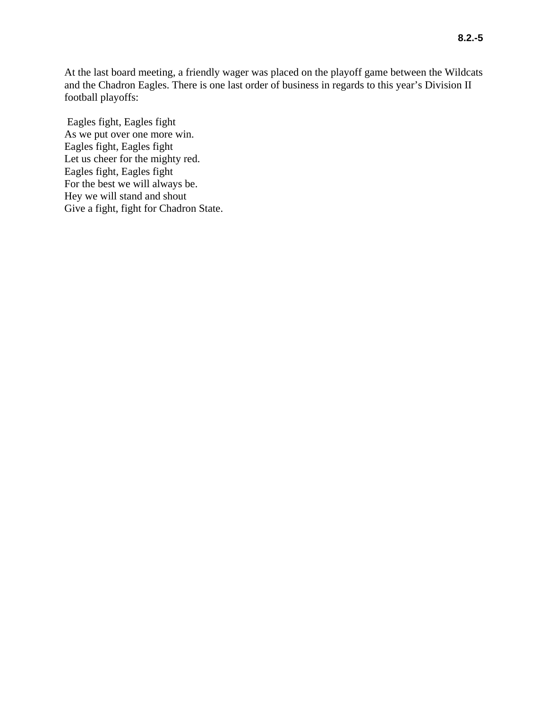At the last board meeting, a friendly wager was placed on the playoff game between the Wildcats and the Chadron Eagles. There is one last order of business in regards to this year's Division II football playoffs:

 Eagles fight, Eagles fight As we put over one more win. Eagles fight, Eagles fight Let us cheer for the mighty red. Eagles fight, Eagles fight For the best we will always be. Hey we will stand and shout Give a fight, fight for Chadron State.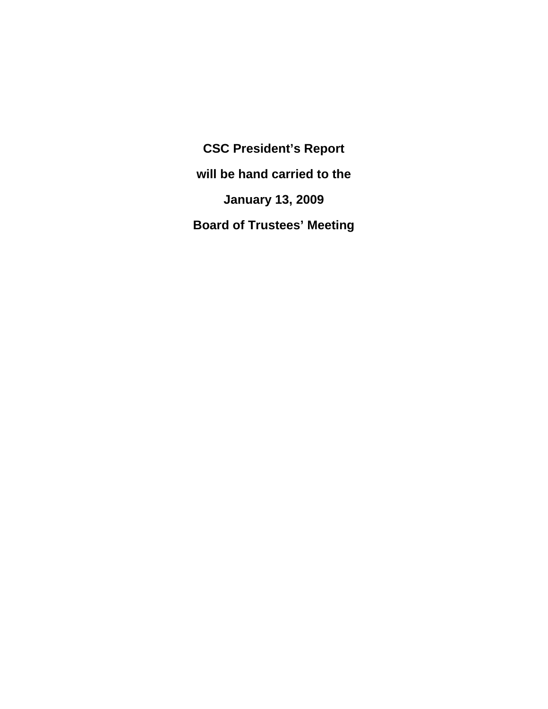**CSC President's Report will be hand carried to the January 13, 2009 Board of Trustees' Meeting**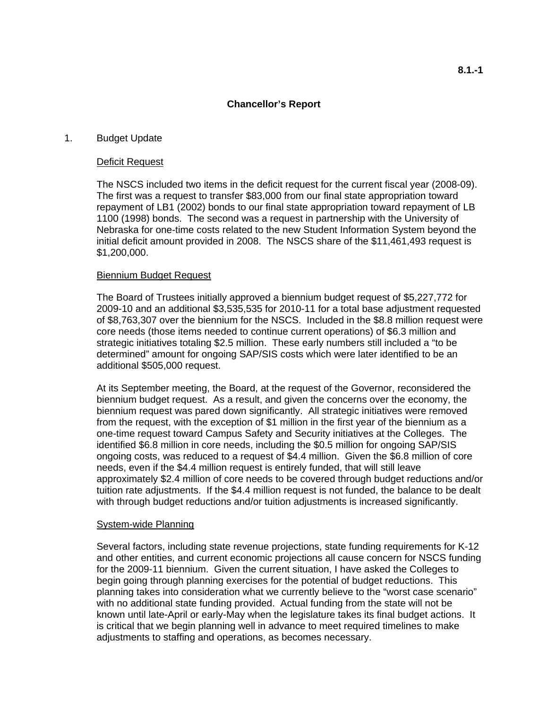## **Chancellor's Report**

#### 1. Budget Update

#### Deficit Request

The NSCS included two items in the deficit request for the current fiscal year (2008-09). The first was a request to transfer \$83,000 from our final state appropriation toward repayment of LB1 (2002) bonds to our final state appropriation toward repayment of LB 1100 (1998) bonds. The second was a request in partnership with the University of Nebraska for one-time costs related to the new Student Information System beyond the initial deficit amount provided in 2008. The NSCS share of the \$11,461,493 request is \$1,200,000.

#### Biennium Budget Request

The Board of Trustees initially approved a biennium budget request of \$5,227,772 for 2009-10 and an additional \$3,535,535 for 2010-11 for a total base adjustment requested of \$8,763,307 over the biennium for the NSCS. Included in the \$8.8 million request were core needs (those items needed to continue current operations) of \$6.3 million and strategic initiatives totaling \$2.5 million. These early numbers still included a "to be determined" amount for ongoing SAP/SIS costs which were later identified to be an additional \$505,000 request.

At its September meeting, the Board, at the request of the Governor, reconsidered the biennium budget request. As a result, and given the concerns over the economy, the biennium request was pared down significantly. All strategic initiatives were removed from the request, with the exception of \$1 million in the first year of the biennium as a one-time request toward Campus Safety and Security initiatives at the Colleges. The identified \$6.8 million in core needs, including the \$0.5 million for ongoing SAP/SIS ongoing costs, was reduced to a request of \$4.4 million. Given the \$6.8 million of core needs, even if the \$4.4 million request is entirely funded, that will still leave approximately \$2.4 million of core needs to be covered through budget reductions and/or tuition rate adjustments. If the \$4.4 million request is not funded, the balance to be dealt with through budget reductions and/or tuition adjustments is increased significantly.

#### System-wide Planning

Several factors, including state revenue projections, state funding requirements for K-12 and other entities, and current economic projections all cause concern for NSCS funding for the 2009-11 biennium. Given the current situation, I have asked the Colleges to begin going through planning exercises for the potential of budget reductions. This planning takes into consideration what we currently believe to the "worst case scenario" with no additional state funding provided. Actual funding from the state will not be known until late-April or early-May when the legislature takes its final budget actions. It is critical that we begin planning well in advance to meet required timelines to make adjustments to staffing and operations, as becomes necessary.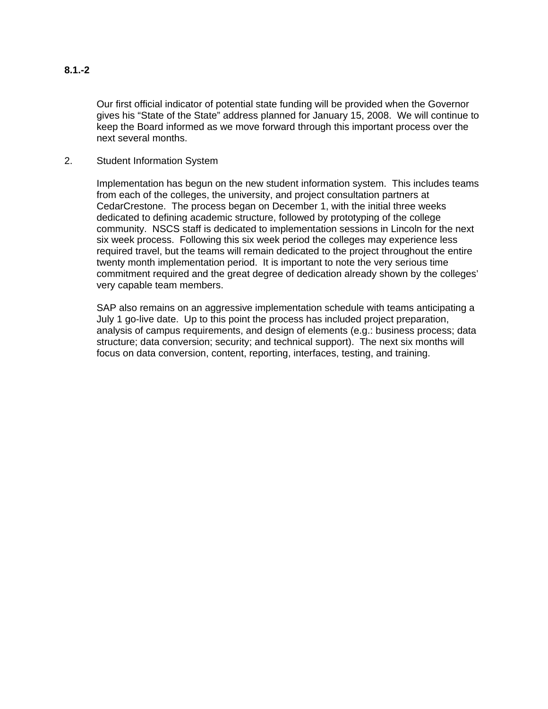# **8.1.-2**

Our first official indicator of potential state funding will be provided when the Governor gives his "State of the State" address planned for January 15, 2008. We will continue to keep the Board informed as we move forward through this important process over the next several months.

2. Student Information System

Implementation has begun on the new student information system. This includes teams from each of the colleges, the university, and project consultation partners at CedarCrestone. The process began on December 1, with the initial three weeks dedicated to defining academic structure, followed by prototyping of the college community. NSCS staff is dedicated to implementation sessions in Lincoln for the next six week process. Following this six week period the colleges may experience less required travel, but the teams will remain dedicated to the project throughout the entire twenty month implementation period. It is important to note the very serious time commitment required and the great degree of dedication already shown by the colleges' very capable team members.

SAP also remains on an aggressive implementation schedule with teams anticipating a July 1 go-live date. Up to this point the process has included project preparation, analysis of campus requirements, and design of elements (e.g.: business process; data structure; data conversion; security; and technical support). The next six months will focus on data conversion, content, reporting, interfaces, testing, and training.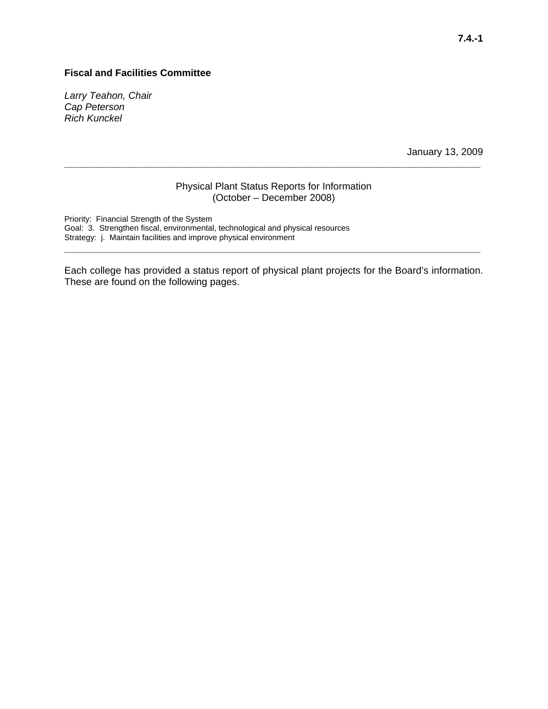### **Fiscal and Facilities Committee**

*Larry Teahon, Chair Cap Peterson Rich Kunckel* 

January 13, 2009

#### Physical Plant Status Reports for Information (October – December 2008)

**\_\_\_\_\_\_\_\_\_\_\_\_\_\_\_\_\_\_\_\_\_\_\_\_\_\_\_\_\_\_\_\_\_\_\_\_\_\_\_\_\_\_\_\_\_\_\_\_\_\_\_\_\_\_\_\_\_\_\_\_\_\_\_\_\_\_\_\_\_\_\_\_\_\_\_\_** 

Priority: Financial Strength of the System Goal: 3. Strengthen fiscal, environmental, technological and physical resources Strategy: j. Maintain facilities and improve physical environment

Each college has provided a status report of physical plant projects for the Board's information. These are found on the following pages.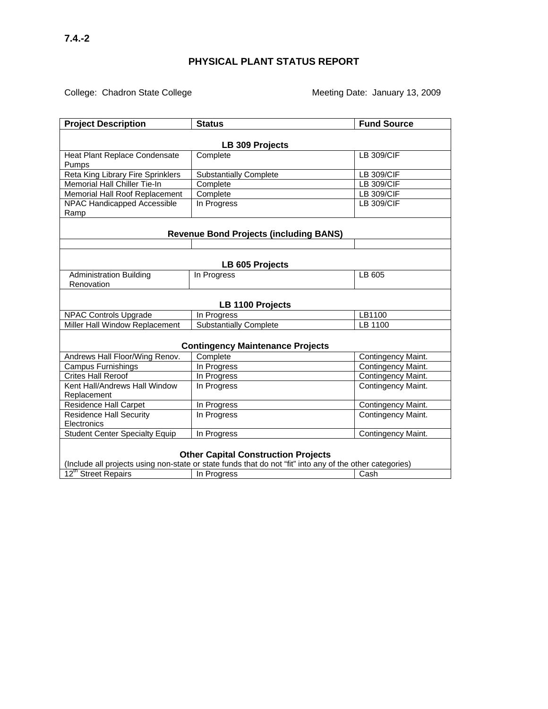# College: Chadron State College **by College Meeting Date: January 13, 2009**

| <b>Project Description</b>                                                                               | <b>Status</b>                                 | <b>Fund Source</b> |  |  |
|----------------------------------------------------------------------------------------------------------|-----------------------------------------------|--------------------|--|--|
|                                                                                                          |                                               |                    |  |  |
| LB 309 Projects                                                                                          |                                               |                    |  |  |
| Heat Plant Replace Condensate                                                                            | Complete                                      | <b>LB 309/CIF</b>  |  |  |
| Pumps<br>Reta King Library Fire Sprinklers                                                               | <b>Substantially Complete</b>                 | <b>LB 309/CIF</b>  |  |  |
| Memorial Hall Chiller Tie-In                                                                             | Complete                                      | <b>LB 309/CIF</b>  |  |  |
| Memorial Hall Roof Replacement                                                                           | Complete                                      | <b>LB 309/CIF</b>  |  |  |
| NPAC Handicapped Accessible                                                                              | In Progress                                   | <b>LB 309/CIF</b>  |  |  |
| Ramp                                                                                                     |                                               |                    |  |  |
|                                                                                                          |                                               |                    |  |  |
|                                                                                                          | <b>Revenue Bond Projects (including BANS)</b> |                    |  |  |
|                                                                                                          |                                               |                    |  |  |
|                                                                                                          |                                               |                    |  |  |
|                                                                                                          | LB 605 Projects                               |                    |  |  |
| <b>Administration Building</b>                                                                           | In Progress                                   | LB 605             |  |  |
| Renovation                                                                                               |                                               |                    |  |  |
|                                                                                                          |                                               |                    |  |  |
|                                                                                                          | LB 1100 Projects                              |                    |  |  |
| <b>NPAC Controls Upgrade</b>                                                                             | In Progress                                   | LB1100             |  |  |
| Miller Hall Window Replacement                                                                           | <b>Substantially Complete</b>                 | LB 1100            |  |  |
|                                                                                                          |                                               |                    |  |  |
|                                                                                                          | <b>Contingency Maintenance Projects</b>       |                    |  |  |
| Andrews Hall Floor/Wing Renov.                                                                           | Complete                                      | Contingency Maint. |  |  |
| Campus Furnishings                                                                                       | In Progress                                   | Contingency Maint. |  |  |
| <b>Crites Hall Reroof</b>                                                                                | In Progress                                   | Contingency Maint. |  |  |
| Kent Hall/Andrews Hall Window                                                                            | In Progress                                   | Contingency Maint. |  |  |
| Replacement                                                                                              |                                               |                    |  |  |
| <b>Residence Hall Carpet</b>                                                                             | In Progress                                   | Contingency Maint. |  |  |
| <b>Residence Hall Security</b>                                                                           | In Progress                                   | Contingency Maint. |  |  |
| Electronics                                                                                              |                                               |                    |  |  |
| <b>Student Center Specialty Equip</b>                                                                    | In Progress                                   | Contingency Maint. |  |  |
|                                                                                                          |                                               |                    |  |  |
| <b>Other Capital Construction Projects</b>                                                               |                                               |                    |  |  |
| (Include all projects using non-state or state funds that do not "fit" into any of the other categories) |                                               |                    |  |  |
| 12 <sup>th</sup> Street Repairs                                                                          | In Progress                                   | Cash               |  |  |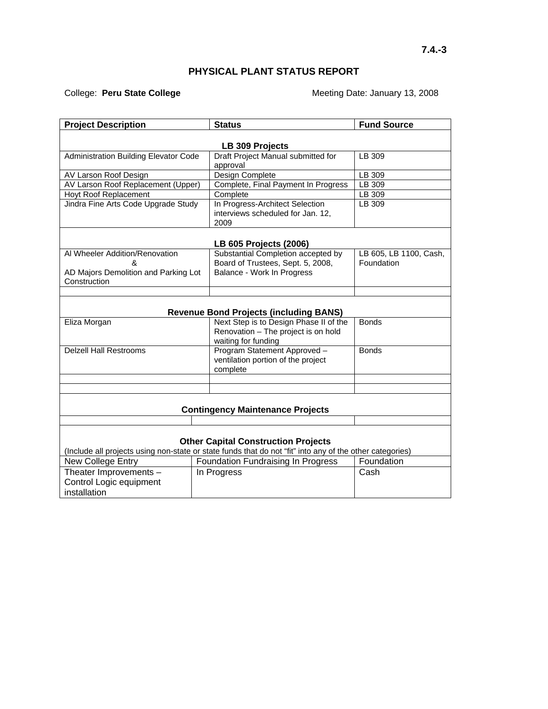# **PHYSICAL PLANT STATUS REPORT**

College: Peru State College **Meeting Date: January 13, 2008** 

| <b>Project Description</b>                                                                               | <b>Status</b>                                                                | <b>Fund Source</b>     |  |  |
|----------------------------------------------------------------------------------------------------------|------------------------------------------------------------------------------|------------------------|--|--|
|                                                                                                          |                                                                              |                        |  |  |
|                                                                                                          | LB 309 Projects                                                              |                        |  |  |
| <b>Administration Building Elevator Code</b>                                                             | Draft Project Manual submitted for<br>approval                               | LB 309                 |  |  |
| AV Larson Roof Design                                                                                    | Design Complete                                                              | LB 309                 |  |  |
| AV Larson Roof Replacement (Upper)                                                                       | Complete, Final Payment In Progress                                          | LB 309                 |  |  |
| Hoyt Roof Replacement                                                                                    | Complete                                                                     | LB 309                 |  |  |
| Jindra Fine Arts Code Upgrade Study                                                                      | In Progress-Architect Selection<br>interviews scheduled for Jan. 12,<br>2009 | LB 309                 |  |  |
|                                                                                                          | LB 605 Projects (2006)                                                       |                        |  |  |
| Al Wheeler Addition/Renovation                                                                           | Substantial Completion accepted by                                           | LB 605, LB 1100, Cash, |  |  |
| ጼ                                                                                                        | Board of Trustees, Sept. 5, 2008,                                            | Foundation             |  |  |
| AD Majors Demolition and Parking Lot                                                                     | Balance - Work In Progress                                                   |                        |  |  |
| Construction                                                                                             |                                                                              |                        |  |  |
|                                                                                                          |                                                                              |                        |  |  |
|                                                                                                          | <b>Revenue Bond Projects (including BANS)</b>                                |                        |  |  |
| Eliza Morgan                                                                                             | Next Step is to Design Phase II of the                                       | <b>Bonds</b>           |  |  |
|                                                                                                          | Renovation - The project is on hold                                          |                        |  |  |
|                                                                                                          | waiting for funding                                                          |                        |  |  |
| <b>Delzell Hall Restrooms</b>                                                                            | Program Statement Approved -                                                 | <b>Bonds</b>           |  |  |
|                                                                                                          | ventilation portion of the project                                           |                        |  |  |
|                                                                                                          | complete                                                                     |                        |  |  |
|                                                                                                          |                                                                              |                        |  |  |
|                                                                                                          |                                                                              |                        |  |  |
| <b>Contingency Maintenance Projects</b>                                                                  |                                                                              |                        |  |  |
|                                                                                                          |                                                                              |                        |  |  |
|                                                                                                          |                                                                              |                        |  |  |
|                                                                                                          | <b>Other Capital Construction Projects</b>                                   |                        |  |  |
| (Include all projects using non-state or state funds that do not "fit" into any of the other categories) |                                                                              |                        |  |  |
| New College Entry                                                                                        | Foundation Fundraising In Progress                                           | Foundation             |  |  |
| Theater Improvements -                                                                                   | In Progress                                                                  | Cash                   |  |  |
| Control Logic equipment                                                                                  |                                                                              |                        |  |  |
|                                                                                                          |                                                                              |                        |  |  |
| installation                                                                                             |                                                                              |                        |  |  |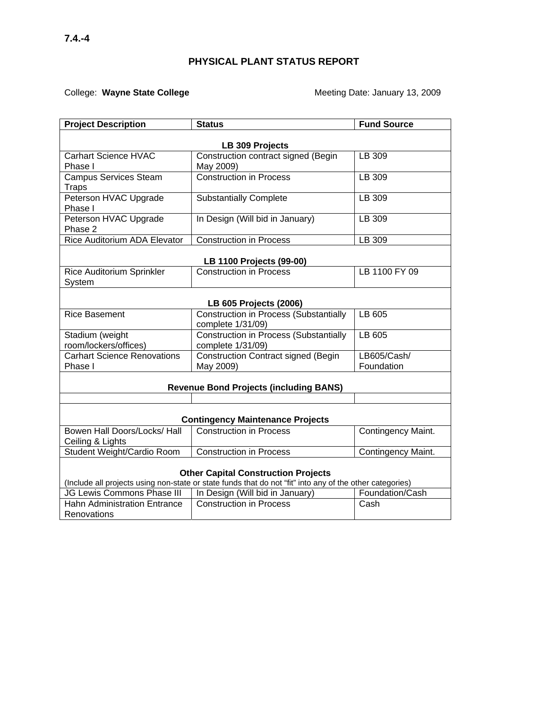# College: Wayne State College **Mater College 19 and Meeting Date: January 13, 2009**

| <b>Project Description</b>                                        | <b>Status</b>                                                                                            | <b>Fund Source</b>        |  |  |
|-------------------------------------------------------------------|----------------------------------------------------------------------------------------------------------|---------------------------|--|--|
|                                                                   |                                                                                                          |                           |  |  |
| <b>Carhart Science HVAC</b>                                       | LB 309 Projects<br>Construction contract signed (Begin                                                   | LB 309                    |  |  |
| Phase I                                                           | May 2009)                                                                                                |                           |  |  |
| <b>Campus Services Steam</b>                                      | <b>Construction in Process</b>                                                                           | LB 309                    |  |  |
| <b>Traps</b>                                                      |                                                                                                          |                           |  |  |
| Peterson HVAC Upgrade                                             | <b>Substantially Complete</b>                                                                            | LB 309                    |  |  |
| Phase I                                                           |                                                                                                          |                           |  |  |
| Peterson HVAC Upgrade<br>Phase 2                                  | In Design (Will bid in January)                                                                          | LB 309                    |  |  |
| <b>Rice Auditorium ADA Elevator</b>                               | <b>Construction in Process</b>                                                                           | LB 309                    |  |  |
|                                                                   |                                                                                                          |                           |  |  |
|                                                                   | LB 1100 Projects (99-00)<br><b>Construction in Process</b>                                               |                           |  |  |
| Rice Auditorium Sprinkler<br>System                               |                                                                                                          | LB 1100 FY 09             |  |  |
|                                                                   |                                                                                                          |                           |  |  |
|                                                                   | LB 605 Projects (2006)                                                                                   |                           |  |  |
| <b>Rice Basement</b>                                              | <b>Construction in Process (Substantially</b>                                                            | LB 605                    |  |  |
|                                                                   | complete 1/31/09)                                                                                        |                           |  |  |
| Stadium (weight                                                   | <b>Construction in Process (Substantially</b>                                                            | LB 605                    |  |  |
| room/lockers/offices)                                             | complete 1/31/09)                                                                                        |                           |  |  |
| <b>Carhart Science Renovations</b><br>Phase I                     | Construction Contract signed (Begin                                                                      | LB605/Cash/<br>Foundation |  |  |
|                                                                   | May 2009)                                                                                                |                           |  |  |
|                                                                   | <b>Revenue Bond Projects (including BANS)</b>                                                            |                           |  |  |
|                                                                   |                                                                                                          |                           |  |  |
| <b>Contingency Maintenance Projects</b>                           |                                                                                                          |                           |  |  |
| Bowen Hall Doors/Locks/ Hall                                      | <b>Construction in Process</b>                                                                           | Contingency Maint.        |  |  |
| Ceiling & Lights                                                  |                                                                                                          |                           |  |  |
| Student Weight/Cardio Room                                        | <b>Construction in Process</b>                                                                           | Contingency Maint.        |  |  |
|                                                                   |                                                                                                          |                           |  |  |
| <b>Other Capital Construction Projects</b>                        |                                                                                                          |                           |  |  |
|                                                                   | (Include all projects using non-state or state funds that do not "fit" into any of the other categories) | Foundation/Cash           |  |  |
| JG Lewis Commons Phase III<br><b>Hahn Administration Entrance</b> | In Design (Will bid in January)<br><b>Construction in Process</b>                                        | Cash                      |  |  |
| Renovations                                                       |                                                                                                          |                           |  |  |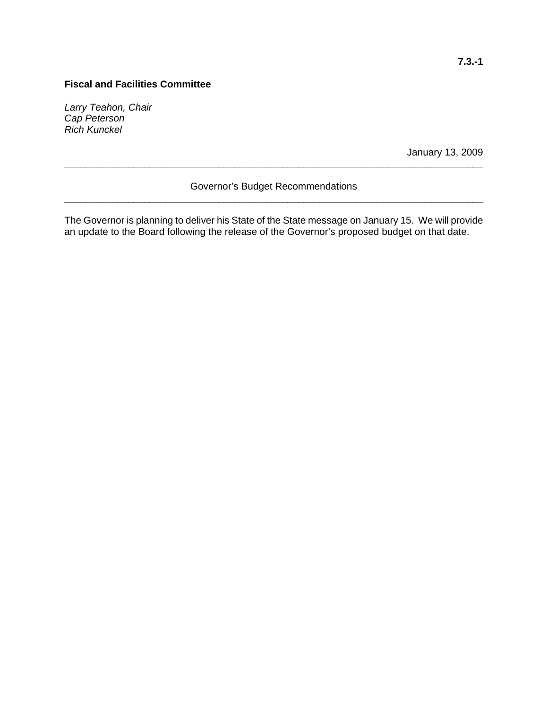# **Fiscal and Facilities Committee**

*Larry Teahon, Chair Cap Peterson Rich Kunckel* 

January 13, 2009

# Governor's Budget Recommendations **\_\_\_\_\_\_\_\_\_\_\_\_\_\_\_\_\_\_\_\_\_\_\_\_\_\_\_\_\_\_\_\_\_\_\_\_\_\_\_\_\_\_\_\_\_\_\_\_\_\_\_\_\_\_\_\_\_\_\_\_\_\_\_\_\_\_\_\_\_\_\_\_\_\_\_\_\_\_\_**

**\_\_\_\_\_\_\_\_\_\_\_\_\_\_\_\_\_\_\_\_\_\_\_\_\_\_\_\_\_\_\_\_\_\_\_\_\_\_\_\_\_\_\_\_\_\_\_\_\_\_\_\_\_\_\_\_\_\_\_\_\_\_\_\_\_\_\_\_\_\_\_\_\_\_\_\_\_\_\_** 

The Governor is planning to deliver his State of the State message on January 15. We will provide an update to the Board following the release of the Governor's proposed budget on that date.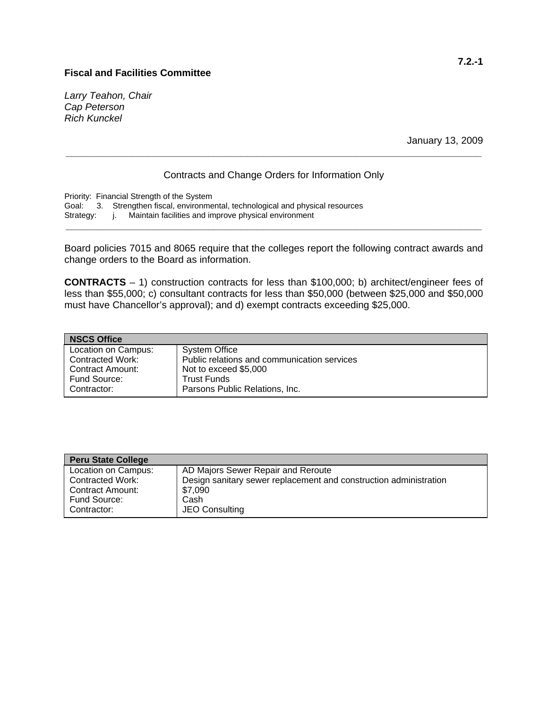#### **Fiscal and Facilities Committee**

*Larry Teahon, Chair Cap Peterson Rich Kunckel* 

January 13, 2009

#### Contracts and Change Orders for Information Only

**\_\_\_\_\_\_\_\_\_\_\_\_\_\_\_\_\_\_\_\_\_\_\_\_\_\_\_\_\_\_\_\_\_\_\_\_\_\_\_\_\_\_\_\_\_\_\_\_\_\_\_\_\_\_\_\_\_\_\_\_\_\_\_\_\_\_\_\_\_\_\_\_\_\_\_\_** 

Priority: Financial Strength of the System Goal: 3. Strengthen fiscal, environmental, technological and physical resources Strategy: j. Maintain facilities and improve physical environment

Board policies 7015 and 8065 require that the colleges report the following contract awards and change orders to the Board as information.

**\_\_\_\_\_\_\_\_\_\_\_\_\_\_\_\_\_\_\_\_\_\_\_\_\_\_\_\_\_\_\_\_\_\_\_\_\_\_\_\_\_\_\_\_\_\_\_\_\_\_\_\_\_\_\_\_\_\_\_\_\_\_\_\_\_\_\_\_\_\_\_\_\_\_\_\_** 

**CONTRACTS** – 1) construction contracts for less than \$100,000; b) architect/engineer fees of less than \$55,000; c) consultant contracts for less than \$50,000 (between \$25,000 and \$50,000 must have Chancellor's approval); and d) exempt contracts exceeding \$25,000.

| <b>NSCS Office</b>  |                                             |
|---------------------|---------------------------------------------|
| Location on Campus: | <b>System Office</b>                        |
| Contracted Work:    | Public relations and communication services |
| Contract Amount:    | Not to exceed \$5,000                       |
| Fund Source:        | <b>Trust Funds</b>                          |
| Contractor:         | Parsons Public Relations, Inc.              |

| <b>Peru State College</b> |                                                                   |
|---------------------------|-------------------------------------------------------------------|
| Location on Campus:       | AD Majors Sewer Repair and Reroute                                |
| Contracted Work:          | Design sanitary sewer replacement and construction administration |
| Contract Amount:          | \$7,090                                                           |
| Fund Source:              | Cash                                                              |
| Contractor:               | JEO Consulting                                                    |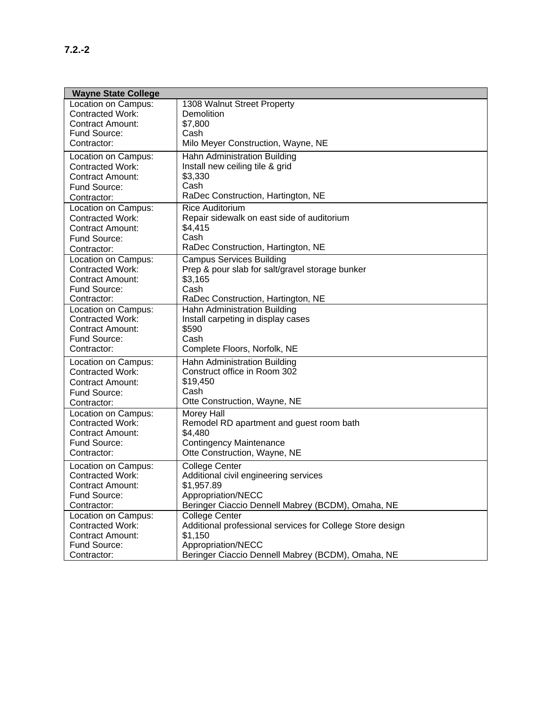| <b>Wayne State College</b>                     |                                                                    |
|------------------------------------------------|--------------------------------------------------------------------|
| Location on Campus:                            | 1308 Walnut Street Property                                        |
| <b>Contracted Work:</b>                        | Demolition                                                         |
| <b>Contract Amount:</b>                        | \$7,800                                                            |
| Fund Source:                                   | Cash                                                               |
| Contractor:                                    | Milo Meyer Construction, Wayne, NE                                 |
| Location on Campus:                            | Hahn Administration Building                                       |
| <b>Contracted Work:</b>                        | Install new ceiling tile & grid                                    |
| Contract Amount:                               | \$3,330                                                            |
| Fund Source:                                   | Cash                                                               |
| Contractor:                                    | RaDec Construction, Hartington, NE                                 |
| Location on Campus:                            | <b>Rice Auditorium</b>                                             |
| <b>Contracted Work:</b>                        | Repair sidewalk on east side of auditorium                         |
| <b>Contract Amount:</b>                        | \$4,415                                                            |
| Fund Source:                                   | Cash                                                               |
| Contractor:                                    | RaDec Construction, Hartington, NE                                 |
| Location on Campus:                            | <b>Campus Services Building</b>                                    |
| <b>Contracted Work:</b>                        | Prep & pour slab for salt/gravel storage bunker                    |
| <b>Contract Amount:</b>                        | \$3,165                                                            |
| Fund Source:                                   | Cash                                                               |
| Contractor:                                    | RaDec Construction, Hartington, NE<br>Hahn Administration Building |
| Location on Campus:<br><b>Contracted Work:</b> | Install carpeting in display cases                                 |
| <b>Contract Amount:</b>                        | \$590                                                              |
| Fund Source:                                   | Cash                                                               |
| Contractor:                                    | Complete Floors, Norfolk, NE                                       |
| Location on Campus:                            | Hahn Administration Building                                       |
| <b>Contracted Work:</b>                        | Construct office in Room 302                                       |
| <b>Contract Amount:</b>                        | \$19,450                                                           |
| Fund Source:                                   | Cash                                                               |
| Contractor:                                    | Otte Construction, Wayne, NE                                       |
| Location on Campus:                            | Morey Hall                                                         |
| <b>Contracted Work:</b>                        | Remodel RD apartment and guest room bath                           |
| Contract Amount:                               | \$4,480                                                            |
| Fund Source:                                   | <b>Contingency Maintenance</b>                                     |
| Contractor:                                    | Otte Construction, Wayne, NE                                       |
| Location on Campus:                            | College Center                                                     |
| <b>Contracted Work:</b>                        | Additional civil engineering services                              |
| Contract Amount:                               | \$1,957.89                                                         |
| Fund Source:                                   | Appropriation/NECC                                                 |
| Contractor:                                    | Beringer Ciaccio Dennell Mabrey (BCDM), Omaha, NE                  |
| Location on Campus:                            | <b>College Center</b>                                              |
| <b>Contracted Work:</b>                        | Additional professional services for College Store design          |
| <b>Contract Amount:</b>                        | \$1,150                                                            |
| Fund Source:                                   | Appropriation/NECC                                                 |
| Contractor:                                    | Beringer Ciaccio Dennell Mabrey (BCDM), Omaha, NE                  |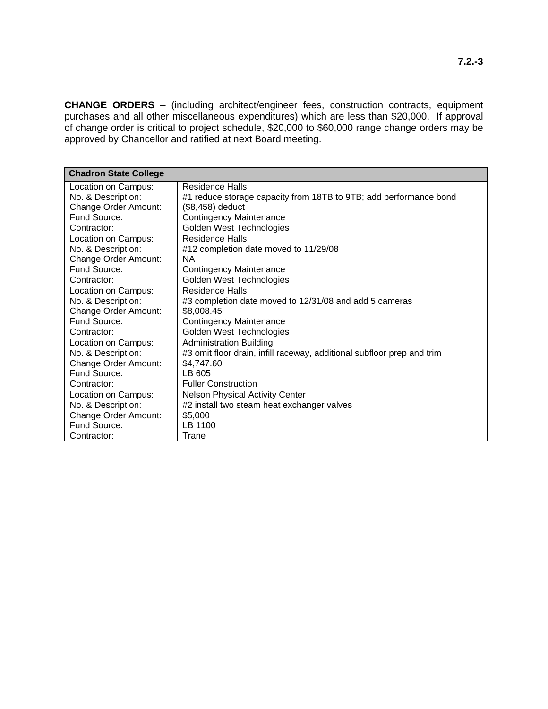**CHANGE ORDERS** – (including architect/engineer fees, construction contracts, equipment purchases and all other miscellaneous expenditures) which are less than \$20,000. If approval of change order is critical to project schedule, \$20,000 to \$60,000 range change orders may be approved by Chancellor and ratified at next Board meeting.

| <b>Chadron State College</b> |                                                                        |
|------------------------------|------------------------------------------------------------------------|
| Location on Campus:          | Residence Halls                                                        |
| No. & Description:           | #1 reduce storage capacity from 18TB to 9TB; add performance bond      |
| <b>Change Order Amount:</b>  | (\$8,458) deduct                                                       |
| Fund Source:                 | <b>Contingency Maintenance</b>                                         |
| Contractor:                  | Golden West Technologies                                               |
| Location on Campus:          | Residence Halls                                                        |
| No. & Description:           | #12 completion date moved to 11/29/08                                  |
| <b>Change Order Amount:</b>  | <b>NA</b>                                                              |
| Fund Source:                 | <b>Contingency Maintenance</b>                                         |
| Contractor:                  | Golden West Technologies                                               |
| Location on Campus:          | <b>Residence Halls</b>                                                 |
| No. & Description:           | #3 completion date moved to 12/31/08 and add 5 cameras                 |
| Change Order Amount:         | \$8,008.45                                                             |
| Fund Source:                 | <b>Contingency Maintenance</b>                                         |
| Contractor:                  | Golden West Technologies                                               |
| Location on Campus:          | <b>Administration Building</b>                                         |
| No. & Description:           | #3 omit floor drain, infill raceway, additional subfloor prep and trim |
| <b>Change Order Amount:</b>  | \$4,747.60                                                             |
| Fund Source:                 | LB 605                                                                 |
| Contractor:                  | <b>Fuller Construction</b>                                             |
| Location on Campus:          | <b>Nelson Physical Activity Center</b>                                 |
| No. & Description:           | #2 install two steam heat exchanger valves                             |
| Change Order Amount:         | \$5,000                                                                |
| Fund Source:                 | LB 1100                                                                |
| Contractor:                  | Trane                                                                  |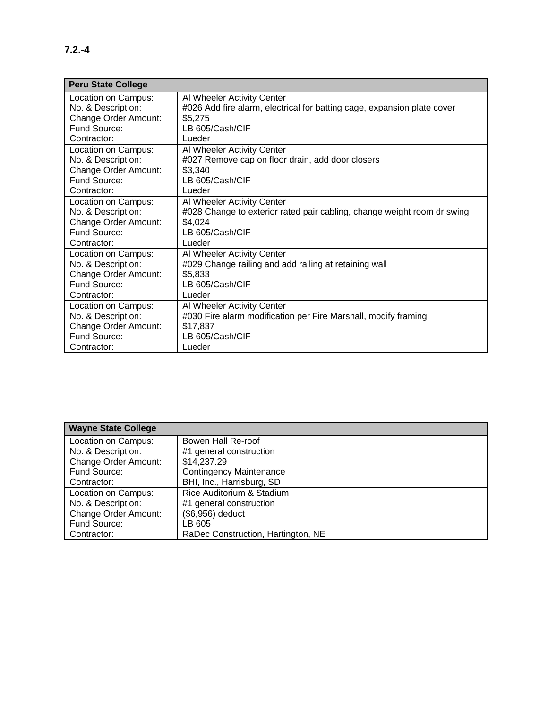| <b>Peru State College</b> |                                                                         |
|---------------------------|-------------------------------------------------------------------------|
| Location on Campus:       | Al Wheeler Activity Center                                              |
| No. & Description:        | #026 Add fire alarm, electrical for batting cage, expansion plate cover |
| Change Order Amount:      | \$5,275                                                                 |
| Fund Source:              | LB 605/Cash/CIF                                                         |
| Contractor:               | Lueder                                                                  |
| Location on Campus:       | Al Wheeler Activity Center                                              |
| No. & Description:        | #027 Remove cap on floor drain, add door closers                        |
| Change Order Amount:      | \$3,340                                                                 |
| Fund Source:              | LB 605/Cash/CIF                                                         |
| Contractor:               | Lueder                                                                  |
| Location on Campus:       | Al Wheeler Activity Center                                              |
| No. & Description:        | #028 Change to exterior rated pair cabling, change weight room dr swing |
| Change Order Amount:      | \$4,024                                                                 |
| Fund Source:              | LB 605/Cash/CIF                                                         |
| Contractor:               | Lueder                                                                  |
| Location on Campus:       | Al Wheeler Activity Center                                              |
| No. & Description:        | #029 Change railing and add railing at retaining wall                   |
| Change Order Amount:      | \$5,833                                                                 |
| Fund Source:              | LB 605/Cash/CIF                                                         |
| Contractor:               | Lueder                                                                  |
| Location on Campus:       | Al Wheeler Activity Center                                              |
| No. & Description:        | #030 Fire alarm modification per Fire Marshall, modify framing          |
| Change Order Amount:      | \$17,837                                                                |
| Fund Source:              | LB 605/Cash/CIF                                                         |
| Contractor:               | Lueder                                                                  |

| <b>Wayne State College</b>  |                                    |
|-----------------------------|------------------------------------|
| Location on Campus:         | Bowen Hall Re-roof                 |
| No. & Description:          | #1 general construction            |
| <b>Change Order Amount:</b> | \$14,237.29                        |
| Fund Source:                | <b>Contingency Maintenance</b>     |
| Contractor:                 | BHI, Inc., Harrisburg, SD          |
| Location on Campus:         | Rice Auditorium & Stadium          |
| No. & Description:          | #1 general construction            |
| <b>Change Order Amount:</b> | (\$6,956) deduct                   |
| Fund Source:                | LB 605                             |
| Contractor:                 | RaDec Construction, Hartington, NE |

l.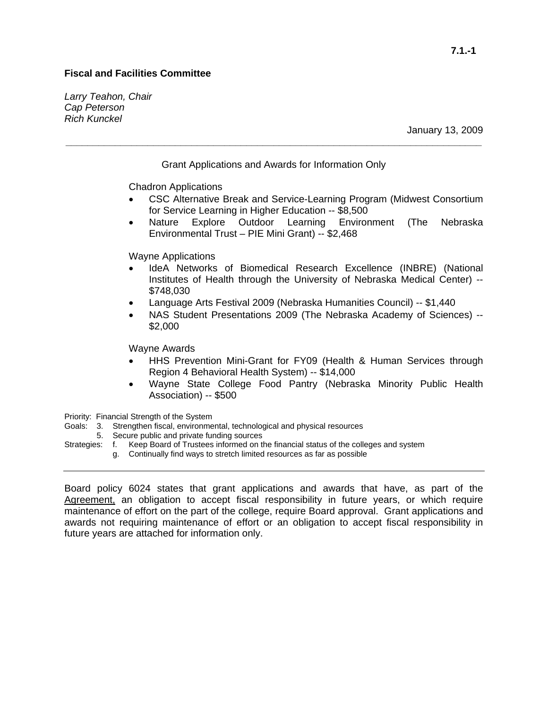## **Fiscal and Facilities Committee**

*Larry Teahon, Chair Cap Peterson Rich Kunckel* 

Grant Applications and Awards for Information Only

**\_\_\_\_\_\_\_\_\_\_\_\_\_\_\_\_\_\_\_\_\_\_\_\_\_\_\_\_\_\_\_\_\_\_\_\_\_\_\_\_\_\_\_\_\_\_\_\_\_\_\_\_\_\_\_\_\_\_\_\_\_\_\_\_\_\_\_\_\_\_\_\_\_\_\_\_** 

Chadron Applications

- CSC Alternative Break and Service-Learning Program (Midwest Consortium for Service Learning in Higher Education -- \$8,500
- Nature Explore Outdoor Learning Environment (The Nebraska Environmental Trust – PIE Mini Grant) -- \$2,468

Wayne Applications

- IdeA Networks of Biomedical Research Excellence (INBRE) (National Institutes of Health through the University of Nebraska Medical Center) -- \$748,030
- Language Arts Festival 2009 (Nebraska Humanities Council) -- \$1,440
- NAS Student Presentations 2009 (The Nebraska Academy of Sciences) -- \$2,000

Wayne Awards

- HHS Prevention Mini-Grant for FY09 (Health & Human Services through Region 4 Behavioral Health System) -- \$14,000
- Wayne State College Food Pantry (Nebraska Minority Public Health Association) -- \$500

Priority: Financial Strength of the System

- Goals: 3. Strengthen fiscal, environmental, technological and physical resources
- 5. Secure public and private funding sources
- Strategies: f. Keep Board of Trustees informed on the financial status of the colleges and system g. Continually find ways to stretch limited resources as far as possible

Board policy 6024 states that grant applications and awards that have, as part of the Agreement, an obligation to accept fiscal responsibility in future years, or which require maintenance of effort on the part of the college, require Board approval. Grant applications and awards not requiring maintenance of effort or an obligation to accept fiscal responsibility in future years are attached for information only.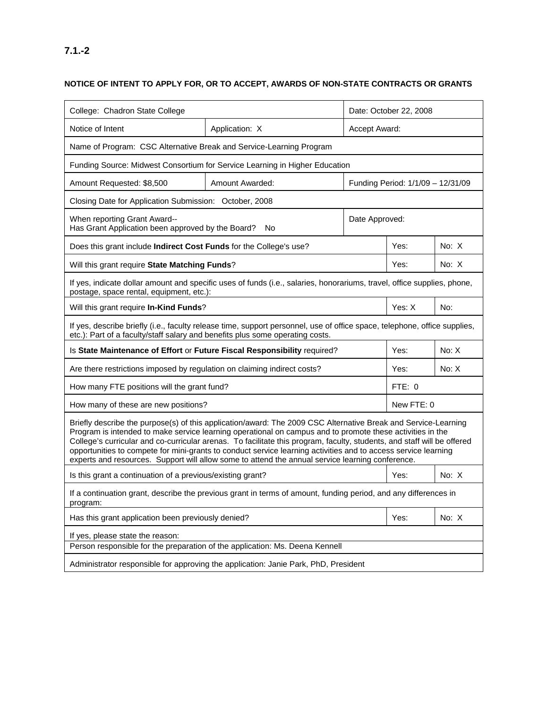| College: Chadron State College                                                                                                                                                                                                                                                                                                                                                                                                                                                                                                                                               |                                                                                                                         | Date: October 22, 2008 |        |         |
|------------------------------------------------------------------------------------------------------------------------------------------------------------------------------------------------------------------------------------------------------------------------------------------------------------------------------------------------------------------------------------------------------------------------------------------------------------------------------------------------------------------------------------------------------------------------------|-------------------------------------------------------------------------------------------------------------------------|------------------------|--------|---------|
| Notice of Intent                                                                                                                                                                                                                                                                                                                                                                                                                                                                                                                                                             | Application: X                                                                                                          | Accept Award:          |        |         |
| Name of Program: CSC Alternative Break and Service-Learning Program                                                                                                                                                                                                                                                                                                                                                                                                                                                                                                          |                                                                                                                         |                        |        |         |
|                                                                                                                                                                                                                                                                                                                                                                                                                                                                                                                                                                              | Funding Source: Midwest Consortium for Service Learning in Higher Education                                             |                        |        |         |
| Amount Requested: \$8,500                                                                                                                                                                                                                                                                                                                                                                                                                                                                                                                                                    | Amount Awarded:<br>Funding Period: 1/1/09 - 12/31/09                                                                    |                        |        |         |
| Closing Date for Application Submission: October, 2008                                                                                                                                                                                                                                                                                                                                                                                                                                                                                                                       |                                                                                                                         |                        |        |         |
| When reporting Grant Award--<br>Has Grant Application been approved by the Board?                                                                                                                                                                                                                                                                                                                                                                                                                                                                                            | No                                                                                                                      | Date Approved:         |        |         |
| Does this grant include Indirect Cost Funds for the College's use?                                                                                                                                                                                                                                                                                                                                                                                                                                                                                                           |                                                                                                                         |                        | Yes:   | No: X   |
| Will this grant require State Matching Funds?                                                                                                                                                                                                                                                                                                                                                                                                                                                                                                                                |                                                                                                                         |                        | Yes:   | No: $X$ |
| postage, space rental, equipment, etc.):                                                                                                                                                                                                                                                                                                                                                                                                                                                                                                                                     | If yes, indicate dollar amount and specific uses of funds (i.e., salaries, honorariums, travel, office supplies, phone, |                        |        |         |
| Will this grant require In-Kind Funds?                                                                                                                                                                                                                                                                                                                                                                                                                                                                                                                                       |                                                                                                                         |                        | Yes: X | No:     |
| If yes, describe briefly (i.e., faculty release time, support personnel, use of office space, telephone, office supplies,<br>etc.): Part of a faculty/staff salary and benefits plus some operating costs.                                                                                                                                                                                                                                                                                                                                                                   |                                                                                                                         |                        |        |         |
| No: X<br>Yes:<br>Is State Maintenance of Effort or Future Fiscal Responsibility required?                                                                                                                                                                                                                                                                                                                                                                                                                                                                                    |                                                                                                                         |                        |        |         |
| Are there restrictions imposed by regulation on claiming indirect costs?<br>Yes:<br>No: X                                                                                                                                                                                                                                                                                                                                                                                                                                                                                    |                                                                                                                         |                        |        |         |
| How many FTE positions will the grant fund?<br>FTE: 0                                                                                                                                                                                                                                                                                                                                                                                                                                                                                                                        |                                                                                                                         |                        |        |         |
| How many of these are new positions?<br>New FTE: 0                                                                                                                                                                                                                                                                                                                                                                                                                                                                                                                           |                                                                                                                         |                        |        |         |
| Briefly describe the purpose(s) of this application/award: The 2009 CSC Alternative Break and Service-Learning<br>Program is intended to make service learning operational on campus and to promote these activities in the<br>College's curricular and co-curricular arenas. To facilitate this program, faculty, students, and staff will be offered<br>opportunities to compete for mini-grants to conduct service learning activities and to access service learning<br>experts and resources. Support will allow some to attend the annual service learning conference. |                                                                                                                         |                        |        |         |
| Is this grant a continuation of a previous/existing grant?                                                                                                                                                                                                                                                                                                                                                                                                                                                                                                                   |                                                                                                                         |                        | Yes:   | No: X   |
| If a continuation grant, describe the previous grant in terms of amount, funding period, and any differences in<br>program:                                                                                                                                                                                                                                                                                                                                                                                                                                                  |                                                                                                                         |                        |        |         |
| Has this grant application been previously denied?                                                                                                                                                                                                                                                                                                                                                                                                                                                                                                                           |                                                                                                                         |                        | Yes:   | No: X   |
| If yes, please state the reason:                                                                                                                                                                                                                                                                                                                                                                                                                                                                                                                                             |                                                                                                                         |                        |        |         |
| Person responsible for the preparation of the application: Ms. Deena Kennell                                                                                                                                                                                                                                                                                                                                                                                                                                                                                                 |                                                                                                                         |                        |        |         |
| Administrator responsible for approving the application: Janie Park, PhD, President                                                                                                                                                                                                                                                                                                                                                                                                                                                                                          |                                                                                                                         |                        |        |         |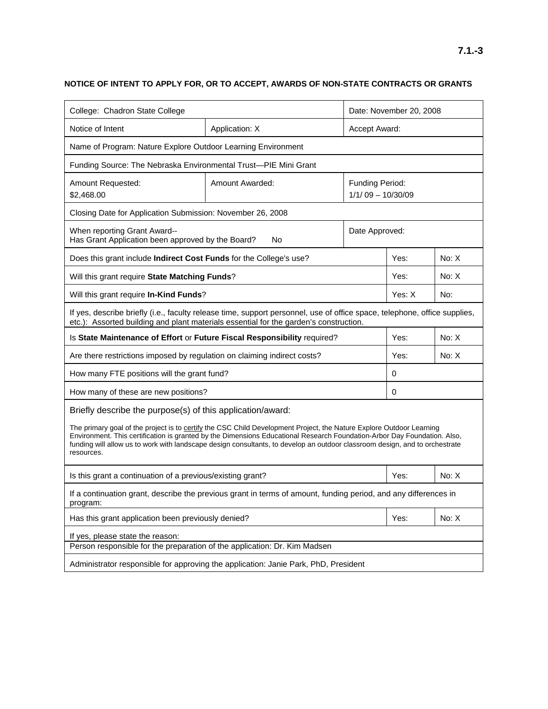| College: Chadron State College                                                                                                                                                                                                                                                                                                                                                                |                                                                                                                                                                                                                    | Date: November 20, 2008                       |        |       |
|-----------------------------------------------------------------------------------------------------------------------------------------------------------------------------------------------------------------------------------------------------------------------------------------------------------------------------------------------------------------------------------------------|--------------------------------------------------------------------------------------------------------------------------------------------------------------------------------------------------------------------|-----------------------------------------------|--------|-------|
| Notice of Intent                                                                                                                                                                                                                                                                                                                                                                              | Application: X                                                                                                                                                                                                     | Accept Award:                                 |        |       |
| Name of Program: Nature Explore Outdoor Learning Environment                                                                                                                                                                                                                                                                                                                                  |                                                                                                                                                                                                                    |                                               |        |       |
| Funding Source: The Nebraska Environmental Trust-PIE Mini Grant                                                                                                                                                                                                                                                                                                                               |                                                                                                                                                                                                                    |                                               |        |       |
| Amount Requested:<br>\$2,468.00                                                                                                                                                                                                                                                                                                                                                               | Amount Awarded:                                                                                                                                                                                                    | <b>Funding Period:</b><br>$1/1/09 - 10/30/09$ |        |       |
| Closing Date for Application Submission: November 26, 2008                                                                                                                                                                                                                                                                                                                                    |                                                                                                                                                                                                                    |                                               |        |       |
| When reporting Grant Award--<br>Has Grant Application been approved by the Board?                                                                                                                                                                                                                                                                                                             | No                                                                                                                                                                                                                 | Date Approved:                                |        |       |
| Does this grant include Indirect Cost Funds for the College's use?                                                                                                                                                                                                                                                                                                                            |                                                                                                                                                                                                                    |                                               | Yes:   | No: X |
| Will this grant require State Matching Funds?                                                                                                                                                                                                                                                                                                                                                 |                                                                                                                                                                                                                    |                                               | Yes:   | No: X |
| Will this grant require In-Kind Funds?                                                                                                                                                                                                                                                                                                                                                        |                                                                                                                                                                                                                    |                                               | Yes: X | No:   |
|                                                                                                                                                                                                                                                                                                                                                                                               | If yes, describe briefly (i.e., faculty release time, support personnel, use of office space, telephone, office supplies,<br>etc.): Assorted building and plant materials essential for the garden's construction. |                                               |        |       |
| No: X<br>Yes:<br>Is State Maintenance of Effort or Future Fiscal Responsibility required?                                                                                                                                                                                                                                                                                                     |                                                                                                                                                                                                                    |                                               |        |       |
| Are there restrictions imposed by regulation on claiming indirect costs?                                                                                                                                                                                                                                                                                                                      |                                                                                                                                                                                                                    | Yes:                                          | No: X  |       |
| How many FTE positions will the grant fund?<br>0                                                                                                                                                                                                                                                                                                                                              |                                                                                                                                                                                                                    |                                               |        |       |
| How many of these are new positions?<br>0                                                                                                                                                                                                                                                                                                                                                     |                                                                                                                                                                                                                    |                                               |        |       |
| Briefly describe the purpose(s) of this application/award:                                                                                                                                                                                                                                                                                                                                    |                                                                                                                                                                                                                    |                                               |        |       |
| The primary goal of the project is to certify the CSC Child Development Project, the Nature Explore Outdoor Learning<br>Environment. This certification is granted by the Dimensions Educational Research Foundation-Arbor Day Foundation. Also,<br>funding will allow us to work with landscape design consultants, to develop an outdoor classroom design, and to orchestrate<br>resources. |                                                                                                                                                                                                                    |                                               |        |       |
| No: X<br>Is this grant a continuation of a previous/existing grant?<br>Yes:                                                                                                                                                                                                                                                                                                                   |                                                                                                                                                                                                                    |                                               |        |       |
| If a continuation grant, describe the previous grant in terms of amount, funding period, and any differences in<br>program:                                                                                                                                                                                                                                                                   |                                                                                                                                                                                                                    |                                               |        |       |
| Has this grant application been previously denied?<br>Yes:                                                                                                                                                                                                                                                                                                                                    |                                                                                                                                                                                                                    | No: X                                         |        |       |
| If yes, please state the reason:                                                                                                                                                                                                                                                                                                                                                              |                                                                                                                                                                                                                    |                                               |        |       |
| Person responsible for the preparation of the application: Dr. Kim Madsen                                                                                                                                                                                                                                                                                                                     |                                                                                                                                                                                                                    |                                               |        |       |
|                                                                                                                                                                                                                                                                                                                                                                                               | Administrator responsible for approving the application: Janie Park, PhD, President                                                                                                                                |                                               |        |       |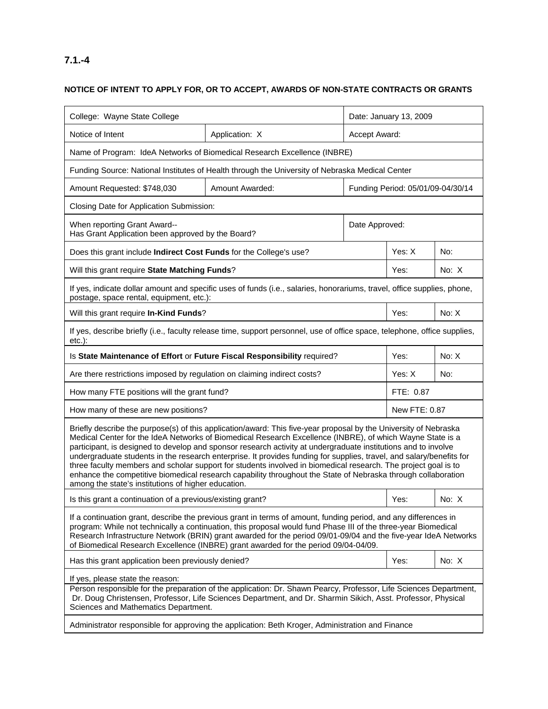# **7.1.-4**

| College: Wayne State College                                                                                                                                                                                                                                                                                                                                                                                                                                                                                                                                                                                                                                                                                                                                      |                 | Date: January 13, 2009            |               |       |  |  |
|-------------------------------------------------------------------------------------------------------------------------------------------------------------------------------------------------------------------------------------------------------------------------------------------------------------------------------------------------------------------------------------------------------------------------------------------------------------------------------------------------------------------------------------------------------------------------------------------------------------------------------------------------------------------------------------------------------------------------------------------------------------------|-----------------|-----------------------------------|---------------|-------|--|--|
| Notice of Intent                                                                                                                                                                                                                                                                                                                                                                                                                                                                                                                                                                                                                                                                                                                                                  | Application: X  | Accept Award:                     |               |       |  |  |
| Name of Program: IdeA Networks of Biomedical Research Excellence (INBRE)                                                                                                                                                                                                                                                                                                                                                                                                                                                                                                                                                                                                                                                                                          |                 |                                   |               |       |  |  |
| Funding Source: National Institutes of Health through the University of Nebraska Medical Center                                                                                                                                                                                                                                                                                                                                                                                                                                                                                                                                                                                                                                                                   |                 |                                   |               |       |  |  |
| Amount Requested: \$748,030                                                                                                                                                                                                                                                                                                                                                                                                                                                                                                                                                                                                                                                                                                                                       | Amount Awarded: | Funding Period: 05/01/09-04/30/14 |               |       |  |  |
| Closing Date for Application Submission:                                                                                                                                                                                                                                                                                                                                                                                                                                                                                                                                                                                                                                                                                                                          |                 |                                   |               |       |  |  |
| When reporting Grant Award--<br>Date Approved:<br>Has Grant Application been approved by the Board?                                                                                                                                                                                                                                                                                                                                                                                                                                                                                                                                                                                                                                                               |                 |                                   |               |       |  |  |
| Does this grant include Indirect Cost Funds for the College's use?                                                                                                                                                                                                                                                                                                                                                                                                                                                                                                                                                                                                                                                                                                |                 |                                   | Yes: X        | No:   |  |  |
| Will this grant require State Matching Funds?                                                                                                                                                                                                                                                                                                                                                                                                                                                                                                                                                                                                                                                                                                                     |                 |                                   | Yes:          | No: X |  |  |
| If yes, indicate dollar amount and specific uses of funds (i.e., salaries, honorariums, travel, office supplies, phone,<br>postage, space rental, equipment, etc.):                                                                                                                                                                                                                                                                                                                                                                                                                                                                                                                                                                                               |                 |                                   |               |       |  |  |
| Will this grant require In-Kind Funds?                                                                                                                                                                                                                                                                                                                                                                                                                                                                                                                                                                                                                                                                                                                            |                 |                                   | Yes:          | No: X |  |  |
| If yes, describe briefly (i.e., faculty release time, support personnel, use of office space, telephone, office supplies,<br>$etc.$ ):                                                                                                                                                                                                                                                                                                                                                                                                                                                                                                                                                                                                                            |                 |                                   |               |       |  |  |
| Is State Maintenance of Effort or Future Fiscal Responsibility required?                                                                                                                                                                                                                                                                                                                                                                                                                                                                                                                                                                                                                                                                                          |                 |                                   | Yes:          | No: X |  |  |
| Are there restrictions imposed by regulation on claiming indirect costs?                                                                                                                                                                                                                                                                                                                                                                                                                                                                                                                                                                                                                                                                                          |                 |                                   | Yes: X        | No:   |  |  |
| How many FTE positions will the grant fund?                                                                                                                                                                                                                                                                                                                                                                                                                                                                                                                                                                                                                                                                                                                       |                 |                                   | FTE: 0.87     |       |  |  |
| How many of these are new positions?                                                                                                                                                                                                                                                                                                                                                                                                                                                                                                                                                                                                                                                                                                                              |                 |                                   | New FTE: 0.87 |       |  |  |
| Briefly describe the purpose(s) of this application/award: This five-year proposal by the University of Nebraska<br>Medical Center for the IdeA Networks of Biomedical Research Excellence (INBRE), of which Wayne State is a<br>participant, is designed to develop and sponsor research activity at undergraduate institutions and to involve<br>undergraduate students in the research enterprise. It provides funding for supplies, travel, and salary/benefits for<br>three faculty members and scholar support for students involved in biomedical research. The project goal is to<br>enhance the competitive biomedical research capability throughout the State of Nebraska through collaboration<br>among the state's institutions of higher education. |                 |                                   |               |       |  |  |
| Is this grant a continuation of a previous/existing grant?                                                                                                                                                                                                                                                                                                                                                                                                                                                                                                                                                                                                                                                                                                        |                 |                                   | Yes:          | No: X |  |  |
| If a continuation grant, describe the previous grant in terms of amount, funding period, and any differences in<br>program: While not technically a continuation, this proposal would fund Phase III of the three-year Biomedical<br>Research Infrastructure Network (BRIN) grant awarded for the period 09/01-09/04 and the five-year IdeA Networks<br>of Biomedical Research Excellence (INBRE) grant awarded for the period 09/04-04/09.                                                                                                                                                                                                                                                                                                                       |                 |                                   |               |       |  |  |
| Has this grant application been previously denied?                                                                                                                                                                                                                                                                                                                                                                                                                                                                                                                                                                                                                                                                                                                |                 | Yes:                              | No: X         |       |  |  |
| If yes, please state the reason:<br>Person responsible for the preparation of the application: Dr. Shawn Pearcy, Professor, Life Sciences Department,<br>Dr. Doug Christensen, Professor, Life Sciences Department, and Dr. Sharmin Sikich, Asst. Professor, Physical<br>Sciences and Mathematics Department.<br>Administrator responsible for approving the application: Beth Kroger, Administration and Finance                                                                                                                                                                                                                                                                                                                                                 |                 |                                   |               |       |  |  |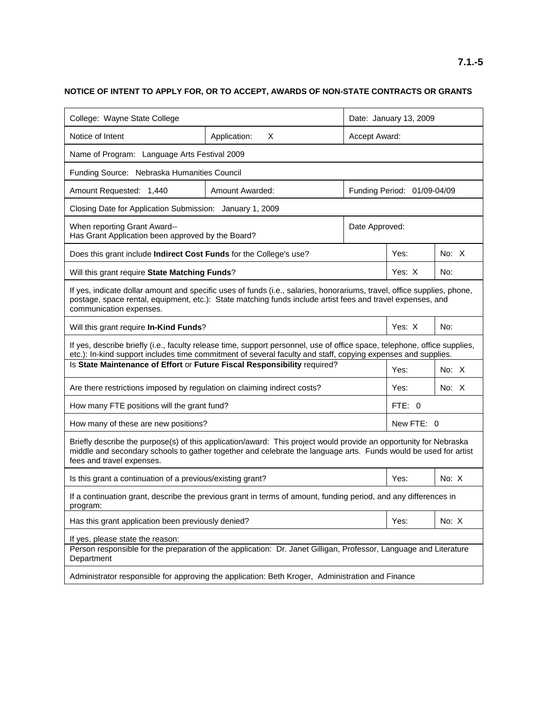| College: Wayne State College                                                                                                                                                                                                                                      |                   | Date: January 13, 2009      |            |         |  |  |
|-------------------------------------------------------------------------------------------------------------------------------------------------------------------------------------------------------------------------------------------------------------------|-------------------|-----------------------------|------------|---------|--|--|
| Notice of Intent                                                                                                                                                                                                                                                  | Application:<br>X | Accept Award:               |            |         |  |  |
| Name of Program: Language Arts Festival 2009                                                                                                                                                                                                                      |                   |                             |            |         |  |  |
| Funding Source: Nebraska Humanities Council                                                                                                                                                                                                                       |                   |                             |            |         |  |  |
| Amount Requested: 1,440                                                                                                                                                                                                                                           | Amount Awarded:   | Funding Period: 01/09-04/09 |            |         |  |  |
|                                                                                                                                                                                                                                                                   |                   |                             |            |         |  |  |
| Closing Date for Application Submission: January 1, 2009<br>When reporting Grant Award--<br>Date Approved:<br>Has Grant Application been approved by the Board?                                                                                                   |                   |                             |            |         |  |  |
| Does this grant include Indirect Cost Funds for the College's use?                                                                                                                                                                                                |                   |                             | Yes:       | No: $X$ |  |  |
| Will this grant require State Matching Funds?                                                                                                                                                                                                                     |                   |                             | Yes: X     | No:     |  |  |
| If yes, indicate dollar amount and specific uses of funds (i.e., salaries, honorariums, travel, office supplies, phone,<br>postage, space rental, equipment, etc.): State matching funds include artist fees and travel expenses, and<br>communication expenses.  |                   |                             |            |         |  |  |
| Will this grant require In-Kind Funds?                                                                                                                                                                                                                            |                   |                             | Yes: X     | No:     |  |  |
| If yes, describe briefly (i.e., faculty release time, support personnel, use of office space, telephone, office supplies,<br>etc.): In-kind support includes time commitment of several faculty and staff, copying expenses and supplies.                         |                   |                             |            |         |  |  |
| Is State Maintenance of Effort or Future Fiscal Responsibility required?                                                                                                                                                                                          |                   |                             | Yes:       | No: $X$ |  |  |
| Are there restrictions imposed by regulation on claiming indirect costs?                                                                                                                                                                                          |                   |                             | Yes:       | No: $X$ |  |  |
| How many FTE positions will the grant fund?                                                                                                                                                                                                                       |                   |                             | FTE: 0     |         |  |  |
| How many of these are new positions?                                                                                                                                                                                                                              |                   |                             | New FTE: 0 |         |  |  |
| Briefly describe the purpose(s) of this application/award: This project would provide an opportunity for Nebraska<br>middle and secondary schools to gather together and celebrate the language arts. Funds would be used for artist<br>fees and travel expenses. |                   |                             |            |         |  |  |
| Is this grant a continuation of a previous/existing grant?                                                                                                                                                                                                        |                   |                             | Yes:       | No: X   |  |  |
| If a continuation grant, describe the previous grant in terms of amount, funding period, and any differences in<br>program:                                                                                                                                       |                   |                             |            |         |  |  |
| Has this grant application been previously denied?                                                                                                                                                                                                                |                   | Yes:                        | No: X      |         |  |  |
| If yes, please state the reason:<br>Person responsible for the preparation of the application: Dr. Janet Gilligan, Professor, Language and Literature<br>Department                                                                                               |                   |                             |            |         |  |  |
| Administrator responsible for approving the application: Beth Kroger, Administration and Finance                                                                                                                                                                  |                   |                             |            |         |  |  |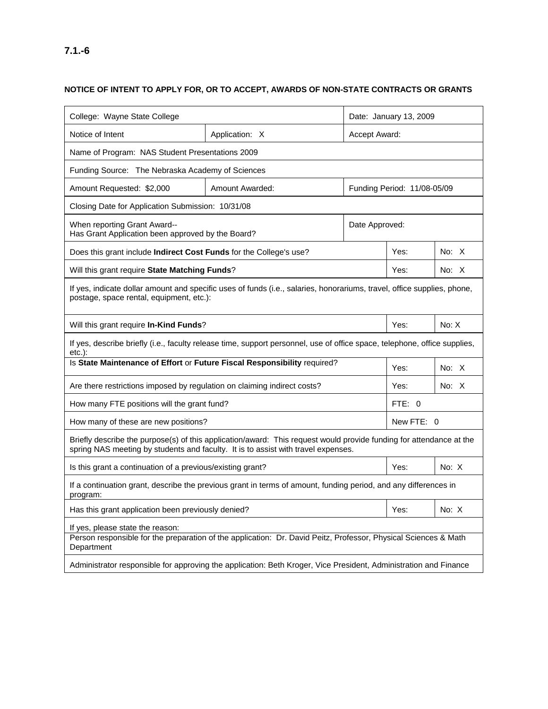## **NOTICE OF INTENT TO APPLY FOR, OR TO ACCEPT, AWARDS OF NON-STATE CONTRACTS OR GRANTS**

| College: Wayne State College                                                                                                                                                                             |                                                                     |                             |            |         |  |  |
|----------------------------------------------------------------------------------------------------------------------------------------------------------------------------------------------------------|---------------------------------------------------------------------|-----------------------------|------------|---------|--|--|
| Notice of Intent                                                                                                                                                                                         |                                                                     | Date: January 13, 2009      |            |         |  |  |
|                                                                                                                                                                                                          | Application: X                                                      | Accept Award:               |            |         |  |  |
| Name of Program: NAS Student Presentations 2009                                                                                                                                                          |                                                                     |                             |            |         |  |  |
| Funding Source: The Nebraska Academy of Sciences                                                                                                                                                         |                                                                     |                             |            |         |  |  |
| Amount Requested: \$2,000                                                                                                                                                                                | Amount Awarded:                                                     | Funding Period: 11/08-05/09 |            |         |  |  |
| Closing Date for Application Submission: 10/31/08                                                                                                                                                        |                                                                     |                             |            |         |  |  |
| When reporting Grant Award--                                                                                                                                                                             | Date Approved:<br>Has Grant Application been approved by the Board? |                             |            |         |  |  |
| Does this grant include <b>Indirect Cost Funds</b> for the College's use?                                                                                                                                |                                                                     |                             | Yes:       | No: $X$ |  |  |
| Will this grant require State Matching Funds?                                                                                                                                                            |                                                                     |                             | Yes:       | No: $X$ |  |  |
| If yes, indicate dollar amount and specific uses of funds (i.e., salaries, honorariums, travel, office supplies, phone,<br>postage, space rental, equipment, etc.):                                      |                                                                     |                             |            |         |  |  |
| Will this grant require In-Kind Funds?                                                                                                                                                                   |                                                                     |                             | Yes:       | No: X   |  |  |
| If yes, describe briefly (i.e., faculty release time, support personnel, use of office space, telephone, office supplies,<br>$etc.$ ):                                                                   |                                                                     |                             |            |         |  |  |
| Is State Maintenance of Effort or Future Fiscal Responsibility required?                                                                                                                                 |                                                                     | Yes:                        | No: $X$    |         |  |  |
| Are there restrictions imposed by regulation on claiming indirect costs?                                                                                                                                 |                                                                     | Yes:                        | No: $X$    |         |  |  |
| How many FTE positions will the grant fund?                                                                                                                                                              |                                                                     | FTE: 0                      |            |         |  |  |
| How many of these are new positions?                                                                                                                                                                     |                                                                     |                             | New FTE: 0 |         |  |  |
| Briefly describe the purpose(s) of this application/award: This request would provide funding for attendance at the<br>spring NAS meeting by students and faculty. It is to assist with travel expenses. |                                                                     |                             |            |         |  |  |
| Is this grant a continuation of a previous/existing grant?                                                                                                                                               |                                                                     |                             | Yes:       | No: $X$ |  |  |
| If a continuation grant, describe the previous grant in terms of amount, funding period, and any differences in<br>program:                                                                              |                                                                     |                             |            |         |  |  |
| Has this grant application been previously denied?                                                                                                                                                       |                                                                     | Yes:                        | No: X      |         |  |  |
| If yes, please state the reason:<br>Person responsible for the preparation of the application: Dr. David Peitz, Professor, Physical Sciences & Math<br>Department                                        |                                                                     |                             |            |         |  |  |
| Administrator responsible for approving the application: Beth Kroger, Vice President, Administration and Finance                                                                                         |                                                                     |                             |            |         |  |  |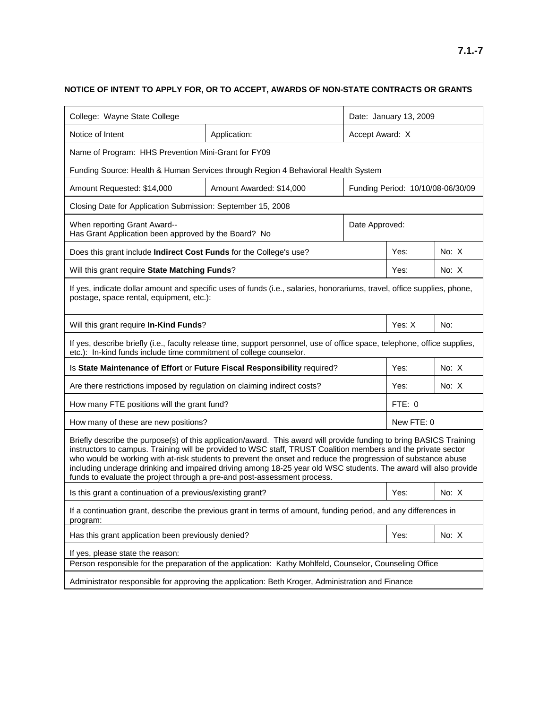## **NOTICE OF INTENT TO APPLY FOR, OR TO ACCEPT, AWARDS OF NON-STATE CONTRACTS OR GRANTS**

| College: Wayne State College                                                                                                                                                                                                                                                                                                                                                                                                                                                                                                                         |                          | Date: January 13, 2009            |            |         |  |  |
|------------------------------------------------------------------------------------------------------------------------------------------------------------------------------------------------------------------------------------------------------------------------------------------------------------------------------------------------------------------------------------------------------------------------------------------------------------------------------------------------------------------------------------------------------|--------------------------|-----------------------------------|------------|---------|--|--|
| Notice of Intent                                                                                                                                                                                                                                                                                                                                                                                                                                                                                                                                     | Application:             | Accept Award: X                   |            |         |  |  |
| Name of Program: HHS Prevention Mini-Grant for FY09                                                                                                                                                                                                                                                                                                                                                                                                                                                                                                  |                          |                                   |            |         |  |  |
| Funding Source: Health & Human Services through Region 4 Behavioral Health System                                                                                                                                                                                                                                                                                                                                                                                                                                                                    |                          |                                   |            |         |  |  |
| Amount Requested: \$14,000                                                                                                                                                                                                                                                                                                                                                                                                                                                                                                                           | Amount Awarded: \$14,000 | Funding Period: 10/10/08-06/30/09 |            |         |  |  |
| Closing Date for Application Submission: September 15, 2008                                                                                                                                                                                                                                                                                                                                                                                                                                                                                          |                          |                                   |            |         |  |  |
| When reporting Grant Award--<br>Has Grant Application been approved by the Board? No                                                                                                                                                                                                                                                                                                                                                                                                                                                                 |                          | Date Approved:                    |            |         |  |  |
| Does this grant include Indirect Cost Funds for the College's use?                                                                                                                                                                                                                                                                                                                                                                                                                                                                                   |                          |                                   | Yes:       | No: $X$ |  |  |
| Will this grant require State Matching Funds?                                                                                                                                                                                                                                                                                                                                                                                                                                                                                                        |                          |                                   | Yes:       | No: X   |  |  |
| If yes, indicate dollar amount and specific uses of funds (i.e., salaries, honorariums, travel, office supplies, phone,<br>postage, space rental, equipment, etc.):                                                                                                                                                                                                                                                                                                                                                                                  |                          |                                   |            |         |  |  |
| Will this grant require In-Kind Funds?                                                                                                                                                                                                                                                                                                                                                                                                                                                                                                               |                          |                                   | Yes: X     | No:     |  |  |
| If yes, describe briefly (i.e., faculty release time, support personnel, use of office space, telephone, office supplies,<br>etc.): In-kind funds include time commitment of college counselor.                                                                                                                                                                                                                                                                                                                                                      |                          |                                   |            |         |  |  |
| Is State Maintenance of Effort or Future Fiscal Responsibility required?                                                                                                                                                                                                                                                                                                                                                                                                                                                                             |                          |                                   | Yes:       | No: X   |  |  |
| Are there restrictions imposed by regulation on claiming indirect costs?                                                                                                                                                                                                                                                                                                                                                                                                                                                                             |                          |                                   | Yes:       | No: $X$ |  |  |
| How many FTE positions will the grant fund?                                                                                                                                                                                                                                                                                                                                                                                                                                                                                                          |                          | FTE: 0                            |            |         |  |  |
| How many of these are new positions?                                                                                                                                                                                                                                                                                                                                                                                                                                                                                                                 |                          |                                   | New FTE: 0 |         |  |  |
| Briefly describe the purpose(s) of this application/award. This award will provide funding to bring BASICS Training<br>instructors to campus. Training will be provided to WSC staff, TRUST Coalition members and the private sector<br>who would be working with at-risk students to prevent the onset and reduce the progression of substance abuse<br>including underage drinking and impaired driving among 18-25 year old WSC students. The award will also provide<br>funds to evaluate the project through a pre-and post-assessment process. |                          |                                   |            |         |  |  |
| Is this grant a continuation of a previous/existing grant?                                                                                                                                                                                                                                                                                                                                                                                                                                                                                           |                          |                                   | Yes:       | No: X   |  |  |
| If a continuation grant, describe the previous grant in terms of amount, funding period, and any differences in<br>program:                                                                                                                                                                                                                                                                                                                                                                                                                          |                          |                                   |            |         |  |  |
| Has this grant application been previously denied?                                                                                                                                                                                                                                                                                                                                                                                                                                                                                                   |                          |                                   | Yes:       | No: X   |  |  |
| If yes, please state the reason:                                                                                                                                                                                                                                                                                                                                                                                                                                                                                                                     |                          |                                   |            |         |  |  |
| Person responsible for the preparation of the application: Kathy Mohlfeld, Counselor, Counseling Office                                                                                                                                                                                                                                                                                                                                                                                                                                              |                          |                                   |            |         |  |  |
| Administrator responsible for approving the application: Beth Kroger, Administration and Finance                                                                                                                                                                                                                                                                                                                                                                                                                                                     |                          |                                   |            |         |  |  |